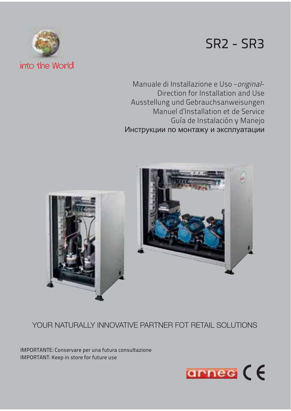# SR2 - SR3



Manuale di Installazione e Uso - original-Direction for Installation and Use Ausstellung und Gebrauchsanweisungen Manuel d'Installation et de Service Guía de Instalación y Manejo Инструкции по монтажу и эксплуатации



# YOUR NATURALLY INNOVATIVE PARTNER FOT RETAIL SOLUTIONS

IMPORTANTE: Conservare per una futura consultazione IMPORTANT: Keep in store for future use

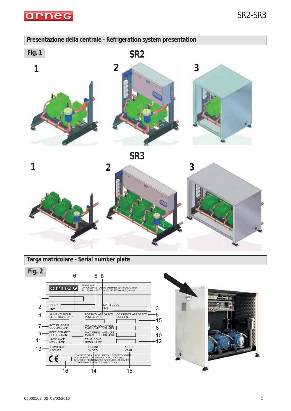

### **Presentazione della centrale - Refrigeration system presentation**







### **Targa matricolare - Serial number plate**

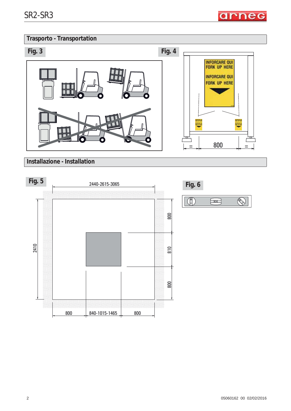arneg

# **Trasporto - Transportation**



**Installazione - Installation**



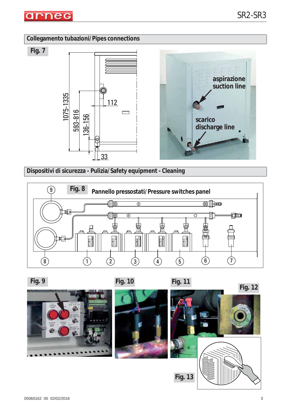

**Fig. 7**

## **Collegamento tubazioni/Pipes connections**





**Dispositivi di sicurezza - Pulizia/Safety equipment - Cleaning**





**Fig. 13**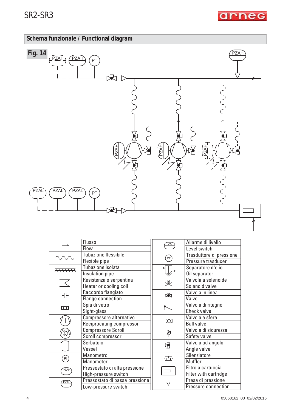arneg

# **Schema funzionale / Functional diagram**



|                             | Flusso                         | LZAL                  | Allarme di livello       |  |
|-----------------------------|--------------------------------|-----------------------|--------------------------|--|
|                             | Flow                           |                       | Level switch             |  |
|                             | Tubazione flessibile           |                       | Trasduttore di pressione |  |
|                             | Flexible pipe                  | $\left($ PT $\right)$ | Pressure trasducer       |  |
|                             | Tubazione isolata              |                       | Separatore d'olio        |  |
|                             | Insulation pipe                |                       | Oil separator            |  |
|                             | Resistenza o serpentina        | ♨                     | Valvola a solenoide      |  |
|                             | Heater or cooling coil         |                       | Solenoid valve           |  |
| $+$                         | Raccordo flangiato             | 園                     | Valvola in linea         |  |
|                             | Flange connection              |                       | Valve                    |  |
| $\overline{\omega}$         | Spia di vetro                  |                       | Valvola di ritegno       |  |
|                             | Sight-glass                    |                       | <b>Check valve</b>       |  |
|                             | Compressore alternativo        |                       | Valvola a sfera          |  |
|                             | Reciprocating compressor       | $\infty$              | <b>Ball valve</b>        |  |
|                             | <b>Compressore Scroll</b>      | ቝ                     | Valvola di sicurezza     |  |
|                             | Scroll compressor              |                       | Safety valve             |  |
|                             | Serbatoio                      | 咀                     | Valvola ad angolo        |  |
|                             | Vessel                         |                       | Angle valve              |  |
| $\left( \mathsf{PI}\right)$ | Manometro                      | 雷                     | Silenziatore             |  |
|                             | Manometer                      |                       | Muffler                  |  |
| <b>PZAH</b>                 | Pressostato di alta pressione  |                       | Filtro a cartuccia       |  |
|                             | High-pressure switch           |                       | Filter with cartridge    |  |
| PZAI                        | Pressostato di bassa pressione | $\triangledown$       | Presa di pressione       |  |
|                             | Low-pressure switch            |                       | Pressure connection      |  |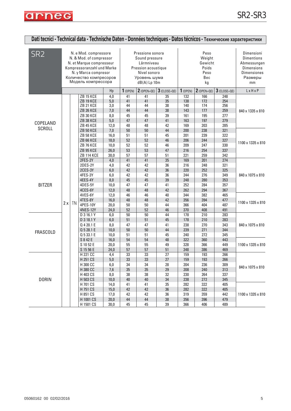

| Dati tecnici - Technical data - Technische Daten - Données techniques - Datos técnicos - Технические характеристики |    |                                                                                                                                                                                    |                                                                                                       |                                                                                                  |                                                                           |                                                                                                                         |                                        |                                               |                                                         |                                                                                                            |                                                                    |                                               |                            |                            |                            |
|---------------------------------------------------------------------------------------------------------------------|----|------------------------------------------------------------------------------------------------------------------------------------------------------------------------------------|-------------------------------------------------------------------------------------------------------|--------------------------------------------------------------------------------------------------|---------------------------------------------------------------------------|-------------------------------------------------------------------------------------------------------------------------|----------------------------------------|-----------------------------------------------|---------------------------------------------------------|------------------------------------------------------------------------------------------------------------|--------------------------------------------------------------------|-----------------------------------------------|----------------------------|----------------------------|----------------------------|
| SR <sub>2</sub>                                                                                                     |    | N. e Mod. compressore<br>N. & Mod. of compressor<br>N. et Marque compresseur<br>Kompressoranzahl und Marke<br>N. y Marca compresor<br>Количество компресоров<br>Модель компрессора |                                                                                                       |                                                                                                  |                                                                           | Pressione sonora<br>Sound pressure<br>Lärmniveau<br>Pression acoustique<br>Nivel sonoro<br>Уровень шума<br>dB(A) Lp 10m |                                        |                                               | Peso<br>Weight<br>Gewicht<br>Poids<br>Peso<br>Bec<br>kg | Dimensioni<br><b>Dimentions</b><br>Abmessungen<br><b>Dimensions</b><br><b>Dimensiones</b><br>Размеры<br>mm |                                                                    |                                               |                            |                            |                            |
|                                                                                                                     |    |                                                                                                                                                                                    |                                                                                                       | Hp                                                                                               | 1(0PEN)                                                                   | $2(0$ PEN+QE)                                                                                                           | $3$ (CLOSE+QE)                         | $1$ (OPEN)                                    | $2$ (OPEN+QE)                                           | $3$ (CLOSE+QE)                                                                                             | LxHxP                                                              |                                               |                            |                            |                            |
| COPELAND                                                                                                            |    |                                                                                                                                                                                    | ZB 15 KCE<br>ZB 19 KCE<br>ZB 21 KCE<br>ZB 26 KCE<br><b>ZB 30 KCE</b><br>ZB 38 KCE<br><b>ZB 45 KCE</b> | 4,0<br>5,0<br>3,0<br>7,0<br>8,0<br>5,0<br>12,0                                                   | 41<br>41<br>44<br>44<br>45<br>47<br>48                                    | 41<br>41<br>44<br>44<br>45<br>47<br>48                                                                                  | 35<br>35<br>38<br>38<br>39<br>41<br>42 | 132<br>138<br>140<br>143<br>161<br>163<br>169 | 166<br>172<br>174<br>177<br>195<br>197<br>203           | 248<br>254<br>256<br>259<br>277<br>279<br>285                                                              | 840 x 1335 x 810                                                   |                                               |                            |                            |                            |
| <b>SCROLL</b>                                                                                                       | 2x |                                                                                                                                                                                    |                                                                                                       | <b>ZB 50 KCE</b><br><b>ZB 58 KCE</b><br>ZB 66 KCE<br>ZB 76 KCE<br>ZB 95 KCE<br><b>ZB 114 KCE</b> | 7,0<br>16,0<br>18,0<br>10,0<br>26,0<br>30,0                               | 50<br>51<br>52<br>52<br>53<br>57                                                                                        | 50<br>51<br>52<br>52<br>53<br>57       | 44<br>45<br>46<br>46<br>47<br>51              | 200<br>201<br>206<br>209<br>216<br>221                  | 238<br>239<br>244<br>247<br>254<br>259                                                                     | 321<br>322<br>327<br>330<br>337<br>342                             | 1100 x 1335 x 810                             |                            |                            |                            |
| <b>BITZER</b>                                                                                                       |    |                                                                                                                                                                                    |                                                                                                       |                                                                                                  | 2FES-2Y<br>2DES-2Y<br>2CES-3Y<br>4FES-3Y<br>4EES-4Y<br>4DES-5Y<br>4CES-6Y | 4,0<br>4,0<br>6,0<br>6,0<br>8,0<br>10,0<br>12,0                                                                         | 41<br>42<br>42<br>42<br>45<br>47<br>48 | 41<br>42<br>42<br>42<br>45<br>47<br>48        | 35<br>36<br>36<br>36<br>39<br>41<br>42                  | 169<br>216<br>220<br>244<br>248<br>252<br>262                                                              | 201<br>248<br>252<br>276<br>280<br>284<br>294                      | 274<br>321<br>325<br>349<br>353<br>357<br>367 | 840 x 1075 x 810           |                            |                            |
|                                                                                                                     |    |                                                                                                                                                                                    |                                                                                                       |                                                                                                  | TN                                                                        | 4VES-6Y<br>4TES-8Y<br>4PES-10Y<br><b>4NES-12Y</b>                                                                       | 12,0<br>16,0<br>20,0<br>24,0           | 46<br>48<br>50<br>52                          | 46<br>48<br>50<br>52                                    | 40<br>42<br>44<br>46                                                                                       | 344<br>356<br>366<br>370                                           | 382<br>394<br>404<br>408                      | 465<br>477<br>487<br>491   | 1100 x 1335 x 810          |                            |
| <b>FRASCOLD</b>                                                                                                     |    |                                                                                                                                                                                    |                                                                                                       |                                                                                                  |                                                                           |                                                                                                                         |                                        |                                               |                                                         |                                                                                                            | D 3 16.1 Y<br>D 3 18.1 Y<br>Q 4 20.1 E<br>Q 5 28.1 E<br>Q 5 33.1 E | 6,0<br>6,0<br>8,0<br>10,0<br>10,0             | 50<br>51<br>47<br>50<br>51 | 50<br>51<br>47<br>50<br>51 | 44<br>45<br>41<br>44<br>45 |
|                                                                                                                     |    |                                                                                                                                                                                    | S 8 42 E<br>S 10 52 E<br>S 15 56 E                                                                    | 16,0<br>20,0<br>24,0                                                                             | 54<br>55<br>57                                                            | 54<br>55<br>57                                                                                                          | 48<br>49<br>51                         | 322<br>328<br>348                             | 360<br>366<br>386                                       | 443<br>449<br>469                                                                                          | 1100 x 1335 x 810                                                  |                                               |                            |                            |                            |
| <b>DORIN</b>                                                                                                        |    |                                                                                                                                                                                    | H 221 CC<br>H 251 CS<br>H 300 CC<br>H 380 CC<br>H 403 CS<br>H 503 CS                                  | 4,4<br>$5,0$<br>6,0<br>7,6<br>8,0<br>10,0                                                        | 33<br>33<br>34<br>35<br>38<br>$40\,$                                      | 33<br>33<br>34<br>35<br>38<br>40                                                                                        | 27<br>27<br>28<br>$29\,$<br>32<br>34   | 159<br>159<br>204<br>208<br>230<br>238        | 193<br>193<br>236<br>240<br>264<br>272                  | 266<br>266<br>309<br>313<br>337<br>345                                                                     | 840 x 1075 x 810                                                   |                                               |                            |                            |                            |
|                                                                                                                     |    |                                                                                                                                                                                    | H 701 CS<br>H 751 CS<br>H 851 CS<br>H 1001 CS<br>H 1501 CS                                            | 14,0<br>15,0<br>17,0<br>20,0<br>30,0                                                             | 41<br>42<br>42<br>44<br>45                                                | 41<br>42<br>42<br>44<br>45                                                                                              | 35<br>36<br>36<br>38<br>39             | 282<br>282<br>319<br>356<br>366               | 322<br>322<br>359<br>396<br>406                         | 405<br>405<br>442<br>479<br>489                                                                            | 1100 x 1335 x 810                                                  |                                               |                            |                            |                            |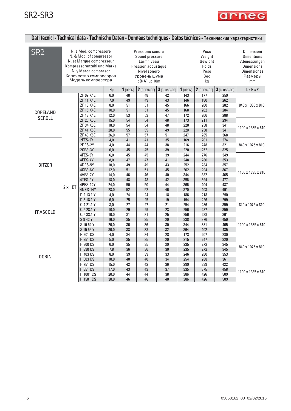| Dati tecnici - Technical data - Technische Daten - Données techniques - Datos técnicos - Технические характеристики |    |  |                                                                                                                                                                                    |                                                                                               |                                                                                 |                                                                                                                           |                                              |                                               |                                                         |                                                      |                                                                                                            |                                        |
|---------------------------------------------------------------------------------------------------------------------|----|--|------------------------------------------------------------------------------------------------------------------------------------------------------------------------------------|-----------------------------------------------------------------------------------------------|---------------------------------------------------------------------------------|---------------------------------------------------------------------------------------------------------------------------|----------------------------------------------|-----------------------------------------------|---------------------------------------------------------|------------------------------------------------------|------------------------------------------------------------------------------------------------------------|----------------------------------------|
| SR <sub>2</sub>                                                                                                     |    |  | N. e Mod. compressore<br>N. & Mod. of compressor<br>N. et Marque compresseur<br>Kompressoranzahl und Marke<br>N. y Marca compresor<br>Количество компресоров<br>Модель компрессора |                                                                                               |                                                                                 | Pressione sonora<br>Sound pressure<br>Lärmniveau<br>Pression acoustique<br>Nivel sonoro<br>Уровень шума<br>$dB(A)$ Lp 10m |                                              |                                               | Peso<br>Weight<br>Gewicht<br>Poids<br>Peso<br>Bec<br>kg |                                                      | Dimensioni<br><b>Dimentions</b><br>Abmessungen<br><b>Dimensions</b><br><b>Dimensiones</b><br>Размеры<br>mm |                                        |
|                                                                                                                     |    |  |                                                                                                                                                                                    | Hp                                                                                            | 1(0PEN)                                                                         | $2$ (OPEN+QE)                                                                                                             | $3$ (CLOSE+QE)                               | 1(0PEN)                                       | $2$ (OPEN+QE)                                           | $3$ (CLOSE+QE)                                       | LxHxP                                                                                                      |                                        |
| COPELAND<br><b>SCROLL</b>                                                                                           |    |  | <b>ZF 09 K4E</b><br><b>ZF 11 K4E</b><br><b>ZF 13 K4E</b><br><b>ZF 15 K4E</b><br><b>ZF 18 K4E</b>                                                                                   | 6,0<br>7,0<br>8,0<br>10,0<br>12,0                                                             | 48<br>49<br>51<br>51<br>53                                                      | 48<br>49<br>51<br>51<br>53                                                                                                | 42<br>43<br>45<br>45<br>47                   | 143<br>146<br>166<br>168<br>172               | 177<br>180<br>200<br>202<br>206                         | 259<br>262<br>282<br>284<br>288                      | 840 x 1335 x 810                                                                                           |                                        |
|                                                                                                                     |    |  | <b>ZF 25 K5E</b><br>ZF 34 K5E<br><b>ZF 41 K5E</b><br><b>ZF 49 K5E</b><br>2FES-2Y                                                                                                   | 15,0<br>18,0<br>20,0<br>26.0                                                                  | 54<br>54<br>55<br>57<br>41                                                      | 54<br>54<br>55<br>57<br>$\overline{41}$                                                                                   | 48<br>48<br>49<br>51<br>35                   | 173<br>220<br>220<br>247<br>169               | 211<br>258<br>258<br>285<br>201                         | 294<br>341<br>341<br>368<br>274                      | 1100 x 1335 x 810                                                                                          |                                        |
|                                                                                                                     |    |  | 2DES-2Y<br>2CES-3Y                                                                                                                                                                 | 4,0<br>4.0<br>6,0                                                                             | 44<br>45                                                                        | 44<br>45                                                                                                                  | 38<br>39                                     | 216<br>220                                    | 248<br>252                                              | 321<br>325                                           | 840 x 1075 x 810                                                                                           |                                        |
| <b>BITZER</b>                                                                                                       | 2x |  | <b>BT</b>                                                                                                                                                                          | 4FES-3Y<br>4EES-4Y<br>4DES-5Y<br>4CES-6Y<br>4VES-7Y<br>4TES-9Y<br>4PES-12Y<br><b>4NES-14Y</b> | 6.0<br>8,0<br>10,0<br>12,0<br>14,0<br>18,0<br>24,0<br>28,0                      | 45<br>47<br>49<br>51<br>46<br>48<br>50<br>52                                                                              | 45<br>47<br>49<br>51<br>46<br>48<br>50<br>52 | 39<br>41<br>43<br>45<br>40<br>42<br>44<br>46  | 244<br>248<br>252<br>262<br>344<br>356<br>366<br>370    | 276<br>280<br>284<br>294<br>382<br>394<br>404<br>408 | 349<br>353<br>357<br>367<br>465<br>477<br>487<br>491                                                       | 1100 x 1335 x 810                      |
| FRASCOLD                                                                                                            |    |  |                                                                                                                                                                                    |                                                                                               | D 2 13.1 Y<br>D 3 18.1 Y<br>Q 4 21.1 Y<br>Q 5 28.1 Y<br>Q 5 33.1 Y<br>S 8 4 2 Y | 4,0<br>6,0<br>0,8<br>10,0<br>10,0<br>16,0                                                                                 | 24<br>25<br>27<br>29<br>31<br>35             | 24<br>25<br>27<br>29<br>31<br>35              | 18<br>19<br>21<br>23<br>25<br>29                        | 186<br>194<br>254<br>256<br>256<br>338               | 218<br>226<br>286<br>287<br>288<br>376                                                                     | 290<br>299<br>359<br>359<br>361<br>459 |
|                                                                                                                     |    |  | S 10 52 Y<br>S 15 56 Y                                                                                                                                                             | 20,0<br>30.0                                                                                  | 36<br>38                                                                        | 36<br>38                                                                                                                  | 30<br>32                                     | 344<br>364                                    | 381<br>402                                              | 465<br>485                                           | 1100 x 1335 x 810                                                                                          |                                        |
| <b>DORIN</b>                                                                                                        |    |  | H 201 CS<br>H 251 CS<br>H 300 CS<br>H 390 CS<br>H 403 CS<br>H 503 CS<br>H 751 CS                                                                                                   | 4,0<br>5,0<br>6,0<br>7,8<br>8,0<br>10,0<br>15,0                                               | 34<br>35<br>35<br>36<br>39<br>40<br>42                                          | 34<br>35<br>35<br>36<br>39<br>40<br>42                                                                                    | 28<br>29<br>29<br>30<br>33<br>34<br>36       | 173<br>215<br>235<br>235<br>246<br>254<br>299 | 207<br>247<br>272<br>272<br>280<br>288<br>339           | 280<br>320<br>345<br>345<br>353<br>361<br>422        | 840 x 1075 x 810                                                                                           |                                        |
|                                                                                                                     |    |  | H 851 CS<br>H 1001 CS<br>H 1501 CS                                                                                                                                                 | 17,0<br>20,0<br>30.0                                                                          | 43<br>44<br>46                                                                  | 43<br>44<br>46                                                                                                            | 37<br>38<br>40                               | 335<br>386<br>386                             | 375<br>426<br>426                                       | 458<br>509<br>509                                    | 1100 x 1335 x 810                                                                                          |                                        |

arneg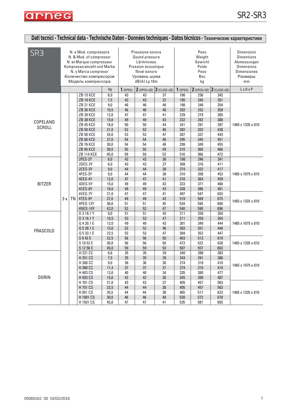

| Dati tecnici - Technical data - Technische Daten - Données techniques - Datos técnicos - Технические характеристики |    |           |                                                                                                                                                                                                                  |                                                                                           |                                                                      |                                                                                                                         |                                                                      |                                                                                  |                                                                                  |                                                                                  |                                                                                                            |
|---------------------------------------------------------------------------------------------------------------------|----|-----------|------------------------------------------------------------------------------------------------------------------------------------------------------------------------------------------------------------------|-------------------------------------------------------------------------------------------|----------------------------------------------------------------------|-------------------------------------------------------------------------------------------------------------------------|----------------------------------------------------------------------|----------------------------------------------------------------------------------|----------------------------------------------------------------------------------|----------------------------------------------------------------------------------|------------------------------------------------------------------------------------------------------------|
| SR3                                                                                                                 |    |           | N. e Mod. compressore<br>N. & Mod. of compressor<br>N. et Marque compresseur<br>Kompressoranzahl und Marke<br>N. y Marca compresor<br>Количество компресоров<br>Модель компрессора                               |                                                                                           |                                                                      | Pressione sonora<br>Sound pressure<br>Lärmniveau<br>Pression acoustique<br>Nivel sonoro<br>Уровень шума<br>dB(A) Lp 10m |                                                                      |                                                                                  | Peso<br>Weight<br>Gewicht<br>Poids<br>Peso<br>Bec<br>kg                          |                                                                                  | Dimensioni<br><b>Dimentions</b><br>Abmessungen<br><b>Dimensions</b><br><b>Dimensiones</b><br>Размеры<br>mm |
|                                                                                                                     |    |           |                                                                                                                                                                                                                  | Hp                                                                                        | 1(0PEN)                                                              |                                                                                                                         | $2$ (OPEN+QE) $3$ (CLOSE+QE)                                         | 1(0PEN)                                                                          |                                                                                  | $2$ (OPEN+QE) $3$ (CLOSE+QE)                                                     | $L \times H \times P$                                                                                      |
| COPELAND<br><b>SCROLL</b>                                                                                           |    |           | ZB 15 KCE<br><b>ZB 19 KCE</b><br>ZB 21 KCE<br>ZB 26 KCE<br><b>ZB 30 KCE</b><br>ZB 38 KCE<br><b>ZB 45 KCE</b><br><b>ZB 50 KCE</b><br><b>ZB 58 KCE</b><br><b>ZB 66 KCE</b><br><b>ZB 76 KCE</b><br><b>ZB 95 KCE</b> | 6,0<br>7,5<br>9,0<br>10,5<br>12,0<br>15,0<br>18,0<br>21,0<br>24,0<br>27,0<br>30,0<br>39,0 | 43<br>43<br>46<br>46<br>47<br>49<br>50<br>52<br>53<br>54<br>54<br>55 | 43<br>43<br>46<br>46<br>47<br>49<br>50<br>52<br>53<br>54<br>54<br>55                                                    | 37<br>37<br>40<br>40<br>41<br>43<br>44<br>46<br>47<br>48<br>48<br>49 | 186<br>195<br>198<br>202<br>229<br>232<br>241<br>282<br>287<br>295<br>299<br>310 | 236<br>245<br>248<br>252<br>279<br>282<br>291<br>332<br>337<br>345<br>349<br>360 | 342<br>351<br>354<br>358<br>385<br>388<br>397<br>438<br>443<br>451<br>455<br>466 | 1465 x 1335 x 810                                                                                          |
| <b>BITZER</b>                                                                                                       | 3x | <b>TN</b> | <b>ZB 114 KCE</b><br>2FES-2Y<br>2DES-2Y<br>2CES-3Y<br>4FES-3Y<br>4EES-4Y<br>4DES-5Y<br>4CES-6Y<br>4VES-7Y<br>4TES-9Y<br>4PES-12Y<br><b>4NES-14Y</b>                                                              | 45,0<br>6,0<br>6,0<br>9,0<br>9,0<br>12,0<br>15,0<br>18,0<br>21,0<br>27,0<br>36,0<br>42,0  | 59<br>42<br>43<br>44<br>44<br>47<br>49<br>49<br>47<br>49<br>51<br>53 | 59<br>42<br>43<br>44<br>44<br>47<br>49<br>49<br>47<br>49<br>51<br>53                                                    | 53<br>36<br>37<br>38<br>38<br>41<br>43<br>43<br>41<br>43<br>45<br>47 | 316<br>198<br>268<br>274<br>310<br>316<br>323<br>338<br>497<br>519<br>534<br>540 | 366<br>246<br>316<br>322<br>358<br>364<br>371<br>386<br>547<br>569<br>584<br>590 | 472<br>341<br>411<br>417<br>453<br>459<br>466<br>481<br>653<br>675<br>690<br>696 | 1465 x 1075 x 810<br>1465 x 1335 x 810                                                                     |
| <b>FRASCOLD</b>                                                                                                     |    |           | D 3 16.1 Y<br>D 3 18.1 Y<br>Q 4 20.1 E<br>Q 5 28.1 E<br>Q 5 33.1 E<br>S 8 4 2 E<br>S 10 52 E<br>S 12 56 E                                                                                                        | 9,0<br>10,5<br>12,0<br>15,0<br>22,5<br>22,5<br>30,0<br>45,0                               | 51<br>53<br>49<br>52<br>53<br>56<br>56<br>59                         | 51<br>53<br>49<br>52<br>53<br>56<br>56<br>59                                                                            | 45<br>47<br>43<br>46<br>47<br>50<br>50<br>53                         | 211<br>211<br>301<br>303<br>304<br>463<br>472<br>507                             | 259<br>259<br>349<br>351<br>352<br>513<br>522<br>557                             | 354<br>354<br>444<br>446<br>447<br>619<br>628<br>663                             | 1465 x 1075 x 810<br>1465 x 1335 x 810                                                                     |
| <b>DORIN</b>                                                                                                        |    |           | H 221 CC<br>H 251 CS<br>H 300 CC<br>H 380 CC<br>H 403 CS<br>H 503 CS                                                                                                                                             | 6,6<br>7,5<br>$9,0$<br>11,4<br>12,0<br>15,0                                               | 35<br>35<br>36<br>37<br>40<br>42                                     | 35<br>35<br>36<br>37<br>40<br>42                                                                                        | 29<br>29<br>30<br>31<br>34<br>36                                     | 240<br>243<br>274<br>274<br>335<br>345                                           | 288<br>291<br>319<br>319<br>380<br>390                                           | 383<br>386<br>410<br>410<br>477<br>487                                           | 1465 x 1075 x 810                                                                                          |
|                                                                                                                     |    |           | H 701 CS<br>H 751 CS<br>H 851 CS<br>H 1001 CS<br>H 1501 CS                                                                                                                                                       | 21,0<br>22,5<br>25,5<br>30,0<br>45,0                                                      | 43<br>44<br>44<br>46<br>47                                           | 43<br>44<br>44<br>46<br>47                                                                                              | 37<br>38<br>38<br>40<br>41                                           | 405<br>405<br>465<br>520<br>535                                                  | 457<br>457<br>517<br>572<br>587                                                  | 563<br>563<br>623<br>678<br>693                                                  | 1465 x 1335 x 810                                                                                          |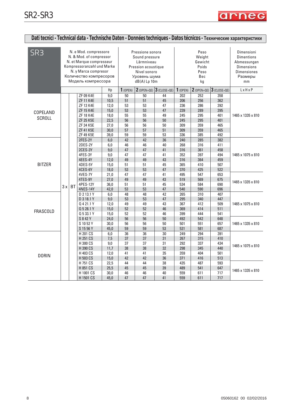

| Dati tecnici - Technical data - Technische Daten - Données techniques - Datos técnicos - Технические характеристики |                                                                                                                                                                                    |           |                                                                                                                                  |                                                                                                                         |                                                                 |                                                                |                                                                |                                                                           |                                                                           |                                                                                                            |                                        |
|---------------------------------------------------------------------------------------------------------------------|------------------------------------------------------------------------------------------------------------------------------------------------------------------------------------|-----------|----------------------------------------------------------------------------------------------------------------------------------|-------------------------------------------------------------------------------------------------------------------------|-----------------------------------------------------------------|----------------------------------------------------------------|----------------------------------------------------------------|---------------------------------------------------------------------------|---------------------------------------------------------------------------|------------------------------------------------------------------------------------------------------------|----------------------------------------|
| SR <sub>3</sub>                                                                                                     | N. e Mod. compressore<br>N. & Mod. of compressor<br>N. et Marque compresseur<br>Kompressoranzahl und Marke<br>N. y Marca compresor<br>Количество компресоров<br>Модель компрессора |           |                                                                                                                                  | Pressione sonora<br>Sound pressure<br>Lärmniveau<br>Pression acoustique<br>Nivel sonoro<br>Уровень шума<br>dB(A) Lp 10m |                                                                 |                                                                | Peso<br>Weight<br>Gewicht<br>Poids<br>Peso<br>Bec<br>kg        |                                                                           |                                                                           | Dimensioni<br><b>Dimentions</b><br>Abmessungen<br><b>Dimensions</b><br><b>Dimensiones</b><br>Размеры<br>mm |                                        |
|                                                                                                                     |                                                                                                                                                                                    |           |                                                                                                                                  | Hp                                                                                                                      | 1(0PEN)                                                         | $2$ (OPEN+QE)                                                  | $3$ (CLOSE+QE)                                                 | 1(0PEN)                                                                   | $2$ (OPEN+QE)                                                             | $3$ (CLOSE+QE)                                                                                             | LxHxP                                  |
| COPELAND<br><b>SCROLL</b>                                                                                           |                                                                                                                                                                                    |           | ZF 09 K4E<br><b>ZF 11 K4E</b><br>ZF 13 K4E<br><b>ZF 15 K4E</b><br><b>ZF 18 K4E</b><br>ZF 25 K5E<br>ZF 34 K5E<br><b>ZF 41 K5E</b> | 9,0<br>10,5<br>12,0<br>15,0<br>18,0<br>22,5<br>27,0<br>30,0                                                             | 50<br>51<br>53<br>53<br>55<br>56<br>56<br>57                    | 50<br>51<br>53<br>53<br>55<br>56<br>56<br>57                   | 44<br>45<br>47<br>47<br>49<br>50<br>50<br>51                   | 202<br>206<br>236<br>239<br>245<br>245<br>309<br>309                      | 252<br>256<br>286<br>289<br>295<br>295<br>359<br>359                      | 358<br>362<br>392<br>395<br>401<br>401<br>465<br>465                                                       | 1465 x 1335 x 810                      |
| <b>BITZER</b>                                                                                                       |                                                                                                                                                                                    | <b>BT</b> | ZF 49 K5E<br>2FES-2Y<br>2DES-2Y<br>2CES-3Y<br>4FES-3Y<br>4EES-4Y<br>4DES-5Y<br>4CES-6Y<br>4VES-7Y<br>4TES-9Y<br>4PES-12Y         | 39,0<br>6,0<br>6,0<br>$9,0$<br>9,0<br>12,0<br>15,0<br>18,0<br>21,0<br>27,0<br>36,0                                      | 59<br>42<br>46<br>47<br>47<br>49<br>51<br>53<br>47<br>49<br>51  | 59<br>42<br>46<br>47<br>47<br>49<br>51<br>53<br>47<br>49<br>51 | 53<br>36<br>40<br>41<br>41<br>43<br>45<br>47<br>41<br>43<br>45 | 336<br>240<br>268<br>316<br>352<br>316<br>365<br>370<br>495<br>519<br>534 | 385<br>285<br>316<br>361<br>397<br>364<br>410<br>425<br>547<br>569<br>584 | 492<br>382<br>411<br>458<br>494<br>459<br>507<br>522<br>653<br>675<br>690                                  | 1465 x 1075 x 810<br>1465 x 1335 x 810 |
| <b>FRASCOLD</b>                                                                                                     | 3x                                                                                                                                                                                 |           | 4NES-14Y<br>D 2 13.1 Y<br>D 3 18.1 Y<br>Q 4 21.1 Y<br>Q 5 28.1 Y<br>Q 5 33.1 Y<br>S 8 4 2 Y<br>S 10 52 Y<br>S 15 56 Y            | 42,0<br>6,0<br>$9,0$<br>12,0<br>15,0<br>15,0<br>24,0<br>30,0<br>45,0                                                    | 53<br>$\overline{48}$<br>53<br>49<br>52<br>52<br>56<br>56<br>59 | 53<br>48<br>53<br>49<br>52<br>52<br>56<br>56<br>59             | 47<br>42<br>47<br>43<br>46<br>46<br>50<br>50<br>53             | 540<br>265<br>295<br>367<br>369<br>399<br>492<br>501<br>531               | 590<br>310<br>340<br>412<br>414<br>444<br>542<br>551<br>581               | 696<br>407<br>447<br>509<br>511<br>541<br>648<br>657<br>687                                                | 1465 x 1075 x 810<br>1465 x 1335 x 810 |
| <b>DORIN</b>                                                                                                        |                                                                                                                                                                                    |           | H 201 CS<br>H 251 CS<br>H 300 CS<br>H 390 CS<br>H 403 CS<br>H 503 CS<br>H 751 CS<br>H 851 CS<br>H 1001 CS                        | 6,0<br>7,5<br>$9,\!0$<br>11,7<br>12,0<br>15,0<br>22,5<br>25,5<br>30,0                                                   | $\overline{36}$<br>37<br>37<br>38<br>41<br>42<br>44<br>45<br>46 | 36<br>37<br>37<br>38<br>41<br>42<br>44<br>45<br>46             | 30<br>31<br>31<br>32<br>35<br>36<br>38<br>39<br>40             | 249<br>267<br>292<br>298<br>359<br>371<br>435<br>489<br>559               | 294<br>315<br>337<br>345<br>404<br>416<br>487<br>541<br>611               | 391<br>410<br>434<br>440<br>501<br>513<br>593<br>647<br>717                                                | 1465 x 1075 x 810<br>1465 x 1335 x 810 |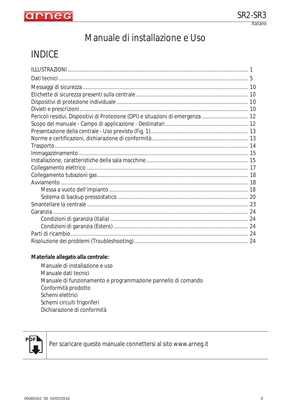

# Manuale di installazione e Uso

# INDICE

| Pericoli residui, Dispositivi di Protezione (DPI) e situazioni di emergenza  12 |  |
|---------------------------------------------------------------------------------|--|
|                                                                                 |  |
|                                                                                 |  |
|                                                                                 |  |
|                                                                                 |  |
|                                                                                 |  |
|                                                                                 |  |
|                                                                                 |  |
|                                                                                 |  |
|                                                                                 |  |
|                                                                                 |  |
|                                                                                 |  |
|                                                                                 |  |
|                                                                                 |  |
|                                                                                 |  |
|                                                                                 |  |
|                                                                                 |  |
|                                                                                 |  |

#### **Materiale allegato alla centrale:**

Manuale di installazione e uso Manuale dati tecnici Manuale di funzionamento e programmazione pannello di comando Conformità prodotto Schemi elettrici Schemi circuiti frigoriferi Dichiarazione di conformità



Per scaricare questo manuale connettersi al sito www.arneg.it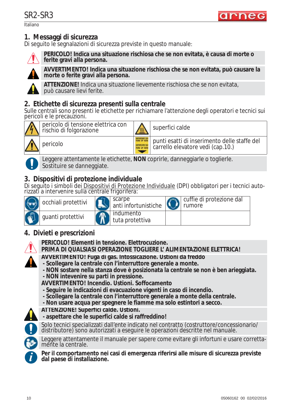Italiano



## **1. Messaggi di sicurezza**

Di seguito le segnalazioni di sicurezza previste in questo manuale:



**PERICOLO! Indica una situazione rischiosa che se non evitata, è causa di morte o ferite gravi alla persona.**



**AVVERTIMENTO! Indica una situazione rischiosa che se non evitata, può causare la morte o ferite gravi alla persona.**

**ATTENZIONE!** Indica una situazione lievemente rischiosa che se non evitata, può causare lievi ferite.

## **2. Etichette di sicurezza presenti sulla centrale**

Sulle centrali sono presenti le etichette per richiamare l'attenzione degli operatori e tecnici sui pericoli e le precauzioni.



pericolo di tensione elettrica con pericolo di terisione elettrica con  $\frac{1}{2}$  superfici calde

pericolo punti esatti di inserimento delle staffe del carrello elevatore vedi (cap.10.)



Leggere attentamente le etichette, **NON** coprirle, danneggiarle o toglierle. Sostituire se danneggiate.

# **3. Dispositivi di protezione individuale**

Di seguito i simboli dei Dispositivi di Protezione Individuale (DPI) obbligatori per i tecnici auto-<br>rizzati a intervenire sulla centrale frigorifera:

| occhiali protettivi | scarpe<br>anti infortunistiche | cuffie di protezione dal<br>rumore |
|---------------------|--------------------------------|------------------------------------|
| guanti protettivi   | indumento<br>  tuta protettiva |                                    |

# **4. Divieti e prescrizioni**



**PERICOLO! Elementi in tensione. Elettrocuzione.**

#### **PRIMA DI QUALSIASI OPERAZIONE TOGLIERE L' ALIMENTAZIONE ELETTRICA!**



**AVVERTIMENTO! Fuga di gas. Intossicazione. Ustioni da freddo**

- **Scollegare la centrale con l'interruttore generale a monte.**
- **NON sostare nella stanza dove è posizionata la centrale se non è ben arieggiata.**
- **NON intevenire su parti in pressione.**

**AVVERTIMENTO! Incendio. Ustioni. Soffocamento**

- **Seguire le indicazioni di evacuazione vigenti in caso di incendio.**
- **Scollegare la centrale con l'interruttore generale a monte della centrale.**
- **Non usare acqua per spegnere le fiamme ma solo estintori a secco.**
- **ATTENZIONE! Superfici calde. Ustioni.**
- **aspettare che le superfici calde si raffreddino!**



Solo tecnici specializzati dall'ente indicato nel contratto (costruttore/concessionario/ distributore) sono autorizzati a eseguire le operazioni descritte nel manuale.



Leggere attentamente il manuale per sapere come evitare gli infortuni e usare correttamĕñte la centrale.

**Per il comportamento nei casi di emergenza riferirsi alle misure di sicurezza previste i dal paese di installazione.**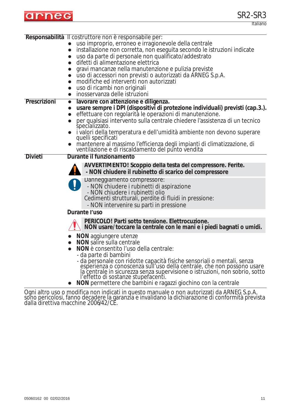

Italiano

|                | Responsabilità Il costruttore non è responsabile per:                                                                                                                                                                                                                                                                                    |
|----------------|------------------------------------------------------------------------------------------------------------------------------------------------------------------------------------------------------------------------------------------------------------------------------------------------------------------------------------------|
|                | uso improprio, erroneo e irragionevole della centrale                                                                                                                                                                                                                                                                                    |
|                | installazione non corretta, non eseguita secondo le istruzioni indicate<br>$\bullet$                                                                                                                                                                                                                                                     |
|                | uso da parte di personale non qualificato/addestrato<br>$\bullet$                                                                                                                                                                                                                                                                        |
|                | difetti di alimentazione elettrica                                                                                                                                                                                                                                                                                                       |
|                | gravi mancanze nella manutenzione e pulizia previste                                                                                                                                                                                                                                                                                     |
|                | uso di accessori non previsti o autorizzati da ARNEG S.p.A.                                                                                                                                                                                                                                                                              |
|                | modifiche ed interventi non autorizzati<br>$\bullet$                                                                                                                                                                                                                                                                                     |
|                | uso di ricambi non originali<br>$\bullet$                                                                                                                                                                                                                                                                                                |
|                | inosservanza delle istruzioni<br>$\bullet$                                                                                                                                                                                                                                                                                               |
| Prescrizioni   | lavorare con attenzione e diligenza.<br>$\bullet$                                                                                                                                                                                                                                                                                        |
|                | usare sempre i DPI (dispositivi di protezione individuali) previsti (cap.3.).<br>$\bullet$                                                                                                                                                                                                                                               |
|                | effettuare con regolarità le operazioni di manutenzione.<br>$\bullet$                                                                                                                                                                                                                                                                    |
|                | per qualsiasi intervento sulla centrale chiedere l'assistenza di un tecnico<br>specializzato.                                                                                                                                                                                                                                            |
|                | i valori della temperatura e dell'umidità ambiente non devono superare<br>quelli specificati                                                                                                                                                                                                                                             |
|                | mantenere al massimo l'efficienza degli impianti di climatizzazione, di<br>ventilazione e di riscaldamento del punto vendita                                                                                                                                                                                                             |
| <b>Divieti</b> | Durante il funzionamento                                                                                                                                                                                                                                                                                                                 |
|                | AVVERTIMENTO! Scoppio della testa del compressore. Ferite.<br>- NON chiudere il rubinetto di scarico del compressore                                                                                                                                                                                                                     |
|                | Danneggiamento compressore:<br>- NON chiudere i rubinetti di aspirazione<br>- NON chiudere i rubinetti olio<br>Cedimenti strutturali, perdite di fluidi in pressione:<br>- NON intervenire su parti in pressione                                                                                                                         |
|                | Durante l'uso                                                                                                                                                                                                                                                                                                                            |
|                | PERICOLO! Parti sotto tensione. Elettrocuzione.<br>NON usare/toccare la centrale con le mani e i piedi bagnati o umidi.                                                                                                                                                                                                                  |
|                | <b>NON</b> aggiungere utenze<br>NON salire sulla centrale<br>NON è consentito l'uso della centrale:<br>$\bullet$<br>- da parte di bambini                                                                                                                                                                                                |
|                | - da personale con ridotte capacità fisiche sensoriali o mentali, senza<br>esperienza o conoscenza sull'uso della centrale, che non possono usare<br>la centrale in sicurezza senza supervisione o istruzioni, non sobrio, sotto<br>l'effetto di sostanze stupefacenti.<br>NON permettere che bambini e ragazzi giochino con la centrale |
|                |                                                                                                                                                                                                                                                                                                                                          |

Ogni altro uso o modifica non indicati in questo manuale o non autorizzati da ARNEG S.p.A. sono pericolosi, fanno decadere la garanzia e invalidano la dichiarazione di conformità prevista dalla direttiva macchine 2006/42/CE.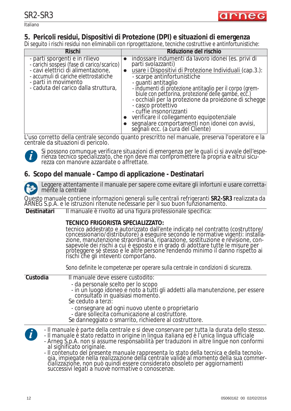

Italiano

## **5. Pericoli residui, Dispositivi di Protezione (DPI) e situazioni di emergenza**

Di seguito i rischi residui non eliminabili con riprogettazione, tecniche costruttive e antinfortunistiche:

| <b>Rischi</b>                                                                                                                                                                                                               | Riduzione del rischio                                                                                                                                                                                                                                                                                                                                                                                                                                                                                                                                |
|-----------------------------------------------------------------------------------------------------------------------------------------------------------------------------------------------------------------------------|------------------------------------------------------------------------------------------------------------------------------------------------------------------------------------------------------------------------------------------------------------------------------------------------------------------------------------------------------------------------------------------------------------------------------------------------------------------------------------------------------------------------------------------------------|
| - parti sporgenti e in rilievo<br>- carichi sospesi (fase di carico/scarico)<br>- cavi elettrici di alimentazione,<br>- accumuli di cariche elettrostatiche<br>- parti in movimento<br>- caduta del carico dalla struttura, | indossare indumenti da lavoro idonei (es. privi di<br>parti svolazzanti)<br>usare i Dispositivi di Protezione Individuali (cap.3.):<br>- scarpe antinfortunistiche<br>- quanti antitaglio<br>- indumenti di protezione antitaglio per il corpo (grembiule con pettorina, protezione delle gambe, ecc.)<br>- occhiali per la protezione da proiezione di scheque<br>- casco protettivo<br>- cuffie insonorizzanti<br>verificare il collegamento equipotenziale<br>segnalare comportamenti non idonei con avvisi,<br>segnali ecc. (a cura del Cliente) |

L'uso corretto della centrale secondo quanto prescritto nel manuale, preserva l'operatore e la centrale da situazioni di pericolo.



*Si possono comunque verificare situazioni di emergenza per le quali ci si avvale dell'esperienza tecnico specializzato, che non deve mai compromettere la propria e altrui sicurezza con manovre azzardate o affrettate.*

## **6. Scopo del manuale - Campo di applicazione - Destinatari**



Leggere attentamente il manuale per sapere come evitare gli infortuni e usare correttamente la centrale

Questo manuale contiene informazioni generali sulle centrali refrigeranti **SR2-SR3** realizzata da ARNEG S.p.A. e le istruzioni ritenute necessarie per il suo buon funzionamento.

**Destinatari** Il manuale è rivolto ad una figura professionale specifica:

#### **TECNICO FRIGORISTA SPECIALIZZATO:**

tecnico addestrato e autorizzato dall'ente indicato nel contratto (costruttore/ concessionario/distributore) a eseguire secondo le normative vigenti: installazione, manutenzione straordinaria, riparazione, sostituzione e revisione, consapevole dei rischi a cui è esposto e in grado di adottare tutte le misure per proteggere sè stesso e le altre persone rendendo minimo il danno rispetto ai rischi che gli inteventi comportano.

Sono definite le competenze per operare sulla centrale in condizioni di sicurezza.

#### **Custodia** Il manuale deve essere custodito:

- da personale scelto per lo scopo
- in un luogo idoneo e noto a tutti gli addetti alla manutenzione, per essere consultato in qualsiasi momento. Se ceduto a terzi:
- 
- consegnare ad ogni nuovo utente o proprietario
- dare sollecita comunicazione al costruttore.
- Se danneggiato o smarrito, richiedere al costruttore.
- *Il manuale è parte della centrale e si deve conservare per tutta la durata dello stesso.*
	- *Il manuale è stato redatto in origine in lingua italiana ed è l'unica lingua ufficiale*

*- Arneg S.p.A. non si assume responsabilità per traduzioni in altre lingue non conformi al significato originale.*

*- Il contenuto del presente manuale rappresenta lo stato della tecnica e della tecnologia, impiegate nella realizzazione della centrale valide al momento della sua commercializzazione, non può quindi essere considerato obsoleto per aggiornamenti successivi legati a nuove normative o conoscenze.*

**i**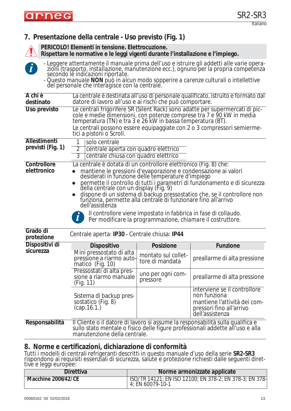

# **7. Presentazione della centrale - Uso previsto (Fig. 1)**



**PERICOLO! Elementi in tensione. Elettrocuzione.**

**Rispettare le normative e le leggi vigenti durante l'installazione e l'impiego.**



*- Leggere attentamente il manuale prima dell'uso e istruire gli addetti alle varie operazioni (trasporto, installazione, manutenzione ecc.), ognuno per la propria competenza secondo le indicazioni riportate.*

*- Questo manuale NON può in alcun modo sopperire a carenze culturali o intellettive del personale che interagisce con la centrale.*

| A chi è<br>destinato                   | datore di lavoro all'uso e ai rischi che può comportare.                                                                                                                                                                                                                                                                                                                                                                                                                                                                                                                                                                            |                                        | La centrale è destinata all'uso di personale qualificato, istruito e formato dal                                                                                 |  |  |  |  |  |
|----------------------------------------|-------------------------------------------------------------------------------------------------------------------------------------------------------------------------------------------------------------------------------------------------------------------------------------------------------------------------------------------------------------------------------------------------------------------------------------------------------------------------------------------------------------------------------------------------------------------------------------------------------------------------------------|----------------------------------------|------------------------------------------------------------------------------------------------------------------------------------------------------------------|--|--|--|--|--|
| Uso previsto                           | Le centrali frigorifere SR (Silent Rack) sono adatte per supermercati di pic-<br>cole e medie dimensioni, con potenze comprese tra 7 e 90 kW in media<br>temperatura (TN) e tra 3 e 26 kW in bassa temperatura (BT).<br>Le centrali possono essere equipaggiate con 2 o 3 compressori semierme-<br>tici a pistoni o Scroll.                                                                                                                                                                                                                                                                                                         |                                        |                                                                                                                                                                  |  |  |  |  |  |
| Allestimenti<br>previsti (Fig. 1)      | solo centrale<br>1<br>$\overline{2}$<br>centrale aperta con quadro elettrico<br>$\overline{3}$<br>centrale chiusa con quadro elettrico                                                                                                                                                                                                                                                                                                                                                                                                                                                                                              |                                        |                                                                                                                                                                  |  |  |  |  |  |
| Controllore<br>elettronico<br>Grado di | La centrale è dotata di un controllore elettronico (Fig. 8) che:<br>mantiene le pressioni d'evaporazione e condensazione ai valori<br>desiderati in funzione delle temperature d'impiego<br>permette il controllo di tutti i parametri di funzionamento e di sicurezza<br>della centrale con un display (Fig. 9)<br>dispone di un sistema di backup pressostatico che, se il controllore non funziona, permette alla centrale di funzionare fino all'arrivo<br>dell'assistenza<br>Il controllore viene impostato in fabbrica in fase di collaudo.<br>$\boldsymbol{l}$<br>Per modificare la programmazione, chiamare il costruttore. |                                        |                                                                                                                                                                  |  |  |  |  |  |
| protezione                             | Centrale aperta: IP30 - Centrale chiusa: IP44                                                                                                                                                                                                                                                                                                                                                                                                                                                                                                                                                                                       |                                        |                                                                                                                                                                  |  |  |  |  |  |
| Dispositivi di                         | Dispositivo                                                                                                                                                                                                                                                                                                                                                                                                                                                                                                                                                                                                                         | <b>Posizione</b>                       | Funzione                                                                                                                                                         |  |  |  |  |  |
| sicurezza                              | Mini pressostato di alta<br>pressione a riarmo auto-<br>matico (Fig. 10)                                                                                                                                                                                                                                                                                                                                                                                                                                                                                                                                                            | montato sul collet-<br>tore di mandata | preallarme di alta pressione                                                                                                                                     |  |  |  |  |  |
|                                        | Pressostati di alta pres-<br>sione a riarmo manuale<br>(Fig. 11)                                                                                                                                                                                                                                                                                                                                                                                                                                                                                                                                                                    | uno per ogni com-<br>pressore          | preallarme di alta pressione                                                                                                                                     |  |  |  |  |  |
|                                        | Sistema di backup pres-<br>sostatico (Fig. 8)<br>(cap.16.1.)                                                                                                                                                                                                                                                                                                                                                                                                                                                                                                                                                                        |                                        | interviene se il controllore<br>non funziona<br>mantiene l'attività dei com-<br>pressori fino all'arrivo<br>dell'assistenza                                      |  |  |  |  |  |
| Responsabilità                         | manutenzione della centrale.                                                                                                                                                                                                                                                                                                                                                                                                                                                                                                                                                                                                        |                                        | Il Cliente o il datore di lavoro si assume la responsabilità sulla qualifica e<br>sullo stato mentale o fisico delle figure professionali addette all'uso e alla |  |  |  |  |  |

### **8. Norme e certificazioni, dichiarazione di conformità**

Tutti i modelli di centrali refrigeranti descritti in questo manuale d'uso della serie **SR2-SR3** rispondono ai requisiti essenziali di sicurezza, salute e protezione richiesti dalle seguenti direttive e leggi europee:

| <b>Direttiva</b>    | Norme armonizzate applicate                                                        |
|---------------------|------------------------------------------------------------------------------------|
| Macchine 2006/42/CE | <u>ISO/TR 14121; EN ISO 12100; EN 378-2; EN 378-3; EN 378-</u><br>4: EN 60079-10-1 |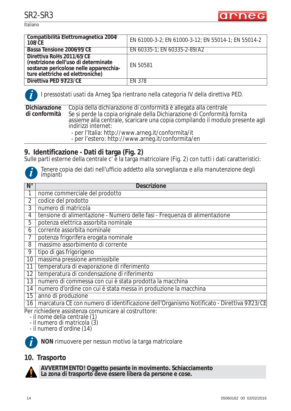**Italiano** 



| Compatibilità Elettromagnetica 2004/<br><b>108/CE</b>                                                                                           | EN 61000-3-2; EN 61000-3-12; EN 55014-1; EN 55014-2 |
|-------------------------------------------------------------------------------------------------------------------------------------------------|-----------------------------------------------------|
| Bassa Tensione 2006/95/CE                                                                                                                       | EN 60335-1; EN 60335-2-89/A2                        |
| Direttiva RoHs 2011/65/CE<br>(restrizione dell'uso di determinate<br>sostanze pericolose nelle apparecchia-<br>ture elettriche ed elettroniche) | EN 50581                                            |
| Direttiva PED 97/23/CE                                                                                                                          | FN 378                                              |

**i**

*I pressostati usati da Arneg Spa rientrano nella categoria IV della direttiva PED.*

**Dichiarazione di conformità** Copia della dichiarazione di conformità è allegata alla centrale Se si perde la copia originale della Dichiarazione di Conformità fornita assieme alla centrale, scaricare una copia compilando il modulo presente agli indirizzi internet: - per l'Italia: http://www.arneg.it/conformita/it

- per l'estero: http://www.arneg.it/conformita/en

# **9. Identificazione - Dati di targa (Fig. 2)**

Sulle parti esterne della centrale c' è la targa matricolare (Fig. 2) con tutti i dati caratteristici:



| Tenere copia dei dati nell'ufficio addetto alla sorveglianza e alla manutenzione degli<br>impianti |  |
|----------------------------------------------------------------------------------------------------|--|
|----------------------------------------------------------------------------------------------------|--|

| $N^{\circ}$    | <b>Descrizione</b>                                                                        |
|----------------|-------------------------------------------------------------------------------------------|
|                | nome commerciale del prodotto                                                             |
| $\overline{2}$ | codice del prodotto                                                                       |
| 3              | numero di matricola                                                                       |
| 4              | tensione di alimentazione - Numero delle fasi - Frequenza di alimentazione                |
| 5              | potenza elettrica assorbita nominale                                                      |
| 6              | corrente assorbita nominale                                                               |
|                | potenza frigorifera erogata nominale                                                      |
| 8              | massimo assorbimento di corrente                                                          |
| 9              | tipo di gas frigorigeno                                                                   |
| 10             | massima pressione ammissibile                                                             |
| 11             | temperatura di evaporazione di riferimento                                                |
| 12             | temperatura di condensazione di riferimento                                               |
| 13             | numero di commessa con cui è stata prodotta la macchina                                   |
| 14             | numero d'ordine con cui è stata messa in produzione la macchina                           |
| 15             | anno di produzione                                                                        |
| 16             | marcatura CE con numero di identificazione dell'Organismo Notificato - Direttiva 97/23/CE |
|                | Par richiadara assistanza comunicara al costruttora:                                      |

richiedere assistenza comunicare al costruttore: *- il nome della centrale (1)*

*- il numero di matricola (3)*

*- il numero d'ordine (14)*



**NON** rimuovere per nessun motivo la targa matricolare

## **10. Trasporto**



**AVVERTIMENTO! Oggetto pesante in movimento. Schiacciamento La zona di trasporto deve essere libera da persone e cose.**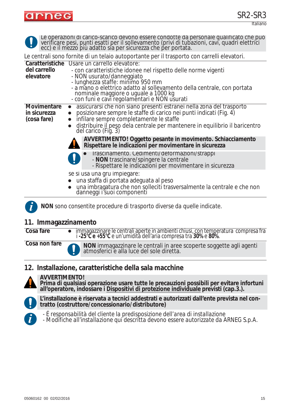

Italiano

|                    | Le operazioni di carico-scarico devono essere condotte da personale qualificato che può verificare pesi, punti esatti per il sollevamento (privi di tubazioni, cavi, quadri elettrici ecc) e il mezzo più adatto sia per sicur |  |  |
|--------------------|--------------------------------------------------------------------------------------------------------------------------------------------------------------------------------------------------------------------------------|--|--|
|                    | Le centrali sono fornite di un telaio autoportante per il trasporto con carrelli elevatori.                                                                                                                                    |  |  |
| del carrello       | Caratteristiche Usare un carrello elevatore:<br>- con caratteristiche idonee nel rispetto delle norme vigenti                                                                                                                  |  |  |
| elevatore          | - NON usurato/danneggiato<br>- lunghezza staffe: minimo 950 mm                                                                                                                                                                 |  |  |
|                    |                                                                                                                                                                                                                                |  |  |
|                    | - a mano o elettrico adatto al sollevamento della centrale, con portata<br>nominale maggiore o uguale a 1000 kg<br>- con funi e cavi regolamentari e NON usurati                                                               |  |  |
| <b>Movimentare</b> | assicurarsi che non siano presenti estranei nella zona del trasporto<br>$\bullet$                                                                                                                                              |  |  |
| in sicurezza       | posizionare sempre le staffe di carico nei punti indicati (Fig. 4)<br>$\bullet$                                                                                                                                                |  |  |
| (cosa fare)        | infilare sempre completamente le staffe                                                                                                                                                                                        |  |  |
|                    | distribuire il peso dela centrale per mantenere in equilibrio il baricentro del carico (Fig. 3)                                                                                                                                |  |  |
|                    | AVVERTIMENTO! Oggetto pesante in movimento. Schiacciamento<br>Rispettare le indicazioni per movimentare in sicurezza                                                                                                           |  |  |
|                    | Trascinamento. Cedimenti/deformazioni/strappi                                                                                                                                                                                  |  |  |
|                    | - NON trascinare/spingere la centrale<br>- Rispettare le indicazioni per movimentare in sicurezza                                                                                                                              |  |  |
|                    | se si usa una gru impiegare:                                                                                                                                                                                                   |  |  |
|                    | una staffa di portata adeguata al peso                                                                                                                                                                                         |  |  |
|                    | una imbragatura che non solleciti trasversalmente la centrale e che non danneggi i suoi componenti                                                                                                                             |  |  |
|                    | NON sono consentite procedure di trasporto diverse da quelle indicate.                                                                                                                                                         |  |  |
|                    |                                                                                                                                                                                                                                |  |  |

#### **11. Immagazzinamento**

| Cosa fare | $^+$ immagazzinare le centrali aperte in ambienti chiusi, con temperatura  compresa fra |
|-----------|-----------------------------------------------------------------------------------------|
|           | i -25°C e +55°C e un'umidità dell'aria compresa tra 30% e 80%.                          |

**Cosa non fare**

**NON** immagazzinare le centrali in aree scoperte soggette agli agenti atmosferici e alla luce del sole diretta.

#### **12. Installazione, caratteristiche della sala macchine**



**AVVERTIMENTO!**

**Prima di qualsiasi operazione usare tutte le precauzioni possibili per evitare infortuni all'operatore, indossare i Dispositivi di protezione individuale previsti (cap.3.).**



**L'installazione è riservata a tecnici addestrati e autorizzati dall'ente prevista nel contratto (costruttore/concessionario/distributore)**



*- É responsabilità del cliente la predisposizione dell'area di installazione*

*- Modifiche all'installazione qui descritta devono essere autorizzate da ARNEG S.p.A.*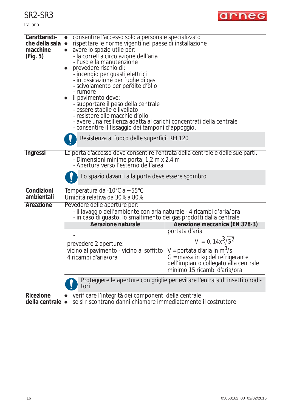| Italiano |
|----------|
|----------|



| Caratteristi-<br>che della sala ·<br>macchine<br>(Fig. 5) | consentire l'accesso solo a personale specializzato<br>rispettare le norme vigenti nel paese di installazione<br>avere lo spazio utile per:<br>- la corretta circolazione dell'aria<br>-l'uso e la manutenzione<br>prevedere rischio di:<br>- incendio per guasti elettrici<br>- intossicazione per fughe di gas<br>- scivolamento per perdite d'olio<br>- rumore<br>il pavimento deve:<br>- supportare il peso della centrale<br>- essere stabile e livellato<br>- resistere alle macchie d'olio<br>- avere una resilienza adatta ai carichi concentrati della centrale<br>- consentire il fissaggio dei tamponi d'appoggio.<br>Resistenza al fuoco delle superfici: REI 120 |                                                                                                                                                                                                                                         |  |  |
|-----------------------------------------------------------|-------------------------------------------------------------------------------------------------------------------------------------------------------------------------------------------------------------------------------------------------------------------------------------------------------------------------------------------------------------------------------------------------------------------------------------------------------------------------------------------------------------------------------------------------------------------------------------------------------------------------------------------------------------------------------|-----------------------------------------------------------------------------------------------------------------------------------------------------------------------------------------------------------------------------------------|--|--|
| Ingressi                                                  | La porta d'accesso deve consentire l'entrata della centrale e delle sue parti.<br>- Dimensioni minime porta: 1,2 m x 2,4 m<br>- Apertura verso l'esterno dell'area                                                                                                                                                                                                                                                                                                                                                                                                                                                                                                            |                                                                                                                                                                                                                                         |  |  |
|                                                           | Lo spazio davanti alla porta deve essere sgombro                                                                                                                                                                                                                                                                                                                                                                                                                                                                                                                                                                                                                              |                                                                                                                                                                                                                                         |  |  |
| Condizioni<br>ambientali                                  | Temperatura da -10°C a + 55°C<br>Umidità relativa da 30% a 80%                                                                                                                                                                                                                                                                                                                                                                                                                                                                                                                                                                                                                |                                                                                                                                                                                                                                         |  |  |
| Areazione                                                 | Pevedere delle aperture per:<br>- il lavaggio dell'ambiente con aria naturale - 4 ricambi d'aria/ora<br>- in caso di guasto, lo smaltimento dei gas prodotti dalla centrale<br>Aerazione naturale<br>prevedere 2 aperture:<br>vicino al pavimento - vicino al soffitto<br>4 ricambi d'aria/ora                                                                                                                                                                                                                                                                                                                                                                                | Aerazione meccanica (EN 378-3)<br>portata d'aria<br>$V = 0, 14x^3/\sqrt{G^2}$<br>$V =$ portata d'aria in m <sup>3</sup> /s<br>G = massa in kg del refrigerante<br>dell'impianto collegato alla centrale<br>minimo 15 ricambi d'aria/ora |  |  |
|                                                           | Proteggere le aperture con griglie per evitare l'entrata di insetti o rodi-<br>tori                                                                                                                                                                                                                                                                                                                                                                                                                                                                                                                                                                                           |                                                                                                                                                                                                                                         |  |  |
| <b>Ricezione</b><br>della centrale •                      | verificare l'integrità dei componenti della centrale<br>se si riscontrano danni chiamare immediatamente il costruttore                                                                                                                                                                                                                                                                                                                                                                                                                                                                                                                                                        |                                                                                                                                                                                                                                         |  |  |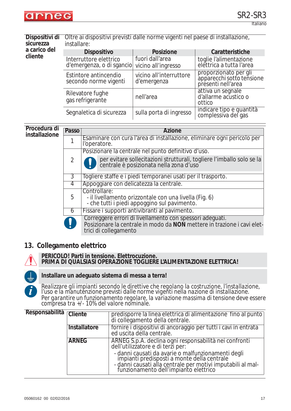

Italiano

| Dispositivi di<br>sicurezza | Oltre ai dispositivi previsti dalle norme vigenti nel paese di installazione,<br>installare: |                                        |                                                                          |  |
|-----------------------------|----------------------------------------------------------------------------------------------|----------------------------------------|--------------------------------------------------------------------------|--|
| a carico del                | <b>Dispositivo</b>                                                                           | <b>Posizione</b>                       | Caratteristiche                                                          |  |
| cliente                     | Interruttore elettrico<br>d'emergenza, o di sgancio                                          | fuori dall'area<br>vicino all'ingresso | toglie l'alimentazione<br>elettrica a tutta l'area                       |  |
|                             | Estintore antincendio<br>secondo norme vigenti                                               | vicino all'interruttore<br>d'emergenza | proporzionato per gli<br>apparecchi sotto tensione<br>presenti nell'area |  |
|                             | Rilevatore fughe<br>gas refrigerante                                                         | nell'area                              | attiva un segnale<br>d'allarme acustico o<br>ottico                      |  |

| yas ren iyel arite-      |                                         | l ottico                                         |
|--------------------------|-----------------------------------------|--------------------------------------------------|
| Segnaletica di sicurezza | ∣ sulla porta di ingresso <sup>∣'</sup> | 'indicare tipo e quantità<br>complessiva del gas |

#### **Procedura di installazione**

#### Passo **Azione** 1 Esaminare con cura l'area di installazione, eliminare ogni pericolo per l'operatore.  $\overline{\mathcal{L}}$ Posizionare la centrale nel punto definitivo d'uso. 3 Togliere staffe e i piedi temporanei usati per il trasporto. 4 Appoggiare con delicatezza la centrale. 5 Controllare: - il livellamento orizzontale con una livella (Fig. 6) - che tutti i piedi appoggino sul pavimento. 6 Fissare i supporti antivibranti al pavimento. Correggere errori di livellamento con spessori adeguati. Posizionare la centrale in modo da **NON** mettere in trazione i cavi elettrici di collegamento per evitare sollecitazioni strutturali, togliere l'imballo solo se la centrale è posizionata nella zona d'uso

#### **13. Collegamento elettrico**



#### **PERICOLO! Parti in tensione. Elettrocuzione. PRIMA DI QUALSIASI OPERAZIONE TOGLIERE L'ALIMENTAZIONE ELETTRICA!**



# **Installare un adeguato sistema di messa a terra!**

*Realizzare gli impianti secondo le direttive che regolano la costruzione, l'installazione, l'uso e la manutenzione previsti dalle norme vigenti nella nazione di installazione. Per garantire un funzionamento regolare, la variazione massima di tensione deve essere compresa tra +/- 10% del valore nominale.* 

| Responsabilità Cliente |              | predisporre la linea elettrica di alimentazione fino al punto<br>di collegamento della centrale.                                                                                                          |
|------------------------|--------------|-----------------------------------------------------------------------------------------------------------------------------------------------------------------------------------------------------------|
|                        | Installatore | fornire i dispositivi di ancoraggio per tutti i cavi in entrata<br>ed uscita della centrale.                                                                                                              |
|                        | <b>ARNEG</b> | ARNEG S.p.A. declina ogni responsabilità nei confronti<br>dell'utilizzatore e di terzi per:                                                                                                               |
|                        |              | - danni causati da avarie o malfunzionamenti degli<br>impianti predisposti a monte della centrale<br>- danni causati alla centrale per motivi imputabili al mal-<br>funzionamento dell'impianto elettrico |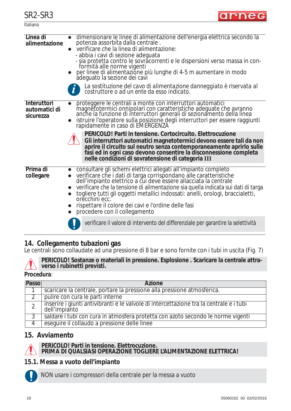**Italiano** 

| Linea di<br>alimentazione                 | dimensionare le linee di alimentazione dell'energia elettrica secondo la<br>potenza assorbita dalla centrale.<br>verificare che la linea di alimentazione:<br>$\bullet$<br>- abbia i cavi di sezione adeguata<br>- sia protetta contro le sovrăcorrenti e le dispersioni verso massa in conformità alle norme vigenti<br>per linee di alimentazione più lunghe di 4-5 m aumentare in modo adeguato la sezione dei cavi<br>La sostituzione del cavo di alimentazione danneggiato è riservata al<br>costruttore o ad un ente da esso indicato.                                                                                                                         |
|-------------------------------------------|----------------------------------------------------------------------------------------------------------------------------------------------------------------------------------------------------------------------------------------------------------------------------------------------------------------------------------------------------------------------------------------------------------------------------------------------------------------------------------------------------------------------------------------------------------------------------------------------------------------------------------------------------------------------|
| Interuttori<br>automatici di<br>sicurezza | proteggere le centrali a monte con interruttori automatici<br>magnétotermici onnipolari con caratteristiche adeguate che avranno<br>anche la funzione di interruttori generali di sezionamento della linea<br>istruire l'operatore sulla posizione degli interruttori per essere raggiunti rapidamente in caso di EMERGENZA<br>PERICOLO! Parti in tensione. Cortocircuito. Elettrocuzione<br>Gli interruttori automatici magnetotermici devono essere tali da non<br>aprire il circuito sul neutro senza contemporaneamente aprirlo sulle<br>fasi ed in ogni caso devono consentire la disconnessione completa<br>nelle condizioni di sovratensione di categoria III |
| Prima di<br>collegare                     | consultare gli schemi elettrici allegati all'impianto completo<br>verificare che i dati di targa corrispondano alle caratteristiche<br>dell'impianto elettrico a cui deve essere allacciata la centrale<br>verificare che la tensione di alimentazione sia quella indicata sui dati di targa<br>togliere tutti gli oggetti metallici indossati: anelli, orologi, braccialetti,<br>orecchini ecc.<br>rispettare il colore dei cavi e l'ordine delle fasi<br>procedere con il collegamento<br>verificare il valore di intervento del differenziale per garantire la selettività                                                                                        |
|                                           |                                                                                                                                                                                                                                                                                                                                                                                                                                                                                                                                                                                                                                                                      |

## **14. Collegamento tubazioni gas**

Le centrali sono collaudate ad una pressione di 8 bar e sono fornite con i tubi in uscita (Fig. 7)



**PERICOLO! Sostanze o materiali in pressione. Esplosione . Scaricare la centrale attraverso i rubinetti previsti.**

#### **Procedura**:

| Passo | <b>Azione</b>                                                                                            |
|-------|----------------------------------------------------------------------------------------------------------|
|       | scaricare la centrale, portare la pressione alla pressione atmosferica.                                  |
|       | pulire con cura le parti interne                                                                         |
|       | inserire i giunti antivibranti e le valvole di intercettazione tra la centrale e i tubi<br>dell'impianto |
|       | saldare i tubi con cura in atmosfera protetta con azoto secondo le norme vigenti                         |
| 4     | eseguire il collaudo a pressione delle linee                                                             |

#### **15. Avviamento**



#### **PERICOLO! Parti in tensione. Elettrocuzione.**

**PRIMA DI QUALSIASI OPERAZIONE TOGLIERE L'ALIMENTAZIONE ELETTRICA!**

#### *15.1. Messa a vuoto dell'impianto*



NON usare i compressori della centrale per la messa a vuoto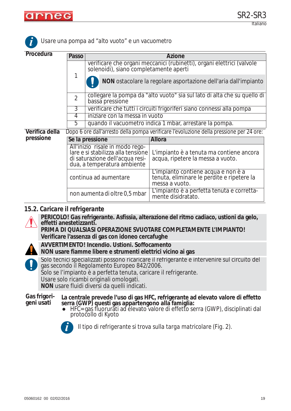

**i**

| Procedura      | Passo                 |                                                                                                                                         | <b>Azione</b>                                                                                       |  |  |  |
|----------------|-----------------------|-----------------------------------------------------------------------------------------------------------------------------------------|-----------------------------------------------------------------------------------------------------|--|--|--|
|                | 1                     | verificare che organi meccanici (rubinetti), organi elettrici (valvole<br>solenoidi), siano completamente aperti                        |                                                                                                     |  |  |  |
|                |                       |                                                                                                                                         | NON ostacolare la regolare asportazione dell'aria dall'impianto                                     |  |  |  |
|                | $\overline{2}$        | collegare la pompa da "alto vuoto" sia sul lato di alta che su quello di<br>bassa pressione                                             |                                                                                                     |  |  |  |
|                | 3                     | verificare che tutti i circuiti frigoriferi siano connessi alla pompa                                                                   |                                                                                                     |  |  |  |
|                | 4                     | iniziare con la messa in vuoto                                                                                                          |                                                                                                     |  |  |  |
|                | 5                     | quando il vacuometro indica 1 mbar, arrestare la pompa.                                                                                 |                                                                                                     |  |  |  |
| Verifica della |                       | Dopo 6 ore dall'arresto della pompa verificare l'evoluzione della pressione per 24 ore:                                                 |                                                                                                     |  |  |  |
| pressione      | Se la pressione       |                                                                                                                                         | <b>Allora</b>                                                                                       |  |  |  |
|                |                       | All'inizio risale in modo rego-<br>lare e si stabilizza alla tensione<br>di saturazione dell'acqua resi-<br>dua, a temperatura ambiente | L'impianto è a tenuta ma contiene ancora<br>acqua, ripetere la messa a vuoto.                       |  |  |  |
|                | continua ad aumentare |                                                                                                                                         | L'impianto contiene acqua e non è a<br>tenuta, eliminare le perdite e ripetere la<br>messa a vuoto. |  |  |  |
|                |                       | non aumenta di oltre 0,5 mbar                                                                                                           | L'impianto è a perfetta tenuta e corretta-<br>mente disidratato.                                    |  |  |  |

#### *Usare una pompa ad "alto vuoto" e un vacuometro*

#### *15.2. Caricare il refrigerante*

**PERICOLO! Gas refrigerante. Asfissia, alterazione del ritmo cadiaco, ustioni da gelo, effetti anestetizzanti.**

**PRIMA DI QUALSIASI OPERAZIONE SVUOTARE COMPLETAMENTE L'IMPIANTO! Verificare l'assenza di gas con idoneo cercafughe**

**AVVERTIMENTO! Incendio. Ustioni. Soffocamento NON usare fiamme libere e strumenti elettrici vicino ai gas**



Solo tecnici specializzati possono ricaricare il refrigerante e intervenire sul circuito del gas secondo il *Regolamento Europeo 842/2006.* Solo se l'impianto è a perfetta tenuta, caricare il refrigerante. Usare solo ricambi originali omologati. **NON** usare fluidi diversi da quelli indicati.

**Gas frigorigeni usati La centrale prevede l'uso di gas HFC, refrigerante ad elevato valore di effetto serra (GWP) questi gas appartengono alla famiglia:**

• HFC= gas fluorurati ad elevato valore di effetto serra (GWP), disciplinati dal protocollo di Kyoto



*Il tipo di refrigerante si trova sulla targa matricolare (Fig. 2).* **i**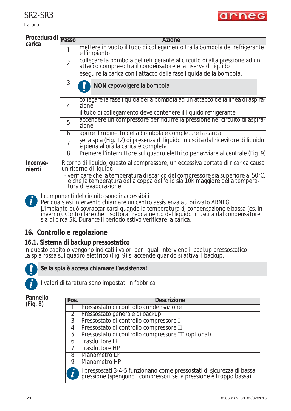Italiano

| Procedura di <sub>Passo</sub><br>carica |                | Azione                                                                                                                                                                                                   |
|-----------------------------------------|----------------|----------------------------------------------------------------------------------------------------------------------------------------------------------------------------------------------------------|
|                                         |                | mettere in vuoto il tubo di collegamento tra la bombola del refrigerante<br>e l'impianto                                                                                                                 |
|                                         | $\overline{2}$ | collegare la bombola del refrigerante al circuito di alta pressione ad un<br>attacco compreso tra il condensatore e la riserva di liquido                                                                |
|                                         |                | eseguire la carica con l'attacco della fase liquida della bombola.                                                                                                                                       |
|                                         | 3              | NON capovolgere la bombola                                                                                                                                                                               |
|                                         | 4              | collegare la fase liquida della bombola ad un attacco della linea di aspira-<br>zione.<br>il tubo di collegamento deve contenere il liquido refrigerante                                                 |
|                                         | 5              | accendere un compressore per ridurre la pressione nel circuito di aspira-<br>zione                                                                                                                       |
|                                         | 6              | aprire il rubinetto della bombola e completare la carica.                                                                                                                                                |
|                                         | 7              | se la spia (Fig. 12) di presenza di liquido in uscita dal ricevitore di liquido<br>è piena allora la carica è completa                                                                                   |
|                                         | 8              | Premere l'interruttore sul quadro elettrico per avviare al centrale (Fig. 9)                                                                                                                             |
| Inconve-<br>nienti                      |                | Ritorno di liquido, quasto al compressore, un eccessiva portata di ricarica causa<br>un ritorno di liquido.<br>$\mu$ orificare electo temperatura di conico del compressore di curoriore di $\Gamma$ 000 |

- verificare che la temperatura di scarico del compressore sia superiore ai 50°C, e che la temperatura della coppa dell'olio sia 10K maggiore della temperatura di evaporazione

*I componenti del circuito sono inaccessibili.*

*Per qualsiasi intervento chiamare un centro assistenza autorizzato ARNEG. L'impianto può sovraccaricarsi quando la temperatura di condensazione è bassa (es. in inverno). Controllare che il sottoraffreddamento del liquido in uscita dal condensatore sia di circa 5K. Durante il periodo estivo verificare la carica.*

## **16. Controllo e regolazione**

#### *16.1. Sistema di backup pressostatico*

In questo capitolo vengono indicati i valori per i quali interviene il backup pressostatico. La spia rossa sul quadro elettrico (Fig. 9) si accende quando si attiva il backup.



**i**

**Se la spia è accesa chiamare l'assistenza!**



*I valori di taratura sono impostati in fabbrica*

**Pannello (Fig. 8)**

| Pos.           | <b>Descrizione</b>                                                                                                                         |
|----------------|--------------------------------------------------------------------------------------------------------------------------------------------|
|                | Pressostato di controllo condensazione                                                                                                     |
| 2              | Pressostato generale di backup                                                                                                             |
| $\overline{3}$ | Pressostato di controllo compressore I                                                                                                     |
| 4              | Pressostato di controllo compressore II                                                                                                    |
| 5              | Pressostato di controllo compressore III (optional)                                                                                        |
| 6              | Trasduttore LP                                                                                                                             |
|                | <b>Trasduttore HP</b>                                                                                                                      |
| 8              | Manometro LP                                                                                                                               |
| 9              | Manometro HP                                                                                                                               |
|                | i pressostati 3-4-5 funzionano come pressostati di sicurezza di bassa<br>pressione (spengono i compressori se la pressione è troppo bassa) |

arne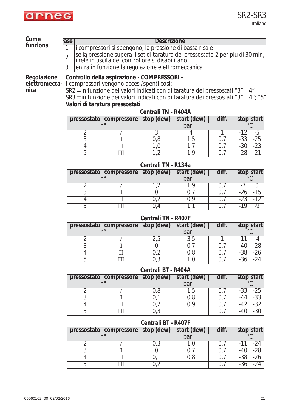

Italiano

| Come        | <b>Descrizione</b><br>ase                                                                                                                             |                                                                                                                       |                     |                    |                    |                         |  |
|-------------|-------------------------------------------------------------------------------------------------------------------------------------------------------|-----------------------------------------------------------------------------------------------------------------------|---------------------|--------------------|--------------------|-------------------------|--|
| funziona    | i compressori si spengono, la pressione di bassa risale                                                                                               |                                                                                                                       |                     |                    |                    |                         |  |
|             | se la pressione supera il set di taratura del pressostato 2 per più di 30 min,<br>i relè in uscita del controllore si disabilitano.<br>$\overline{2}$ |                                                                                                                       |                     |                    |                    |                         |  |
|             | $3^{-}$<br>entra in funzione la regolazione elettromeccanica                                                                                          |                                                                                                                       |                     |                    |                    |                         |  |
| Regolazione |                                                                                                                                                       | Controllo della aspirazione - COMPRESSORI -                                                                           |                     |                    |                    |                         |  |
|             |                                                                                                                                                       | elettromecca- I compressori vengono accesi/spenti così:                                                               |                     |                    |                    |                         |  |
| nica        |                                                                                                                                                       | SR2 = in funzione dei valori indicati con di taratura dei pressostati "3"; "4"                                        |                     |                    |                    |                         |  |
|             |                                                                                                                                                       |                                                                                                                       |                     |                    |                    |                         |  |
|             |                                                                                                                                                       | SR3 = in funzione dei valori indicati con di taratura dei pressostati "3"; "4"; "5"<br>Valori di taratura pressostati |                     |                    |                    |                         |  |
|             |                                                                                                                                                       |                                                                                                                       | Centrali TN - R404A |                    |                    |                         |  |
|             |                                                                                                                                                       | pressostato compressore                                                                                               | stop (dew)          | start (dew)        | diff.              | stop start              |  |
|             |                                                                                                                                                       | $n^{\circ}$                                                                                                           |                     | bar                |                    | $^{\circ}C$             |  |
|             | $\overline{2}$<br>3                                                                                                                                   |                                                                                                                       | 3                   | 4                  |                    | $-12$<br>$-5$<br>$-25$  |  |
|             | 4                                                                                                                                                     | $\rm II$                                                                                                              | 0,8<br>1,0          | 1,5<br>1,7         | 0,7<br>0,7         | $-33$<br>$-30$<br>$-23$ |  |
|             | 5                                                                                                                                                     | $\overline{\rm III}$                                                                                                  | 1,2                 | 1,9                | 0,7                | $-28$<br>$-21$          |  |
|             |                                                                                                                                                       |                                                                                                                       |                     |                    |                    |                         |  |
|             |                                                                                                                                                       |                                                                                                                       | Centrali TN - R134a |                    | diff.              |                         |  |
|             |                                                                                                                                                       | pressostato compressore<br>$n^{\circ}$                                                                                | stop (dew)          | start (dew)<br>bar |                    | stop start              |  |
|             | $\overline{2}$                                                                                                                                        |                                                                                                                       | 1,2                 | 1,9                | 0,7                | $\Omega$<br>-7          |  |
|             | $\overline{3}$                                                                                                                                        |                                                                                                                       | $\overline{0}$      | 0,7                | 0,7                | $-26$<br>$-15$          |  |
|             | 4                                                                                                                                                     | $\overline{\rm II}$                                                                                                   | 0,2                 | 0,9                | 0,7                | $-23$<br>$-12$          |  |
|             | 5                                                                                                                                                     | Ш                                                                                                                     | 0,4                 | 1,1                | 0,7                | $-19$<br>$-9$           |  |
|             | Centrali TN - R407F                                                                                                                                   |                                                                                                                       |                     |                    |                    |                         |  |
|             |                                                                                                                                                       | pressostato compressore                                                                                               | stop (dew)          | start (dew)        | diff.              | stop start              |  |
|             |                                                                                                                                                       | n <sup>c</sup>                                                                                                        |                     | bar                |                    |                         |  |
|             | $\overline{2}$                                                                                                                                        |                                                                                                                       | 2,5                 | 3,5                |                    | $-11$<br>$-4$           |  |
|             | 3                                                                                                                                                     |                                                                                                                       | $\overline{0}$      | 0,7                | 0,7                | $-28$<br>$-40$          |  |
|             | $\overline{4}$                                                                                                                                        | $\rm II$                                                                                                              | 0,2                 | 0,8                | 0,7                | $-38$<br>$-26$          |  |
|             | 5                                                                                                                                                     | $\mathbb{H}$                                                                                                          | 0,3                 | 1,0                | $\overline{0}$ , 7 | $-36$<br>$-24$          |  |
|             |                                                                                                                                                       |                                                                                                                       | Centrali BT - R404A |                    |                    |                         |  |
|             | diff.<br>stop (dew)<br>pressostato compressore<br>start (dew)<br>$n^{\circ}$<br>bar                                                                   |                                                                                                                       |                     |                    | stop start         |                         |  |
|             | $\overline{2}$                                                                                                                                        |                                                                                                                       | 0,8                 | 1,5                | 0,7                | $-33$<br>$-25$          |  |
|             | 3                                                                                                                                                     |                                                                                                                       | 0,1                 | 0,8                | 0,7                | $-33$<br>$-44$          |  |
|             | $\overline{4}$                                                                                                                                        | $\overline{\rm II}$                                                                                                   | 0,2                 | 0,9                | 0,7                | $-32$<br>$-42$          |  |
|             | 5                                                                                                                                                     | Ш                                                                                                                     | 0,3                 |                    | 0,7                | $-30$<br>$-40$          |  |
|             | Centrali BT - R407F                                                                                                                                   |                                                                                                                       |                     |                    |                    |                         |  |
|             |                                                                                                                                                       | pressostato compressore<br>$n^{\circ}$                                                                                | stop (dew)          | start (dew)<br>bar | diff.              | stop start              |  |
|             | $\overline{2}$                                                                                                                                        |                                                                                                                       | 0,3                 | 1,0                | 0,7                | $-24$<br>$-11$          |  |
|             | $\overline{3}$                                                                                                                                        | I                                                                                                                     | $\overline{0}$      | 0,7                | 0,7                | $-28$<br>$-40$          |  |
|             | $\overline{4}$                                                                                                                                        | $\overline{\rm II}$                                                                                                   | 0,1                 | 0,8                | 0,7                | $-38$<br>$-26$          |  |
|             | 5                                                                                                                                                     | Ш                                                                                                                     | 0,2                 |                    | 0,7                | $-36$<br>$-24$          |  |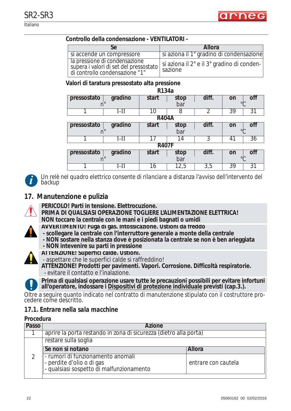

#### **Controllo della condensazione - VENTILATORI -**

|                                                                                                           | <b>Allora</b>                                         |
|-----------------------------------------------------------------------------------------------------------|-------------------------------------------------------|
| si accende un compressore                                                                                 | si aziona il 1° gradino di condensazione              |
| la pressione di condensazione<br>supera i valori di set del pressostato<br>di controllo condensazione "1" | si aziona il 2° e il 3° gradino di conden-<br>sazione |

#### **Valori di taratura pressostato alta pressione**

| R134a        |             |              |      |                  |                       |
|--------------|-------------|--------------|------|------------------|-----------------------|
| pressostato  | gradino     | start        | stop | diff.            | off<br>on             |
|              | $n^{\circ}$ |              | bar  |                  | $\circ$               |
|              | $I-II$      | 10           | 8    | $\mathcal{P}$    | $\overline{39}$<br>31 |
|              |             | <b>R404A</b> |      |                  |                       |
| pressostato  | gradino     | start        | stop | diff.            | OĦ<br>on              |
|              |             |              | bar  |                  | $\circ$               |
|              | $I-II$      | 17           | 14   | 3                | 36<br>41              |
| <b>R407F</b> |             |              |      |                  |                       |
| pressostato  | gradino     | start        | stop | diff.            | off<br>on             |
|              |             |              | bar  |                  | $\circ$               |
|              | I-II        | 16           | 12,5 | $\overline{3,5}$ | 39<br>31              |



*Un relè nel quadro elettrico consente di rilanciare a distanza l'avviso dell'intervento del backup*

#### **17. Manutenzione e pulizia**



- **PERICOLO! Parti in tensione. Elettrocuzione.**
- **PRIMA DI QUALSIASI OPERAZIONE TOGLIERE L'ALIMENTAZIONE ELETTRICA! NON toccare la centrale con le mani e i piedi bagnati o umidi**
- **AVVERTIMENTO! Fuga di gas. Intossicazione. Ustioni da freddo**
- **scollegare la centrale con l'interruttore generale a monte della centrale**
- **NON sostare nella stanza dove è posizionata la centrale se non è ben arieggiata**
- **NON intevenire su parti in pressione**



- **ATTENZIONE! Superfici calde. Ustioni.**  - aspettare che le superfici calde si raffreddino!
- **ATTENZIONE! Prodotti per pavimenti. Vapori. Corrosione. Difficoltà respiratorie.** - evitare il contatto e l'inalazione.



**Prima di qualsiasi operazione usare tutte le precauzioni possibili per evitare infortuni all'operatore, indossare i Dispositivi di protezione individuale previsti (cap.3.).**

Oltre a seguire quanto indicato nel contratto di manutenzione stipulato con il costruttore procedere come descritto.

#### *17.1. Entrare nella sala macchine*

#### **Procedura**

| Passo | <b>Azione</b>                                                                                                |                     |  |  |
|-------|--------------------------------------------------------------------------------------------------------------|---------------------|--|--|
|       | aprire la porta restando in zona di sicurezza (dietro alla porta)                                            |                     |  |  |
|       | restare sulla soglia                                                                                         |                     |  |  |
|       | Se non si notano                                                                                             | Allora              |  |  |
|       | - rumori di funzionamento anomali<br> - perdite d'olio o di gas<br> - qualsiasi sospetto di malfunzionamento | entrare con cautela |  |  |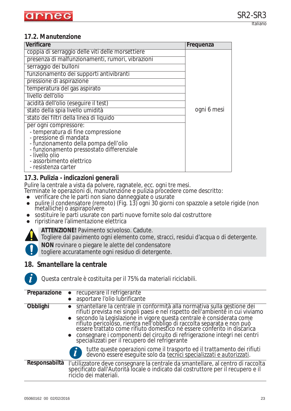## *17.2. Manutenzione*

| Verificare                                                  | Frequenza   |
|-------------------------------------------------------------|-------------|
| coppia di serraggio delle viti delle morsettiere            |             |
| presenza di malfunzionamenti, rumori, vibrazioni            |             |
| serraggio dei bulloni                                       |             |
| funzionamento dei supporti antivibranti                     |             |
| pressione di aspirazione                                    |             |
| temperatura del gas aspirato                                |             |
| livello dell'olio                                           |             |
| acidità dell'olio (eseguire il test)                        |             |
| stato della spia livello umidità                            | ogni 6 mesi |
| stato dei filtri della linea di liquido                     |             |
| per ogni compressore:                                       |             |
| - temperatura di fine compressione                          |             |
| - pressione di mandata                                      |             |
| - funzionamento della pompa dell'olio                       |             |
| - funzionamento pressostato differenziale<br>- livello olio |             |
| - assorbimento elettrico                                    |             |
| - resistenza carter                                         |             |
|                                                             |             |

## *17.3. Pulizia - indicazioni generali*

Pulire la centrale a vista da polvere, ragnatele, ecc. ogni tre mesi.

Terminate le operazioni di, manutenzione e pulizia procedere come descritto:

- $\bullet\;$  verificare che le parti non siano danneggiate o usurate
- pulire il condensatore (remoto) (Fig. 13) ogni 30 giorni con spazzole a setole rigide (non metalliche) o aspirapolvere
- sostituire le parti usurate con parti nuove fornite solo dal costruttore
- zripristinare l'alimentazione elettrica



**ATTENZIONE!** Pavimento scivoloso. Cadute.

Togliere dal pavimento ogni elemento come, stracci, residui d'acqua o di detergente.

**NON** rovinare o piegare le alette del condensatore

togliere accuratamente ogni residuo di detergente.

## **18. Smantellare la centrale**



*Questa centrale è costituita per il 75% da materiali riciclabili.*

| Preparazione  | recuperare il refrigerante<br>$\bullet$                                                                                                                                                                                                                                                                                                                                                                                                                                                                                 |
|---------------|-------------------------------------------------------------------------------------------------------------------------------------------------------------------------------------------------------------------------------------------------------------------------------------------------------------------------------------------------------------------------------------------------------------------------------------------------------------------------------------------------------------------------|
|               | asportare l'olio lubrificante                                                                                                                                                                                                                                                                                                                                                                                                                                                                                           |
| Obblighi      | smantellare la centrale in conformità alla normativa sulla gestione dei<br>rifiuti prevista nei singoli paesi e nel rispetto dell'ambiente in cui viviamo<br>● secondo la Legislazione in vigore questa centrale è considerata come<br>rifiuto pericoloso, rientra nell'obbligo di raccolta separata e non può<br>essere trattato come rifiuto domestico né essere conferito in discarica<br>• consegnare i componenti del circuito di refrigerazione integri nei centri specializzati per il recupero del refrigerante |
|               | tutte queste operazioni come il trasporto ed il trattamento dei rifiuti<br>devono essere eseguite solo da tecnici specializzati e autorizzati.                                                                                                                                                                                                                                                                                                                                                                          |
| Responsabiltà | l'utilizzatore deve consegnare la centrale da smantellare, al centro di raccolta<br>specificato dall'Autorità locale o indicato dal costruttore per il recupero e il<br>ríciclo dei materiali.                                                                                                                                                                                                                                                                                                                          |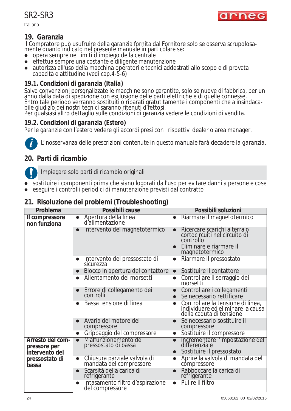**Italiano** 

# **19. Garanzia**

Il Compratore può usufruire della garanzia fornita dal Fornitore solo se osserva scrupolosamente quanto indicato nel presente manuale in particolare se:

- opera sempre nei limiti d'impiego della centrale
- $\bullet$  effettua sempre una costante e diligente manutenzione
- zautorizza all'uso della macchina operatori e tecnici addestrati allo scopo e di provata capacità e attitudine (vedi cap.4-5-6)

### *19.1. Condizioni di garanzia (Italia)*

Salvo convenzioni personalizzate le macchine sono garantite, solo se nuove di fabbrica, per un anno dalla data di spedizione con esclusione delle parti elettriche e di quelle connesse. Entro tale periodo verranno sostituiti o riparati gratutitamente i componenti che a insindacabile giudizio dei nostri tecnici saranno ritenuti difettosi.

Per qualsiasi altro dettaglio sulle condizioni di garanzia vedere le condizioni di vendita.

## *19.2. Condizioni di garanzia (Estero)*

Per le garanzie con l'estero vedere gli accordi presi con i rispettivi dealer o area manager.



*L'inosservanza delle prescrizioni contenute in questo manuale farà decadere la garanzia.*

# **20. Parti di ricambio**

Impiegare solo parti di ricambio originali

- sostituire i componenti prima che siano logorati dall'uso per evitare danni a persone e cose
- zeseguire i controlli periodici di manutenzione previsti dal contratto

### **21. Risoluzione dei problemi (Troubleshooting)**

| Problema                                           | Possibili cause                                                      | Possibili soluzioni                                                                                                                  |
|----------------------------------------------------|----------------------------------------------------------------------|--------------------------------------------------------------------------------------------------------------------------------------|
| Il compressore<br>non funziona                     | Apertura della linea<br>$\bullet$<br>d'alimentazione                 | Riarmare il magnetotermico<br>$\bullet$                                                                                              |
|                                                    | Intervento del magnetotermico<br>$\bullet$                           | Ricercare scarichi a terra o<br>$\bullet$<br>cortocircuiti nel circuito di<br>controllo<br>Eliminare e riarmare il<br>magnetotermico |
|                                                    | Intervento del pressostato di<br>$\bullet$<br>sicurezza              | Riarmare il pressostato<br>$\bullet$                                                                                                 |
|                                                    | Blocco in apertura del contattore<br>$\bullet$                       | Sostituire il contattore<br>$\bullet$                                                                                                |
|                                                    | Allentamento dei morsetti<br>$\bullet$                               | Controllare il serraggio dei<br>$\bullet$<br>morsetti                                                                                |
|                                                    | Errore di collegamento dei<br>controlli<br>$\bullet$                 | Controllare i collegamenti<br>$\bullet$<br>Se necessario rettificare<br>$\bullet$                                                    |
|                                                    | Bassa tensione di linea<br>$\bullet$                                 | Controllare la tensione di linea,<br>$\bullet$<br>individuare ed eliminare la causa<br>della caduta di tensione                      |
|                                                    | Avaria del motore del<br>$\bullet$<br>compressore                    | Se necessario sostituire il<br>$\bullet$<br>compressore                                                                              |
|                                                    | Grippaggio del compressore<br>$\bullet$                              | Sostituire il compressore<br>$\bullet$                                                                                               |
| Arresto del com-<br>pressore per<br>intervento del | Malfunzionamento del<br>$\bullet$<br>pressostato di bassa            | Incrementare l'impostazione del<br>differenziale<br>Sostituire il pressostato<br>$\bullet$                                           |
| pressostato di<br>bassa                            | Chiusura parziale valvola di<br>$\bullet$<br>mandata del compressore | Aprire la valvola di mandata del<br>$\bullet$<br>compressore                                                                         |
|                                                    | Scarsità della carica di<br>$\bullet$<br>refrigerante                | Rabboccare la carica di<br>$\bullet$<br>refrigerante                                                                                 |
|                                                    | Intasamento filtro d'aspirazione<br>$\bullet$<br>del compressore     | Pulire il filtro<br>$\bullet$                                                                                                        |

arned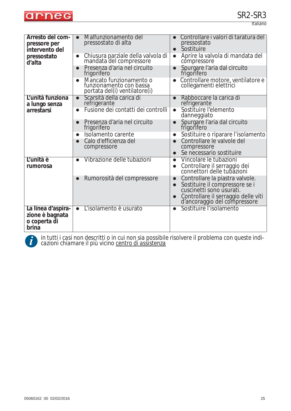

Italiano

| Arresto del com-<br>pressore per<br>intervento del             | Malfunzionamento del<br>$\bullet$<br>pressostato di alta                                         | Controllare i valori di taratura del<br>pressostato<br>Sostituire<br>$\bullet$                                                                                                    |
|----------------------------------------------------------------|--------------------------------------------------------------------------------------------------|-----------------------------------------------------------------------------------------------------------------------------------------------------------------------------------|
| pressostato<br>d'alta                                          | Chiusura parziale della valvola di<br>$\bullet$<br>mandata del compressore                       | Aprire la valvola di mandata del<br>$\bullet$<br>compressore                                                                                                                      |
|                                                                | Presenza d'aria nel circuito<br>$\bullet$<br>frigorifero                                         | Spurgare l'aria dal circuito<br>$\bullet$<br>frigorifero                                                                                                                          |
|                                                                | Mancato funzionamento o<br>$\bullet$<br>funzionamento con bassa<br>portata del(i) ventilatore(i) | Controllare motore, ventilatore e<br>collegamenti elettrici                                                                                                                       |
| L'unità funziona<br>a lungo senza                              | Scarsità della carica di<br>$\bullet$<br>refrigerante                                            | Rabboccare la carica di<br>refrigerante                                                                                                                                           |
| arrestarsi                                                     | Fusione dei contatti dei controlli<br>$\bullet$                                                  | Sostituire l'elemento<br>$\bullet$<br>danneggiato                                                                                                                                 |
|                                                                | Presenza d'aria nel circuito<br>frigorifero                                                      | Spurgare l'aria dal circuito<br>frigorifero                                                                                                                                       |
|                                                                | Isolamento carente<br>$\bullet$                                                                  | Sostituire o riparare l'isolamento<br>$\bullet$                                                                                                                                   |
|                                                                | Calo d'efficienza del<br>compressore                                                             | Controllare le valvole del<br>compressore                                                                                                                                         |
|                                                                |                                                                                                  | Se necessario sostituire<br>$\bullet$                                                                                                                                             |
| L'unità è<br>rumorosa                                          | Vibrazione delle tubazioni                                                                       | Vincolare le tubazioni<br>$\bullet$<br>Controllare il serraggio dei<br>connettori delle tubazioni<br>$\bullet$                                                                    |
|                                                                | Rumorosità del compressore                                                                       | Controllare la piastra valvole.<br>Sostituire il compressore se i<br>cuscinetti sono usurati.<br>$\bullet$<br>Controllare il serraggio delle viti<br>d'ancoraggio del compressore |
| La linea d'aspira-<br>zione è bagnata<br>o coperta di<br>brina | L'isolamento è usurato<br>$\bullet$                                                              | Sostituire l'isolamento<br>$\bullet$                                                                                                                                              |

*in tutti i casi non descritti o in cui non sia possibile risolvere il problema con queste indi-* **i** *cazioni chiamare il più vicino centro di assistenza*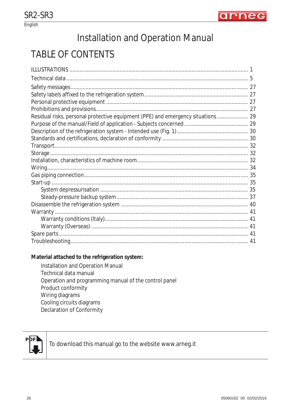

English

# Installation and Operation Manual

# **TABLE OF CONTENTS**

| Residual risks, personal protective equipment (PPE) and emergency situations 29 |  |
|---------------------------------------------------------------------------------|--|
|                                                                                 |  |
|                                                                                 |  |
|                                                                                 |  |
|                                                                                 |  |
|                                                                                 |  |
|                                                                                 |  |
|                                                                                 |  |
|                                                                                 |  |
|                                                                                 |  |
|                                                                                 |  |
|                                                                                 |  |
|                                                                                 |  |
|                                                                                 |  |
|                                                                                 |  |
|                                                                                 |  |
|                                                                                 |  |
|                                                                                 |  |

#### Material attached to the refrigeration system:

Installation and Operation Manual Technical data manual Operation and programming manual of the control panel Product conformity Wiring diagrams Cooling circuits diagrams Declaration of Conformity



To download this manual go to the website www.arneg.it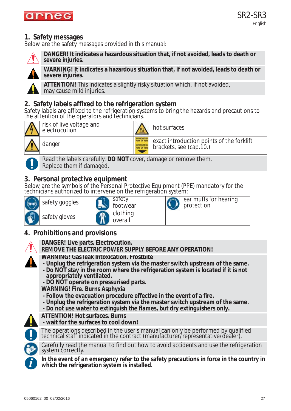

# **1. Safety messages**

Below are the safety messages provided in this manual:



**DANGER! It indicates a hazardous situation that, if not avoided, leads to death or severe injuries.**



**WARNING! It indicates a hazardous situation that, if not avoided, leads to death or severe injuries.**

**ATTENTION!** This indicates a slightly risky situation which, if not avoided, may cause mild injuries.

## **2. Safety labels affixed to the refrigeration system**

Safety labels are affixed to the refrigeration systems to bring the hazards and precautions to the attention of the operators and technicians.



risk of live voltage and  $\frac{1}{8}$  hot surfaces

danger exact introduction points of the forklift brackets, see (cap.10.)



Read the labels carefully. **DO NOT** cover, damage or remove them. Replace them if damaged.

# **3. Personal protective equipment**

Below are the symbols of the Personal Protective Equipment (PPE) mandatory for the technicians authorized to intervene on the refrigeration system:

|             | safety goggles | safety<br>footwear  | ear muffs for hearing<br>protection |
|-------------|----------------|---------------------|-------------------------------------|
| <b>TTTT</b> | safety gloves  | clothing<br>overall |                                     |

# **4. Prohibitions and provisions**



**DANGER! Live parts. Electrocution.**

**REMOVE THE ELECTRIC POWER SUPPLY BEFORE ANY OPERATION!**

- **WARNING! Gas leak Intoxication. Frostbite**
- **Unplug the refrigeration system via the master switch upstream of the same. - Do NOT stay in the room where the refrigeration system is located if it is not appropriately ventilated.**

**- DO NOT operate on pressurised parts.**

**WARNING! Fire. Burns Asphyxia**

- **Follow the evacuation procedure effective in the event of a fire.**
- **Unplug the refrigeration system via the master switch upstream of the same.**
- **Do not use water to extinguish the flames, but dry extinguishers only.**

**ATTENTION! Hot surfaces. Burns** 





The operations described in the user's manual can only be performed by qualified technical staff indicated in the contract (manufacturer/representative/dealer).



Carefully read the manual to find out how to avoid accidents and use the refrigeration system correctly.

**In the event of an emergency refer to the safety precautions in force in the country in i which the refrigeration system is installed.**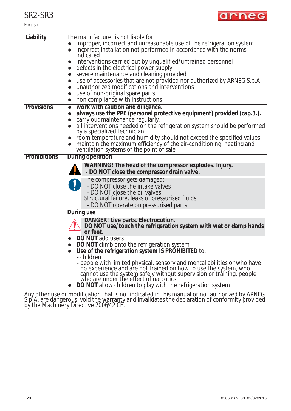

| English           |                                                                                                                                                                                                                                                                                                                                                                                                                                                                                                                                                                                 |
|-------------------|---------------------------------------------------------------------------------------------------------------------------------------------------------------------------------------------------------------------------------------------------------------------------------------------------------------------------------------------------------------------------------------------------------------------------------------------------------------------------------------------------------------------------------------------------------------------------------|
| <b>Liability</b>  | The manufacturer is not liable for:<br>improper, incorrect and unreasonable use of the refrigeration system<br>incorrect installation not performed in accordance with the norms<br>indicated<br>interventions carried out by unqualified/untrained personnel<br>defects in the electrical power supply<br>severe maintenance and cleaning provided<br>use of accessories that are not provided nor authorized by ARNEG S.p.A.<br>unauthorized modifications and interventions<br>$\bullet$<br>use of non-original spare parts<br>$\bullet$<br>non compliance with instructions |
| <b>Provisions</b> | work with caution and diligence.<br>$\bullet$<br>always use the PPE (personal protective equipment) provided (cap.3.).<br>$\bullet$<br>carry out maintenance regularly.<br>all interventions needed on the refrigeration system should be performed<br>by a specialized technician.<br>room temperature and humidity should not exceed the specified values<br>maintain the maximum efficiency of the air-conditioning, heating and ventilation systems of the point of sale                                                                                                    |
| Prohibitions      | <b>During operation</b>                                                                                                                                                                                                                                                                                                                                                                                                                                                                                                                                                         |
|                   | WARNING! The head of the compressor explodes. Injury.<br>- DO NOT close the compressor drain valve.                                                                                                                                                                                                                                                                                                                                                                                                                                                                             |
|                   | The compressor gets damaged:<br>- DO NOT close the intake valves<br>- DO NOT close the oil valves<br>Structural failure, leaks of pressurised fluids:<br>- DO NOT operate on pressurised parts                                                                                                                                                                                                                                                                                                                                                                                  |
|                   | During use<br>DANGER! Live parts. Electrocution.                                                                                                                                                                                                                                                                                                                                                                                                                                                                                                                                |
|                   | DO NOT use/touch the refrigeration system with wet or damp hands<br>or feet.                                                                                                                                                                                                                                                                                                                                                                                                                                                                                                    |
|                   | <b>DO NOT add users</b><br><b>DO NOT</b> climb onto the refrigeration system<br>Use of the refrigeration system IS PROHIBITED to:<br>- children<br>- people with limited physical, sensory and mental abilities or who have<br>ho experience and are not trained on how to use the system, who cannot use the system safely without supervision or training, people who are under the effect of narcotics.<br>DO NOT allow children to play with the refrigeration system                                                                                                       |

Any other use or modification that is not indicated in this manual or not authorized by ARNEG S.p.A. are dangerous, void the warranty and invalidates the declaration of conformity provided by the Machinery Directive 2006/42 CE.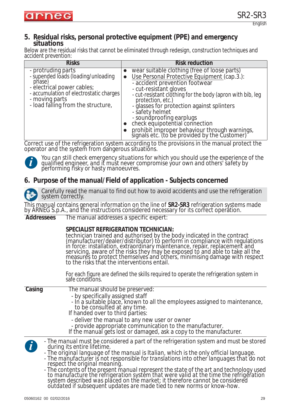# **5. Residual risks, personal protective equipment (PPE) and emergency situations**

Below are the residual risks that cannot be eliminated through redesign, construction techniques and accident prevention:

| <b>Risks</b>                                                                                                                                                                                         |           | <b>Risk reduction</b>                                                                                                                                                                                                                                                                                                                                                                                                                                                       |
|------------------------------------------------------------------------------------------------------------------------------------------------------------------------------------------------------|-----------|-----------------------------------------------------------------------------------------------------------------------------------------------------------------------------------------------------------------------------------------------------------------------------------------------------------------------------------------------------------------------------------------------------------------------------------------------------------------------------|
| - protruding parts<br>- supended loads (loading/unloading<br>phase)<br>- electrical power cables;<br>- accumulation of electrostatic charges<br>- moving parts<br>- load falling from the structure, | $\bullet$ | wear suitable clothing (free of loose parts)<br>Use Personal Protective Equipment (cap.3.):<br>- accident prevention footwear<br>- cut-resistant gloves<br>- cut-resistant clothing for the body (apron with bib, leg<br>protection, etc.)<br>- glasses for protection against splinters<br>- safety helmet<br>- soundproofing earplugs<br>check equipotential connection<br>prohibit improper behaviour through warnings,<br>signals etc. (to be provided by the Customer) |

Correct use of the refrigeration system according to the provisions in the manual protect the operator and the system̃ from dañgerous situatiõns.



*You can still check emergency situations for which you should use the experience of the qualified engineer, and it must never compromise your own and others' safety by performing risky or hasty manoeuvres.*

## **6. Purpose of the manual/Field of application - Subjects concerned**



Carefully read the manual to find out how to avoid accidents and use the refrigeration system correctly.

This manual contains general information on the line of **SR2-SR3** refrigeration systems made by ARNEG S.p.A., and the instructions considered necessary for its correct operation. **Addressees** The manual addresses a specific expert:

| <b>Addressees</b> | The manual addresses a specific expert:                                                                                                                                                                                                                                                                                                                                                                                                                                                   |
|-------------------|-------------------------------------------------------------------------------------------------------------------------------------------------------------------------------------------------------------------------------------------------------------------------------------------------------------------------------------------------------------------------------------------------------------------------------------------------------------------------------------------|
|                   | SPECIALIST REFRIGERATION TECHNICIAN:<br>technician trained and authorised by the body indicated in the contract<br>(manufacturer/dealer/distributor) to perform in compliance with regulations<br>in force: installation, extraordinary maintenance, repair, replacement and<br>servicing, aware of the risks they may be exposed to and able to take all the<br>measures to protect themselves and others, minimising damage with respect<br>to the risks that the interventions entail. |
|                   | For each figure are defined the skills required to operate the refrigeration system in<br>safe conditions.                                                                                                                                                                                                                                                                                                                                                                                |
| Casing            | The manual should be preserved:<br>- by specifically assigned staff<br>- In a suitable place, known to all the employees assigned to maintenance,<br>to be consulted at any time.<br>If handed over to third parties:<br>- deliver the manual to any new user or owner<br>- provide appropriate communication to the manufacturer.<br>If the manual gets lost or damaged, ask a copy to the manufacturer.                                                                                 |
| $\mathbf{i}$      | - The manual must be considered a part of the refrigeration system and must be stored<br>during its entire lifetime.<br>- The original language of the manual is Italian, which is the only official language.<br>- The manufacturer is not responsible for translations into other languages that do not<br>respect the original meaning.                                                                                                                                                |

*- The contents of the present manual represent the state of the art and technology used to manufacture the refrigeration system that were valid at the time the refrigeration system described was placed on the market; it therefore cannot be considered outdated if subsequent updates are made tied to new norms or know-how.*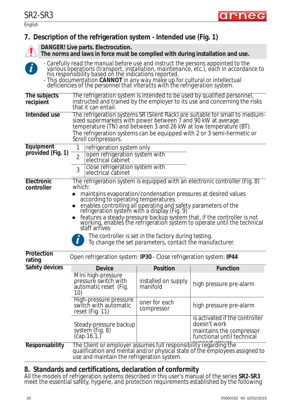

# **7. Description of the refrigeration system - Intended use (Fig. 1)**

**DANGER! Live parts. Electrocution.**



**The norms and laws in force must be complied with during installation and use.** *- Carefully read the manual before use and instruct the persons appointed to the various operations (transport, installation, maintenance, etc.), each in accordance to* 

*his responsibility based on the indications reported. - This documentation CANNOT in any way make up for cultural or intellectual deficiencies of the personnel that interacts with the refrigeration system.*

| The subjects<br>recipient | that it can entail.                                                                                                                                      |                                                                                                                 | The refrigeration system is intended to be used by qualified personnel,<br>instructed and trained by the employer to its use and concerning the risks  |  |
|---------------------------|----------------------------------------------------------------------------------------------------------------------------------------------------------|-----------------------------------------------------------------------------------------------------------------|--------------------------------------------------------------------------------------------------------------------------------------------------------|--|
| Intended use              | sized supermarkets with power between 7 and 90 kW at average<br>temperature (TN) and between 3 and 26 kW at low temperature (BT).<br>Scroll compressors. |                                                                                                                 | The refrigeration systems SR (Silent Rack) are suitable for small to medium-<br>The refrigeration systems can be equipped with 2 or 3 semi-hermetic or |  |
| Equipment                 | refrigeration system only                                                                                                                                |                                                                                                                 |                                                                                                                                                        |  |
| provided (Fig. 1)         | open refrigeration system with<br>$\overline{2}$<br>electrical cabinet                                                                                   |                                                                                                                 |                                                                                                                                                        |  |
|                           | close refrigeration system with<br>3<br>electrical cabinet                                                                                               |                                                                                                                 |                                                                                                                                                        |  |
| Electronic                |                                                                                                                                                          |                                                                                                                 | The refrigeration system is equipped with an electronic controller (Fig. 8)                                                                            |  |
| controller                | which:                                                                                                                                                   |                                                                                                                 |                                                                                                                                                        |  |
|                           | maintains evaporation/condensation pressures at desired values<br>according to operating temperatures                                                    |                                                                                                                 |                                                                                                                                                        |  |
|                           | enables controlling all operating and safety parameters of the refrigeration system with a display (Fig. 9)                                              |                                                                                                                 |                                                                                                                                                        |  |
|                           |                                                                                                                                                          |                                                                                                                 | features a steady-pressure backup system that, if the controller is not                                                                                |  |
|                           |                                                                                                                                                          |                                                                                                                 | working, enables the refrigeration system to operate until the technical                                                                               |  |
|                           | staff arrives                                                                                                                                            |                                                                                                                 |                                                                                                                                                        |  |
|                           | $\bm{l}$                                                                                                                                                 | The controller is set in the factory during testing.<br>To change the set parameters, contact the manufacturer. |                                                                                                                                                        |  |
|                           |                                                                                                                                                          |                                                                                                                 |                                                                                                                                                        |  |
| Protection<br>rating      | Open refrigeration system: IP30 - Close refrigeration system: IP44                                                                                       |                                                                                                                 |                                                                                                                                                        |  |
|                           |                                                                                                                                                          |                                                                                                                 |                                                                                                                                                        |  |
| <b>Safety devices</b>     | <b>Device</b>                                                                                                                                            | <b>Position</b>                                                                                                 | <b>Function</b>                                                                                                                                        |  |
|                           | Mini high-pressure<br>pressure switch with<br>automatic reset (Fig.<br>10)                                                                               | installed on supply<br>manifold                                                                                 | high pressure pre-alarm                                                                                                                                |  |
|                           | High-pressure pressure<br>switch with automatic<br>reset (Fig. 11)                                                                                       | oner for each<br>compressor                                                                                     | high pressure pre-alarm                                                                                                                                |  |
|                           |                                                                                                                                                          |                                                                                                                 | is activated if the controller<br>doesn't work                                                                                                         |  |
| Responsability            | Steady-pressure backup<br>system (Fig. 8)<br>$(\text{cap}.16.1)$<br>The Client or employer assumes full responsibility regarding the                     |                                                                                                                 | maintains the compressor<br>functional until technical                                                                                                 |  |

#### **8. Standards and certifications, declaration of conformity**

All the models of refrigeration systems described in this user's manual of the series **SR2-SR3** meet the essential safĕty, hygieñe, and protection requirements established by the following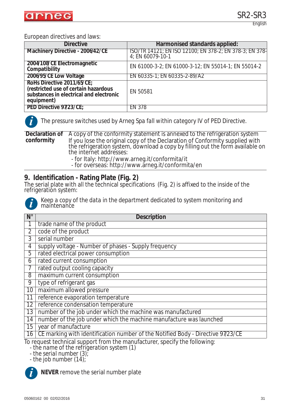

#### European directives and laws:

| <b>Directive</b>                                                                                                            | Harmonised standards applied:                                               |
|-----------------------------------------------------------------------------------------------------------------------------|-----------------------------------------------------------------------------|
| Machinery Directive - 2006/42/CE                                                                                            | ISO/TR 14121; EN ISO 12100; EN 378-2; EN 378-3; EN 378-<br>4; EN 60079-10-1 |
| 2004/108/CE Electromagnetic<br>Compatibility                                                                                | EN 61000-3-2; EN 61000-3-12; EN 55014-1; EN 55014-2                         |
| 2006/95/CE Low Voltage                                                                                                      | EN 60335-1; EN 60335-2-89/A2                                                |
| RoHs Directive 2011/65/CE;<br>(restricted use of certain hazardous<br>substances in electrical and electronic<br>equipment) | EN 50581                                                                    |
| PED Directive 97/23/CE;                                                                                                     | EN 378                                                                      |



*The pressure switches used by Arneg Spa fall within category IV of PED Directive.*

**Declaration of conformity** A copy of the conformity statement is annexed to the refrigeration system If you lose the original copy of the Declaration of Conformity supplied with the refrigeration system, download a copy by filling out the form available on the internet addresses:

- for Italy: http://www.arneg.it/conformita/it
- for overseas: http://www.arneg.it/conformita/en

#### **9. Identification - Rating Plate (Fig. 2)**

The serial plate with all the technical specifications (Fig. 2) is affixed to the inside of the refrigeration system:



*Keep a copy of the data in the department dedicated to system monitoring and maintenance*

| $N^{\circ}$    | <b>Description</b>                                                                                                     |  |  |  |
|----------------|------------------------------------------------------------------------------------------------------------------------|--|--|--|
|                | trade name of the product                                                                                              |  |  |  |
| $\overline{2}$ | code of the product                                                                                                    |  |  |  |
| 3              | serial number                                                                                                          |  |  |  |
| 4              | supply voltage - Number of phases - Supply frequency                                                                   |  |  |  |
| 5              | rated electrical power consumption                                                                                     |  |  |  |
| 6              | rated current consumption                                                                                              |  |  |  |
| 7              | rated output cooling capacity                                                                                          |  |  |  |
| 8              | maximum current consumption                                                                                            |  |  |  |
| 9              | type of refrigerant gas                                                                                                |  |  |  |
| 10             | maximum allowed pressure                                                                                               |  |  |  |
| 11             | reference evaporation temperature                                                                                      |  |  |  |
| 12             | reference condensation temperature                                                                                     |  |  |  |
| 13             | number of the job under which the machine was manufactured                                                             |  |  |  |
| 14             | number of the job under which the machine manufacture was launched                                                     |  |  |  |
| 15             | year of manufacture                                                                                                    |  |  |  |
| 16             | CE marking with identification number of the Notified Body - Directive 97/23/CE                                        |  |  |  |
|                | To request technical support from the manufacturer, specify the following:<br>the name of the refrigeration system (1) |  |  |  |

*- the name of the refrigeration system (1)*

*- the serial number (3);*

*- the job number (14);* **i**

**NEVER** remove the serial number plate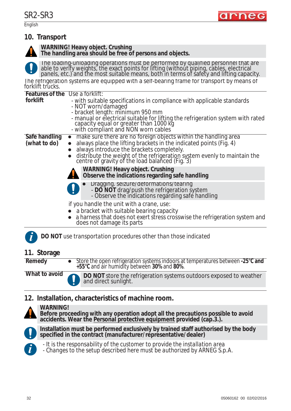English

| 10. Transport                                                                                                                                                                                                                                                                                                                                                                            |
|------------------------------------------------------------------------------------------------------------------------------------------------------------------------------------------------------------------------------------------------------------------------------------------------------------------------------------------------------------------------------------------|
| WARNING! Heavy object. Crushing<br>The handling area should be free of persons and objects.                                                                                                                                                                                                                                                                                              |
| The loading-unloading operations must be performed by qualified personnel that are able to verify weights, the exact points for lifting (without piping, cables, electrical panels, etc.) and the most suitable means, both in                                                                                                                                                           |
| The refrigeration systems are equipped with a self-bearing frame for transport by means of<br>forklift trucks.                                                                                                                                                                                                                                                                           |
| <b>Features of the Use a forklift:</b>                                                                                                                                                                                                                                                                                                                                                   |
| forklift<br>- with suitable specifications in compliance with applicable standards<br>- NOT worn/damaged<br>- bracket length: minimum 950 mm                                                                                                                                                                                                                                             |
| - manual or electrical suitable for lifting the refrigeration system with rated<br>capacity equal or greater than 1000 kg<br>- with compliant and NON worn cables                                                                                                                                                                                                                        |
| make sure there are no foreign objects within the handling area<br>Safe handling<br>$\bullet$<br>(what to do)<br>always place the lifting brackets in the indicated points (Fig. 4)<br>$\bullet$<br>• always introduce the brackets completely.<br>distribute the weight of the refrigeration system evenly to maintain the centre of gravity of the load balanced (Fig. 3)<br>$\bullet$ |
| <b>WARNING! Heavy object. Crushing</b><br>Observe the indications regarding safe handling                                                                                                                                                                                                                                                                                                |
| Dragging. seizure/deformations/tearing<br>- <b>DO NOT</b> drag/push the refrigeration system<br>- Observe the indications regarding safe handling                                                                                                                                                                                                                                        |
| if you handle the unit with a crane, use:                                                                                                                                                                                                                                                                                                                                                |
| a bracket with suitable bearing capacity<br>a harness that does not exert stress crosswise the refrigeration system and<br>does not damage its parts                                                                                                                                                                                                                                     |
| <b>DO NOT</b> use transportation procedures other than those indicated                                                                                                                                                                                                                                                                                                                   |

# **11. Storage**

| Remedy        | • Store the open refrigeration systems indoors at temperatures between -25 $\degree$ C and<br>+55°C and air humidity between 30% and 80%. |
|---------------|-------------------------------------------------------------------------------------------------------------------------------------------|
| What to avoid | <b>OO NOT</b> store the refrigeration systems outdoors exposed to weather                                                                 |

#### **12. Installation, characteristics of machine room.**

and direct sunlight.



**WARNING! Before proceeding with any operation adopt all the precautions possible to avoid accidents. Wear the Personal protective equipment provided (cap.3.).**



**Installation must be performed exclusively by trained staff authorised by the body specified in the contract (manufacturer/representative/dealer)**



*- It is the responsability of the customer to provide the installation area*

*- Changes to the setup described here must be authorized by ARNEG S.p.A.*

arne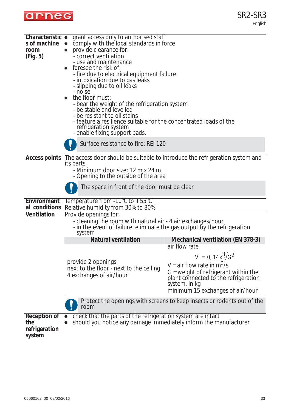

| Characteristic •<br>s of machine<br>room<br>(Fig. 5)  | grant access only to authorised staff<br>comply with the local standards in force<br>provide clearance for:<br>- correct ventilation<br>- use and maintenance<br>foresee the risk of:<br>- fire due to electrical equipment failure<br>- intoxication due to gas leaks<br>- slipping due to oil leaks<br>- noise<br>the floor must:<br>- bear the weight of the refrigeration system<br>- be stable and levelled<br>- be resistant to oil stains<br>- feature a resilience suitable for the concentrated loads of the<br>refrigeration system<br>- enable fixing support pads. |                                                                                                                                                                                                                  |  |  |  |
|-------------------------------------------------------|--------------------------------------------------------------------------------------------------------------------------------------------------------------------------------------------------------------------------------------------------------------------------------------------------------------------------------------------------------------------------------------------------------------------------------------------------------------------------------------------------------------------------------------------------------------------------------|------------------------------------------------------------------------------------------------------------------------------------------------------------------------------------------------------------------|--|--|--|
|                                                       | Surface resistance to fire: REI 120                                                                                                                                                                                                                                                                                                                                                                                                                                                                                                                                            |                                                                                                                                                                                                                  |  |  |  |
| <b>Access points</b>                                  | The access door should be suitable to introduce the refrigeration system and<br>its parts.<br>- Minimum door size: 12 m x 24 m<br>- Opening to the outside of the area<br>The space in front of the door must be clear                                                                                                                                                                                                                                                                                                                                                         |                                                                                                                                                                                                                  |  |  |  |
| Environment<br>al conditions                          | Temperature from $-10^{\circ}$ C to $+55^{\circ}$ C<br>Relative humidity from 30% to 80%                                                                                                                                                                                                                                                                                                                                                                                                                                                                                       |                                                                                                                                                                                                                  |  |  |  |
| Ventilation                                           | Provide openings for:<br>- cleaning the room with natural air - 4 air exchanges/hour<br>- in the event of failure, eliminate the gas output by the refrigeration<br>system                                                                                                                                                                                                                                                                                                                                                                                                     |                                                                                                                                                                                                                  |  |  |  |
|                                                       | <b>Natural ventilation</b>                                                                                                                                                                                                                                                                                                                                                                                                                                                                                                                                                     | <b>Mechanical ventilation (EN 378-3)</b>                                                                                                                                                                         |  |  |  |
|                                                       | provide 2 openings:<br>next to the floor - next to the ceiling<br>4 exchanges of air/hour                                                                                                                                                                                                                                                                                                                                                                                                                                                                                      | air flow rate<br>$V = 0, 14x^3\sqrt{G^2}$<br>V = air flow rate in $m^3/s$<br>$G$ = weight of refrigerant within the<br>plant connected to the refrigeration<br>system, in kg<br>minimum 15 exchanges of air/hour |  |  |  |
|                                                       | Protect the openings with screens to keep insects or rodents out of the<br>room                                                                                                                                                                                                                                                                                                                                                                                                                                                                                                |                                                                                                                                                                                                                  |  |  |  |
| <b>Reception of</b><br>the<br>refrigeration<br>system | check that the parts of the refrigeration system are intact<br>should you notice any damage immediately inform the manufacturer                                                                                                                                                                                                                                                                                                                                                                                                                                                |                                                                                                                                                                                                                  |  |  |  |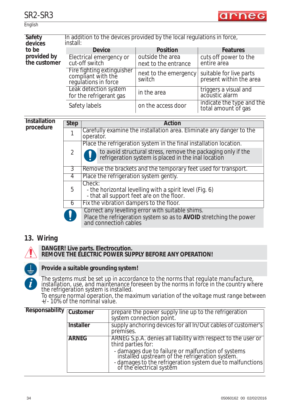

#### **English**

| Safety<br>devices           | In addition to the devices provided by the local regulations in force,<br>install: |                                          |                                                    |  |
|-----------------------------|------------------------------------------------------------------------------------|------------------------------------------|----------------------------------------------------|--|
| to be                       | <b>Device</b>                                                                      | <b>Position</b>                          | <b>Features</b>                                    |  |
| provided by<br>the customer | Electrical emergency or<br>cut-off switch                                          | outside the area<br>next to the entrance | cuts off power to the<br>entire area               |  |
|                             | Fire fighting extinguisher<br>compliant with the<br>regulations in force           | next to the emergency<br>switch          | suitable for live parts<br>present within the area |  |
|                             | Leak detection system<br>for the refrigerant gas                                   | in the area                              | triggers a visual and<br>acoustic alarm            |  |
|                             | Safety labels                                                                      | on the access door                       | indicate the type and the<br>total amount of gas   |  |

#### **Installation procedur**

| ווט<br>e | <b>Step</b> | Action                                                                                                                                          |  |  |
|----------|-------------|-------------------------------------------------------------------------------------------------------------------------------------------------|--|--|
|          |             | Carefully examine the installation area. Eliminate any danger to the<br>operator.                                                               |  |  |
|          | 2           | Place the refrigeration system in the final installation location.                                                                              |  |  |
|          |             | to avoid structural stress, remove the packaging only if the refrigeration system is placed in the inal location                                |  |  |
|          | 3           | Remove the brackets and the temporary feet used for transport.                                                                                  |  |  |
|          | 4           | Place the refrigeration system gently.                                                                                                          |  |  |
|          | 5           | Check:<br>- the horizontal levelling with a spirit level (Fig. 6)<br>- that all support feet are on the floor.                                  |  |  |
|          | 6           | Fix the vibration dampers to the floor.                                                                                                         |  |  |
|          |             | Correct any levelling error with suitable shims.<br>Place the refrigeration system so as to AVOID stretching the power<br>and connection cables |  |  |
|          |             |                                                                                                                                                 |  |  |

## **13. Wiring**



#### **DANGER! Live parts. Electrocution. REMOVE THE ELECTRIC POWER SUPPLY BEFORE ANY OPERATION!**



#### **Provide a suitable grounding system!**

*The systems must be set up in accordance to the norms that regulate manufacture, installation, use, and maintenance foreseen by the norms in force in the country where the refrigeration system is installed.*

*To ensure normal operation, the maximum variation of the voltage must range between +/- 10% of the nominal value.* 

| Responsability <sub>「Customer」</sub> |                  | prepare the power supply line up to the refrigeration<br>system connection point.                                                                                                              |
|--------------------------------------|------------------|------------------------------------------------------------------------------------------------------------------------------------------------------------------------------------------------|
|                                      | <b>Installer</b> | supply anchoring devices for all In/Out cables of customer's<br>premises.                                                                                                                      |
|                                      | <b>ARNEG</b>     | ARNEG S.p.A. denies all liability with respect to the user or<br>third parties for:                                                                                                            |
|                                      |                  | - damages due to failure or malfunction of systems<br>installed upstream of the refrigeration system.<br>- damages to the refrigeration system due to malfunctions<br>of the electrical system |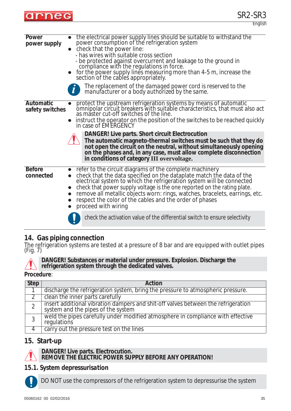

| Power<br>power supply        | the electrical power supply lines should be suitable to withstand the<br>power consumption of the refrigeration system<br>• check that the power line:<br>- has wires with suitable cross section<br>- be protected against overcurrent and leakage to the ground in<br>compliance with the regulations in force.<br>for the power supply lines measuring more than 4-5 m, increase the<br>section of the cables appropriately.<br>The replacement of the damaged power cord is reserved to the<br>manufacturer or a body authorized by the same.                                                                   |
|------------------------------|---------------------------------------------------------------------------------------------------------------------------------------------------------------------------------------------------------------------------------------------------------------------------------------------------------------------------------------------------------------------------------------------------------------------------------------------------------------------------------------------------------------------------------------------------------------------------------------------------------------------|
| Automatic<br>safety switches | protect the upstream refrigeration systems by means of automatic<br>omnipolar circuit breakers with suitable characteristics, that must also act<br>as master cut-off switches of the line.<br>instruct the operator on the position of the switches to be reached quickly<br>in case of EMERGENCY<br>DANGER! Live parts. Short circuit Electrocution<br>The automatic magneto-thermal switches must be such that they do<br>not open the circuit on the neutral, without simultaneously opening<br>on the phases and, in any case, must allow complete disconnection<br>in conditions of category III overvoltage. |
| <b>Before</b><br>connected   | refer to the circuit diagrams of the complete machinery<br>check that the data specified on the dataplate match the data of the<br>electrical system to which the refrigeration system will be connected<br>check that power supply voltage is the one reported on the rating plate.<br>remove all metallic objects worn: rings, watches, bracelets, earrings, etc.<br>respect the color of the cables and the order of phases<br>proceed with wiring<br>check the activation value of the differential switch to ensure selectivity                                                                                |
|                              |                                                                                                                                                                                                                                                                                                                                                                                                                                                                                                                                                                                                                     |

#### **14. Gas piping connection**

The refrigeration systems are tested at a pressure of 8 bar and are equipped with outlet pipes (Fig. 7)



#### **Procedure**:

| <b>Step</b>    | Action                                                                                                                  |
|----------------|-------------------------------------------------------------------------------------------------------------------------|
|                | discharge the refrigeration system, bring the pressure to atmospheric pressure.                                         |
|                | clean the inner parts carefully                                                                                         |
| $\overline{2}$ | insert additional vibration dampers and shit-off valves between the refrigeration<br>system and the pipes of the system |
| 3              | weld the pipes carefully under modified atmosphere in compliance with effective<br>regulations                          |
| 4              | carry out the pressure test on the lines                                                                                |

#### **15. Start-up**



**DANGER! Live parts. Electrocution.**

#### **REMOVE THE ELECTRIC POWER SUPPLY BEFORE ANY OPERATION!**

#### *15.1. System depressurisation*



DO NOT use the compressors of the refrigeration system to depressurise the system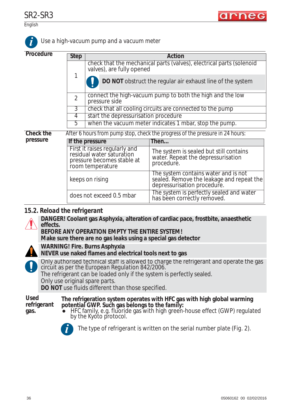

English

SR2-SR3

| Procedure | <b>Step</b>                                                                   | <b>Action</b>                                                                                                |                                                                                                                  |  |  |
|-----------|-------------------------------------------------------------------------------|--------------------------------------------------------------------------------------------------------------|------------------------------------------------------------------------------------------------------------------|--|--|
|           |                                                                               | check that the mechanical parts (valves), electrical parts (solenoid<br>valves), are fully opened            |                                                                                                                  |  |  |
|           | 1                                                                             | DO NOT obstruct the regular air exhaust line of the system                                                   |                                                                                                                  |  |  |
|           | $\overline{2}$                                                                | connect the high-vacuum pump to both the high and the low<br>pressure side                                   |                                                                                                                  |  |  |
|           | 3                                                                             | check that all cooling circuits are connected to the pump                                                    |                                                                                                                  |  |  |
|           | 4                                                                             | start the depressurisation procedure                                                                         |                                                                                                                  |  |  |
|           | 5                                                                             | when the vacuum meter indicates 1 mbar, stop the pump.                                                       |                                                                                                                  |  |  |
| Check the | After 6 hours from pump stop, check the progress of the pressure in 24 hours: |                                                                                                              |                                                                                                                  |  |  |
| pressure  |                                                                               | If the pressure                                                                                              | Then                                                                                                             |  |  |
|           |                                                                               | First it raises regularly and<br>residual water saturation<br>pressure becomes stable at<br>room temperature | The system is sealed but still contains<br>water. Repeat the depressurisation<br>procedure.                      |  |  |
|           |                                                                               | keeps on rising                                                                                              | The system contains water and is not<br>sealed. Remove the leakage and repeat the<br>depressurisation procedure. |  |  |
|           |                                                                               | does not exceed 0.5 mbar                                                                                     | The system is perfectly sealed and water<br>has been correctly removed.                                          |  |  |

#### *15.2. Reload the refrigerant*



**DANGER! Coolant gas Asphyxia, alteration of cardiac pace, frostbite, anaesthetic effects.**

**BEFORE ANY OPERATION EMPTY THE ENTIRE SYSTEM! Make sure there are no gas leaks using a special gas detector**

**WARNING! Fire. Burns Asphyxia**



**NEVER use naked flames and electrical tools next to gas** Only authorised technical staff is allowed to charge the refrigerant and operate the gas circuit as per the *European Regulation 842/2006.* The refrigerant can be loaded only if the system is perfectly sealed.

Only use original spare parts.

**DO NOT** use fluids different than those specified.

```
Used 
refrigerant 
gas.
```
**The refrigeration system operates with HFC gas with high global warming potential GWP. Such gas belongs to the family:**

zHFC family, e.g. fluoride gas with high green-house effect (GWP) regulated by the Kyoto protocol.



*The type of refrigerant is written on the serial number plate (Fig. 2).* **i**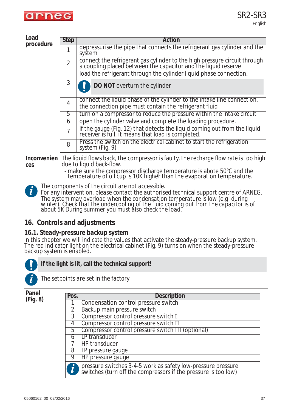

#### **Load procedur**

| re | <b>Step</b>    | Action                                                                                                                                      |  |  |  |  |
|----|----------------|---------------------------------------------------------------------------------------------------------------------------------------------|--|--|--|--|
|    |                | depressurise the pipe that connects the refrigerant gas cylinder and the<br>system                                                          |  |  |  |  |
|    | $\mathfrak{D}$ | connect the refrigerant gas cylinder to the high pressure circuit through<br>a coupling placed between the capacitor and the liquid reserve |  |  |  |  |
|    |                | load the refrigerant through the cylinder liquid phase connection.                                                                          |  |  |  |  |
|    | 3              | DO NOT overturn the cylinder                                                                                                                |  |  |  |  |
|    | $\overline{4}$ | connect the liquid phase of the cylinder to the intake line connection.<br>the connection pipe must contain the refrigerant fluid           |  |  |  |  |
|    | b.             | turn on a compressor to reduce the pressure within the intake circuit                                                                       |  |  |  |  |
|    | 6              | open the cylinder valve and complete the loading procedure.                                                                                 |  |  |  |  |
|    | 7              | if the gauge (Fig. 12) that detects the liquid coming out from the liquid receiver is full, it means that load is completed.                |  |  |  |  |
|    | 8              | Press the switch on the electrical cabinet to start the refrigeration<br>system (Fig. 9)                                                    |  |  |  |  |

**Inconvenien** The liquid flows back, the compressor is faulty, the recharge flow rate is too high **ces** due to liquid back-flow.

- make sure the compressor discharge temperature is abote 50°C and the temperature of oil cup is 10K higher than the evaporation temperature.
- *The components of the circuit are not accessible.*

*For any intervention, please contact the authorised technical support centre of ARNEG. The system may overload when the condensation temperature is low (e.g. during*  winter). Check that the undercooling of the fluid coming out from the capacitor is of *about 5K During summer you must also check the load.*

## **16. Controls and adjustments**

#### *16.1. Steady-pressure backup system*

In this chapter we will indicate the values that activate the steady-pressure backup system. The red indicator light on the electrical cabinet (Fig. 9) turns on when the steady-pressure backup system is enabled.



**i**

**If the light is lit, call the technical support!**



*The setpoints are set in the factory*

**Panel (Fig. 8)**

| Pos.           | <b>Description</b>                                                                                                             |
|----------------|--------------------------------------------------------------------------------------------------------------------------------|
| -1             | Condensation control pressure switch                                                                                           |
| $\overline{2}$ | Backup main pressure switch                                                                                                    |
| $\overline{3}$ | Compressor control pressure switch I                                                                                           |
| 4              | Compressor control pressure switch II                                                                                          |
| 5              | Compressor control pressure switch III (optional)                                                                              |
| 6              | LP transducer                                                                                                                  |
|                | HP transducer                                                                                                                  |
| 8              | LP pressure gauge                                                                                                              |
| 9              | HP pressure gauge                                                                                                              |
|                | pressure switches 3-4-5 work as safety low-pressure pressure<br>switches (turn off the compressors if the pressure is too low) |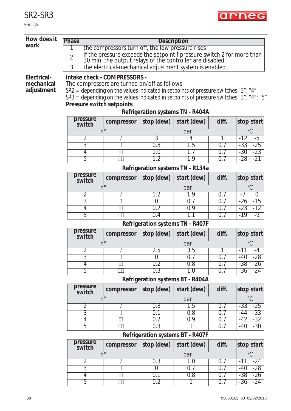English

| How does it               | Phase<br><b>Description</b>                                                                                                                           |                                             |                |                                         |            |                                  |  |
|---------------------------|-------------------------------------------------------------------------------------------------------------------------------------------------------|---------------------------------------------|----------------|-----------------------------------------|------------|----------------------------------|--|
| work                      | the compressors turn off, the low pressure rises                                                                                                      |                                             |                |                                         |            |                                  |  |
|                           | if the pressure exceeds the setpoint f pressure switch 2 for more than<br>30 min, the output relays of the controller are disabled.<br>$\overline{2}$ |                                             |                |                                         |            |                                  |  |
|                           | 3<br>the electrical-mechanical adjustment system is enabled                                                                                           |                                             |                |                                         |            |                                  |  |
|                           |                                                                                                                                                       | Intake check - COMPRESSORS -                |                |                                         |            |                                  |  |
| Electrical-<br>mechanical | The compressors are turned on/off as follows:                                                                                                         |                                             |                |                                         |            |                                  |  |
| adjustment                | SR2 = depending on the values indicated in setpoints of pressure switches "3"; "4"                                                                    |                                             |                |                                         |            |                                  |  |
|                           | SR3 = depending on the values indicated in setpoints of pressure switches "3"; "4"; "5"                                                               |                                             |                |                                         |            |                                  |  |
|                           | Pressure switch setpoints                                                                                                                             |                                             |                |                                         |            |                                  |  |
|                           |                                                                                                                                                       |                                             |                | <b>Refrigeration systems TN - R404A</b> |            |                                  |  |
|                           | pressure<br>switch                                                                                                                                    | compressor                                  | stop (dew)     | start (dew)                             | diff.      | stop start                       |  |
|                           |                                                                                                                                                       | $n^{\circ}$                                 |                | bar                                     |            | $^{\circ}C$                      |  |
|                           | 2                                                                                                                                                     |                                             | $\overline{3}$ | 4                                       |            | $-12$<br>-5                      |  |
|                           | $\overline{3}$                                                                                                                                        |                                             | 0.8            | 1.5                                     | 0.7        | $-25$<br>$-33$                   |  |
|                           | $\overline{4}$<br>$\overline{5}$                                                                                                                      | $\overline{\rm II}$<br>$\overline{\rm III}$ | 1.0<br>$1.2\,$ | 1.9                                     | 0.7<br>0.7 | $-23$<br>$-30$<br>$-28$<br>$-21$ |  |
|                           |                                                                                                                                                       |                                             |                | Refrigeration systems TN - R134a        |            |                                  |  |
|                           | pressure<br>switch                                                                                                                                    | compressor                                  | stop (dew)     | start (dew)                             | diff.      | stop start                       |  |
|                           |                                                                                                                                                       | $n^{\circ}$                                 |                | bar                                     |            | $^{\circ}C$                      |  |
|                           | $\overline{2}$                                                                                                                                        |                                             | 1.2            | 1.9                                     | 0.7        | 0<br>- 1                         |  |
|                           | $\overline{3}$                                                                                                                                        |                                             | $\overline{0}$ | 0.7                                     | 0.7        | $-15$<br>$-26$                   |  |
|                           | $\overline{4}$                                                                                                                                        | $_{\rm II}$                                 | 0.2<br>0.4     | 0.9                                     | 0.7        | $-23$<br>$-12$                   |  |
|                           | 5                                                                                                                                                     | $\mathbb{H}$                                |                | 1.1                                     | 0.7        | $-19$<br>$-9$                    |  |
|                           |                                                                                                                                                       | <b>Refrigeration systems TN - R407F</b>     |                |                                         |            |                                  |  |
|                           | pressure<br>switch                                                                                                                                    | compressor                                  | stop (dew)     | start (dew)                             | diff.      | stop start                       |  |
|                           |                                                                                                                                                       | $n^{\circ}$                                 |                | bar                                     |            |                                  |  |
|                           | $\overline{2}$                                                                                                                                        |                                             | 2.5            | 3.5                                     |            | -11<br>-4                        |  |
|                           | $\overline{3}$                                                                                                                                        |                                             | 0              | 0.7                                     | 0.7        | $-40$<br>$-28$                   |  |
|                           | 4<br>5                                                                                                                                                | $_{\rm II}$<br>$\overline{\rm III}$         | 0.2<br>0.3     | 0.8<br>1.0                              | 0.7<br>0.7 | $-38$<br>$-26$<br>$-24$<br>$-36$ |  |
|                           |                                                                                                                                                       |                                             |                |                                         |            |                                  |  |
|                           | pressure                                                                                                                                              |                                             |                | <b>Refrigeration systems BT - R404A</b> |            |                                  |  |
|                           | switch                                                                                                                                                | compressor                                  | stop (dew)     | start (dew)                             | diff.      | stop start                       |  |
|                           |                                                                                                                                                       | $n^{\circ}$                                 |                | bar                                     |            | $^{\circ}C$                      |  |
|                           | $\overline{2}$                                                                                                                                        |                                             | 0.8            | 1.5                                     | 0.7        | $-33$<br>$-25$                   |  |
|                           | $\overline{3}$                                                                                                                                        |                                             | 0.1            | 0.8                                     | 0.7        | $-33$<br>$-44$<br>$-42$          |  |
|                           | $\overline{4}$<br>5                                                                                                                                   | $\rm II$<br>$\overline{\rm III}$            | 0.2<br>0.3     | 0.9                                     | 0.7<br>0.7 | $-32$<br>$-30$<br>$-40$          |  |
|                           |                                                                                                                                                       |                                             |                | <b>Refrigeration systems BT - R407F</b> |            |                                  |  |
|                           | pressure                                                                                                                                              | compressor                                  |                | start (dew)                             | diff.      | stop start                       |  |
|                           | switch                                                                                                                                                | $n^{\circ}$                                 | stop (dew)     | bar                                     |            | $^{\circ}C$                      |  |
|                           | $\overline{2}$                                                                                                                                        |                                             | 0.3            | 1.0                                     | 0.7        | $-24$<br>-11                     |  |
|                           | $\overline{3}$                                                                                                                                        |                                             | $\overline{0}$ | 0.7                                     | 0.7        | $-28$<br>$-40$                   |  |
|                           | $\overline{4}$                                                                                                                                        | $_{\rm II}$                                 | 0.1            | 0.8                                     | 0.7        | $-38$<br>$-26$                   |  |
|                           | 5                                                                                                                                                     | $\mathop{\mathrm{III}}\nolimits$            | 0.2            | 1                                       | 0.7        | -24<br>$-36$                     |  |

arneg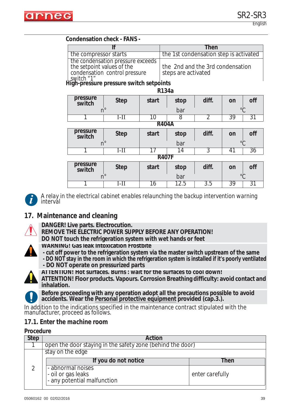

#### **Condensation check - FANS -**

|                                                                                                                                                                        | Then                                                    |
|------------------------------------------------------------------------------------------------------------------------------------------------------------------------|---------------------------------------------------------|
| the compressor starts                                                                                                                                                  | the 1st condensation step is activated                  |
| the condensation pressure exceeds<br>the setpoint values of the<br>condensation control pressure<br>$\left\lfloor \frac{\text{switch}^n}{\text{switch}} \right\rfloor$ | the 2nd and the 3rd condensation<br>steps are activated |

**High-pressure pressure switch setpoints**

| pressure<br>switch | <b>Step</b>  | start        | stop | diff. | on         | off |
|--------------------|--------------|--------------|------|-------|------------|-----|
|                    | $n^{\circ}$  |              | bar  |       | $\circ$    |     |
|                    | 1-11         | 10           | 8    | 2     | 39         | 31  |
|                    |              | <b>R404A</b> |      |       |            |     |
| pressure<br>switch | <b>Step</b>  | start        | stop | diff. | on         | off |
|                    | $n^{\circ}$  |              | bar  |       | $\circ$    |     |
|                    | $I-II$       | 17           | 14   | 3     | $\sqrt{1}$ | 36  |
|                    | <b>R407F</b> |              |      |       |            |     |
| pressure<br>switch | <b>Step</b>  | start        | stop | diff. | on         | off |
| $n^{\circ}$        |              |              | bar  |       | $\circ$    |     |
|                    | $I-II$       | 16           | 12.5 | 3.5   | 39         | 31  |



*A relay in the electrical cabinet enables relaunching the backup intervention warning interval*

## **17. Maintenance and cleaning**



- **DANGER! Live parts. Electrocution.**
- **REMOVE THE ELECTRIC POWER SUPPLY BEFORE ANY OPERATION!**
- **DO NOT touch the refrigeration system with wet hands or feet**



- **WARNING! Gas leak Intoxication Frostbite**
- **cut off power to the refrigeration system via the master switch upstream of the same**
- **DO NOT stay in the room in which the refrigeration system is installed if it's poorly ventilated - DO NOT operate on pressurized parts**



**ATTENTION! Hot surfaces. Burns : wait for the surfaces to cool down!**

**ATTENTION! Floor products. Vapours. Corrosion Breathing difficulty: avoid contact and inhalation.**

**Before proceeding with any operation adopt all the precautions possible to avoid accidents. Wear the Personal protective equipment provided (cap.3.).**

In addition to the indications specified in the maintenance contract stipulated with the manufacturer, proceed as follows.

#### *17.1. Enter the machine room*

#### **Procedure**

| <b>Step</b> | Action                                                                   |                 |  |  |
|-------------|--------------------------------------------------------------------------|-----------------|--|--|
|             | open the door staying in the safety zone (behind the door)               |                 |  |  |
|             | stay on the edge                                                         |                 |  |  |
|             | If you do not notice                                                     | Then            |  |  |
|             | - abnormal noises<br> - oil or gas leaks<br> - any potential malfunction | enter carefully |  |  |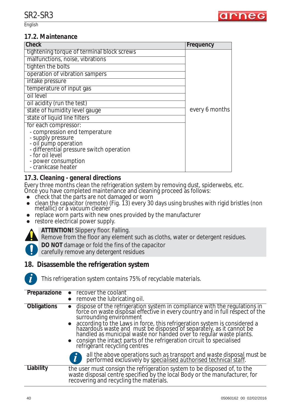English



#### *17.2. Maintenance*

| <b>Check</b>                               | Frequency      |
|--------------------------------------------|----------------|
| tightening torque of terminal block screws |                |
| malfunctions, noise, vibrations            |                |
| tighten the bolts                          |                |
| operation of vibration sampers             |                |
| intake pressure                            |                |
| temperature of input gas                   |                |
| oil level                                  |                |
| oil acidity (run the test)                 |                |
| state of humidity level gauge              | every 6 months |
| state of liquid line filters               |                |
| for each compressor:                       |                |
| - compression end temperature              |                |
| - supply pressure<br>- oil pump operation  |                |
| - differential pressure switch operation   |                |
| - for oil level                            |                |
| - power consumption<br>- crankcase heater  |                |
|                                            |                |

### *17.3. Cleaning - general directions*

Every three months clean the refrigeration system by removing dust, spiderwebs, etc.

- Once you have completed maintenance and cleaning proceed as follows:
- $\bullet$  check that the parts are not damaged or worn
- clean the capacitor (remote) (Fig. 13) every 30 days using brushes with rigid bristles (non metallic) or a vacuum cleaner
- replace worn parts with new ones provided by the manufacturer
- $\bullet$  restore electrical power supply.



**ATTENTION!** Slippery floor. Falling.

Remove from the floor any element such as cloths, water or detergent residues.

**DO NOT** damage or fold the fins of the capacitor

carefully remove any detergent residues

### **18. Disassemble the refrigeration system**



*This refrigeration system contains 75% of recyclable materials.*

| Preparazione       | recover the coolant<br>remove the lubricating oil.                                                                                                                                                                                                                                                                                                                                                                                                                                                                                   |
|--------------------|--------------------------------------------------------------------------------------------------------------------------------------------------------------------------------------------------------------------------------------------------------------------------------------------------------------------------------------------------------------------------------------------------------------------------------------------------------------------------------------------------------------------------------------|
| <b>Obligations</b> | dispose of the refrigeration system in compliance with the regulations in<br>force on waste disposal effective in every country and in full respect of the<br>$\bullet$<br>surrounding environment<br>• according to the Laws in force, this refrigeration system is considered a<br>hazardous waste and must be disposed of separately, as it cannot be handled as municipal waste nor handed over to regular waste plants.<br>• consign the intact parts of the refrigeration circuit to specialised refrigerant recycling centres |
|                    | all the above operations such as transport and waste disposal must be performed exclusively by specialised authorised technical staff.                                                                                                                                                                                                                                                                                                                                                                                               |
| Liability          | the user must consign the refrigeration system to be disposed of, to the waste disposal centre specified by the local Body or the manufacturer, for<br>recovering and recycling the materials.                                                                                                                                                                                                                                                                                                                                       |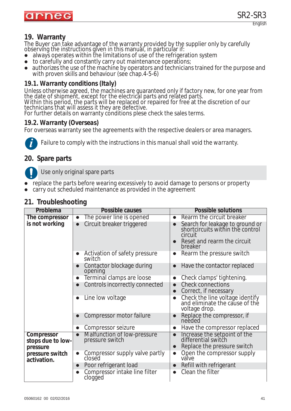

## **19. Warranty**

The Buyer can take advantage of the warranty provided by the supplier only by carefully observing the instructions given in this manual, in particular if:

- always operates within the limitations of use of the refrigeration system
- $\bullet$  to carefully and constantly carry out maintenance operations;
- authorizes the use of the machine by operators and technicians trained for the purpose and with proven skills and behaviour (see chap.4-5-6)

## *19.1. Warranty conditions (Italy)*

Unless otherwise agreed, the machines are guaranteed only if factory new, for one year from the date of shipment, except for the electrical parts and related parts. Within this period, the parts will be replaced or repaired for free at the discretion of our technicians that will assess it they are defective.

For further details on warranty conditions plese check the sales terms.

### *19.2. Warranty (Overseas)*

For overseas warranty see the agreements with the respective dealers or area managers.



*Failure to comply with the instructions in this manual shall void the warranty.*

## **20. Spare parts**

Use only original spare parts

- replace the parts before wearing excessively to avoid damage to persons or property
- carry out scheduled maintenance as provided in the agreement

## **21. Troubleshooting**

| Problema                        | Possible causes                                             | <b>Possible solutions</b>                                                                                                             |
|---------------------------------|-------------------------------------------------------------|---------------------------------------------------------------------------------------------------------------------------------------|
| The compressor                  | The power line is opened<br>$\bullet$                       | Rearm the circuit breaker<br>$\bullet$                                                                                                |
| is not working                  | Circuit breaker triggered<br>$\bullet$                      | Search for leakage to ground or<br>shortcircuits within the control<br>circuit<br>Reset and rearm the circuit<br>$\bullet$<br>breaker |
|                                 | Activation of safety pressure<br>$\bullet$<br>switch        | Rearm the pressure switch<br>$\bullet$                                                                                                |
|                                 | Contactor blockage during<br>$\bullet$<br>opening           | Have the contactor replaced<br>$\bullet$                                                                                              |
|                                 | Terminal clamps are loose<br>$\bullet$                      | Check clamps' tightening.<br>$\bullet$                                                                                                |
|                                 | Controls incorrectly connected<br>$\bullet$                 | <b>Check connections</b><br>$\bullet$<br>Correct, if necessary<br>$\bullet$                                                           |
|                                 | Line low voltage<br>$\bullet$                               | Check the line voltage identify<br>and eliminate the cause of the<br>$\bullet$<br>voltage drop.                                       |
|                                 | Compressor motor failure                                    | Replace the compressor, if<br>needed                                                                                                  |
|                                 | Compressor seizure<br>$\bullet$                             | Have the compressor replaced<br>$\bullet$                                                                                             |
| Compressor<br>stops due to low- | Malfunction of low-pressure<br>pressure switch<br>$\bullet$ | Increase the setpoint of the<br>differential switch                                                                                   |
| pressure                        |                                                             | Replace the pressure switch                                                                                                           |
| pressure switch<br>activation.  | Compressor supply valve partly<br>$\bullet$<br>closed       | Open the compressor supply<br>$\bullet$<br>valve                                                                                      |
|                                 | Poor refrigerant load<br>$\bullet$                          | Refill with refrigerant<br>$\bullet$                                                                                                  |
|                                 | Compressor intake line filter<br>clogged                    | Clean the filter                                                                                                                      |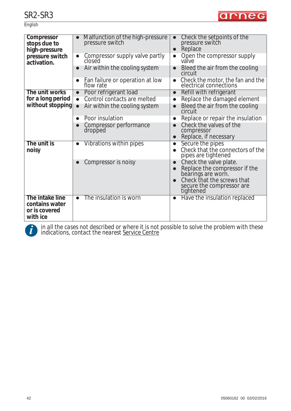English



| Compressor<br>stops due to<br>high-pressure | Malfunction of the high-pressure<br>pressure switch   | Check the setpoints of the<br>pressure switch<br>Replace<br>$\bullet$                                                                                 |
|---------------------------------------------|-------------------------------------------------------|-------------------------------------------------------------------------------------------------------------------------------------------------------|
| pressure switch<br>activation.              | Compressor supply valve partly<br>$\bullet$<br>closed | Open the compressor supply<br>$\bullet$<br>valve                                                                                                      |
|                                             | Air within the cooling system<br>$\bullet$            | Bleed the air from the cooling<br>circuit                                                                                                             |
|                                             | Fan failure or operation at low<br>flow rate          | Check the motor, the fan and the<br>electrical connections<br>$\bullet$                                                                               |
| The unit works                              | Poor refrigerant load<br>$\bullet$                    | Refill with refrigerant                                                                                                                               |
| for a long period                           | Control contacts are melted<br>$\bullet$              | Replace the damaged element<br>$\bullet$                                                                                                              |
| without stopping                            | Air within the cooling system<br>$\bullet$            | Bleed the air from the cooling<br>circuit                                                                                                             |
|                                             | Poor insulation<br>$\bullet$                          | Replace or repair the insulation<br>$\bullet$                                                                                                         |
|                                             | Compressor performance<br>dropped                     | Check the valves of the<br>compressor                                                                                                                 |
|                                             |                                                       | Replace, if necessary<br>$\bullet$                                                                                                                    |
| The unit is<br>noisy                        | Vibrations within pipes<br>●                          | Secure the pipes<br>Check that the connectors of the<br>pipes are tightened                                                                           |
|                                             | Compressor is noisy                                   | Check the valve plate.<br>Replace the compressor if the<br>bearings are worn.<br>Check that the screws that<br>secure the compressor are<br>tightened |
| The intake line                             | The insulation is worn<br>$\bullet$                   | Have the insulation replaced                                                                                                                          |
| contains water<br>or is covered<br>with ice |                                                       |                                                                                                                                                       |
|                                             |                                                       |                                                                                                                                                       |



*in all the cases not described or where it is not possible to solve the problem with these* **i** *indications, contact the nearest Service Centre*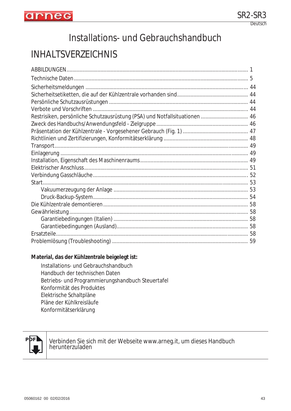

# Installations- und Gebrauchshandbuch

# INHALTSVERZEICHNIS

| Restrisiken, persönliche Schutzausrüstung (PSA) und Notfallsituationen  46 |    |
|----------------------------------------------------------------------------|----|
|                                                                            |    |
|                                                                            |    |
|                                                                            |    |
|                                                                            |    |
|                                                                            |    |
|                                                                            |    |
|                                                                            |    |
|                                                                            |    |
|                                                                            |    |
|                                                                            |    |
|                                                                            |    |
|                                                                            |    |
|                                                                            |    |
|                                                                            |    |
|                                                                            |    |
|                                                                            |    |
|                                                                            | 59 |

#### **Material, das der Kühlzentrale beigelegt ist:**

Installations- und Gebrauchshandbuch Handbuch der technischen Daten Betriebs- und Programmierungshandbuch Steuertafel Konformität des Produktes Elektrische Schaltpläne Pläne der Kühlkreisläufe Konformitätserklärung



Verbinden Sie sich mit der Webseite www.arneg.it, um dieses Handbuch herunterzuladen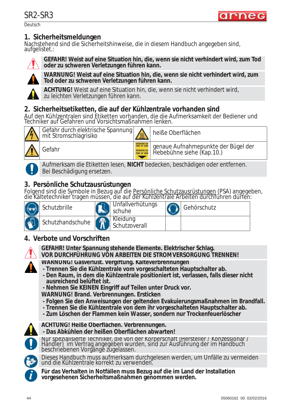arnec

Deutsch

## **1. Sicherheitsmeldungen**

Nachstehend sind die Sicherheitshinweise, die in diesem Handbuch angegeben sind, aufgelistet.:



**GEFAHR! Weist auf eine Situation hin, die, wenn sie nicht verhindert wird, zum Tod oder zu schweren Verletzungen führen kann.**



**WARNUNG! Weist auf eine Situation hin, die, wenn sie nicht verhindert wird, zum Tod oder zu schweren Verletzungen führen kann.**

**ACHTUNG!** Weist auf eine Situation hin, die, wenn sie nicht verhindert wird, zu leichten Verletzungen führen kann.

## **2. Sicherheitsetiketten, die auf der Kühlzentrale vorhanden sind**

Auf den Kühlzentralen sind Etiketten vorhanden, die die Aufmerksamkeit der Bediener und Techniker auf Gefahren und Vorsichtsmaßnahmen lenken.



Gefahr durch elektrische Spannung Gefahr durch eiektrische Spannung **Wirter** heiße Oberflächen Gefahr genaue Aufnahmepunkte der Bügel der Hebebühne siehe (Kap.10.)

Aufmerksam die Etiketten lesen, **NICHT** bedecken, beschädigen oder entfernen. Bei Beschädigung ersetzen.

## **3. Persönliche Schutzausrüstungen**

Folgend sind die Symbole in Bezug auf die Persönliche Schutzausrüstungen (PSA) angegeben, die Kältetechniker tragen müssen, die auf der Kühlzentrale Arbeiten durchführen dürfen:

| Schutzbrille     | Unfallverhütungs<br>schuhe | Gehörschutz |
|------------------|----------------------------|-------------|
| Schutzhandschuhe | Kleidung<br>Schutzoverall  |             |

## **4. Verbote und Vorschriften**



**GEFAHR! Unter Spannung stehende Elemente. Elektrischer Schlag.**

- **VOR DURCHFÜHRUNG VON ARBEITEN DIE STROMVERSORGUNG TRENNEN!**
- **WARNUNG! Gasverlust. Vergiftung. Kälteverbrennungen**
- **Trennen Sie die Kühlzentrale vom vorgeschalteten Hauptschalter ab.**
- **Den Raum, in dem die Kühlzentrale positioniert ist, verlassen, falls dieser nicht ausreichend belüftet ist.**
- **Nehmen Sie KEINEN Eingriff auf Teilen unter Druck vor.**
- **WARNUNG! Brand. Verbrennungen. Ersticken**
- **Folgen Sie den Anweisungen der geltenden Evakuierungsmaßnahmen im Brandfall.**
- **Trennen Sie die Kühlzentrale von dem ihr vorgeschalteten Hauptschalter ab.**
- **Zum Löschen der Flammen kein Wasser, sondern nur Trockenfeuerlöscher**



**ACHTUNG! Heiße Oberflächen. Verbrennungen.** 

**- Das Abkühlen der heißen Oberflächen abwarten!**



Nur spezialisierte Techniker, die von der Körperschaft (Hersteller / Konzessionär / Händler) im Vertrag angegeben wurden, sind zur Ausführung der im Handbuch beschriebenen Vorgänge zugelassen.

Dieses Handbuch muss aufmerksam durchgelesen werden, um Unfälle zu vermeiden und die Kühlzentrale korrekt zu verwenden.

**Für das Verhalten in Notfällen muss Bezug auf die im Land der Installation i vorgesehenen Sicherheitsmaßnahmen genommen werden.**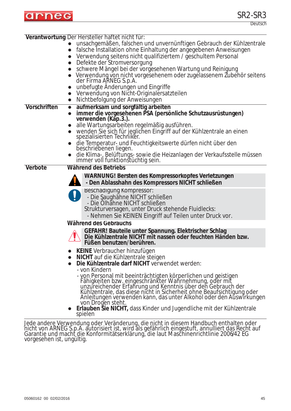

Deutsch

|              | Verantwortung Der Hersteller haftet nicht für:                                                                                                                                                                                         |
|--------------|----------------------------------------------------------------------------------------------------------------------------------------------------------------------------------------------------------------------------------------|
|              | unsachgemäßen, falschen und unvernünftigen Gebrauch der Kühlzentrale<br>• falsche Installation ohne Einhaltung der angegebenen Anweisungen                                                                                             |
|              | Verwendung seitens nicht qualifiziertem / geschultem Personal                                                                                                                                                                          |
|              | Defekte der Stromversorgung<br>$\bullet$                                                                                                                                                                                               |
|              | schwere Mängel bei der vorgesehenen Wartung und Reinigung<br>Verwendung von nicht vorgesehenem oder zugelassenem Zubehör seitens<br>der Firma ARNEG S.p.A.                                                                             |
|              | unbefugte Anderungen und Eingriffe                                                                                                                                                                                                     |
|              | Verwendung von Nicht-Originalersatzteilen                                                                                                                                                                                              |
|              | Nichtbefolgung der Anweisungen<br>$\bullet$                                                                                                                                                                                            |
| Vorschriften | aufmerksam und sorgfältig arbeiten<br>$\bullet$                                                                                                                                                                                        |
|              | immer die vorgesehenen PSA (persönliche Schutzausrüstungen)<br>verwenden (Kăp.3.).                                                                                                                                                     |
|              | alle Wartungsarbeiten regelmäßig ausführen.                                                                                                                                                                                            |
|              | wenden Sie sich für jeglichen Eingriff auf der Kühlzentrale an einen<br>spezialisierten Techniker.                                                                                                                                     |
|              | die Temperatur- und Feuchtigkeitswerte dürfen nicht über den<br>beschriebenen liegen.                                                                                                                                                  |
|              | die Klima-, Belüftungs- sowie die Heizanlagen der Verkaufsstelle müssen immer voll funktionstüchtig sein.                                                                                                                              |
| Verbote      | Während des Betriebs                                                                                                                                                                                                                   |
|              | WARNUNG! Bersten des Kompressorkopfes Verletzungen<br>- Den Ablasshahn des Kompressors NICHT schließen                                                                                                                                 |
|              | Beschädigung Kompressor:<br>- Die Saughähne NICHT schließen<br>- Die Ölhähne NICHT schließen<br>Strukturversagen, unter Druck stehende Fluidlecks:<br>- Nehmen Sie KEINEN Eingriff auf Teilen unter Druck vor.                         |
|              | <b>Während des Gebrauchs</b>                                                                                                                                                                                                           |
|              | GEFAHR! Bauteile unter Spannung. Elektrischer Schlag<br>Die Kühlzentrale NICHT mit nassen oder feuchten Händen bzw.<br>Füßen benutzen/berühren.                                                                                        |
|              | • KEINE Verbraucher hinzufügen<br><b>NICHT</b> auf die Kühlzentrale steigen                                                                                                                                                            |
|              | Die Kühlzentrale darf NICHT verwendet werden:                                                                                                                                                                                          |
|              | - von Kindern                                                                                                                                                                                                                          |
|              | - von Personal mit beeinträchtigten körperlichen und geistigen<br>Fähigkeiten bzw. eingeschränkter Wahrnehmung, oder mit<br>unzureichender Erfahrung und Kenntnis über den Gebrauch der<br>Kühlzentrale, das diese nicht in Sicherheit |
|              | von Drogen steht.<br>Erlauben Sie NICHT, dass Kinder und Jugendliche mit der Kühlzentrale<br>spielen                                                                                                                                   |
|              | Jede andere Verwendung oder Veränderung, die nicht in diesem Handbuch enthalten oder                                                                                                                                                   |

nicht von ARNEG S.p.A. autorisiert ist, wird als gefährlich eingestuft, annulliert das Recht auf Garantie und macht die Konformitätserklärung, die laut Maschinenrichtlinie 2006/42 EG vorgesehen ist, ungültig.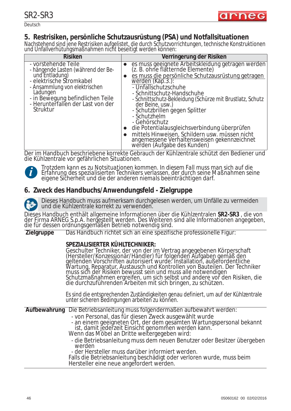

Deutsch

## **5. Restrisiken, persönliche Schutzausrüstung (PSA) und Notfallsituationen**

Nachstehend sind jene Restrisiken aufgelistet, die durch Schutzvorrichtungen, technische Konstruktionen und Unfallverhütungsmaßnahmen nicht beseitigt werden können:

| <b>Risiken</b>                                                                                                                                                                                                                                 | Verringerung der Risiken                                                                                                                                                                                                                                                                                                                                                                                                                                                                                                                                     |
|------------------------------------------------------------------------------------------------------------------------------------------------------------------------------------------------------------------------------------------------|--------------------------------------------------------------------------------------------------------------------------------------------------------------------------------------------------------------------------------------------------------------------------------------------------------------------------------------------------------------------------------------------------------------------------------------------------------------------------------------------------------------------------------------------------------------|
| - vorstehende Teile<br>- hängende Lasten (während der Be-<br>und Entladung)<br>- elektrische Stromkabel<br>- Ansammlung von elektrischen<br>Ladungen<br>- in Bewegung befindlichen Teile<br>- Herunterfallen der Last von der<br>Struktur<br>. | es muss geeignete Arbeitskleidung getragen werden<br>(z. B. ohne flatternde Elemente)<br>es muss die persönliche Schutzausrüstung getragen<br>$w$ erden (Kap. 3.):<br>- Unfallschutzschuhe<br>- Schnittschutz-Handschuhe<br>- Schnittschutz-Bekleidung (Schürze mit Brustlatz, Schutz<br>der Beine, usw.)<br>- Schutzbrillen gegen Splitter<br>- Schutzhelm<br>- Gehörschutz<br>die Potentialausgleichsverbindung überprüfen<br>mittels Hinweisen, Schildern usw. mussen nicht<br>angemessene Verhaltensweisen gekennzeichnet<br>werden (Aufgabe des Kunden) |

Der im Handbuch beschriebene korrekte Gebrauch der Kühlzentrale schützt den Bediener und die Kühlzentrale vor gefährlichen Situationen.

**i**

*Trotzdem kann es zu Notsituationen kommen. In diesem Fall muss man sich auf die Erfahrung des spezialisierten Technikers verlassen, der durch seine Maßnahmen seine eigene Sicherheit und die der anderen niemals beeinträchtigen darf.*

## **6. Zweck des Handbuchs/Anwendungsfeld - Zielgruppe**

Dieses Handbuch muss aufmerksam durchgelesen werden, um Unfälle zu vermeiden und die Kühlzentrale korrekt zu verwenden.

Dieses Handbuch enthält allgemeine Informationen über die Kühlzentralen **SR2-SR3** , die von der Firma ARNEG S.p.A. hergestellt werden. Des Weiteren sind alle Informationen angegeben, die für dessen ordnungsgemäßen Betrieb notwendig sind.

**Zielgruppe** Das Handbuch richtet sich an eine spezifische professionelle Figur:

#### **SPEZIALISIERTER KÜHLTECHNIKER:**

Geschulter Techniker, der von der im Vertrag angegebenen Körperschaft (Hersteller/Konzessionär/Händler) für folgenden Aufgaben gemäß den geltenden Vorschriften autorisiert wurde: Installation, außerordentliche Wartung, Reparatur, Austausch und Kontrollen von Bauteilen. Der Techniker muss sich der Risiken bewusst sein und muss alle notwendigen Schutzmaßnahmen ergreifen, um sich selbst und andere vor den Risiken, die die durchzuführenden Arbeiten mit sich bringen, zu schützen.

Es sind die entsprechenden Zuständigkeiten genau definiert, um auf der Kühlzentrale unter sicheren Bedingungen arbeiten zu können.

**Aufbewahrung** Die Betriebsanleitung muss folgendermaßen aufbewahrt werden:

- von Personal, das für diesen Zweck ausgewählt wurde
- an einem geeigneten Ort, der dem gesamten Wartungspersonal bekannt ist, damit jederzeit Einsicht genommen werden kann. Wenn das Möbel an Dritte weitergegeben wird:
- 
- die Betriebsanleitung muss dem neuen Benutzer oder Besitzer übergeben werden

- der Hersteller muss darüber informiert werden.

Falls die Betriebsanleitung beschädigt oder verloren wurde, muss beim Hersteller eine neue angefordert werden.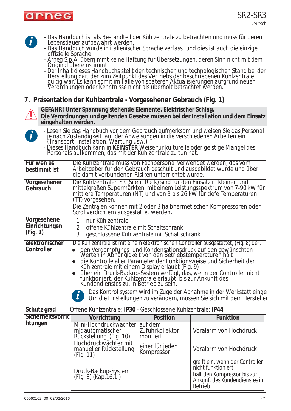

| $\boldsymbol{d}$             | Lebensdauer aufbewahrt werden.                                                                                                                                                                                                                                                                                                                                                                                                                                                                                                                                                                                                                                                             |                                        | - Das Handbuch ist als Bestandteil der Kühlzentrale zu betrachten und muss für deren                                                                                                                                                 |  |  |
|------------------------------|--------------------------------------------------------------------------------------------------------------------------------------------------------------------------------------------------------------------------------------------------------------------------------------------------------------------------------------------------------------------------------------------------------------------------------------------------------------------------------------------------------------------------------------------------------------------------------------------------------------------------------------------------------------------------------------------|----------------------------------------|--------------------------------------------------------------------------------------------------------------------------------------------------------------------------------------------------------------------------------------|--|--|
| offizielle Sprache.          |                                                                                                                                                                                                                                                                                                                                                                                                                                                                                                                                                                                                                                                                                            |                                        | - Das Handbuch wurde in italienischer Sprache verfasst und dies ist auch die einzige                                                                                                                                                 |  |  |
|                              | Original übereinstimmt.                                                                                                                                                                                                                                                                                                                                                                                                                                                                                                                                                                                                                                                                    |                                        | - Arneg S.p.A. übernimmt keine Haftung für Übersetzungen, deren Sinn nicht mit dem                                                                                                                                                   |  |  |
|                              |                                                                                                                                                                                                                                                                                                                                                                                                                                                                                                                                                                                                                                                                                            |                                        | - Der Inhalt dieses Handbuchs stellt den technischen und technologischen Stand bei der<br>Herstellung dar, der zum Zeitpunkt des Vertriebs der beschriebenen Kühlzentrale<br>gültig war. Es kann somit im Falle von späteren Aktuali |  |  |
|                              | 7. Präsentation der Kühlzentrale - Vorgesehener Gebrauch (Fig. 1)                                                                                                                                                                                                                                                                                                                                                                                                                                                                                                                                                                                                                          |                                        |                                                                                                                                                                                                                                      |  |  |
| eingehalten werden.          | GEFAHR! Unter Spannung stehende Elemente. Elektrischer Schlag.                                                                                                                                                                                                                                                                                                                                                                                                                                                                                                                                                                                                                             |                                        | Die Verordnungen und geltenden Gesetze müssen bei der Installation und dem Einsatz                                                                                                                                                   |  |  |
| $\mathbf{i}$                 | je nach Zuständigkeit laut der Anweisungen in die verschiedenen Arbeiten ein                                                                                                                                                                                                                                                                                                                                                                                                                                                                                                                                                                                                               |                                        | - Lesen Sie das Handbuch vor dem Gebrauch aufmerksam und weisen Sie das Personal                                                                                                                                                     |  |  |
|                              | Transport, Installation, Wartung usw.).<br>- Dieses Handbuch kann in KEINSTER Weise für kulturelle oder geistige Mängel des<br>- Personals aufkommen, das mit der Kühlzentrale zu tun hat.                                                                                                                                                                                                                                                                                                                                                                                                                                                                                                 |                                        |                                                                                                                                                                                                                                      |  |  |
| Für wen es<br>bestimmt ist   | Die Kühlzentrale muss von Fachpersonal verwendet werden, das vom<br>die damit verbundenen Risiken unterrichtet wurde.                                                                                                                                                                                                                                                                                                                                                                                                                                                                                                                                                                      |                                        | Arbeitgeber für den Gebrauch geschult und ausgebildet wurde und über                                                                                                                                                                 |  |  |
| Vorgesehener<br>Gebrauch     | Die Kühlzentralen SR (Silent Rack) sind für den Einsatz in kleinen und<br>(TT) vorgesehen.                                                                                                                                                                                                                                                                                                                                                                                                                                                                                                                                                                                                 |                                        | mittelgroßen Supermärkten, mit einem Leistungsspektrum von 7-90 kW für<br>mittlere Temperaturen (NT) und von 3 bis 26 kW für tiefe Temperaturen                                                                                      |  |  |
|                              | Scrollverdichtern ausgestattet werden.                                                                                                                                                                                                                                                                                                                                                                                                                                                                                                                                                                                                                                                     |                                        | Die Zentralen können mit 2 oder 3 halbhermetischen Kompressoren oder                                                                                                                                                                 |  |  |
| Vorgesehene<br>Einrichtungen | nur Kühlzentrale                                                                                                                                                                                                                                                                                                                                                                                                                                                                                                                                                                                                                                                                           |                                        |                                                                                                                                                                                                                                      |  |  |
| (Fig. 1)                     | offene Kühlzentrale mit Schaltschrank<br>2<br>3<br>geschlossene Kühlzentrale mit Schaltschrank                                                                                                                                                                                                                                                                                                                                                                                                                                                                                                                                                                                             |                                        |                                                                                                                                                                                                                                      |  |  |
| elektronischer<br>Controller | Die Kühlzentrale ist mit einem elektronischen Controller ausgestattet, (Fig. 8) der:<br>den Verdampfungs- und Kondensationsdruck auf den gewünschten<br>Werten in Abhängigkeit von den Betriebstemperaturen hält<br>die Kontrolle aller Parameter der Funktionsweise und Sicherheit der<br>Kühlzentrale mit einem Display erlaubt (Fig. 9)<br>über ein Druck-Backup-System verfügt, das, wenn der Controller nicht<br>funktioniert, der Kühlzentrale erlaubt, bis zur Ankunft des<br>Kundendienstes zu, in Betrieb zu sein.<br>Das Kontrollsystem wird im Zuge der Abnahme in der Werkstatt einge<br>$\mathbf{l}$<br>Um die Einstellungen zu verändern, müssen Sie sich mit dem Herstelle. |                                        |                                                                                                                                                                                                                                      |  |  |
| Schutz grad                  | Offene Kühlzentrale: IP30 - Geschlossene Kühlzentrale: IP44                                                                                                                                                                                                                                                                                                                                                                                                                                                                                                                                                                                                                                |                                        |                                                                                                                                                                                                                                      |  |  |
| Sicherheitsvorric            | Vorrichtung                                                                                                                                                                                                                                                                                                                                                                                                                                                                                                                                                                                                                                                                                | <b>Position</b>                        | <b>Funktion</b>                                                                                                                                                                                                                      |  |  |
| htungen                      | Mini-Hochdruckwächter<br>mit automatischer<br>Rückstellung (Fig. 10)                                                                                                                                                                                                                                                                                                                                                                                                                                                                                                                                                                                                                       | auf dem<br>Zufuhrkollektor<br>montiert | Voralarm von Hochdruck                                                                                                                                                                                                               |  |  |
|                              | Hochdruckwächter mit<br>manueller Rückstellung<br>(Fig. 11)                                                                                                                                                                                                                                                                                                                                                                                                                                                                                                                                                                                                                                | einer für jeden<br>Kompressor          | Voralarm von Hochdruck                                                                                                                                                                                                               |  |  |
|                              | Druck-Backup-System<br>$(Fig. 8)$ (Kap. 16. 1.)                                                                                                                                                                                                                                                                                                                                                                                                                                                                                                                                                                                                                                            |                                        | greift ein, wenn der Controller<br>nicht funktioniert<br>hält den Kompressor bis zur<br>Ankunft des Kundendienstes in<br><b>Betrieb</b>                                                                                              |  |  |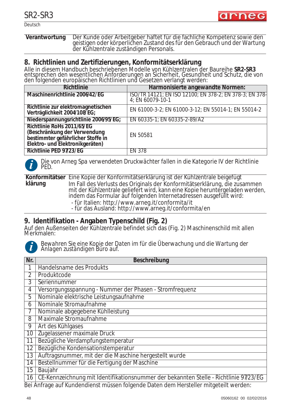arneg

Deutsch

#### **Verantwortung** Der Kunde oder Arbeitgeber haftet für die fachliche Kompetenz sowie den geistigen oder körperlichen Zustand des für den Gebrauch und der Wartung der Kühlzentrale zuständigen Personals.

#### **8. Richtlinien und Zertifizierungen, Konformitätserklärung**

Alle in diesem Handbuch beschriebenen Modelle von Kühlzentralen der Baureihe **SR2-SR3** entsprechen den wesentlichen Anforderungen an Sicherheit, Gesundheit und Schutz, die von den folgenden europäischen Richtlinien und Gesetzen verlangt werden:

| <b>Richtlinie</b>                                                                                                                  | Harmonisierte angewandte Normen:                                            |
|------------------------------------------------------------------------------------------------------------------------------------|-----------------------------------------------------------------------------|
| Maschinenrichtlinie 2006/42/EG                                                                                                     | ISO/TR 14121; EN ISO 12100; EN 378-2; EN 378-3; EN 378-<br>4; EN 60079-10-1 |
| Richtlinie zur elektromagnetischen<br>Verträglichkeit 2004/108/EG;                                                                 | EN 61000-3-2; EN 61000-3-12; EN 55014-1; EN 55014-2                         |
| Niederspannungsrichtlinie 2006/95/EG;                                                                                              | EN 60335-1; EN 60335-2-89/A2                                                |
| Richtlinie RoHs 2011/65/EG<br>(Beschränkung der Verwendung<br>bestimmter gefährlicher Stoffe in<br>Elektro- und Elektronikgeräten) | EN 50581                                                                    |
| Richtlinie PED 97/23/EG                                                                                                            | <b>EN 378</b>                                                               |



*Die von Arneg Spa verwendeten Druckwächter fallen in die Kategorie IV der Richtlinie PED.*

**Konformitätser** Eine Kopie der Konformitätserklärung ist der Kühlzentrale beigefügt **klärung** Im Fall des Verlusts des Originals der Konformitätserklärung, die zusammen mit der Kühlzentrale geliefert wird, kann eine Kopie heruntergeladen werden, indem das Formular auf folgenden Internetadressen ausgefüllt wird: - für Italien: http://www.arneg.it/conformita/it

- für das Ausland: http://www.arneg.it/conformita/en

## **9. Identifikation - Angaben Typenschild (Fig. 2)**

Auf den Außenseiten der Kühlzentrale befindet sich das (Fig. 2) Maschinenschild mit allen Merkmalen:



*Bewahren Sie eine Kopie der Daten im für die Überwachung und die Wartung der Anlagen zuständigen Büro auf.*

| Nr.             | Beschreibung                                                                          |
|-----------------|---------------------------------------------------------------------------------------|
|                 | Handelsname des Produkts                                                              |
| $\overline{2}$  | Produktcode                                                                           |
| 3               | Seriennummer                                                                          |
| 4               | Versorgungsspannung - Nummer der Phasen - Stromfrequenz                               |
| 5               | Nominale elektrische Leistungsaufnahme                                                |
| 6               | Nominale Stromaufnahme                                                                |
|                 | Nominale abgegebene Kühlleistung                                                      |
| 8               | Maximale Stromaufnahme                                                                |
| 9               | Art des Kühlgases                                                                     |
| 10              | Zugelassener maximale Druck                                                           |
| 11              | Bezügliche Verdampfungstemperatur                                                     |
| 12              | Bezügliche Kondensationstemperatur                                                    |
| $\overline{13}$ | Auftragsnummer, mit der die Maschine hergestellt wurde                                |
| 14              | Bestellnummer für die Fertigung der Maschine                                          |
| 15              | Baujahr                                                                               |
| 16              | CE-Kennzeichnung mit Identifikationsnummer der bekannten Stelle - Richtlinie 97/23/EG |
|                 | Bei Anfrage auf Kundendienst müssen folgende Daten dem Hersteller mitgeteilt werden:  |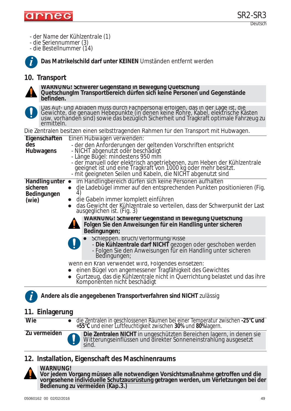

- *der Name der Kühlzentrale (1)*
- *die Seriennummer (3)*

*- die Bestellnummer (14)*



**Das Matrikelschild darf unter KEINEN** Umständen entfernt werden

**WARNUNG! Schwerer Gegenstand in Bewegung Quetschung**

## **10. Transport**



**befinden.** Das Auf- und Abladen muss durch Fachpersonal erfolgen, das in der Lage ist, die Gewichte, die genauen Hebepunkte (in denen keine Rohre, Kabel, elektrische Kästen usw. vorhanden sind) sowie das bezüglich Sicherheit und Tragkraft optimale Fahrzeug zu ermitteln.

**QuetschungIm Transportbereich dürfen sich keine Personen und Gegenstände** 

Die Zentralen besitzen einen selbsttragenden Rahmen für den Transport mit Hubwagen.

|                          | Div Evintalvit boshtevit vinon solbstriagonaon namnon far avit mansport milit nabwagon.                                                                                          |
|--------------------------|----------------------------------------------------------------------------------------------------------------------------------------------------------------------------------|
| Eigenschaften            | Einen Hubwagen verwenden:                                                                                                                                                        |
| des                      | - der den Anforderungen der geltenden Vorschriften entspricht                                                                                                                    |
| Hubwagens                | - NICHT abgenutzt oder beschädigt                                                                                                                                                |
|                          | - Länge Bügel: mindestens 950 mm<br>- der manuell oder elektrisch angetriebenen, zum Heben der Kühlzentrale                                                                      |
|                          |                                                                                                                                                                                  |
|                          | geeignet ist und eine Tragkraft von 1000 kg oder mehr besitzt.<br>- mit geeigneten Seilen und Kabeln, die NICHT abgenutzt sind                                                   |
| Handling unter $\bullet$ | im Handlingbereich dürfen sich keine Personen aufhalten                                                                                                                          |
| sicheren                 | die Ladebügel immer auf den entsprechenden Punkten positionieren (Fig.                                                                                                           |
| Bedingungen              | 4)                                                                                                                                                                               |
| (wie)                    | $\bullet$ die Gabeln immer komplett einführen                                                                                                                                    |
|                          | das Gewicht der Kühlzentrale so verteilen, dass der Schwerpunkt der Last<br>ausgeglichen ist. (Fig. 3)                                                                           |
|                          | <b>WARNUNG! Schwerer Gegenstand in Bewegung Quetschung</b><br>Folgen Sie den Anweisungen für ein Handling unter sicheren<br>Bedingungen;                                         |
|                          | Schleppen. Bruch/Vertormung/Risse<br>- Die Kühlzentrale darf NICHT gezogen oder geschoben werden<br>- Folgen Sie den Anweisungen für ein Handling unter sicheren<br>Bedingungen; |
|                          | wenn ein Kran verwendet wird, Folgendes einsetzen:                                                                                                                               |
|                          | einen Bügel von angemessener Tragfähigkeit des Gewichtes                                                                                                                         |
|                          | Gurtzeug, das die Kühlzentrale nicht in Querrichtung belastet und das ihre<br>Komponenten nicht beschädigt                                                                       |

*Andere als die angegebenen Transportverfahren sind NICHT zulässig*

## **11. Einlagerung**

| <b>Wie</b>   | • die Zentralen in geschlossenen Räumen bei einer Temperatur zwischen -25°C und<br>+55°C und einer Luftfeuchtigkeit zwischen 30% und 80%lagern. |
|--------------|-------------------------------------------------------------------------------------------------------------------------------------------------|
| Zu vermeiden | Die Zentralen NICHT in ungeschützten Bereichen lagern, in denen sie<br>Witterungseinflüssen und direkter Sonneneinstrahlung ausgesetzt<br>sind. |

## **12. Installation, Eigenschaft des Maschinenraums**



**i**

#### **WARNUNG!**

**Vor jedem Vorgang müssen alle notwendigen Vorsichtsmaßnahme getroffen und die vorgesehene individuelle Schutzausrüstung getragen werden, um Verletzungen bei der Bedienung zu vermeiden (Kap.3.)**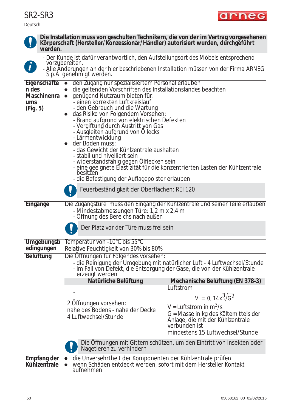

| werden.                                                        | Körperschaft (Hersteller/Konzessionär/Händler) autorisiert wurden, durchgeführt                                                                                                                                                                                                                                                                                                                                                                                                                                                                                                                                                                                                                                                                              |                                                                                                                                                     |  |  |  |  |
|----------------------------------------------------------------|--------------------------------------------------------------------------------------------------------------------------------------------------------------------------------------------------------------------------------------------------------------------------------------------------------------------------------------------------------------------------------------------------------------------------------------------------------------------------------------------------------------------------------------------------------------------------------------------------------------------------------------------------------------------------------------------------------------------------------------------------------------|-----------------------------------------------------------------------------------------------------------------------------------------------------|--|--|--|--|
|                                                                | - Der Kunde ist dafür verantwortlich, den Aufstellungsort des Möbels entsprechend                                                                                                                                                                                                                                                                                                                                                                                                                                                                                                                                                                                                                                                                            |                                                                                                                                                     |  |  |  |  |
| $\left  \boldsymbol{i} \right $                                | <i>vorzubereiten.</i><br>- Alle Anderungen an der hier beschriebenen Installation müssen von der Firma ARNEG<br>S.p.A. genehmigt werden.                                                                                                                                                                                                                                                                                                                                                                                                                                                                                                                                                                                                                     |                                                                                                                                                     |  |  |  |  |
| Eigenschafte<br>n des<br><b>Maschinenra</b><br>ums<br>(Fig. 5) | den Zugang nur spezialisiertem Personal erlauben<br>die geltenden Vorschriften des Installationslandes beachten<br>genügend Nutzraum bieten für:<br>$\bullet$<br>- einen korrekten Luftkreislauf<br>- den Gebrauch und die Wartung<br>das Risiko von Folgendem Vorsehen:<br>- Brand aufgrund von elektrischen Defekten<br>- Vergiftung durch Austritt von Gas<br>- Ausgleiten aufgrund von Ollecks<br>- Lärmentwicklung<br>der Boden muss:<br>- das Gewicht der Kühlzentrale aushalten<br>- stabil und nivelliert sein<br>- widerstandsfähig gegen Olflecken sein<br>- eine geeignete Elastizität für die konzentrierten Lasten der Kühlzentrale<br>besitžen<br>- die Befestigung der Auflagepolster erlauben<br>Feuerbeständigkeit der Oberflächen: REI 120 |                                                                                                                                                     |  |  |  |  |
| Eingänge                                                       | - Mindestabmessungen Türe: 1,2 m x 2,4 m                                                                                                                                                                                                                                                                                                                                                                                                                                                                                                                                                                                                                                                                                                                     | Die Zugangstüre muss den Eingang der Kühlzentrale und seiner Teile erlauben                                                                         |  |  |  |  |
|                                                                | - Offnung des Bereichs nach außen                                                                                                                                                                                                                                                                                                                                                                                                                                                                                                                                                                                                                                                                                                                            |                                                                                                                                                     |  |  |  |  |
|                                                                | Der Platz vor der Türe muss frei sein                                                                                                                                                                                                                                                                                                                                                                                                                                                                                                                                                                                                                                                                                                                        |                                                                                                                                                     |  |  |  |  |
| Umgebungsb<br>edingungen                                       | Temperatur von -10°C bis 55°C<br>Relative Feuchtigkeit von 30% bis 80%                                                                                                                                                                                                                                                                                                                                                                                                                                                                                                                                                                                                                                                                                       |                                                                                                                                                     |  |  |  |  |
| <b>Belüftung</b>                                               | Die Öffnungen für Folgendes vorsehen:<br>erzeugt werden                                                                                                                                                                                                                                                                                                                                                                                                                                                                                                                                                                                                                                                                                                      | - die Reinigung der Umgebung mit natürlicher Luft - 4 Luftwechsel/Stunde<br>- im Fall von Defekt, die Entsorgung der Gase, die von der Kühlzentrale |  |  |  |  |
|                                                                | Natürliche Belüftung                                                                                                                                                                                                                                                                                                                                                                                                                                                                                                                                                                                                                                                                                                                                         | Mechanische Belüftung (EN 378-3)                                                                                                                    |  |  |  |  |
|                                                                |                                                                                                                                                                                                                                                                                                                                                                                                                                                                                                                                                                                                                                                                                                                                                              | Luftstrom<br>$V = 0, 14x^3\sqrt{G^2}$                                                                                                               |  |  |  |  |
|                                                                | 2 Offnungen vorsehen:<br>nahe des Bodens - nahe der Decke<br>4 Luftwechsel/Stunde                                                                                                                                                                                                                                                                                                                                                                                                                                                                                                                                                                                                                                                                            | $V = L$ uftstrom in m <sup>3</sup> /s<br>G = Masse in kg des Kältemittels der                                                                       |  |  |  |  |

**Die Installation muss von geschulten Technikern, die von der im Vertrag vorgesehenen** 



Die Öffnungen mit Gittern schützen, um den Eintritt von Insekten oder Nagetieren zu verhindern

verbunden ist

Anlage, die mit der Kühlzentrale

mindestens 15 Luftwechsel/Stunde

**Empfang der Kühlzentrale**

- **die Unversehrtheit der Komponenten der Kühlzentrale prüfen**
- wenn Schäden entdeckt werden, sofort mit dem Hersteller Kontakt aufnehmen

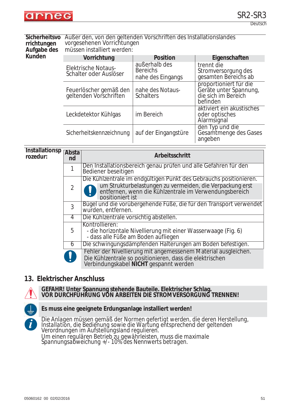

Deutsch

#### **Sicherheitsvo** Außer den, von den geltenden Vorschriften des Installationslandes **rrichtungen Aufgabe des**  vorgesehenen Vorrichtungen

**Kunden**

müssen installiert werden:

| Vorrichtung                                          | <b>Position</b>                                       | Eigenschaften                                                                       |
|------------------------------------------------------|-------------------------------------------------------|-------------------------------------------------------------------------------------|
| <b>Elektrische Notaus-</b><br>Schalter oder Auslöser | außerhalb des<br><b>Bereichs</b><br>nahe des Eingangs | trennt die<br>Stromversorgung des<br>gesamten Bereichs ab                           |
| Feuerlöscher gemäß den<br>geltenden Vorschriften     | nahe des Notaus-<br><b>Schalters</b>                  | proportioniert für die<br>Geräte unter Spannung,<br>die sich im Bereich<br>befinden |
| Leckdetektor Kühlgas                                 | im Bereich                                            | aktiviert ein akustisches<br>oder optisches<br>Alarmsignal                          |
| Sicherheitskennzeichnung                             | auf der Eingangstüre                                  | den Typ und die<br>Gesamtmenge des Gases<br>angeben                                 |

#### **Installationsp**<br> **Absta rozedur:**

| rwsta<br>nd    | Arbeitsschritt                                                                                                                                                       |
|----------------|----------------------------------------------------------------------------------------------------------------------------------------------------------------------|
|                | Den Installationsbereich genau prüfen und alle Gefahren für den<br>Bediener beseitigen                                                                               |
|                | Die Kühlzentrale im endgültigen Punkt des Gebrauchs positionieren.                                                                                                   |
| $\overline{2}$ | um Strukturbelastungen zu vermeiden, die Verpackung erst entfernen, wenn die Kühlzentrale im Verwendungsbereich<br>positioniert ist                                  |
| 3              | Bügel und die vorübergehende Füße, die für den Transport verwendet<br>wurden, entfernen.                                                                             |
| 4              | Die Kühlzentrale vorsichtig abstellen.                                                                                                                               |
| 5              | Kontrollieren:<br>- die horizontale Nivellierung mit einer Wasserwaage (Fig. 6)<br>- dass alle Füße am Boden aufliegen                                               |
| 6              | Die schwingungsdämpfenden Halterungen am Boden befestigen.                                                                                                           |
|                | Fehler der Nivellierung mit angemessenem Material ausgleichen.<br>Die Kühlzentrale so positionieren, dass die elektrischen<br>Verbindungskabel NICHT gespannt werden |

## **13. Elektrischer Anschluss**



**GEFAHR! Unter Spannung stehende Bauteile. Elektrischer Schlag. VOR DURCHFÜHRUNG VON ARBEITEN DIE STROMVERSORGUNG TRENNEN!**



#### **Es muss eine geeignete Erdungsanlage installiert werden!**

*Die Anlagen müssen gemäß der Normen gefertigt werden, die deren Herstellung, Installation, die Bedienung sowie die Wartung entsprechend der geltenden Verordnungen im Aufstellungsland regulieren. Um einen regulären Betrieb zu gewährleisten, muss die maximale Spannungsabweichung +/- 10% des Nennwerts betragen.*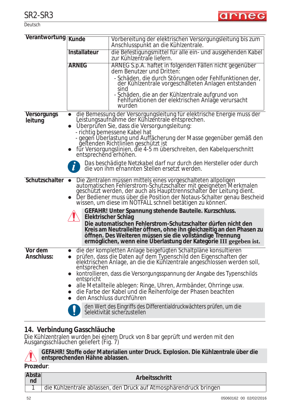

Deutsch

| Verantwortung Kunde           |              |                                                                                                                                                                                                                                                                                                                                                                   |
|-------------------------------|--------------|-------------------------------------------------------------------------------------------------------------------------------------------------------------------------------------------------------------------------------------------------------------------------------------------------------------------------------------------------------------------|
|                               |              | Vorbereitung der elektrischen Versorgungsleitung bis zum<br>Anschlusspunkt an die Kühlzentrale.                                                                                                                                                                                                                                                                   |
|                               | Installateur | die Befestigungsmittel für alle ein- und ausgehenden Kabel<br>zur Kühlzentrale liefern.                                                                                                                                                                                                                                                                           |
|                               | <b>ARNEG</b> | ARNEG S.p.A. haftet in folgenden Fällen nicht gegenüber<br>dem Benutzer und Dritten:                                                                                                                                                                                                                                                                              |
|                               |              | - Schäden, die durch Störungen oder Fehlfunktionen der,<br>der Kühlzentrale vorgeschälteten Anlagen entstanden<br>sind                                                                                                                                                                                                                                            |
|                               |              | - Schäden, die an der Kühlzentrale aufgrund von<br>Fehlfunktionen der elektrischen Anlage verursacht<br>wurden                                                                                                                                                                                                                                                    |
| <b>Versorgungs</b><br>leitung |              | die Bemessung der Versorgungsleitung für elektrische Energie muss der<br>Leistungsaufnähme der Kühlzentrale entsprechen.<br>Überprüfen Sie, dass die Versorgungsleitung:<br>- richtig bemessene Kabel hat                                                                                                                                                         |
|                               |              | - gegen Überlastung und Auffächerung der Masse gegenüber gemäß den<br>geltenden Richtlinien geschützt ist<br>• für Versorgungslinien, die 4-5 m überschreiten, den Kabelquerschnitt entsprechend erhöhen.                                                                                                                                                         |
|                               |              | Das beschädigte Netzkabel darf nur durch den Hersteller oder durch<br>die von ihm ernannten Stellen ersetzt werden.                                                                                                                                                                                                                                               |
|                               |              | Schutzschalter • Die Zentralen müssen mittels eines vorgeschalteten allpoligen<br>automatischen Fehlerstrom-Schutzschalter mit geeigneten Merkmalen<br>geschützt werden, der auch als Haupttrennschalter der Leitung dient.<br>Der Bediener muss über die Position der Notaus-Schalter genau Bescheid<br>wissen, um diese im NOTFALL schnell betätigen zu können. |
|                               |              | GEFAHR! Unter Spannung stehende Bauteile. Kurzschluss.<br>Elektrischer Schlag<br>Die automatischen Fehlerstrom-Schutzschalter dürfen nicht den<br>Kreis am Neutralleiter öffnen, ohne ihn gleichzeitig an den Phasen zu<br>öffnen. Des Weiteren müssen sie die vollständige Trennung<br>ermöglichen, wenn eine Überlastung der Kategorie III gegeben ist.         |
| Vor dem                       |              | die der kompletten Anlage beigefügten Schaltpläne konsultieren                                                                                                                                                                                                                                                                                                    |
| <b>Anschluss:</b>             | entsprechen  | prüfen, dass die Daten auf dem Typenschild den Eigenschaften der<br>elektrischen Anlage, an die die Kühlzentrale angeschlossen werden soll,<br>kontrollieren, dass die Versorgungsspannung der Angabe des Typenschilds                                                                                                                                            |
|                               | entspricht   |                                                                                                                                                                                                                                                                                                                                                                   |
|                               |              | alle Metallteile ablegen: Ringe, Uhren, Armbänder, Ohrringe usw.<br>die Farbe der Kabel und die Reihenfolge der Phasen beachten<br>den Anschluss durchführen                                                                                                                                                                                                      |
|                               |              | den Wert des Eingriffs des Differentialdruckwächters prüfen, um die<br>Selektivität sicherzustellen                                                                                                                                                                                                                                                               |

## **14. Verbindung Gasschläuche**

Die Kühlzentralen wurden bei einem Druck von 8 bar geprüft und werden mit den Ausgangsschläuchen geliefert (Fig. 7)



**GEFAHR! Stoffe oder Materialien unter Druck. Explosion. Die Kühlzentrale über die entsprechenden Hähne ablassen.**

**Prozedur**:

| Abstal<br>nd | Arbeitsschritt                                                    |
|--------------|-------------------------------------------------------------------|
|              | die Kühlzentrale ablassen, den Druck auf Atmosphärendruck bringen |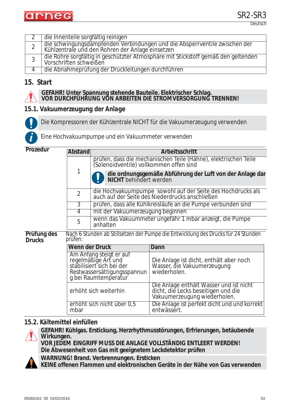

|   | die Innenteile sorgfältig reinigen                                                                                             |
|---|--------------------------------------------------------------------------------------------------------------------------------|
|   | die schwingungsdämpfenden Verbindungen und die Absperrventile zwischen der<br>Kühlzentrale und den Rohren der Anlage einsetzen |
| 3 | die Rohre sorgfältig in geschützter Atmosphäre mit Stickstoff gemäß den geltenden<br>Vorschriften schweißen                    |
|   | die Abnahmeprüfung der Druckleitungen durchführen                                                                              |

## **15. Start**



**i**

#### **GEFAHR! Unter Spannung stehende Bauteile. Elektrischer Schlag. VOR DURCHFÜHRUNG VON ARBEITEN DIE STROMVERSORGUNG TRENNEN!**

### *15.1. Vakuumerzeugung der Anlage*

Die Kompressoren der Kühlzentrale NICHT für die Vakuumerzeugung verwenden

*Eine Hochvakuumpumpe und ein Vakuummeter verwenden*

**Prozedur**

| <b>P</b> rozegur                      | Abstand                                                                                                                            |                                                                                                                                                                                                              | Arbeitsschritt                                                                                                 |  |  |
|---------------------------------------|------------------------------------------------------------------------------------------------------------------------------------|--------------------------------------------------------------------------------------------------------------------------------------------------------------------------------------------------------------|----------------------------------------------------------------------------------------------------------------|--|--|
|                                       |                                                                                                                                    | prüfen, dass die mechanischen Teile (Hähne), elektrischen Teile<br>(Solenoidventile) vollkommen offen sind<br>1<br>die ordnungsgemäße Abführung der Luft von der Anlage dar<br><b>NICHT</b> behindert werden |                                                                                                                |  |  |
|                                       |                                                                                                                                    |                                                                                                                                                                                                              |                                                                                                                |  |  |
|                                       | $\overline{2}$                                                                                                                     | die Hochvakuumpumpe sowohl auf der Seite des Hochdrucks als auch auf der Seite des Niederdrucks anschließen                                                                                                  |                                                                                                                |  |  |
|                                       | 3                                                                                                                                  |                                                                                                                                                                                                              | prüfen, dass alle Kühlkreisläufe an die Pumpe verbunden sind                                                   |  |  |
| mit der Vakuumerzeugung beginnen<br>4 |                                                                                                                                    |                                                                                                                                                                                                              |                                                                                                                |  |  |
|                                       | 5                                                                                                                                  | wenn das Vakuummeter ungefähr 1 mbar anzeigt, die Pumpe<br>anhalten                                                                                                                                          |                                                                                                                |  |  |
| Prüfung des<br><b>Drucks</b>          | prüfen:                                                                                                                            | Nach 6 Stunden ab Stillsetzen der Pumpe die Entwicklung des Drucks für 24 Stunden                                                                                                                            |                                                                                                                |  |  |
|                                       | Wenn der Druck                                                                                                                     |                                                                                                                                                                                                              | Dann                                                                                                           |  |  |
|                                       | Am Anfang steigt er auf<br>regelmäßige Art und<br>stabilisiert sich bei der<br>Restwassersättigungsspannun<br>g bei Raumtemperatur |                                                                                                                                                                                                              | Die Anlage ist dicht, enthält aber noch<br>Wasser, die Vakuumerzeugung<br>wiederholen.                         |  |  |
|                                       | erhöht sich weiterhin                                                                                                              |                                                                                                                                                                                                              | Die Anlage enthält Wasser und ist nicht<br>dicht, die Lecks beseitigen und die<br>Vakuumerzeugung wiederholen. |  |  |
|                                       | mbar                                                                                                                               | erhöht sich nicht über 0,5                                                                                                                                                                                   | Die Anlage ist perfekt dicht und und korrekt<br>entwässert.                                                    |  |  |

#### *15.2. Kältemittel einfüllen*



**GEFAHR! Kühlgas. Erstickung, Herzrhythmusstörungen, Erfrierungen, betäubende Wirkungen. VOR JEDEM EINGRIFF MUSS DIE ANLAGE VOLLSTÄNDIG ENTLEERT WERDEN!**

**Die Abwesenheit von Gas mit geeignetem Leckdetektor prüfen**

**WARNUNG! Brand. Verbrennungen. Ersticken**

**KEINE offenen Flammen und elektronischen Geräte in der Nähe von Gas verwenden**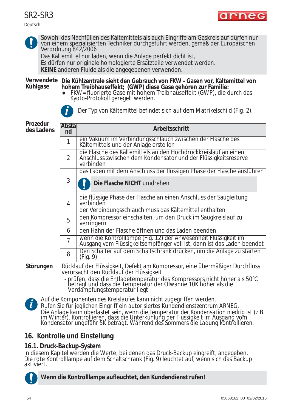Deutsch



Sowohl das Nachfüllen des Kältemittels als auch Eingriffe am Gaskreislauf dürfen nur von einem spezialisierten Techniker durchgeführt werden, gemäß der *Europäischen*<br>*Verordnung 842/2006* 

Das Kältemittel nur laden, wenn die Anlage perfekt dicht ist,

Es dürfen nur originale homologierte Ersatzteile verwendet werden.

**KEINE** anderen Fluide als die angegebenen verwenden.

**Verwendete Die Kühlzentrale sieht den Gebrauch von FKW - Gasen vor, Kältemittel von Kühlgase hohem Treibhauseffekt; (GWP) diese Gase gehören zur Familie:**

• FKW= fluorierte Gase mit hohem Treibhauseffekt (GWP), die durch das Kyoto-Protokoll geregelt werden.



*Der Typ von Kältemittel befindet sich auf dem Matrikelschild (Fig. 2).* **i**

**Prozedur des Ladens**

| Prozedur<br>des Ladens | Abstal<br>nd | Arbeitsschritt                                                                                                                                 |
|------------------------|--------------|------------------------------------------------------------------------------------------------------------------------------------------------|
|                        |              | ein Vakuum im Verbindungsschlauch zwischen der Flasche des<br>Kältemittels und der Anlage erstellen                                            |
|                        | 2            | die Flasche des Kältemittels an den Hochdruckkreislauf an einen<br>Anschluss zwischen dem Kondensator und der Flüssigkeitsreserve<br>verbinden |
|                        |              | das Laden mit dem Anschluss der flüssigen Phase der Flasche ausführen                                                                          |
|                        | 3            | Die Flasche NICHT umdrehen                                                                                                                     |
|                        | 4            | die flüssige Phase der Flasche an einen Anschluss der Saugleitung<br>verbinden<br>der Verbindungsschlauch muss das Kältemittel enthalten       |
|                        | 5            | den Kompressor einschalten, um den Druck im Saugkreislauf zu<br>verringern                                                                     |
|                        | 6            | den Hahn der Flasche öffnen und das Laden beenden                                                                                              |
|                        | 7            | wenn die Kontrolllampe (Fig. 12) der Anwesenheit Flüssigkeit im<br>Ausgang vom Flüssigkeitsempfänger voll ist, dann ist das Laden beendet      |
|                        | 8            | Den Schalter auf dem Schaltschrank drücken, um die Anlage zu starten<br>(Fig. 9)                                                               |
| Störungen              |              | Rücklauf der Flüssigkeit, Defekt am Kompressor, eine übermäßiger Durchfluss<br>verursacht den Rücklauf der Flüssigkeit                         |

- prüfen, dass die Entladetemperatur des Kompressors nicht höher als 50°C beträgt und dass die Temperatur der Ölwanne 10K höher als die Verdampfungstemperatur liegt



*Auf die Komponenten des Kreislaufes kann nicht zugegriffen werden. Rufen Sie für jeglichen Eingriff ein autorisiertes Kundendienstzentrum ARNEG. Die Anlage kann überlastet sein, wenn die Temperatur der Kondensation niedrig ist (z.B. im Winter). Kontrollieren, dass die Unterkühlung der Flüssigkeit im Ausgang vom Kondensator ungefähr 5K beträgt. Während des Sommers die Ladung kontrollieren.*

## **16. Kontrolle und Einstellung**

### *16.1. Druck-Backup-System*

In diesem Kapitel werden die Werte, bei denen das Druck-Backup eingreift, angegeben. Die rote Kontrolllampe auf dem Schaltschrank (Fig. 9) leuchtet auf, wenn sich das Backup aktiviert.



**Wenn die Kontrolllampe aufleuchtet, den Kundendienst rufen!**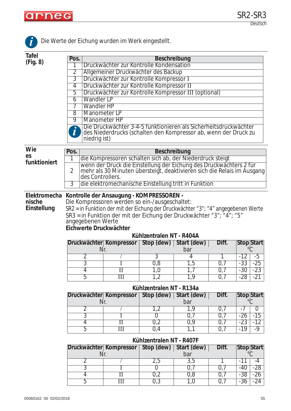

 $\overline{1}$ 

|                                       |                          |                                                                                                                                                                                                                                                                                                        | to acretionang warach influent cinquotent.                                                                                                    |                          |                    |       |              |                                  |
|---------------------------------------|--------------------------|--------------------------------------------------------------------------------------------------------------------------------------------------------------------------------------------------------------------------------------------------------------------------------------------------------|-----------------------------------------------------------------------------------------------------------------------------------------------|--------------------------|--------------------|-------|--------------|----------------------------------|
| <b>Tafel</b>                          | Pos.                     |                                                                                                                                                                                                                                                                                                        |                                                                                                                                               | <b>Beschreibung</b>      |                    |       |              |                                  |
| (Fig. 8)                              | 1                        |                                                                                                                                                                                                                                                                                                        | Druckwächter zur Kontrolle Kondensation                                                                                                       |                          |                    |       |              |                                  |
|                                       | 2                        |                                                                                                                                                                                                                                                                                                        | Allgemeiner Druckwächter des Backup                                                                                                           |                          |                    |       |              |                                  |
|                                       | $\overline{3}$           |                                                                                                                                                                                                                                                                                                        | Druckwächter zur Kontrolle Kompressor I                                                                                                       |                          |                    |       |              |                                  |
|                                       | $\overline{4}$           |                                                                                                                                                                                                                                                                                                        | Druckwächter zur Kontrolle Kompressor II                                                                                                      |                          |                    |       |              |                                  |
|                                       | 5                        |                                                                                                                                                                                                                                                                                                        | Druckwächter zur Kontrolle Kompressor III (optional)                                                                                          |                          |                    |       |              |                                  |
|                                       | $\overline{6}$           | Wandler LP                                                                                                                                                                                                                                                                                             |                                                                                                                                               |                          |                    |       |              |                                  |
|                                       | 7                        | <b>Wandler HP</b>                                                                                                                                                                                                                                                                                      |                                                                                                                                               |                          |                    |       |              |                                  |
|                                       | 8                        | Manometer LP                                                                                                                                                                                                                                                                                           |                                                                                                                                               |                          |                    |       |              |                                  |
|                                       | 9                        | Manometer HP                                                                                                                                                                                                                                                                                           | Die Druckwächter 3-4-5 funktionieren als Sicherheitsdruckwächter                                                                              |                          |                    |       |              |                                  |
|                                       | $\bm{l}$                 |                                                                                                                                                                                                                                                                                                        | des Niederdrucks (schalten den Kompressor ab, wenn der Druck zu                                                                               |                          |                    |       |              |                                  |
|                                       |                          | niedrig ist)                                                                                                                                                                                                                                                                                           |                                                                                                                                               |                          |                    |       |              |                                  |
| Wie                                   | Pos.                     |                                                                                                                                                                                                                                                                                                        |                                                                                                                                               | <b>Beschreibung</b>      |                    |       |              |                                  |
| es                                    | 1                        |                                                                                                                                                                                                                                                                                                        | die Kompressoren schalten sich ab, der Niederdruck steigt                                                                                     |                          |                    |       |              |                                  |
| funktioniert                          | $\overline{2}$           |                                                                                                                                                                                                                                                                                                        | wenn der Druck die Einstellung der Eichung des Druckwächters 2 für<br>mehr als 30 Minuten übersteigt, deaktivieren sich die Relais im Ausgang |                          |                    |       |              |                                  |
|                                       | 3                        | des Controllers.<br>die elektromechanische Einstellung tritt in Funktion                                                                                                                                                                                                                               |                                                                                                                                               |                          |                    |       |              |                                  |
| Elektromecha<br>nische<br>Einstellung |                          | Kontrolle der Ansaugung - KOMPRESSOREN -<br>Die Kompressoren werden so ein-/ausgeschaltet:<br>SR2 = in Funktion der mit der Eichung der Druckwächter "3"; "4" angegebenen Werte<br>SR3 = in Funktion der mit der Eichung der Druckwächter "3"; "4"; "5"<br>angegebenen Werte<br>Eichwerte Druckwächter |                                                                                                                                               |                          |                    |       |              |                                  |
|                                       |                          |                                                                                                                                                                                                                                                                                                        |                                                                                                                                               | Kühlzentralen NT - R404A |                    |       |              |                                  |
|                                       |                          |                                                                                                                                                                                                                                                                                                        | Druckwächter Kompressor   Stop (dew)   Start (dew)                                                                                            |                          |                    | Diff. |              | Stop Start                       |
|                                       |                          | Nr.                                                                                                                                                                                                                                                                                                    |                                                                                                                                               |                          | bar                |       |              |                                  |
|                                       |                          | 2<br>3                                                                                                                                                                                                                                                                                                 |                                                                                                                                               | 3<br>0,8                 | 4                  | 0,7   | -12<br>$-33$ | -5<br>$-25$                      |
|                                       |                          | $\overline{4}$                                                                                                                                                                                                                                                                                         | $\overline{\rm II}$                                                                                                                           | 1,0                      | 1,5<br>1,7         | 0,7   | $-30$        | $-23$                            |
|                                       |                          | 5                                                                                                                                                                                                                                                                                                      | $\mathbb{H}$                                                                                                                                  | 1,2                      | 1,9                | 0,7   | $-28$        | $-21$                            |
|                                       |                          |                                                                                                                                                                                                                                                                                                        |                                                                                                                                               | Kühlzentralen NT - R134a |                    |       |              |                                  |
|                                       |                          |                                                                                                                                                                                                                                                                                                        | Druckwächter Kompressor                                                                                                                       | Stop (dew)               | Start (dew)        | Diff. |              | <b>Stop Start</b>                |
|                                       |                          | Nr.                                                                                                                                                                                                                                                                                                    |                                                                                                                                               |                          | bar                |       |              | $^{\circ}C$                      |
|                                       |                          | $\overline{2}$                                                                                                                                                                                                                                                                                         |                                                                                                                                               | 1,2                      | 1,9                | 0,7   | $-7$         | $\overline{0}$                   |
|                                       |                          | $\overline{3}$                                                                                                                                                                                                                                                                                         | I                                                                                                                                             | $\overline{0}$           | 0,7                | 0,7   | $-26$        | $-15$                            |
|                                       |                          | $\overline{4}$                                                                                                                                                                                                                                                                                         | $\overline{\rm II}$                                                                                                                           | 0,2                      | 0,9                | 0,7   | $-23$        | $-12$                            |
|                                       |                          | 5                                                                                                                                                                                                                                                                                                      | $\overline{\mathrm{III}}$                                                                                                                     | 0,4                      | 1,1                | 0,7   | $-19$        | $-9$                             |
|                                       | Kühlzentralen NT - R407F |                                                                                                                                                                                                                                                                                                        |                                                                                                                                               |                          |                    |       |              |                                  |
|                                       |                          | Nr.                                                                                                                                                                                                                                                                                                    | Druckwächter Kompressor                                                                                                                       | Stop (dew)               | Start (dew)<br>bar | Diff. |              | <b>Stop Start</b><br>$^{\circ}C$ |
|                                       |                          | $\overline{2}$                                                                                                                                                                                                                                                                                         |                                                                                                                                               | 2,5                      | 3,5                |       | $-11$        | $-4$                             |
|                                       |                          | $\overline{3}$                                                                                                                                                                                                                                                                                         |                                                                                                                                               | $\overline{0}$           | 0,7                | 0,7   | $-40$        | $-28$                            |
|                                       |                          | $\overline{4}$                                                                                                                                                                                                                                                                                         | $\mathbf{I}$                                                                                                                                  | 0,2                      | 0,8                | 0,7   | $-38$        | $-26$                            |
|                                       |                          | 5                                                                                                                                                                                                                                                                                                      | $\overline{\mathbf{III}}$                                                                                                                     | 0,3                      | 1,0                | 0,7   | $-36$        | $-24$                            |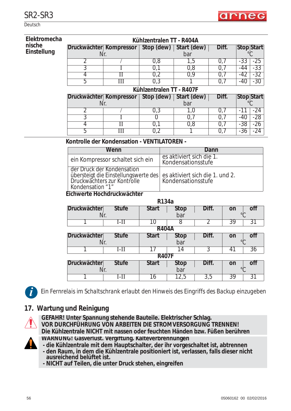

Deutsch

| Elektromecha                                | Kühlzentralen TT - R404A |                                  |     |  |                                                |       |       |                   |  |
|---------------------------------------------|--------------------------|----------------------------------|-----|--|------------------------------------------------|-------|-------|-------------------|--|
| nische                                      | Druckwächter Kompressor  |                                  |     |  | Stop (dew)   Start (dew)                       | Diff. |       | <b>Stop Start</b> |  |
| Einstellung                                 | Nr.                      |                                  |     |  | bar                                            |       |       |                   |  |
|                                             | 2                        |                                  | 0,8 |  | 1,5                                            | 0,7   | -33   | $-25$             |  |
|                                             | 3                        |                                  | 0,1 |  | 0,8                                            | 0,7   | -44   | $-33$             |  |
|                                             | 4                        |                                  | 0,2 |  | 0,9                                            | 0,7   | -42   | $-32$             |  |
|                                             | 5                        | Ш                                | 0,3 |  |                                                | 0,7   | $-40$ | $-30$             |  |
|                                             | Kühlzentralen TT - R407F |                                  |     |  |                                                |       |       |                   |  |
|                                             | Druckwächter Kompressor  |                                  |     |  | Stop (dew)   Start (dew)                       | Diff. |       | <b>Stop Start</b> |  |
|                                             | Nr.                      |                                  |     |  | bar                                            |       |       |                   |  |
|                                             | 2                        |                                  | 0,3 |  | 1,0                                            | 0,7   | -11   | $-24$             |  |
|                                             | 3                        |                                  |     |  | 0,7                                            | 0,7   | -40   | $-28$             |  |
|                                             | 4                        | П                                | 0,1 |  | 0,8                                            | 0,7   | $-38$ | $-26$             |  |
|                                             | 5                        | Ш                                | 0,2 |  |                                                | 0,7   | $-36$ | $-24$             |  |
| Kontrolle der Kondensation - VENTILATOREN - |                          |                                  |     |  |                                                |       |       |                   |  |
|                                             |                          | Wenn                             |     |  |                                                | Dann  |       |                   |  |
|                                             |                          | ein Kompressor schaltet sich ein |     |  | es aktiviert sich die 1.<br>Kondansationsstufa |       |       |                   |  |

| ein Kompressor schaltet sich ein                                                                                                                      | es aktiviert sich die T.<br>Kondensationsstufe |
|-------------------------------------------------------------------------------------------------------------------------------------------------------|------------------------------------------------|
| der Druck der Kondensation<br>übersteigt die Einstellungswerte des es aktiviert sich die 1. und 2.<br>Druckwächters zur Kontrolle<br>Kondensation "1" | <b>Kondensationsstufe</b>                      |

#### **Eichwerte Hochdruckwächter**

|                     |              | R134a        |                |       |                |           |  |
|---------------------|--------------|--------------|----------------|-------|----------------|-----------|--|
| <b>Druckwächter</b> | <b>Stufe</b> | <b>Start</b> | <b>Stop</b>    | Diff. | on             | <b>of</b> |  |
| Nr.                 |              |              | bar<br>$\circ$ |       |                |           |  |
|                     | I-II         | 10           |                |       | 39             | 31        |  |
|                     | <b>R404A</b> |              |                |       |                |           |  |
| <b>Druckwächter</b> | <b>Stufe</b> | <b>Start</b> | <b>Stop</b>    | Diff. | on             | off       |  |
| Nr.                 |              |              | bar<br>$\circ$ |       |                |           |  |
|                     | $I-II$       |              | 14             | 3     | 41             | 36        |  |
|                     |              | <b>R407F</b> |                |       |                |           |  |
| Druckwächter        | <b>Stufe</b> | <b>Start</b> | <b>Stop</b>    | Diff. | on             | off       |  |
| Nr.                 |              |              | bar            |       | $\circ$ $\cap$ |           |  |
|                     | I-II         | 16           | 12,5           | 3,5   | 39             | 31        |  |

**i**

*Ein Fernrelais im Schaltschrank erlaubt den Hinweis des Eingriffs des Backup einzugeben*

## **17. Wartung und Reinigung**



**GEFAHR! Unter Spannung stehende Bauteile. Elektrischer Schlag. VOR DURCHFÜHRUNG VON ARBEITEN DIE STROMVERSORGUNG TRENNEN! Die Kühlzentrale NICHT mit nassen oder feuchten Händen bzw. Füßen berühren WARNUNG! Gasverlust. Vergiftung. Kälteverbrennungen**

**- die Kühlzentrale mit dem Hauptschalter, der ihr vorgeschaltet ist, abtrennen**

**- den Raum, in dem die Kühlzentrale positioniert ist, verlassen, falls dieser nicht ausreichend belüftet ist.**

**- NICHT auf Teilen, die unter Druck stehen, eingreifen**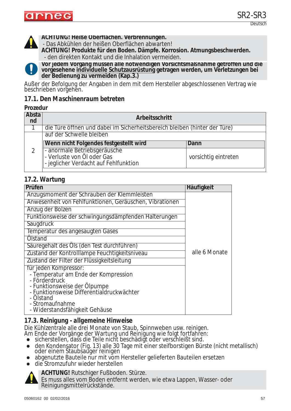

**ACHTUNG! Heiße Oberflächen. Verbrennungen.** 

- Das Abkühlen der heißen Oberflächen abwarten!

**ACHTUNG! Produkte für den Boden. Dämpfe. Korrosion. Atmungsbeschwerden.** - den direkten Kontakt und die Inhalation vermeiden.



**Vor jedem Vorgang müssen alle notwendigen Vorsichtsmaßnahme getroffen und die**  vorgesehene <u>individuelle Schutzausrüstung</u> getragen werden, um Verletzungen bei<br>der Bedienung zu vermeiden (Kap.3.)

Außer der Befolgung der Angaben in dem mit dem Hersteller abgeschlossenen Vertrag wie beschrieben vorgehen.

#### *17.1. Den Maschinenraum betreten*

#### **Prozedur**

| Absta<br>nd | Arbeitsschritt                                                                                      |                      |
|-------------|-----------------------------------------------------------------------------------------------------|----------------------|
|             | die Türe öffnen und dabei im Sicherheitsbereich bleiben (hinter der Türe)                           |                      |
|             | auf der Schwelle bleiben                                                                            |                      |
|             | Wenn nicht Folgendes festgestellt wird                                                              | Dann                 |
|             | - anormale Betriebsgeräusche<br>- Verluste von Öl oder Gas<br>- jeglicher Verdacht auf Fehlfunktion | vorsichtig eintreten |

### *17.2. Wartung*

| Prüfen                                                  | Häufigkeit    |
|---------------------------------------------------------|---------------|
| Anzugsmoment der Schrauben der Klemmleisten             |               |
| Anwesenheit von Fehlfunktionen, Geräuschen, Vibrationen |               |
| Anzug der Bolzen                                        |               |
| Funktionsweise der schwingungsdämpfenden Halterungen    |               |
| Saugdruck                                               |               |
| Temperatur des angesaugten Gases                        |               |
| Olstand                                                 |               |
| Säuregehalt des Öls (den Test durchführen)              |               |
| Zustand der Kontrolllampe Feuchtigkeitsniveau           | alle 6 Monate |
| Zustand der Filter der Flüssigkeitsleitung              |               |
| für jeden Kompressor:                                   |               |
| - Temperatur am Ende der Kompression                    |               |
| - Förderdruck<br>- Funktionsweise der Ölpumpe           |               |
| - Funktionsweise Differentialdruckwächter               |               |
| - Ölstand                                               |               |
| - Stromaufnahme                                         |               |
| - Widerstandsfähigkeit Gehäuse                          |               |

### *17.3. Reinigung - allgemeine Hinweise*

Die Kühlzentrale alle drei Monate von Staub, Spinnweben usw. reinigen.

- Am Ende der Vorgänge der Wartung und Reinigung wie folgt fortfahren:
- sicherstellen, dass die Teile nicht beschädigt oder verschleißt sind.
- $\bullet$  den Kondensator (Fig. 13) alle 30 Tage mit einer steifborstigen Bürste (nicht metallisch) oder einem Staubsauger reinigen
- zabgenutzte Bauteile nur mit vom Hersteller gelieferten Bauteilen ersetzen
- die Stromzufuhr wieder herstellen



**ACHTUNG!** Rutschiger Fußboden. Stürze.

Es muss alles vom Boden entfernt werden, wie etwa Lappen, Wasser- oder Reinigungsmittelrückstände.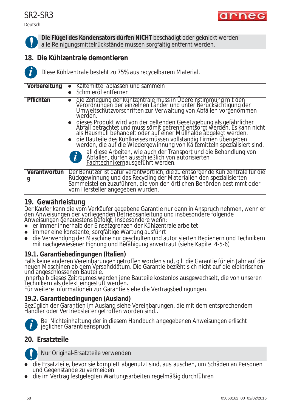Deutsch



**Die Flügel des Kondensators dürfen NICHT** beschädigt oder geknickt werden alle Reinigungsmittelrückstände müssen sorgfältig entfernt werden.

## **18. Die Kühlzentrale demontieren**



*Diese Kühlzentrale besteht zu 75% aus recycelbarem Material.*

| Vorbereitung                                                                                                                                                                                                                                                                                                                                                            | Kältemittel ablassen und sammeln                                                                                                                                                                                                                                    |  |  |  |
|-------------------------------------------------------------------------------------------------------------------------------------------------------------------------------------------------------------------------------------------------------------------------------------------------------------------------------------------------------------------------|---------------------------------------------------------------------------------------------------------------------------------------------------------------------------------------------------------------------------------------------------------------------|--|--|--|
|                                                                                                                                                                                                                                                                                                                                                                         | Schmieröl entfernen                                                                                                                                                                                                                                                 |  |  |  |
| Pflichten                                                                                                                                                                                                                                                                                                                                                               | die Zerlegung der Kühlzentrale muss in Übereinstimmung mit den<br>Verordnungen der einzelnen Länder und unter Berücksichtigung der<br>Umweltschutzvorschriften zur Verwaltung von Abfällen vorgenommen<br>werden.                                                   |  |  |  |
| • dieses Produkt wird von der geltenden Gesetzgebung als gefährlicher<br>Abfall betrachtet und muss somit getrennt entsorgt werden. Es kann nicht<br>als Hausmüll behandelt oder auf einer Müllhalde abgelegt werden.<br>• die Bauteile des Kühlkreises müssen vollständig Firmen übergeben<br>werden, die auf die Wiedergewinnung von Kältemitteln spezialisiert sind. |                                                                                                                                                                                                                                                                     |  |  |  |
|                                                                                                                                                                                                                                                                                                                                                                         | all diese Arbeiten, wie auch der Transport und die Behandlung von<br>Abfällen, dürfen ausschließlich von autorisierten<br>$\boldsymbol{d}$<br>Fachtechnikernausgeführt werden.                                                                                      |  |  |  |
| Verantwortun<br>y                                                                                                                                                                                                                                                                                                                                                       | Der Benutzer ist dafür verantwortlich, die zu entsorgende Kühlzentrale für die<br>Rückgewinnung und das Recycling der Materialien den spezialisierten<br>Sammelstellen zuzuführen, die von den örtlichen Behörden bestimmt oder<br>vom Hersteller angegeben wurden. |  |  |  |

## **19. Gewährleistung**

Der Käufer kann die vom Verkäufer gegebene Garantie nur dann in Anspruch nehmen, wenn er den Anweisungen der vorliegenden Betriebsanleitung und insbesondere folgende Anweisungen genauestens befolgt, insbesondere wenn:

- zer immer innerhalb der Einsatzgrenzen der Kühlzentrale arbeitet
- immer eine konstante, sorgfältige Wartung ausführt
- die Verwendung der Maschine nur geschulten und autorisierten Bedienern und Technikern mit nachgewiesener Eignung und Befähigung anvertraut (siehe Kapitel 4-5-6)

## *19.1. Garantiebedingungen (Italien)*

Falls keine anderen Vereinbarungen getroffen worden sind, gilt die Garantie für ein Jahr auf die neuen Maschinen ab dem Versanddatum. Die Garantie bezieht sich nicht auf die elektrischen und angeschlossenen Bauteile.

Innerhalb dieses Zeitraumes werden jene Bauteile kostenlos ausgewechselt, die von unseren Technikern als defekt eingestuft werden.

Für weitere Informationen zur Garantie siehe die Vertragsbedingungen.

### *19.2. Garantiebedingungen (Ausland)*

Bezüglich der Garantien im Ausland siehe Vereinbarungen, die mit dem entsprechendem Händler oder Vertriebsleiter getroffen worden sind..



*Bei Nichteinhaltung der in diesem Handbuch angegebenen Anweisungen erlischt jeglicher Garantieanspruch.*

## **20. Ersatzteile**



Nur Original-Ersatzteile verwenden

- zdie Ersatzteile, bevor sie komplett abgenutzt sind, austauschen, um Schäden an Personen und Gegenstände zu vermeiden
- zdie im Vertrag festgelegten Wartungsarbeiten regelmäßig durchführen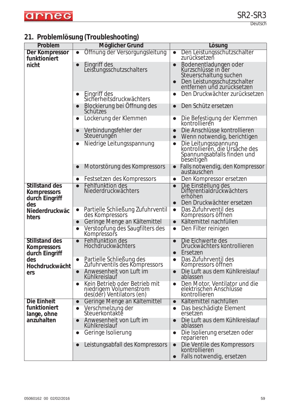

## **21. Problemlösung (Troubleshooting)**

| Problem                                                       | Möglicher Grund                                                                                   | Lösung                                                                                                                              |
|---------------------------------------------------------------|---------------------------------------------------------------------------------------------------|-------------------------------------------------------------------------------------------------------------------------------------|
| Der Kompressor                                                | Öffnung der Versorgungsleitung<br>$\bullet$                                                       | Den Leistungsschutzschalter<br>$\bullet$<br>zurücksetzeň                                                                            |
| funktioniert<br>nicht                                         | Eingriff des<br>$\bullet$<br>Leistungsschutzschalters                                             | Bodenentladungen oder<br>Kurzschlüsse in der<br>Steuerschaltung suchen<br>Den Leistungsschutzschalter<br>entfernen und zurücksetzen |
|                                                               | Eingriff des<br>$\bullet$<br>Sicherheitsdruckwächters                                             | Den Druckwächter zurücksetzen<br>$\bullet$                                                                                          |
|                                                               | Blockierung bei Offnung des<br>$\bullet$<br>Schützes                                              | Den Schütz ersetzen<br>$\bullet$                                                                                                    |
|                                                               | Lockerung der Klemmen<br>$\bullet$                                                                | Die Befestigung der Klemmen<br>kontrollieren<br>$\bullet$                                                                           |
|                                                               | Verbindungsfehler der<br>$\bullet$<br>Steuerungen                                                 | Die Anschlüsse kontrollieren<br>$\bullet$<br>Wenn notwendig, berichtigen<br>$\bullet$                                               |
|                                                               | Niedrige Leitungsspannung<br>$\bullet$                                                            | Die Leitungsspannung<br>kontrollieren, die Ursache des<br>Spannungsabfalls finden und<br>$\bullet$<br>beseitigen                    |
|                                                               | Motorstörung des Kompressors                                                                      | Falls notwendig, den Kompressor<br>austauschen                                                                                      |
|                                                               | Festsetzen des Kompressors<br>$\bullet$                                                           | Den Kompressor ersetzen<br>$\bullet$                                                                                                |
| <b>Stillstand des</b><br><b>Kompressors</b><br>durch Eingriff | Fehlfunktion des<br>Niederdruckwächters                                                           | Die Einstellung des<br>Differentialdruckwächters<br>erhöhen<br>Den Druckwächter ersetzen<br>$\bullet$                               |
| des<br>Niederdruckwäc                                         | Partielle Schließung Zufuhrventil<br>$\bullet$<br>des Kompressors                                 | Das Zufuhrventil des<br>$\bullet$<br>Kompressors öffnen                                                                             |
| hters                                                         | Geringe Menge an Kältemittel<br>$\bullet$                                                         | Kältemittel nachfüllen<br>$\bullet$                                                                                                 |
|                                                               | Verstopfung des Saugfilters des<br>$\bullet$<br>Kompressors                                       | Den Filter reinigen<br>$\bullet$                                                                                                    |
| <b>Stillstand des</b><br><b>Kompressors</b><br>durch Eingriff | Fehlfunktion des<br>$\bullet$<br>Hochdruckwächters                                                | Die Eichwerte des<br>$\bullet$<br>Druckwächters kontrollieren<br>Ersetzen<br>$\bullet$                                              |
| des<br>Hochdruckwächt                                         | Partielle Schließung des<br>Zufuhrventils des Kompressors                                         | Das Zufuhrventil des<br>Kompressors öffnen                                                                                          |
| ers                                                           | Anwesenheit von Luft im<br>$\bullet$<br>Kühlkreislauf                                             | Die Luft aus dem Kühlkreislauf<br>$\bullet$<br>ablassen                                                                             |
|                                                               | Kein Betrieb oder Betrieb mit<br>$\bullet$<br>niedrigem Volumenstrom<br>des(der) Ventilators (en) | Den Motor, Ventilator und die<br>$\bullet$<br>elektrischen Anschlüsse<br>kontrollieren                                              |
| Die Einheit                                                   | Geringe Menge an Kältemittel<br>$\bullet$                                                         | Kältemittel nachfüllen<br>$\bullet$                                                                                                 |
| funktioniert<br>lange, ohne                                   | Verschmelzung der<br>$\bullet$<br>Steuerkontakte                                                  | Das beschädigte Element<br>$\bullet$<br>ersetzen                                                                                    |
| anzuhalten                                                    | Anwesenheit von Luft im<br>$\bullet$<br>Kühlkreislauf                                             | Die Luft aus dem Kühlkreislauf<br>$\bullet$<br>ablassen                                                                             |
|                                                               | Geringe Isolierung<br>$\bullet$                                                                   | Die Isolierung ersetzen oder<br>$\bullet$<br>reparieren                                                                             |
|                                                               | Leistungsabfall des Kompressors<br>$\bullet$                                                      | Die Ventile des Kompressors<br>$\bullet$<br>kontrollieren<br>Falls notwendig, ersetzen<br>$\bullet$                                 |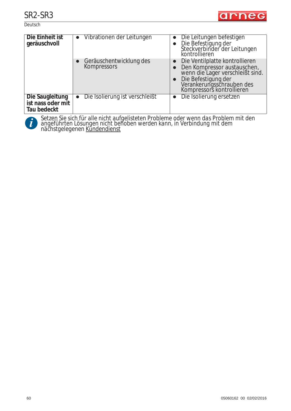**Deutsch** 



| Die Einheit ist<br>geräuschvoll                     | • Vibrationen der Leitungen                 | Die Leitungen befestigen<br>Die Befestigung der<br>Steckverbinder der Leitungen<br>kontrollieren                                                                                   |
|-----------------------------------------------------|---------------------------------------------|------------------------------------------------------------------------------------------------------------------------------------------------------------------------------------|
|                                                     | Geräuschentwicklung des<br>Kompressors      | Die Ventilplatte kontrollieren<br>Den Kompressor austauschen,<br>wenn die Lager verschleißt sind.<br>Die Befestigung der<br>Verankerungsschrauben des<br>Kompressors kontrollieren |
| Die Saugleitung<br>ist nass oder mit<br>Tau bedeckt | Die Isolierung ist verschleißt<br>$\bullet$ | Die Isolierung ersetzen                                                                                                                                                            |



*Setzen Sie sich für alle nicht aufgelisteten Probleme oder wenn das Problem mit den angeführten Lösungen nicht behoben werden kann, in Verbindung mit dem*  **nächsteller Sien Siehrer auf der Setzen Sie sich für alle nicht auf<br>angeführten Lösungen nicht be<br>nächstgelegenen Kundendienst**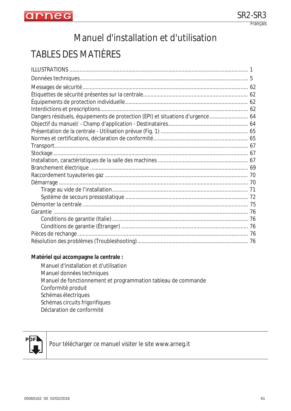

# Manuel d'installation et d'utilisation

# TABLES DES MATIÈRES

| Dangers résiduels, équipements de protection (EPI) et situations d'urgence 64 |  |
|-------------------------------------------------------------------------------|--|
|                                                                               |  |
|                                                                               |  |
|                                                                               |  |
|                                                                               |  |
|                                                                               |  |
|                                                                               |  |
|                                                                               |  |
|                                                                               |  |
|                                                                               |  |
|                                                                               |  |
|                                                                               |  |
|                                                                               |  |
|                                                                               |  |
|                                                                               |  |
|                                                                               |  |
|                                                                               |  |
|                                                                               |  |

#### **Matériel qui accompagne la centrale :**

Manuel d'installation et d'utilisation Manuel données techniques Manuel de fonctionnement et programmation tableau de commande Conformité produit Schémas électriques Schémas circuits frigorifiques Déclaration de conformité



Pour télécharger ce manuel visiter le site www.arneg.it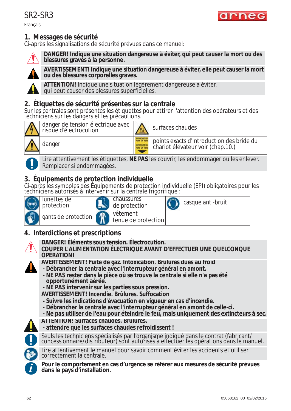Français



## **1. Messages de sécurité**

Ci-après les signalisations de sécurité prévues dans ce manuel:



**DANGER! Indique une situation dangereuse à éviter, qui peut causer la mort ou des blessures graves à la personne.**



**AVERTISSEMENT! Indique une situation dangereuse à éviter, elle peut causer la mort ou des blessures corporelles graves.**

**ATTENTION!** Indique une situation légèrement dangereuse à éviter, qui peut causer des blessures superficielles.

## **2. Étiquettes de sécurité présentes sur la centrale**

Sur les centrales sont présentes les étiquettes pour attirer l'attention des opérateurs et des techniciens sur les dangers et les précautions.



danger de tension électrique avec dariger de terision electrique avec<br>risque d'électrocution

danger **points** exacts d'introduction des bride du chariot élévateur voir (chap.10.)



Lire attentivement les étiquettes, **NE PAS** les couvrir, les endommager ou les enlever. Remplacer si endommagées.

## **3. Équipements de protection individuelle**

Ci-après les symboles des Équipements de protection individuelle (EPI) obligatoires pour les techniciens autorisés à intervenir sur la centrale frigorifique :

| lunettes de<br>protection | chaussures<br>de protection     | ' casque anti-bruit |
|---------------------------|---------------------------------|---------------------|
| gants de protection       | vêtement<br>tenue de protection |                     |

## **4. Interdictions et prescriptions**



**COUPER L'ALIMENTATION ÉLECTRIQUE AVANT D'EFFECTUER UNE QUELCONQUE OPÉRATION!**



- **AVERTISSEMENT! Fuite de gaz. Intoxication. Brûlures dues au froid**
- **Débrancher la centrale avec l'interrupteur général en amont.**
- **NE PAS rester dans la pièce où se trouve la centrale si elle n'a pas été opportunément aérée.**
- **NE PAS intervenir sur les parties sous pression.**
- **AVERTISSEMENT! Incendie. Brûlures. Suffocation**
- **Suivre les indications d'évacuation en vigueur en cas d'incendie.**
- **Débrancher la centrale avec l'interrupteur général en amont de celle-ci.**
- **Ne pas utiliser de l'eau pour éteindre le feu, mais uniquement des extincteurs à sec.**



**ATTENTION! Surfaces chaudes. Brûlures. - attendre que les surfaces chaudes refroidissent !**



Seuls les techniciens spécialisés par l'organisme indiqué dans le contrat (fabricant/ concessionnaire/distributeur) sont autorisés à effectuer les opérations dans le manuel.



Lire attentivement le manuel pour savoir comment éviter les accidents et utiliser correctement la centrale.

Pour le comportement en cas d'urgence se référer aux mesures de sécurité prévues dans le pays d'installation.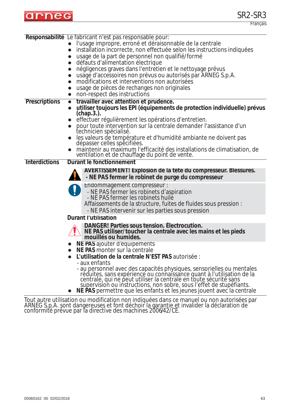

|                      | Responsabilité Le fabricant n'est pas responsable pour:                                                                                                                                                                                                                                     |
|----------------------|---------------------------------------------------------------------------------------------------------------------------------------------------------------------------------------------------------------------------------------------------------------------------------------------|
|                      | l'usage impropre, erroné et déraisonnable de la centrale                                                                                                                                                                                                                                    |
|                      | installation incorrecte, non effectuée selon les instructions indiquées<br>$\bullet$                                                                                                                                                                                                        |
|                      | usage de la part de personnel non qualifié/formé                                                                                                                                                                                                                                            |
|                      | défauts d'alimentation électrique                                                                                                                                                                                                                                                           |
|                      | négligences graves dans l'entretien et le nettoyage prévus                                                                                                                                                                                                                                  |
|                      | usage d'accessoires non prévus ou autorisés par ARNEG S.p.A.<br>$\bullet$                                                                                                                                                                                                                   |
|                      | modifications et interventions non autorisées<br>$\bullet$                                                                                                                                                                                                                                  |
|                      | usage de pièces de rechanges non originales<br>$\bullet$                                                                                                                                                                                                                                    |
|                      | non-respect des instructions                                                                                                                                                                                                                                                                |
| <b>Prescriptions</b> | travailler avec attention et prudence.<br>$\bullet$                                                                                                                                                                                                                                         |
|                      | utiliser toujours les EPI (équipements de protection individuelle) prévus<br>$(chap.3.)$ .                                                                                                                                                                                                  |
|                      | effectuer régulièrement les opérations d'entretien.                                                                                                                                                                                                                                         |
|                      | pour toute intervention sur la centrale demander l'assistance d'un<br>technicien spécialisé.                                                                                                                                                                                                |
|                      | les valeurs de température et d'humidité ambiante ne doivent pas<br>dépasser celles spécifiées.                                                                                                                                                                                             |
|                      | maintenir au maximum l'efficacité des installations de climatisation, de<br>ventilation et de chauffage du point de vente.                                                                                                                                                                  |
| <b>Interdictions</b> | Durant le fonctionnement                                                                                                                                                                                                                                                                    |
|                      | AVERTISSEMENT! Explosion de la tête du compresseur. Blessures.                                                                                                                                                                                                                              |
|                      | - NE PAS fermer le robinet de purge du compresseur                                                                                                                                                                                                                                          |
|                      | Endommagement compresseur :                                                                                                                                                                                                                                                                 |
|                      | - NE PAS fermer les robinets d'aspiration                                                                                                                                                                                                                                                   |
|                      | - NE PAS fermer les robinets huile                                                                                                                                                                                                                                                          |
|                      | Affaissements de la structure, fuites de fluides sous pression :                                                                                                                                                                                                                            |
|                      | - NE PAS intervenir sur les parties sous pression                                                                                                                                                                                                                                           |
|                      | <b>Durant l'utilisation</b>                                                                                                                                                                                                                                                                 |
|                      | DANGER! Parties sous tension. Electrocution.<br>NE PAS utiliser/toucher la centrale avec les mains et les pieds                                                                                                                                                                             |
|                      | mouillés ou humides.                                                                                                                                                                                                                                                                        |
|                      | NE PAS ajouter d'équipements                                                                                                                                                                                                                                                                |
|                      | NE PAS monter sur la centrale                                                                                                                                                                                                                                                               |
|                      | L'utilisation de la centrale N'EST PAS autorisée :                                                                                                                                                                                                                                          |
|                      | - aux enfants                                                                                                                                                                                                                                                                               |
|                      | - au personnel avec des capacités physiques, sensorielles ou mentales<br>réduites, sans expérience ou connaissance quant à l'utilisation de la<br>centrale, qui ne peut utiliser la centrale en toute sécurité sans<br>supervision ou instructions, non sobre, sous l'effet de stupéfiants. |
|                      | NE PAS permettre que les enfants et les jeunes jouent avec la centrale                                                                                                                                                                                                                      |

Tout autre utilisation ou modification non indiquées dans ce manuel ou non autorisées par ARNEG S.p.A. sont dangereuses et font déchoir la garantie et invalider la déclaration de conformité prévue par la directive des machines 2006/42/CE.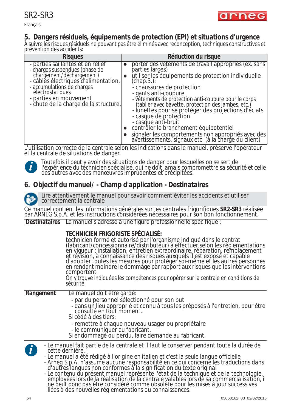

Français

## **5. Dangers résiduels, équipements de protection (EPI) et situations d'urgence**

À suivre les risques résiduels ne pouvant pas être éliminés avec reconception, techniques constructives et prévention des accidents:

| <b>Risques</b>                                                                                                                                                                                                                                               | Réduction du risque                                                                                                                                                                                                                                                                                                                                                                                                                                                                                                                                                                   |
|--------------------------------------------------------------------------------------------------------------------------------------------------------------------------------------------------------------------------------------------------------------|---------------------------------------------------------------------------------------------------------------------------------------------------------------------------------------------------------------------------------------------------------------------------------------------------------------------------------------------------------------------------------------------------------------------------------------------------------------------------------------------------------------------------------------------------------------------------------------|
| - parties saillantes et en relief<br>- charges suspendues (phase de<br>chargement/déchargement)<br>- câbles électriques d'alimentation,<br>- accumulations de charges<br>électrostatiques<br>- parties en mouvement<br>- chute de la charge de la structure, | porter des vêtements de travail appropriés (ex. sans<br>parties larges)<br>utiliser les équipements de protection individuelle<br>$(chap.3.)$ :<br>- chaussures de protection<br>- gants anti-coupure<br>- vêtements de protection anti-coupure pour le corps<br>(tablier avec bavette, protection des jambes, etc.)<br>- lunettes pour se protéger des projections d'éclats<br>- casque de protection<br>- casque anti-bruit<br>contrôler le branchement équipotentiel<br>signaler les comportements non appropriés avec des<br>avertissements, signaux etc. (à la charge du client) |

L'utilisation correcte de la centrale selon les indications dans le manuel, préserve l'opérateur et la centrale de situations de danger.



*Toutefois il peut y avoir des situations de danger pour lesquelles on se sert de l'expérience du technicien spécialisé, qui ne doit jamais compromettre sa sécurité et celle des autres avec des manœuvres imprudentes et précipitées.*

## **6. Objectif du manuel/ - Champ d'application - Destinataires**



Lire attentivement le manuel pour savoir comment éviter les accidents et utiliser correctement la centrale

Ce manuel contient les informations générales sur les centrales frigorifiques **SR2-SR3** réalisée par ARNEG S.p.A. et les instructions considérées nécessaires pour son bon fonctionnement.

**Destinataires** Le manuel s'adresse à une figure professionnelle spécifique :

*liées à des nouvelles réglementations ou connaissances.*

|                  | TECHNICIEN FRIGORISTE SPÉCIALISÉ:<br>technicien formé et autorisé par l'organisme indiqué dans le contrat<br>(fabricant/concessionnaire/distributeur) à effectuer selon les réglementations<br>en viqueur : installation, entretien extraordinaire, réparation, remplacement<br>et révision, à connaissance des risques auxquels il est exposé et capable<br>d'adopter toutes les mesures pour protéger soi-même et les autres personnes<br>en rendant moindre le dommage par rapport aux risques que les interventions<br>comportent.<br>On y trouve indiquées les compétences pour opérer sur la centrale en conditions de<br>sécurité. |
|------------------|-------------------------------------------------------------------------------------------------------------------------------------------------------------------------------------------------------------------------------------------------------------------------------------------------------------------------------------------------------------------------------------------------------------------------------------------------------------------------------------------------------------------------------------------------------------------------------------------------------------------------------------------|
| Rangement        | Le manuel doit être gardé:<br>- par du personnel sélectionné pour son but<br>- dans un lieu approprié et connu à tous les préposés à l'entretien, pour être<br>consulté en tout moment.<br>Si cédé à des tiers:<br>- remettre à chaque nouveau usager ou propriétaire<br>- le communiquer au fabricant.<br>Si endommagé ou perdu, faire demande au fabricant.                                                                                                                                                                                                                                                                             |
| $\boldsymbol{d}$ | - Le manuel fait partie de la centrale et il faut le conserver pendant toute la durée de<br>cette dernière.<br>- Le manuel a été rédigé à l'origine en italien et c'est la seule langue officielle<br>- Arneg S.p.A. n'assume aucune responsabilité en ce qui concerne les traductions dans<br>d'autres langues non conformes à la signification du texte original<br>- Le contenu du présent manuel représente l'état de la technique et de la technologie,<br>employées lors de la réalisation de la centrale valables lors de sa commercialisation, il<br>ne peut donc pas être considéré comme obsolèt                                |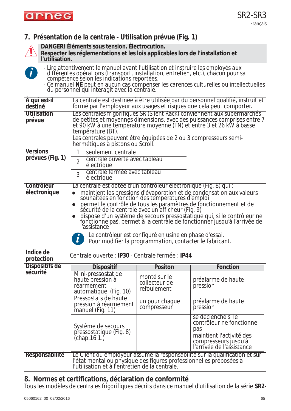

**7. Présentation de la centrale - Utilisation prévue (Fig. 1)**



**DANGER! Éléments sous tension. Électrocution.**

**Respecter les réglementations et les lois applicables lors de l'installation et l'utilisation.**

**i**

*- Lire attentivement le manuel avant l'utilisation et instruire les employés aux différentes opérations (transport, installation, entretien, etc.), chacun pour sa compétence selon les indications reportées. - Ce manuel NE peut en aucun cas compenser les carences culturelles ou intellectuelles du personnel qui interagit avec la centrale.* **À qui est-il destiné** La centrale est destinée à être utilisée par du personnel qualifié, instruit et formé par l'employeur aux usages et risques que cela peut comporter. **Utilisation prévue** Les centrales frigorifiques SR (Silent Rack) conviennent aux supermarchés de petites et moyennes dimensions, avec des puissances comprises entre 7 et 90 kW à une température moyenne (TN) et entre 3 et 26 kW à basse température (BT). Les centrales peuvent être équipées de 2 ou 3 compresseurs semihermétiques à pistons ou Scroll. **Versions prévues (Fig. 1) Contrôleur électronique** La centrale est dotée d'un contrôleur électronique (Fig. 8) qui : maintient les pressions d'évaporation et de condensation aux valeurs souhaitées en fonction des températures d'emploi permet le contrôle de tous les paramètres de fonctionnement et de sécurité de la centrale avec un afficheur (Fig. 9) • dispose d'un système de secours pressostatique qui, si le contrôleur ne fonctionne pas, permet à la centrale de fonctionner jusqu'à l'arrivée de l'assistance seulement centrale 2 centrale ouverte avec tableau électrique 3 centrale fermée avec tableau électrique *Le contrôleur est configuré en usine en phase d'essai.* **i** *Pour modifier la programmation, contacter le fabricant.*

| Indice de<br>protection | Centrale ouverte : IP30 - Centrale fermée : IP44                                                                     |                                              |                                                                                                                                        |
|-------------------------|----------------------------------------------------------------------------------------------------------------------|----------------------------------------------|----------------------------------------------------------------------------------------------------------------------------------------|
| Dispositifs de          | <b>Dispositif</b>                                                                                                    | <b>Positon</b>                               | Fonction                                                                                                                               |
| sécurité                | Mini-pressostat de<br>haute pression à<br>réarmement<br>automatique (Fig. 10)                                        | monté sur le<br>collecteur de<br>refoulement | préalarme de haute<br>pression                                                                                                         |
|                         | Pressostats de haute<br>pression à réarmement<br>manuel (Fig. 11)                                                    | un pour chaque<br>compresseur                | préalarme de haute<br>pression                                                                                                         |
|                         | Système de secours<br>pressostatique (Fig. 8)<br>(chap.16.1.)                                                        |                                              | se déclenche si le<br>contrôleur ne fonctionne<br>pas<br>maintient l'activité des<br>compresseurs jusqu'à<br>l'arrivée de l'assistance |
| Responsabilité          | l'état mental ou physique des figures professionnelles préposées à<br>l'utilisation et à l'entretien de la centrale. |                                              | Le Client ou employeur assume la responsabilité sur la qualification et sur                                                            |

### **8. Normes et certifications, déclaration de conformité**

Tous les modèles de centrales frigorifiques décrits dans ce manuel d'utilisation de la série **SR2-**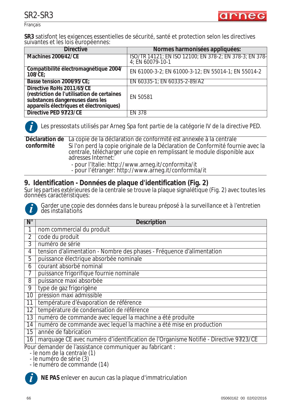

Français

**SR3** satisfont les exigences essentielles de sécurité, santé et protection selon les directives suivantes et les lois européennes:

| <b>Directive</b>                                                                                                                                      | Normes harmonisées appliquées:                                              |
|-------------------------------------------------------------------------------------------------------------------------------------------------------|-----------------------------------------------------------------------------|
| Machines 2006/42/CE                                                                                                                                   | ISO/TR 14121; EN ISO 12100; EN 378-2; EN 378-3; EN 378-<br>4; EN 60079-10-1 |
| Compatibilité électromagnétique 2004/<br>$108$ /CE;                                                                                                   | EN 61000-3-2; EN 61000-3-12; EN 55014-1; EN 55014-2                         |
| Basse tension 2006/95/CE;                                                                                                                             | EN 60335-1; EN 60335-2-89/A2                                                |
| Directive RoHs 2011/65/CE<br>(restriction de l'utilisation de certaines<br>substances dangereuses dans les<br>appareils électriques et électroniques) | EN 50581                                                                    |
| Directive PED 97/23/CE                                                                                                                                | <b>EN 378</b>                                                               |



*Les pressostats utilisés par Arneg Spa font partie de la catégorie IV de la directive PED.*

**Déclaration de conformité** La copie de la déclaration de conformité est annexée à la centrale Si l'on perd la copie originale de la Déclaration de Conformité fournie avec la centrale, télécharger une copie en remplissant le module disponible aux adresses Internet:

- pour l'Italie: http://www.arneg.it/conformita/it
- pour l'étranger: http://www.arneg.it/conformita/it

## **9. Identification - Données de plaque d'identification (Fig. 2)**

Sur les parties extérieures de la centrale se trouve la plaque signalétique (Fig. 2) avec toutes les données caractéristiques:



*Garder une copie des données dans le bureau préposé à la surveillance et à l'entretien des installations*

| $N^{\circ}$    | <b>Description</b>                                                                                                  |
|----------------|---------------------------------------------------------------------------------------------------------------------|
|                | nom commercial du produit                                                                                           |
| $\overline{2}$ | code du produit                                                                                                     |
| 3              | numéro de série                                                                                                     |
| 4              | tension d'alimentation - Nombre des phases - Fréquence d'alimentation                                               |
| 5              | puissance électrique absorbée nominale                                                                              |
| 6              | courant absorbé nominal                                                                                             |
|                | puissance frigorifique fournie nominale                                                                             |
| 8              | puissance maxi absorbée                                                                                             |
| 9              | type de gaz frigorigène                                                                                             |
| 10             | pression maxi admissible                                                                                            |
| 11             | température d'évaporation de référence                                                                              |
| 12             | température de condensation de référence                                                                            |
| 13             | numéro de commande avec lequel la machine a été produite                                                            |
| 14             | numéro de commande avec lequel la machine a été mise en production                                                  |
| 15             | année de fabrication                                                                                                |
| 16             | marquage CE avec numéro d'identification de l'Organisme Notifié - Directive 97/23/CE                                |
|                | Pour demander de l'assistance communiquer au fabricant :<br>- le nom de la centrale (1)<br>- le numéro de série (3) |

*- le numéro de commande (14)* **i**

**NE PAS** enlever en aucun cas la plaque d'immatriculation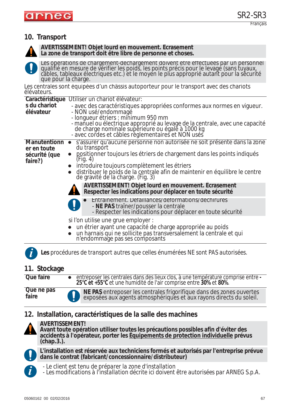## **10. Transport**



**AVERTISSEMENT! Objet lourd en mouvement. Écrasement La zone de transport doit être libre de personne et choses.**

| que pour la charge.                                            | Les opérations de chargement-déchargement doivent être effectuées par un personnel<br>qualifié en mesure de vérifier les poids, les points précis pour le levage (sans tuyaux,<br>câbles, tableaux électriques etc.) et le moyen le                                                                                                                                                                                                                                                                                                                                                                                                                                                |
|----------------------------------------------------------------|------------------------------------------------------------------------------------------------------------------------------------------------------------------------------------------------------------------------------------------------------------------------------------------------------------------------------------------------------------------------------------------------------------------------------------------------------------------------------------------------------------------------------------------------------------------------------------------------------------------------------------------------------------------------------------|
| élévateurs.                                                    | Les centrales sont équipées d'un châssis autoporteur pour le transport avec des chariots                                                                                                                                                                                                                                                                                                                                                                                                                                                                                                                                                                                           |
| Caractéristique<br>s du chariot<br>élévateur                   | Utiliser un chariot élévateur:<br>- avec des caractéristiques appropriées conformes aux normes en vigueur.<br>- NON usé/endommagé<br>- longueur étriers : minimum 950 mm<br>- manuel ou électrique approprié au levage de la centrale, avec une capacité<br>de charge nominale supérieure ou égale à 1000 kg<br>- avec cordes et câbles règlementaires et NON usés                                                                                                                                                                                                                                                                                                                 |
| <b>Manutentionn</b><br>er en toute<br>sécurité (que<br>faire?) | s'assurer qu'aucune personne non autorisée ne soit présente dans la zone<br>du transport<br>positionner toujours les étriers de chargement dans les points indiqués<br>(Fig. 4)<br>introduire toujours complètement les étriers<br>distribuer le poids de la centrale afin de maintenir en équilibre le centre<br>de gravité de la charge. (Fig. 3)<br><b>AVERTISSEMENT! Objet lourd en mouvement. Ecrasement</b><br>Respecter les indications pour déplacer en toute sécurité<br>Entraînement. Défaillances/déformations/déchirures<br>- NE PAS traîner/pousser la centrale<br>- Respecter les indications pour déplacer en toute sécurité<br>si l'on utilise une grue employer : |
|                                                                | un étrier ayant une capacité de charge appropriée au poids<br>un harnais qui ne sollicite pas transversalement la centrale et qui n'endommage pas ses composants                                                                                                                                                                                                                                                                                                                                                                                                                                                                                                                   |
|                                                                | Les procédures de transport autres que celles énumérées NE sont PAS autorisées.                                                                                                                                                                                                                                                                                                                                                                                                                                                                                                                                                                                                    |

## **11. Stockage**

**Que faire** zentreposer les centrales dans des lieux clos, à une température comprise entre **- 25°C et +55°C** et une humidité de l'air comprise entre **30%** et **80%**.

**Que ne pas faire**



## **12. Installation, caractéristiques de la salle des machines**



**AVERTISSEMENT! Avant toute opération utiliser toutes les précautions possibles afin d'éviter des accidents à l'opérateur, porter les Équipements de protection individuelle prévus (chap.3.).**



**L'installation est réservée aux techniciens formés et autorisés par l'entreprise prévue dans le contrat (fabricant/concessionnaire/distributeur)**

- **i**
- *Le client est tenu de préparer la zone d'installation*
- *Les modifications à l'installation décrite ici doivent être autorisées par ARNEG S.p.A.*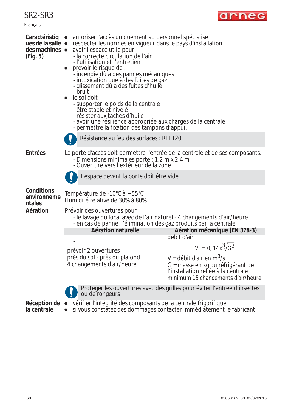| aг<br>10.7 |
|------------|
|------------|



|                                            | Protéger les ouvertures avec des grilles pour éviter l'entrée d'insectes<br>ou de rongeurs<br>Réception de · vérifier l'intégrité des composants de la centrale frigorifique                                                                                                                                                                                                                                                                                                                          |                                                                                                                                                                           |
|--------------------------------------------|-------------------------------------------------------------------------------------------------------------------------------------------------------------------------------------------------------------------------------------------------------------------------------------------------------------------------------------------------------------------------------------------------------------------------------------------------------------------------------------------------------|---------------------------------------------------------------------------------------------------------------------------------------------------------------------------|
|                                            | prévoir 2 ouvertures :<br>près du sol - près du plafond<br>4 changements d'air/heure                                                                                                                                                                                                                                                                                                                                                                                                                  | $V = 0, 14x^3\sqrt{G^2}$<br>V = débit d'air en $m^3$ /s<br>G = masse en kg du réfrigérant de<br>l'installation reliée à la centrale<br>minimum 15 changements d'air/heure |
|                                            |                                                                                                                                                                                                                                                                                                                                                                                                                                                                                                       | débit d'air                                                                                                                                                               |
|                                            | Aération naturelle                                                                                                                                                                                                                                                                                                                                                                                                                                                                                    | Aération mécanique (EN 378-3)                                                                                                                                             |
|                                            | - le lavage du local avec de l'air naturel - 4 changements d'air/heure<br>- en cas de panne, l'élimination des gaz produits par la centrale                                                                                                                                                                                                                                                                                                                                                           |                                                                                                                                                                           |
| Aération                                   | Prévoir des ouvertures pour :                                                                                                                                                                                                                                                                                                                                                                                                                                                                         |                                                                                                                                                                           |
| <b>Conditions</b><br>environneme<br>ntales | Température de -10°C à + 55°C<br>Humidité relative de 30% à 80%                                                                                                                                                                                                                                                                                                                                                                                                                                       |                                                                                                                                                                           |
|                                            | L'espace devant la porte doit être vide                                                                                                                                                                                                                                                                                                                                                                                                                                                               |                                                                                                                                                                           |
| Entrées                                    | La porte d'accès doit permettre l'entrée de la centrale et de ses composants.<br>- Dimensions minimales porte : 1,2 m x 2,4 m<br>- Ouverture vers l'extérieur de la zone                                                                                                                                                                                                                                                                                                                              |                                                                                                                                                                           |
|                                            | Résistance au feu des surfaces : REI 120                                                                                                                                                                                                                                                                                                                                                                                                                                                              |                                                                                                                                                                           |
| des machines •<br>(Fig. 5)                 | avoir l'espace utile pour:<br>- la correcte circulation de l'air<br>- l'utilisation et l'entretien<br>prévoir le risque de :<br>- incendie dû à des pannes mécaniques<br>- intoxication due à des fuites de gaz<br>- glissement dû à des fuites d'huile<br>- bruit<br>le sol doit :<br>- supporter le poids de la centrale<br>-être stable et nivelé<br>- résister aux taches d'huile<br>- avoir une résilience appropriée aux charges de la centrale<br>- permettre la fixation des tampons d'appui. |                                                                                                                                                                           |
| Caractéristiq<br>ues de la salle $\bullet$ | autoriser l'accès uniquement au personnel spécialisé<br>respecter les normes en vigueur dans le pays d'installation                                                                                                                                                                                                                                                                                                                                                                                   |                                                                                                                                                                           |

**la centrale**

• si vous constatez des dommages contacter immédiatement le fabricant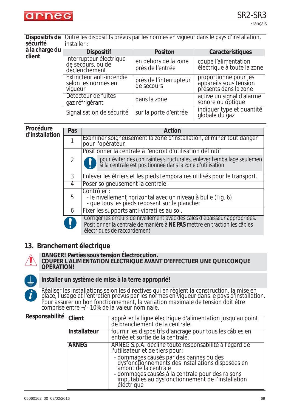

**Dispositifs de**  Outre les dispositifs prévus par les normes en vigueur dans le pays d'installation, **sécurité** installer :

| à la charge du<br>client | <b>Dispositif</b>                                             | <b>Positon</b>                           | Caractéristiques                                                         |
|--------------------------|---------------------------------------------------------------|------------------------------------------|--------------------------------------------------------------------------|
|                          | Interrupteur électrique<br>de secours, ou de<br>déclenchement | en dehors de la zone<br>près de l'entrée | coupe l'alimentation<br>électrique à toute la zone                       |
|                          | Extincteur anti-incendie<br>selon les normes en<br>viqueur    | près de l'interrupteur<br>de secours     | proportionné pour les<br>appareils sous tension<br>présents dans la zone |
|                          | Détecteur de fuites<br>gaz réfrigérant                        | dans la zone                             | active un signal d'alarme<br>sonore ou optique                           |
|                          | Signalisation de sécurité                                     | sur la porte d'entrée                    | indiquer type et quantité<br>globale du gaz                              |

#### **Procédure d'installation**

| Pas | Action                                                                                                                                                                                  |  |
|-----|-----------------------------------------------------------------------------------------------------------------------------------------------------------------------------------------|--|
|     | Examiner soigneusement la zone d'installation, éliminer tout danger<br>pour l'opérateur.                                                                                                |  |
|     | Positionner la centrale à l'endroit d'utilisation définitif                                                                                                                             |  |
| 2   | pour éviter des contraintes structurales, enlever l'emballage seulemen<br>si la centrale est positionnée dans la zone d'utilisation                                                     |  |
| 3   | Enlever les étriers et les pieds temporaires utilisés pour le transport.                                                                                                                |  |
| 4   | Poser soigneusement la centrale.                                                                                                                                                        |  |
| 5   | Contrôler:<br>- le nivellement horizontal avec un niveau à bulle (Fig. 6)<br>- que tous les pieds reposent sur le plancher                                                              |  |
| 6   | Fixer les supports anti-vibratiles au sol.                                                                                                                                              |  |
|     | Corriger les erreurs de nivellement avec des cales d'épaisseur appropriées.<br>Positionner la centrale de manière à NE PAS mettre en traction les câbles<br>électriques de raccordement |  |

#### **13. Branchement électrique**



#### **DANGER! Parties sous tension Électrocution.**

**COUPER L'ALIMENTATION ÉLECTRIQUE AVANT D'EFFECTUER UNE QUELCONQUE OPÉRATION!**



#### **Installer un système de mise à la terre approprié!**

*Réaliser les installations selon les directives qui en règlent la construction, la mise en place, l'usage et l'entretien prévus par les normes en vigueur dans le pays d'installation. Pour assurer un bon fonctionnement, la variation maximale de tension doit être comprise entre +/- 10% de la valeur nominale.* 

| Responsabilité Client |              | apprêter la ligne électrique d'alimentation jusqu'au point<br>de branchement de la centrale.                                                                                                                                                                                                                                             |
|-----------------------|--------------|------------------------------------------------------------------------------------------------------------------------------------------------------------------------------------------------------------------------------------------------------------------------------------------------------------------------------------------|
|                       | Installateur | fournir les dispositifs d'ancrage pour tous les câbles en<br>entrée et sortie de la centrale.                                                                                                                                                                                                                                            |
|                       | <b>ARNEG</b> | ARNEG S.p.A. décline toute responsabilité à l'égard de<br>l'utilisateur et de tiers pour:<br>- dommages causés par des pannes ou des<br>dysfonctionnements des installations disposées en<br>amont de la centrale<br>- dommages causés à la centrale pour des raisons<br>imputables au dysfonctionnement de l'installation<br>électrique |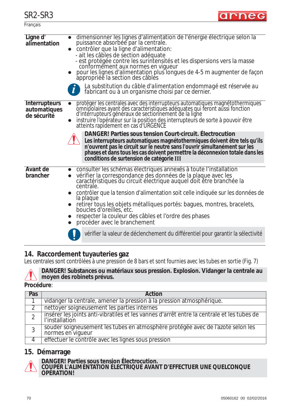**Francais** 

# arneg

| Ligne d'<br>alimentation                            | dimensionner les lignes d'alimentation de l'énergie électrique selon la<br>puissance absorbée par la centrale.<br>contrôler que la ligne d'alimentation:<br>- ait les câbles de section adéquate<br>- est protégée contre les surintensités et les dispersions vers la masse<br>conformément aux normes en vigueur<br>pour les lignes d'alimentation plus longues de 4-5 m augmenter de façon<br>appropriée la section des câbles<br>La substitution du câble d'alimentation endommagé est réservée au<br>fabricant ou à un organisme choisi par ce dernier.                                                                                                                                         |
|-----------------------------------------------------|------------------------------------------------------------------------------------------------------------------------------------------------------------------------------------------------------------------------------------------------------------------------------------------------------------------------------------------------------------------------------------------------------------------------------------------------------------------------------------------------------------------------------------------------------------------------------------------------------------------------------------------------------------------------------------------------------|
| <b>Interrupteurs</b><br>automatiques<br>de sécurité | protéger les centrales avec des interrupteurs automatiques magnétothermiques<br>omnipolaires ayant des caractéristiques adéquates qui feront aŭssi fonction<br>d'interrupteurs généraux de sectionnement de la ligne<br>instruire l'opérateur sur la position des interrupteurs de sorte à pouvoir être<br>atteints rapidement en cas d'URGENCE<br>DANGER! Parties sous tension Court-circuit. Electrocution<br>Les interrupteurs automatiques magnétothermiques doivent être tels qu'ils<br>n'ouvrent pas le circuit sur le neutre sans l'ouvrir simultanément sur les<br>phases et dans tous les cas doivent permettre la déconnexion totale dans les<br>conditions de surtension de catégorie III |
| Avant de<br>brancher                                | consulter les schémas électriques annexés à toute l'installation<br>vérifier la correspondance des données de la plaque avec les<br>caractéristiques du circuit électrique auquel doit être branchée la<br>centrale.<br>contrôler que la tension d'alimentation soit celle indiquée sur les données de<br>la plaque<br>retirer tous les objets métalliques portés: bagues, montres, bracelets, boucles d'oreilles, etc.<br>respecter la couleur des câbles et l'ordre des phases<br>procéder avec le branchement                                                                                                                                                                                     |
|                                                     | vérifier la valeur de déclenchement du différentiel pour garantir la sélectivité                                                                                                                                                                                                                                                                                                                                                                                                                                                                                                                                                                                                                     |

## **14. Raccordement tuyauteries gaz**

Les centrales sont contrôlées à une pression de 8 bars et sont fournies avec les tubes en sortie (Fig. 7)



**DANGER! Substances ou matériaux sous pression. Explosion. Vidanger la centrale au moyen des robinets prévus.**

#### **Procédure**:

| Pas | Action                                                                                                       |
|-----|--------------------------------------------------------------------------------------------------------------|
|     | vidanger la centrale, amener la pression à la pression atmosphérique.                                        |
|     | nettoyer soigneusement les parties internes                                                                  |
|     | insérer les joints anti-vibratiles et les vannes d'arrêt entre la centrale et les tubes de<br>l'installation |
| 3   | souder soigneusement les tubes en atmosphère protégée avec de l'azote selon les<br>normes en vigueur         |
|     | effectuer le contrôle avec les lignes sous pression                                                          |

## **15. Démarrage**



#### **DANGER! Parties sous tension Électrocution.**

**COUPER L'ALIMENTATION ÉLECTRIQUE AVANT D'EFFECTUER UNE QUELCONQUE OPÉRATION!**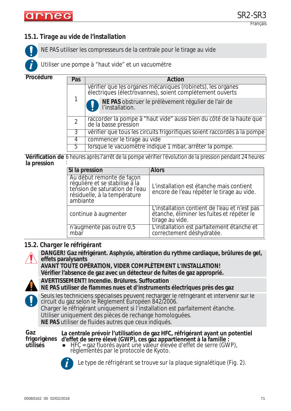## *15.1. Tirage au vide de l'installation*

NE PAS utiliser les compresseurs de la centrale pour le tirage au vide

*Utiliser une pompe à "haut vide" et un vacuomètre*

**Procédure**

**i**

| Pas            | Action                                                                                                                  |  |
|----------------|-------------------------------------------------------------------------------------------------------------------------|--|
|                | vérifier que les organes mécaniques (robinets), les organes<br>électriques (électrovannes), soient complètement ouverts |  |
|                | NE PAS obstruer le prélèvement régulier de l'air de<br>l'installation.                                                  |  |
| $\overline{2}$ | raccorder la pompe à "haut vide" aussi bien du côté de la haute que<br>de la basse pression                             |  |
| 3              | vérifier que tous les circuits frigorifiques soient raccordés à la pompe                                                |  |
| 4              | commencer le tirage au vide                                                                                             |  |
| 5              | lorsque le vacuomètre indique 1 mbar, arrêter la pompe.                                                                 |  |

**Vérification de**  6 heures après l'arrêt de la pompe vérifier l'évolution de la pression pendant 24 heures **la pression** :

| Si la pression                                                                                                                            | <b>Alors</b>                                                                                                   |
|-------------------------------------------------------------------------------------------------------------------------------------------|----------------------------------------------------------------------------------------------------------------|
| Au début remonte de façon<br>régulière et se stabilise à la<br>tension de saturation de l'eau<br>résiduelle, à la température<br>ambiante | L'installation est étanche mais contient<br>encore de l'eau répéter le tirage au vide.                         |
| continue à augmenter                                                                                                                      | L'installation contient de l'eau et n'est pas<br>étanche, éliminer les fuites et répéter le<br>tirage au vide. |
| n'augmente pas outre 0,5<br>mbar                                                                                                          | L'installation est parfaitement étanche et<br>correctement déshydratée.                                        |

#### *15.2. Charger le réfrigérant*

**DANGER! Gaz réfrigérant. Asphyxie, altération du rythme cardiaque, brûlures de gel, effets paralysants AVANT TOUTE OPÉRATION, VIDER COMPLÈTEMENT L'INSTALLATION! Vérifier l'absence de gaz avec un détecteur de fuites de gaz approprié. AVERTISSEMENT! Incendie. Brûlures. Suffocation NE PAS utiliser de flammes nues et d'instruments électriques près des gaz** Seuls les techniciens spécialisés peuvent recharger le réfrigérant et intervenir sur le circuit du gaz selon le *Règlement Européen 842/2006.* Charger le réfrigérant uniquement si l'installation est parfaitement étanche. Utiliser uniquement des pièces de rechange homologuées. **NE PAS** utiliser de fluides autres que ceux indiqués. **Gaz frigorigènes utilisés La centrale prévoir l'utilisation de gaz HFC, réfrigérant ayant un potentiel d'effet de serre élevé (GWP), ces gaz appartiennent à la famille :**  $\bullet$  HFC = gaz fluorés ayant une valeur élevée d'effet de serre (GWP), règlementés par le protocole de Kyoto. *Le type de réfrigérant se trouve sur la plaque signalétique (Fig. 2).* **i**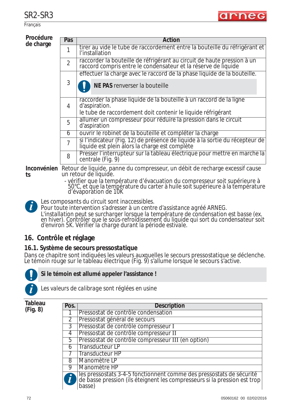Français

#### **Procédure**  de cha

| uure | Pas            | Action                                                                                                                                               |
|------|----------------|------------------------------------------------------------------------------------------------------------------------------------------------------|
| arge |                | tirer au vide le tube de raccordement entre la bouteille du réfrigérant et<br>l'installation                                                         |
|      | $\overline{2}$ | raccorder la bouteille de réfrigérant au circuit de haute pression à un<br>raccord compris entre le condensateur et la réserve de liquide            |
|      |                | effectuer la charge avec le raccord de la phase liquide de la bouteille.                                                                             |
|      | 3              | NE PAS renverser la bouteille                                                                                                                        |
|      | 4              | raccorder la phase liquide de la bouteille à un raccord de la ligne<br>d'aspiration.<br>le tube de raccordement doit contenir le liquide réfrigérant |
|      | 5              | allumer un compresseur pour réduire la pression dans le circuit<br>d'aspiration                                                                      |
|      | 6              | ouvrir le robinet de la bouteille et compléter la charge                                                                                             |
|      | $\overline{7}$ | si l'indicateur (Fig. 12) de présence de liquide à la sortie du récepteur de<br>liquide est plein alors la charge est complète                       |
|      | 8              | Presser l'interrupteur sur la tableau électrique pour mettre en marche la<br>centrale (Fig. 9)                                                       |
|      |                |                                                                                                                                                      |

**Inconvénien** Retour de liquide, panne du compresseur, un débit de recharge excessif cause **ts** un retour de liquide.

- vérifier que la température d'évacuation du compresseur soit supérieure à 50°C, et que la température du carter à huile soit supérieure à la température d'évaporation de 10K

*Les composants du circuit sont inaccessibles.* **i**

Pour toute intervention s'adresser à un centre d'assistance agréé ARNEG. *L'installation peut se surcharger lorsque la température de condensation est basse (ex. en hiver). Contrôler que le sous-refroidissement du liquide qui sort du condensateur soit d'environ 5K. Vérifier la charge durant la période estivale.*

### **16. Contrôle et réglage**

### *16.1. Système de secours pressostatique*

Dans ce chapitre sont indiquées les valeurs auxquelles le secours pressostatique se déclenche. Le témoin rouge sur le tableau électrique (Fig. 9) s'allume lorsque le secours s'active.



### **Si le témoin est allumé appeler l'assistance !**

*Les valeurs de calibrage sont réglées en usine*

**Tableau (Fig. 8)**

| Pos.           | <b>Description</b>                                                                                                                                          |
|----------------|-------------------------------------------------------------------------------------------------------------------------------------------------------------|
|                | Pressostat de contrôle condensation                                                                                                                         |
| $\overline{2}$ | Pressostat général de secours                                                                                                                               |
| $\overline{3}$ | Pressostat de contrôle compresseur I                                                                                                                        |
| $\overline{4}$ | Pressostat de contrôle compresseur II                                                                                                                       |
| 5              | Pressostat de contrôle compresseur III (en option)                                                                                                          |
| 6              | Transducteur LP                                                                                                                                             |
|                | <b>Transducteur HP</b>                                                                                                                                      |
| 8              | Manomètre LP                                                                                                                                                |
| 9              | Manomètre HP                                                                                                                                                |
|                | les pressostats 3-4-5 fonctionnent comme des pressostats de sécurité<br>de basse pression (ils éteignent les compresseurs si la pression est trop<br>basse) |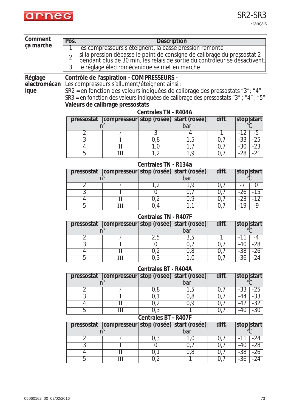

| Comment<br>Pos.<br><b>Description</b><br>ça marche<br>les compresseurs s'éteignent, la basse pression remonte |                |                                                                                                              |                                                                                                                                                        |                             |            |            |                |                |
|---------------------------------------------------------------------------------------------------------------|----------------|--------------------------------------------------------------------------------------------------------------|--------------------------------------------------------------------------------------------------------------------------------------------------------|-----------------------------|------------|------------|----------------|----------------|
|                                                                                                               | $\overline{2}$ |                                                                                                              |                                                                                                                                                        |                             |            |            |                |                |
|                                                                                                               |                |                                                                                                              | si la pression dépasse le point de consigne de calibrage du pressostat 2<br>pendant plus de 30 min, les relais de sortie du contrôleur se désactivent. |                             |            |            |                |                |
|                                                                                                               | $\overline{3}$ |                                                                                                              | le réglage électromécanique se met en marche                                                                                                           |                             |            |            |                |                |
| Contrôle de l'aspiration - COMPRESSEURS -<br>Réglage<br>Les compresseurs s'allument/éteignent ainsi :         |                |                                                                                                              |                                                                                                                                                        |                             |            |            |                |                |
| électromécan<br>ique                                                                                          |                |                                                                                                              | SR2 = en fonction des valeurs indiquées de calibrage des pressostats "3"; "4"                                                                          |                             |            |            |                |                |
|                                                                                                               |                |                                                                                                              | SR3 = en fonction des valeurs indiquées de calibrage des pressostats "3" ; "4" ; "5"                                                                   |                             |            |            |                |                |
|                                                                                                               |                |                                                                                                              | Valeurs de calibrage pressostats                                                                                                                       |                             |            |            |                |                |
|                                                                                                               |                |                                                                                                              |                                                                                                                                                        | <b>Centrales TN - R404A</b> |            |            |                |                |
|                                                                                                               |                | diff.<br>compresseur stop (rosée) start (rosée)<br>pressostat<br>stop start<br>$^{\circ}C$<br>n <sup>°</sup> |                                                                                                                                                        |                             |            |            |                |                |
|                                                                                                               |                | $\overline{2}$                                                                                               |                                                                                                                                                        | 3                           | bar<br>4   |            | $-12$          | $-5$           |
|                                                                                                               |                | $\overline{3}$                                                                                               | 1.                                                                                                                                                     | 0,8                         | 1,5        | 0,7        | $-33$          | $-25$          |
|                                                                                                               |                | 4                                                                                                            | $_{\rm II}$                                                                                                                                            | 1,0                         | 1,7        | 0,7        | $-30$          | $-23$          |
|                                                                                                               |                | 5                                                                                                            | Ш                                                                                                                                                      | 1,2                         | 1,9        | 0,7        | $-28$          | $-21$          |
|                                                                                                               |                |                                                                                                              |                                                                                                                                                        | Centrales TN - R134a        |            |            |                |                |
|                                                                                                               |                | pressostat                                                                                                   | compresseur stop (rosée) start (rosée)                                                                                                                 |                             |            | diff.      |                | stop start     |
|                                                                                                               |                | $n^{\circ}$                                                                                                  |                                                                                                                                                        |                             | bar        |            |                | $^{\circ}C$    |
|                                                                                                               |                | $\overline{2}$                                                                                               |                                                                                                                                                        | 1,2                         | 1,9        | 0,7        | -7             | $\overline{0}$ |
|                                                                                                               |                | $\overline{3}$<br>$\overline{4}$                                                                             | $\overline{\rm II}$                                                                                                                                    | $\Omega$<br>0,2             | 0,7<br>0,9 | 0,7<br>0,7 | $-26$<br>$-23$ | $-15$<br>$-12$ |
|                                                                                                               |                | 5                                                                                                            | $\overline{\rm III}$                                                                                                                                   | 0,4                         | 1,1        | 0,7        | $-19$          | $-9$           |
|                                                                                                               |                |                                                                                                              |                                                                                                                                                        | <b>Centrales TN - R407F</b> |            |            |                |                |
|                                                                                                               |                | pressostat                                                                                                   | compresseur stop (rosée) start (rosée)                                                                                                                 |                             |            | diff.      |                | stop start     |
|                                                                                                               |                | $n^{\circ}$                                                                                                  |                                                                                                                                                        |                             | bar        |            |                |                |
|                                                                                                               |                | $\overline{2}$<br>$\overline{3}$                                                                             |                                                                                                                                                        | 2,5<br>$\overline{0}$       | 3,5        | 1<br>0,7   | $-11$<br>$-40$ | $-4$<br>-28    |
|                                                                                                               |                | $\overline{4}$                                                                                               | T.<br>$_{\rm II}$                                                                                                                                      | 0,2                         | 0,7<br>0,8 | 0,7        | $-38$          | $-26$          |
|                                                                                                               |                | 5                                                                                                            | Ш                                                                                                                                                      | 0,3                         | 1,0        | 0,7        | $-36$          | $-24$          |
|                                                                                                               |                |                                                                                                              |                                                                                                                                                        | <b>Centrales BT - R404A</b> |            |            |                |                |
|                                                                                                               |                | pressostat                                                                                                   | compresseur stop (rosée) start (rosée)                                                                                                                 |                             |            | diff.      |                | stop start     |
|                                                                                                               |                |                                                                                                              | $n^{\circ}$                                                                                                                                            |                             | bar        |            |                |                |
|                                                                                                               |                | 2<br>3                                                                                                       |                                                                                                                                                        | 0,8                         | 1,5        | 0,7        | $-33$<br>-44   | $-25$          |
|                                                                                                               |                | $\overline{4}$                                                                                               | $_{\rm II}$                                                                                                                                            | 0,1<br>0,2                  | 0,8<br>0,9 | 0,7<br>0,7 | $-42$          | $-33$<br>$-32$ |
|                                                                                                               |                | 5                                                                                                            | $\overline{\mathbf{III}}$                                                                                                                              | 0,3                         |            | 0,7        | $-40$          | $-30$          |
|                                                                                                               |                |                                                                                                              |                                                                                                                                                        | Centrales BT - R407F        |            |            |                |                |
|                                                                                                               |                | pressostat<br>n <sup>°</sup>                                                                                 | compresseur stop (rosée) start (rosée)                                                                                                                 |                             | bar        | diff.      |                | stop start     |
|                                                                                                               |                | $\overline{2}$                                                                                               |                                                                                                                                                        | 0,3                         | 1,0        | 0,7        | $-11$          | $-24$          |
|                                                                                                               |                | $\overline{3}$                                                                                               |                                                                                                                                                        | $\overline{0}$              | 0,7        | 0,7        | $-40$          | $-28$          |
|                                                                                                               |                | 4                                                                                                            | $\overline{\rm II}$                                                                                                                                    | 0,1                         | 0,8        | 0,7        | $-38$          | $-26$          |
|                                                                                                               |                | 5                                                                                                            | Ш                                                                                                                                                      | 0,2                         |            | 0,7        | $-36$          | $-24$          |
|                                                                                                               |                |                                                                                                              |                                                                                                                                                        |                             |            |            |                |                |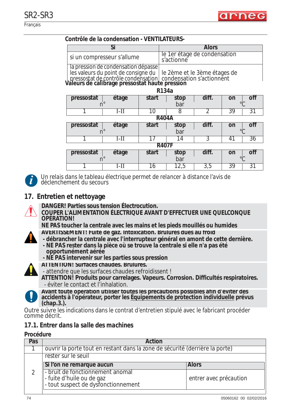

#### **Contrôle de la condensation - VENTILATEURS-**

|                                                                                                                                                                            | Si                         |       |                                            | <b>Alors</b> |                |
|----------------------------------------------------------------------------------------------------------------------------------------------------------------------------|----------------------------|-------|--------------------------------------------|--------------|----------------|
|                                                                                                                                                                            | si un compresseur s'allume |       | le 1er étage de condensation<br>s'actionne |              |                |
| la pression de condensation dépasse<br>les valeurs du point de consigne du<br>pressostat de contrôle condensation<br><b>Valeurs de calibrage pressostat haute pression</b> |                            |       | le 2ème et le 3ème étages de               |              |                |
|                                                                                                                                                                            |                            |       | R <sub>134</sub> a                         |              |                |
| pressostat                                                                                                                                                                 | étage                      | start | stop                                       | diff.        | nti<br>on      |
| n                                                                                                                                                                          |                            |       | bar                                        |              | $\circ$ $\cap$ |
|                                                                                                                                                                            | $I-II$                     | 10    | 8                                          | 2            | 39<br>31       |
|                                                                                                                                                                            | <b>R404A</b>               |       |                                            |              |                |
| pressostat                                                                                                                                                                 | étage                      | start | stop                                       | diff.        | off<br>on      |
|                                                                                                                                                                            |                            |       | bar                                        |              | $\circ$        |
|                                                                                                                                                                            |                            |       | 14                                         | 3            | 36<br>41       |
|                                                                                                                                                                            | <b>R407F</b>               |       |                                            |              |                |
| pressostat                                                                                                                                                                 | étage                      | start | stop                                       | diff.        | on<br>nti      |
|                                                                                                                                                                            |                            |       | bar                                        |              | $\circ$ $\cap$ |
|                                                                                                                                                                            | I – I I                    | 16    | 12,5                                       | 3,5          | 39<br>31       |



*Un relais dans le tableau électrique permet de relancer à distance l'avis de déclenchement du secours*

### **17. Entretien et nettoyage**

- 
- **DANGER! Parties sous tension Électrocution.**
	- **COUPER L'ALIMENTATION ÉLECTRIQUE AVANT D'EFFECTUER UNE QUELCONQUE OPÉRATION!**

**NE PAS toucher la centrale avec les mains et les pieds mouillés ou humides**

- **AVERTISSEMENT! Fuite de gaz. Intoxication. Brûlures dues au froid**
- **débrancher la centrale avec l'interrupteur général en amont de cette dernière. - NE PAS rester dans la pièce où se trouve la centrale si elle n'a pas été**
- **opportunément aérée - NE PAS intervenir sur les parties sous pression**
- **ATTENTION! Surfaces chaudes. Brûlures.** 
	- attendre que les surfaces chaudes refroidissent !

**ATTENTION! Produits pour carrelages. Vapeurs. Corrosion. Difficultés respiratoires.** - éviter le contact et l'inhalation.



**Avant toute opération utiliser toutes les précautions possibles afin d'éviter des accidents à l'opérateur, porter les Équipements de protection individuelle prévus (chap.3.).**

Outre suivre les indications dans le contrat d'entretien stipulé avec le fabricant procéder comme décrit.

### *17.1. Entrer dans la salle des machines*

#### **Procédure**

| Pas | <b>Action</b>                                                                                        |                        |  |  |
|-----|------------------------------------------------------------------------------------------------------|------------------------|--|--|
|     | ouvrir la porte tout en restant dans la zone de sécurité (derrière la porte)                         |                        |  |  |
|     | rester sur le seuil                                                                                  |                        |  |  |
|     | Si l'on ne remarque aucun                                                                            | <b>Alors</b>           |  |  |
|     | - bruit de fonctionnement anomal<br>- fuite d'huile ou de gaz<br>- tout suspect de dysfonctionnement | entrer avec précaution |  |  |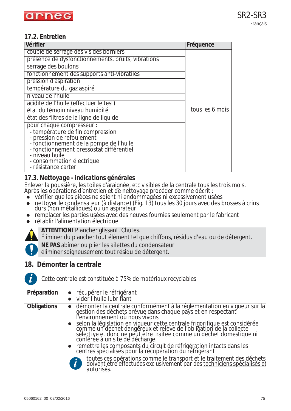### *17.2. Entretien*

| Vérifier                                                   | Fréquence       |
|------------------------------------------------------------|-----------------|
| couple de serrage des vis des borniers                     |                 |
| présence de dysfonctionnements, bruits, vibrations         |                 |
| serrage des boulons                                        |                 |
| fonctionnement des supports anti-vibratiles                |                 |
| pression d'aspiration                                      |                 |
| température du gaz aspiré                                  |                 |
| niveau de l'huile                                          |                 |
| acidité de l'huile (effectuer le test)                     |                 |
| état du témoin niveau humidité                             | tous les 6 mois |
| état des filtres de la ligne de liquide                    |                 |
| pour chaque compresseur :                                  |                 |
| - température de fin compression                           |                 |
| - pression de refoulement                                  |                 |
| - fonctionnement de la pompe de l'huile                    |                 |
| - fonctionnement pressostat différentiel<br>- niveau huile |                 |
| - consommation électrique                                  |                 |
| - résistance carter                                        |                 |
|                                                            |                 |

### *17.3. Nettoyage - indications générales*

Enlever la poussière, les toiles d'araignée, etc visibles de la centrale tous les trois mois. Après les opérations d'entretien et de nettoyage procéder comme décrit :

- $\bullet$  vérifier que les pièces ne soient ni endommagées ni excessivement usées
- nettoyer le condensateur (à distance) (Fig. 13) tous les 30 jours avec des brosses à crins durs (non métalliques) ou un aspirateur
- remplacer les parties usées avec des neuves fournies seulement par le fabricant
- rétablir l'alimentation électrique



**ATTENTION!** Plancher glissant. Chutes.

Éliminer du plancher tout élément tel que chiffons, résidus d'eau ou de détergent.

**NE PAS** abîmer ou plier les ailettes du condensateur

éliminer soigneusement tout résidu de détergent.

### **18. Démonter la centrale**



*Cette centrale est constituée à 75% de matériaux recyclables.*

| Préparation        | • récupérer le réfrigérant<br>vider l'huile lubrifiant                                                                                                                                                                                 |
|--------------------|----------------------------------------------------------------------------------------------------------------------------------------------------------------------------------------------------------------------------------------|
| <b>Obligations</b> | · démonter la centrale conformément à la réglementation en vigueur sur la<br>gestion des déchets prévue dans chaque pays et en respectant<br>l'environnement où nous vivons                                                            |
|                    | • selon la législation en vigueur cette centrale frigorifique est considérée<br>comme un déchet dangereux et relève de l'obligation de la collecte<br>sélective et donc ne peut être traitée comme un déchet domestique ni<br>conférée |
|                    | • remettre les composants du circuit de réfrigération intacts dans les<br>centres spécialisés pour la récupération du réfrigérant                                                                                                      |
|                    | toutes ces opérations comme le transport et le traitement des déchets<br>doivent être effectuées exclusivement par des techniciens spécialisés et<br>autorisés.                                                                        |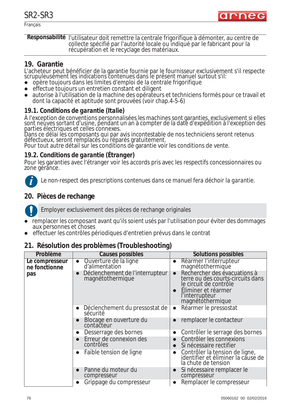Français



**Responsabilité** l'utilisateur doit remettre la centrale frigorifique à démonter, au centre de collecte spécifié par l'autorité locale ou indiqué par le fabricant pour la récupération et le recyclage des matériaux.

### **19. Garantie**

L'acheteur peut bénéficier de la garantie fournie par le fournisseur exclusivement s'il respecte scrupuleusement les indications contenues dans le présent manuel surtout s'il:

- zopère toujours dans les limites d'emploi de la centrale frigorifique
- zeffectue toujours un entretien constant et diligent
- autorise à l'utilisation de la machine des opérateurs et techniciens formés pour ce travail et dont la capacité et aptitude sont prouvées (voir chap.4-5-6)

### *19.1. Conditions de garantie (Italie)*

À l'exception de conventions personnalisées les machines sont garanties, exclusivement si elles sont neuves sortant d'usine, pendant un an à compter de la date d'expédition à l'exception des parties électriques et celles connexes.

Dans ce délai les composants qui par avis incontestable de nos techniciens seront retenus défectueux, seront remplacés ou réparés gratuitement.

Pour tout autre détail sur les conditions de garantie voir les conditions de vente.

### *19.2. Conditions de garantie (Étranger)*

Pour les garanties avec l'étranger voir les accords pris avec les respectifs concessionnaires ou zone gérance.



*Le non-respect des prescriptions contenues dans ce manuel fera déchoir la garantie.*

### **20. Pièces de rechange**



Employer exclusivement des pièces de rechange originales

- zremplacer les composant avant qu'ils soient usés par l'utilisation pour éviter des dommages aux personnes et choses
- zeffectuer les contrôles périodiques d'entretien prévus dans le contrat

### **21. Résolution des problèmes (Troubleshooting)**

| Problème                        | <b>Causes possibles</b>                                          | <b>Solutions possibles</b>                                                                                                                                            |
|---------------------------------|------------------------------------------------------------------|-----------------------------------------------------------------------------------------------------------------------------------------------------------------------|
| Le compresseur<br>ne fonctionne | Ouverture de la ligne<br>d'alimentation<br>$\bullet$             | Réarmer l'interrupteur<br>magnétothermique<br>$\bullet$                                                                                                               |
| pas                             | Déclenchement de l'interrupteur<br>magnétothermique<br>$\bullet$ | Rechercher des évacuations à<br>$\bullet$<br>terre ou des courts-circuits dans<br>le circuit de contrôle<br>Eliminer et réarmer<br>l'interrupteur<br>magnétothermique |
|                                 | Déclenchement du pressostat de<br>$\bullet$<br>sécurité          | Réarmer le pressostat<br>$\bullet$                                                                                                                                    |
|                                 | Blocage en ouverture du<br>$\bullet$<br>contacteur               | remplacer le contacteur                                                                                                                                               |
|                                 | Desserrage des bornes<br>$\bullet$                               | Contrôler le serrage des bornes                                                                                                                                       |
|                                 | Erreur de connexion des<br>$\bullet$<br>contrôles                | Contrôler les connexions<br>Si nécessaire rectifier                                                                                                                   |
|                                 | Faible tension de ligne<br>$\bullet$                             | Contrôler la tension de ligne,<br>identifier et éliminer la cause de<br>la chute de tension                                                                           |
|                                 | Panne du moteur du<br>$\bullet$<br>compresseur                   | Si nécessaire remplacer le<br>compresseur                                                                                                                             |
|                                 | Grippage du compresseur<br>$\bullet$                             | Remplacer le compresseur<br>$\bullet$                                                                                                                                 |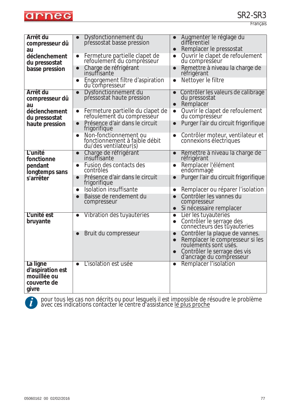

Français

| Arrêt du<br>compresseur dû<br>au<br>déclenchement<br>du pressostat<br>basse pression | Dysfonctionnement du<br>$\bullet$<br>pressostat basse pression<br>Fermeture partielle clapet de<br>$\bullet$<br>refoulement du compresseur<br>Charge de réfrigérant<br>insuffisante<br>$\bullet$<br>Engorgement filtre d'aspiration<br>$\bullet$<br>du compresseur                                           | Augmenter le réglage du<br>différentiel<br>Remplacer le pressostat<br>$\bullet$<br>Quvrir le clapet de refoulement<br>$\bullet$<br>du compresseur<br>Remettre à niveau la charge de<br>$\bullet$<br>réfrigérant<br>Nettoyer le filtre<br>$\bullet$                                                  |
|--------------------------------------------------------------------------------------|--------------------------------------------------------------------------------------------------------------------------------------------------------------------------------------------------------------------------------------------------------------------------------------------------------------|-----------------------------------------------------------------------------------------------------------------------------------------------------------------------------------------------------------------------------------------------------------------------------------------------------|
| Arrêt du<br>compresseur dû<br>au<br>déclenchement<br>du pressostat<br>haute pression | Dysfonctionnement du<br>$\bullet$<br>pressostat haute pression<br>Fermeture partielle du clapet de<br>$\bullet$<br>refoulement du compresseur<br>Présence d'air dans le circuit<br>$\bullet$<br>frigorifique<br>Non-fonctionnement ou<br>$\bullet$<br>fonctionnement à faible débit<br>du/des ventilateur(s) | Contrôler les valeurs de calibrage<br>$\bullet$<br>du pressostat<br>Remplacer<br>$\bullet$<br>Quvrir le clapet de refoulement<br>$\bullet$<br>du compresseur<br>Purger l'air du circuit frigorifique<br>$\bullet$<br>Contrôler moteur, ventilateur et<br>$\bullet$<br>connexions électriques        |
| L'unité<br>fonctionne<br>pendant<br>longtemps sans<br>s'arrêter                      | Charge de réfrigérant<br>insuffisante<br>$\bullet$<br>Fusion des contacts des<br>$\bullet$<br>contrôles<br>Présence d'air dans le circuit<br>$\bullet$<br>frigorifique<br>Isolation insuffisante<br>$\bullet$<br>Baisse de rendement du<br>$\bullet$<br>compresseur                                          | Remettre à niveau la charge de<br>$\bullet$<br>réfrigérant<br>Remplacer l'élément<br>$\bullet$<br>endommagé<br>Purger l'air du circuit frigorifique<br>$\bullet$<br>Remplacer ou réparer l'isolation<br>$\bullet$<br>Contrôler les vannes du<br>compresseur<br>Si nécessaire remplacer<br>$\bullet$ |
| L'unité est<br>bruyante                                                              | Vibration des tuyauteries<br>$\bullet$<br>Bruit du compresseur<br>$\bullet$                                                                                                                                                                                                                                  | Lier les tuyauteries<br>$\bullet$<br>Contrôler le serrage des<br>$\bullet$<br>connecteurs des tuyauteries<br>Contrôler la plaque de vannes.<br>$\bullet$<br>Remplacer le compresseur si les<br>roulements sont usés.<br>Contrôler le serrage des vis<br>d'ancrage du compresseur                    |
| La ligne<br>d'aspiration est<br>mouillée ou<br>couverte de<br>givre                  | L'isolation est usée<br>$\bullet$                                                                                                                                                                                                                                                                            | Remplacer l'isolation<br>$\bullet$                                                                                                                                                                                                                                                                  |



*pour tous les cas non décrits ou pour lesquels il est impossible de résoudre le problème* **i** *avec ces indications contacter le centre d'assistance le plus proche*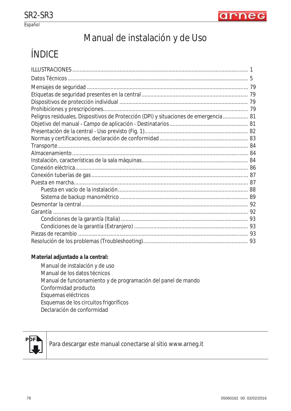

# Manual de instalación y de Uso

# ÍNDICE

| Peligros residuales, Dispositivos de Protección (DPI) y situaciones de emergencia  81 |  |
|---------------------------------------------------------------------------------------|--|
|                                                                                       |  |
|                                                                                       |  |
|                                                                                       |  |
|                                                                                       |  |
|                                                                                       |  |
|                                                                                       |  |
|                                                                                       |  |
|                                                                                       |  |
|                                                                                       |  |
|                                                                                       |  |
|                                                                                       |  |
|                                                                                       |  |
|                                                                                       |  |
|                                                                                       |  |
|                                                                                       |  |
|                                                                                       |  |
|                                                                                       |  |

#### **Material adjuntado a la central:**

Manual de instalación y de uso Manual de los datos técnicos Manual de funcionamiento y de programación del panel de mando Conformidad producto Esquemas eléctricos Esquemas de los circuitos frigoríficos Declaración de conformidad



Para descargar este manual conectarse al sitio www.arneg.it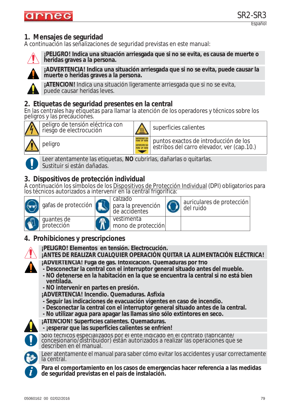## **1. Mensajes de seguridad**

A continuación las señalizaciones de seguridad previstas en este manual:



**¡PELIGRO! Indica una situación arriesgada que si no se evita, es causa de muerte o heridas graves a la persona.**



**¡ADVERTENCIA! Indica una situación arriesgada que si no se evita, puede causar la muerte o heridas graves a la persona.**

**¡ATENCIÓN!** Indica una situación ligeramente arriesgada que si no se evita, puede causar heridas leves.

### **2. Etiquetas de seguridad presentes en la central**

En las centrales hay etiquetas para llamar la atención de los operadores y técnicos sobre los peligros y las precauciones.



peligro de tensión eléctrica con pengro de terisión electrica con superficies calientes

peligro puntos exactos de introducción de los estribos del carro elevador, ver (cap.10.)



Leer atentamente las etiquetas, **NO** cubrirlas, dañarlas o quitarlas. Sustituir si están dañadas.

## **3. Dispositivos de protección individual**

A continuación los símbolos de los Dispositivos de Protección Individual (DPI) obligatorios para los técnicos autorizados a intervenir en la central frigorífica:



## **4. Prohibiciones y prescripciones**



**¡PELIGRO! Elementos en tensión. Electrocución.**

- **¡ANTES DE REALIZAR CUALQUIER OPERACIÓN QUITAR LA ALIMENTACIÓN ELÉCTRICA!**
- **¡ADVERTENCIA! Fuga de gas. Intoxicación. Quemaduras por frío**
- **Desconectar la central con el interruptor general situado antes del mueble.**
- **NO detenerse en la habitación en la que se encuentra la central si no está bien ventilada.**
- **NO intervenir en partes en presión.**
- **¡ADVERTENCIA! Incendio. Quemaduras. Asfixia**
- **Seguir las indicaciones de evacuación vigentes en caso de incendio.**
- **Desconectar la central con el interruptor general situado antes de la central.**
- **No utilizar agua para apagar las llamas sino sólo extintores en seco.**



**¡ATENCIÓN! Superficies calientes. Quemaduras. - ¡esperar que las superficies calientes se enfríen!**





Leer atentamente el manual para saber cómo evitar los accidentes y usar correctamente la central.

**Para el comportamiento en los casos de emergencias hacer referencia a las medidas i de seguridad previstas en el país de instalación.**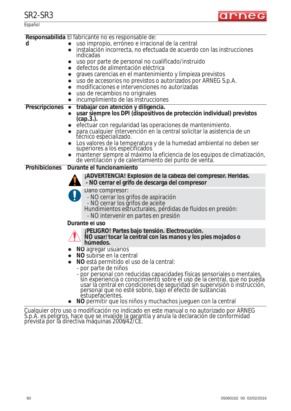

|                       | Responsabilida El fabricante no es responsable de:                                                                                                                                                                                                                                             |
|-----------------------|------------------------------------------------------------------------------------------------------------------------------------------------------------------------------------------------------------------------------------------------------------------------------------------------|
| d                     | uso impropio, erróneo e irracional de la central                                                                                                                                                                                                                                               |
|                       | instalación incorrecta, no efectuada de acuerdo con las instrucciones<br>indicadas                                                                                                                                                                                                             |
|                       | uso por parte de personal no cualificado/instruido                                                                                                                                                                                                                                             |
|                       | defectos de alimentación eléctrica                                                                                                                                                                                                                                                             |
|                       | graves carencias en el mantenimiento y limpieza previstos                                                                                                                                                                                                                                      |
|                       | uso de accesorios no previstos o autorizados por ARNEG S.p.A.<br>$\bullet$                                                                                                                                                                                                                     |
|                       | modificaciones e intervenciones no autorizadas<br>$\bullet$                                                                                                                                                                                                                                    |
|                       | uso de recambios no originales<br>$\bullet$                                                                                                                                                                                                                                                    |
|                       | incumplimiento de las instrucciones<br>$\bullet$                                                                                                                                                                                                                                               |
| <b>Prescripciones</b> | trabajar con atención y diligencia.<br>$\bullet$                                                                                                                                                                                                                                               |
|                       | usar siempre los DPI (dispositivos de protección individual) previstos<br>$(cap.3.)$ .                                                                                                                                                                                                         |
|                       | efectuar con regularidad las operaciones de mantenimiento.                                                                                                                                                                                                                                     |
|                       | para cualquier intervención en la central solicitar la asistencia de un<br>$\bullet$<br>técnico especializado.                                                                                                                                                                                 |
|                       | Los valores de la temperatura y de la humedad ambiental no deben ser<br>superiores a los especificados                                                                                                                                                                                         |
|                       | mantener siempre al máximo la eficiencia de los equipos de climatización, de ventilación y de calentamiento del punto de venta.                                                                                                                                                                |
| <b>Prohibiciones</b>  | Durante el funcionamiento                                                                                                                                                                                                                                                                      |
|                       | ¡ADVERTENCIA! Explosión de la cabeza del compresor. Heridas.                                                                                                                                                                                                                                   |
|                       | - NO cerrar el grifo de descarga del compresor                                                                                                                                                                                                                                                 |
|                       | Daño compresor:                                                                                                                                                                                                                                                                                |
|                       | - NO cerrar los grifos de aspiración                                                                                                                                                                                                                                                           |
|                       | - NO cerrar los grifos de aceite<br>Hundimientos estructurales, pérdidas de fluidos en presión:                                                                                                                                                                                                |
|                       | - NO intervenir en partes en presión                                                                                                                                                                                                                                                           |
|                       | Durante el uso                                                                                                                                                                                                                                                                                 |
|                       |                                                                                                                                                                                                                                                                                                |
|                       | ¡PELIGRO! Partes bajo tensión. Electrocución.<br>NO usar/tocar la central con las manos y los pies mojados o<br>húmedos.                                                                                                                                                                       |
|                       | NO agregar usuarios                                                                                                                                                                                                                                                                            |
|                       | NO subirse en la central                                                                                                                                                                                                                                                                       |
|                       | NO está permitido el uso de la central:                                                                                                                                                                                                                                                        |
|                       | - por parte de niños                                                                                                                                                                                                                                                                           |
|                       | - por personal con reducidas capacidades físicas sensoriales o mentales,<br>sin experiencia o conocimiento sobre el uso de la central, que no pueda<br>usar la central en condiciones de seguridad sin supervisión o instrucción,<br>personal que no esté sobrio, bajo el efecto de sustancias |
|                       | estupefacientes.<br>NO permitir que los niños y muchachos jueguen con la central                                                                                                                                                                                                               |
|                       |                                                                                                                                                                                                                                                                                                |

Cualquier otro uso o modificación no indicado en este manual o no autorizado por ARNEG S.p.A. es peligros, hace que se invalide la garantía y anula la declaración de conformidad prevista por la directiva máquinas 2006/42/CE.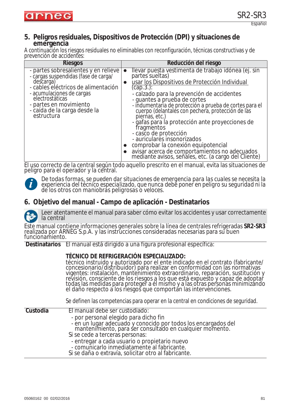

# **5. Peligros residuales, Dispositivos de Protección (DPI) y situaciones de emergencia**

A continuación los riesgos residuales no eliminables con reconfiguración, técnicas constructivas y de prevención de accidentes:

| <b>Riesgos</b>                                                                                                                                                                                                                                           | Reducción del riesgo                                                                                                                                                                                                                                                                                                                                                                                                                                                                                                                                                                                                                                         |
|----------------------------------------------------------------------------------------------------------------------------------------------------------------------------------------------------------------------------------------------------------|--------------------------------------------------------------------------------------------------------------------------------------------------------------------------------------------------------------------------------------------------------------------------------------------------------------------------------------------------------------------------------------------------------------------------------------------------------------------------------------------------------------------------------------------------------------------------------------------------------------------------------------------------------------|
| - partes sobresalientes y en relieve<br>- cargas suspendidas (fase de carga/<br>descarga)<br>- cables eléctricos de alimentación<br>- acumulaciones de cargas<br>electrostáticas<br>- partes en movimiento<br>- caída de la carga desde la<br>estructura | Ilevar puesta vestimenta de trabajo idónea (ej. sin<br>$\bullet$<br>partes' sueltas)<br>usar los Dispositivos de Protección Individual<br>$\bullet$<br>$(cap.3.)$ :<br>- calzado para la prevención de accidentes<br>- guantes a prueba de cortes<br>- indumentaria de protección a prueba de cortes para el<br>cuerpo (delantales con pechera, protección de las<br>piernas, etc.)<br>- gafas para la protección ante proyecciones de<br>fragmentos<br>- casco de protección<br>- auriculares insonorizados<br>comprobar la conexión equipotencial<br>avisar acerca de comportamientos no adecuados<br>mediante avisos, señales, etc. (a cargo del Cliente) |

El uso correcto de la central según todo aquello prescrito en el manual, evita las situaciones de peligro para el operador y la central.



*De todas formas, se pueden dar situaciones de emergencia para las cuales se necesita la experiencia del técnico especializado, que nunca debe poner en peligro su seguridad ni la de los otros con maniobras peligrosas o veloces.*

### **6. Objetivo del manual - Campo de aplicación - Destinatarios**



Leer atentamente el manual para saber cómo evitar los accidentes y usar correctamente la central

Este manual contiene informaciones generales sobre la línea de centrales refrigeradas **SR2-SR3** realizada por ARNEG S.p.A. y las instrucciones consideradas necesarias para su buen funcionamiento.

**Destinatarios** El manual está dirigido a una figura profesional específica:

#### **TÉCNICO DE REFRIGERACIÓN ESPECIALIZADO:**

técnico instruido y autorizado por el ente indicado en el contrato (fabricante/ concesionario/distribuidor) para realizar en conformidad con las normativas vigentes: instalación, mantenimiento extraordinario, reparación, sustitución y revisión, consciente de los riesgos a los que está expuesto y capaz de adoptar todas las medidas para proteger a él mismo y a las otras personas minimizando el daño respecto a los riesgoš que comportán las intervenciones.

Se definen las competencias para operar en la central en condiciones de seguridad.

| Custodia | El manual debe ser custodiado:                                                                                                                                |
|----------|---------------------------------------------------------------------------------------------------------------------------------------------------------------|
|          | - por personal elegido para dicho fin                                                                                                                         |
|          | - en un lugar adecuado y conocido por todos los encargados del<br>mantenimiento, para ser consultado en cualquier momento.<br>Si se cede a terceras personas: |
|          | - entregar a cada usuario o propietario nuevo<br>- comunicarlo inmediatamente al fabricante.<br>Si se daña o extravía, solicitar otro al fabricante.          |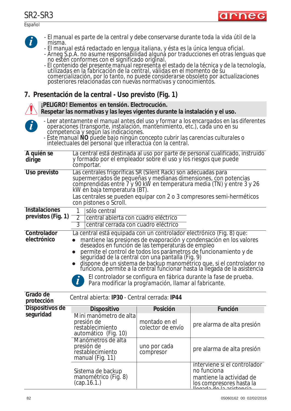Español



arneg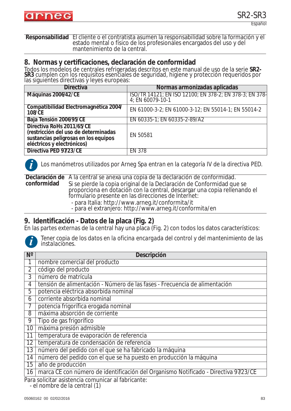

**Responsabilidad** El cliente o el contratista asumen la responsabilidad sobre la formación y el estado mental o físico de los profesionales encargados del uso y del mantenimiento de la central.

#### **8. Normas y certificaciones, declaración de conformidad**

Todos los modelos de centrales refrigeradas descritos en este manual de uso de la serie **SR2- SR3** cumplen con los requisitos esenciales de seguridad, higiene y protección requeridos por<br>las siguientes directivas y leyes europeas:

| <b>Directiva</b>                                                                                                                        | Normas armonizadas aplicadas                                                           |
|-----------------------------------------------------------------------------------------------------------------------------------------|----------------------------------------------------------------------------------------|
| Máquinas 2006/42/CE                                                                                                                     | ISO/TR 14121; EN ISO 12100; EN 378-2; EN 378-3; EN 378-<br>4; EN 60079-10-1            |
| Compatibilidad Electromagnética 2004/<br><b>108/CE</b>                                                                                  | EN 61000-3-2; EN 61000-3-12; EN 55014-1; EN 55014-2                                    |
| Baja Tensión 2006/95/CE                                                                                                                 | EN 60335-1; EN 60335-2-89/A2                                                           |
| Directiva RoHs 2011/65/CE<br>(restricción del uso de determinadas<br>sustancias peligrosas en los equipos<br>eléctricos y electrónicos) | EN 50581                                                                               |
| Directiva PED 97/23/CE                                                                                                                  | <b>EN 378</b>                                                                          |
|                                                                                                                                         | Los manómetros utilizados por Arneg Spa entran en la categoría IV de la directiva PED. |

**Declaración de**  A la central se anexa una copia de la declaración de conformidad. **conformidad** Si se pierde la copia original de la Declaración de Conformidad que se proporciona en dotación con la central, descargar una copia rellenando el formulario presente en las direcciones de Internet:

- para Italia: http://www.arneg.it/conformita/it

- para el extranjero: http://www.arneg.it/conformita/en

### **9. Identificación - Datos de la placa (Fig. 2)**

En las partes externas de la central hay una placa (Fig. 2) con todos los datos característicos:



*Tener copia de los datos en la oficina encargada del control y del mantenimiento de las instalaciones.*

| $N^{\circ}$    | Descripción                                                                         |
|----------------|-------------------------------------------------------------------------------------|
|                | nombre comercial del producto                                                       |
| $\overline{2}$ | código del producto                                                                 |
| 3              | número de matrícula                                                                 |
| 4              | tensión de alimentación - Número de las fases - Frecuencia de alimentación          |
| 5              | potencia eléctrica absorbida nominal                                                |
| 6              | corriente absorbida nominal                                                         |
| $\overline{7}$ | potencia frigorífica erogada nominal                                                |
| 8              | máxima absorción de corriente                                                       |
| 9              | Tipo de gas frigorífico                                                             |
| 10             | máxima presión admisible                                                            |
| 11             | temperatura de evaporación de referencia                                            |
| 12             | temperatura de condensación de referencia                                           |
| 13             | número del pedido con el que se ha fabricado la máquina                             |
| 14             | número del pedido con el que se ha puesto en producción la máquina                  |
| 15             | año de producción                                                                   |
| 16             | marca CE con número de identificación del Organismo Notificado - Directiva 97/23/CE |
|                | Dara collector colotangle comunicar el febricante:                                  |

Para solicitar asistencia comunicar al fabricante:

*- el nombre de la central (1)*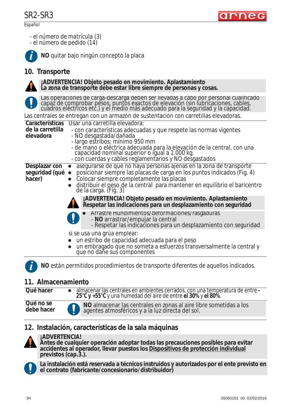





**NO** quitar bajo ningún concepto la placa

### **10. Transporte**



#### **¡ADVERTENCIA! Objeto pesado en movimiento. Aplastamiento La zona de transporte debe estar libre siempre de personas y cosas.**

Las operaciones de carga-descarga deben ser llevadas a cabo por personal cualificado capaz de comprobar pesos, puntos exactos de elevación (sin lubricaciones, cables, cuadros eléctricos etc.) y el medio más adecuado para la seguridad y la capacidad.

Las centrales se entregan con un armazón de sustentación con carretillas elevadoras.

| Características                   | Usar una carretilla elevadora:                                                                                                                                                      |
|-----------------------------------|-------------------------------------------------------------------------------------------------------------------------------------------------------------------------------------|
| de la carretilla                  | - con características adecuadas y que respete las normas vigentes                                                                                                                   |
| elevadora                         | - NO desgastada/dañada<br>- largo estribos: mínimo 950 mm                                                                                                                           |
|                                   |                                                                                                                                                                                     |
|                                   | - de mano o eléctrica adecuada para la elevación de la central, con una<br>capacidad nominal superior o igual a 1.000 kg.<br>- con cuerdas y cables reglamentarios y NO desgastados |
|                                   |                                                                                                                                                                                     |
| Desplazar con<br>seguridad (qué · | asegurarse de que no haya personas ajenas en la zona de transporte<br>posicionar siempre las placas de carga en los puntos indicados (Fig. 4)                                       |
| hacer)                            | Colocar siempre completamente las placas                                                                                                                                            |
|                                   | distribuir el peso de la central para mantener en equilibrio el baricentro de la carga. (Fig. 3)                                                                                    |
|                                   | ¡ADVERTENCIA! Objeto pesado en movimiento. Aplastamiento<br>Respetar las indicaciones para un desplazamiento con seguridad                                                          |
|                                   | • Arrastre Hundimientos/deformaciones/rasgaduras                                                                                                                                    |
|                                   | - NO arrastrar/empujar la central<br>- Respetar las indicaciones para un desplazamiento con seguridad                                                                               |
|                                   | si se usa una grúa emplear:                                                                                                                                                         |
|                                   | un estribo de capacidad adecuada para el peso                                                                                                                                       |
|                                   | un embragado que no someta a esfuerzos transversalmente la central y<br>que no dañe sus componentes                                                                                 |
|                                   | NO están permitidos procedimientos de transporte diferentes de aquellos indicados.                                                                                                  |
|                                   |                                                                                                                                                                                     |

### **11. Almacenamiento**

| Qué hacer               | • almacenar las centrales en ambientes cerrados, con una temperatura de entre -<br>25°C y +55°C y una humedad del aire de entre el 30% y el 80%. |
|-------------------------|--------------------------------------------------------------------------------------------------------------------------------------------------|
| Qué no se<br>debe hacer | NO almacenar las centrales en zonas al aire libre sometidas a los<br>agentes atmosféricos y a la luz directa del sol.                            |

### **12. Instalación, características de la sala máquinas**



### **¡ADVERTENCIA!**

**Antes de cualquier operación adoptar todas las precauciones posibles para evitar accidentes al operador, llevar puestos los Dispositivos de protección individual previstos (cap.3.).**



**La instalación está reservada a técnicos instruidos y autorizados por el ente previsto en el contrato (fabricante/concesionario/distribuidor)**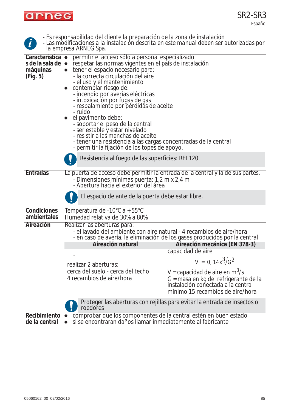

| $\left  \mathbf{j} \right $                                   | la empresa ARNEG Spa.                                                                                                                                                                                                                                                                                                                                                                                                                                                                                                                                                                                                           | - Es responsabilidad del cliente la preparación de la zona de instalación<br>- Las modificaciones a la instalación descrita en este manual deben ser autorizadas por |
|---------------------------------------------------------------|---------------------------------------------------------------------------------------------------------------------------------------------------------------------------------------------------------------------------------------------------------------------------------------------------------------------------------------------------------------------------------------------------------------------------------------------------------------------------------------------------------------------------------------------------------------------------------------------------------------------------------|----------------------------------------------------------------------------------------------------------------------------------------------------------------------|
| Característica ·<br>s de la sala de ·<br>máquinas<br>(Fig. 5) | permitir el acceso sólo a personal especializado<br>respetar las normas vigentes en el país de instalación<br>tener el espacio necesario para:<br>- la correcta circulación del aire<br>- el uso y el mantenimiento<br>contemplar riesgo de:<br>- incendio por averías eléctricas<br>- intoxicación por fugas de gas<br>- resbalamiento por pérdidas de aceite<br>- ruido<br>el pavimento debe:<br>- soportar el peso de la central<br>- ser estable y estar nivelado<br>- resistir a las manchas de aceite<br>- tener una resistencia a las cargas concentradas de la central<br>- permitir la fijación de los topes de apoyo. |                                                                                                                                                                      |
|                                                               | Resistencia al fuego de las superficies: REI 120                                                                                                                                                                                                                                                                                                                                                                                                                                                                                                                                                                                |                                                                                                                                                                      |
| <b>Entradas</b>                                               | La puerta de acceso debe permitir la entrada de la central y la de sus partes.<br>- Dimensiones mínimas puerta: 1,2 m x 2,4 m<br>- Abertura hacia el exterior del área                                                                                                                                                                                                                                                                                                                                                                                                                                                          |                                                                                                                                                                      |
|                                                               | El espacio delante de la puerta debe estar libre.                                                                                                                                                                                                                                                                                                                                                                                                                                                                                                                                                                               |                                                                                                                                                                      |
| Condiciones<br>ambientales                                    | Temperatura de -10°C a + 55°C<br>Humedad relativa de 30% a 80%                                                                                                                                                                                                                                                                                                                                                                                                                                                                                                                                                                  |                                                                                                                                                                      |
| Aireación                                                     | Realizar las aberturas para:<br>- el lavado del ambiente con aire natural - 4 recambios de aire/hora<br>Aireación natural                                                                                                                                                                                                                                                                                                                                                                                                                                                                                                       | - en caso de avería, la eliminación de los gases producidos por la central<br>Aireación mecánica (EN 378-3)                                                          |
|                                                               |                                                                                                                                                                                                                                                                                                                                                                                                                                                                                                                                                                                                                                 | capacidad de aire                                                                                                                                                    |
|                                                               | realizar 2 aberturas:                                                                                                                                                                                                                                                                                                                                                                                                                                                                                                                                                                                                           | $V = 0$ , $14x^3\sqrt{G^2}$                                                                                                                                          |
|                                                               | cerca del suelo - cerca del techo<br>4 recambios de aire/hora                                                                                                                                                                                                                                                                                                                                                                                                                                                                                                                                                                   | V = capacidad de aire en $m^3$ /s<br>G = masa en kg del refrigerante de la<br>instalación conectada a la central<br>mínimo 15 recambios de aire/hora                 |
|                                                               | roedores                                                                                                                                                                                                                                                                                                                                                                                                                                                                                                                                                                                                                        | Proteger las aberturas con rejillas para evitar la entrada de insectos o                                                                                             |
| Recibimiento •                                                | comprobar que los componentes de la central estén en buen estado                                                                                                                                                                                                                                                                                                                                                                                                                                                                                                                                                                |                                                                                                                                                                      |

**de la central ●** si se encontraran daños llamar inmediatamente al fabricante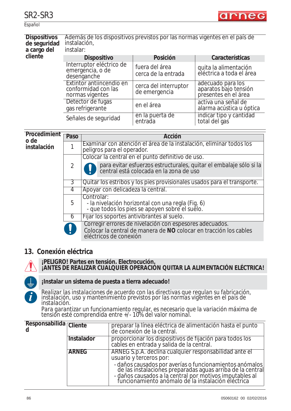



Español

|                                          | Dispositivos Además de los dispositivos previstos por las normas vigentes en el país de |          |                 |
|------------------------------------------|-----------------------------------------------------------------------------------------|----------|-----------------|
| de seguridad instalación,<br>a cargo del | instalar:                                                                               |          |                 |
|                                          |                                                                                         |          |                 |
| cliente                                  | <b>Dispositivo</b>                                                                      | Posición | Características |

| <b>Dispositivo</b>                                                 | Posición                               | Características                                                    |
|--------------------------------------------------------------------|----------------------------------------|--------------------------------------------------------------------|
| Interruptor eléctrico de<br>emergencia, o de<br>desenganche        | fuera del área<br>cerca de la entrada  | quita la alimentación<br>eléctrica a toda el área                  |
| Extintor antiincendio en<br>conformidad con las<br>normas vigentes | cerca del interruptor<br>de emergencia | adecuado para los<br>aparatos bajo tensión<br>presentes en el área |
| Detector de fugas<br>gas refrigerante                              | en el área                             | activa una señal de<br>alarma acústica u óptica                    |
| Señales de seguridad                                               | en la puerta de<br>entrada             | indicar tipo y cantidad<br>total del gas                           |

| Procedimient<br>o de | Paso           | Acción                                                                                                                                                 |  |
|----------------------|----------------|--------------------------------------------------------------------------------------------------------------------------------------------------------|--|
| instalación          |                | Examinar con atención el área de la instalación, eliminar todos los<br>peligros para el operador.                                                      |  |
|                      |                | Colocar la central en el punto definitivo de uso.                                                                                                      |  |
|                      | $\overline{2}$ | para evitar esfuerzos estructurales, quitar el embalaje sólo si la<br>central está colocada en la zona de uso                                          |  |
|                      | 3              | Quitar los estribos y los pies provisionales usados para el transporte.                                                                                |  |
|                      | 4              | Apoyar con delicadeza la central.                                                                                                                      |  |
|                      | 5              | Controlar:<br>- la nivelación horizontal con una regla (Fig. 6)<br>- que todos los pies se apoyen sobre el suelo.                                      |  |
|                      | b              | Fijar los soportes antivibrantes al suelo.                                                                                                             |  |
|                      |                | Corregir errores de nivelación con espesores adecuados.<br>Colocar la central de manera de NO colocar en tracción los cables<br>eléctricos de conexión |  |

### **13. Conexión eléctrica**



#### **¡PELIGRO! Partes en tensión. Electrocución. ¡ANTES DE REALIZAR CUALQUIER OPERACIÓN QUITAR LA ALIMENTACIÓN ELÉCTRICA!**



### **¡Instalar un sistema de puesta a tierra adecuado!**

*Realizar las instalaciones de acuerdo con las directivas que regulan su fabricación, instalación, uso y mantenimiento previstos por las normas vigentes en el país de instalación.*

*Para garantizar un funcionamiento regular, es necesario que la variación máxima de tensión esté comprendida entre +/- 10% del valor nominal.* 

| Responsabilida Cliente<br>d |              | preparar la línea eléctrica de alimentación hasta el punto<br>de conexión de la central.                                                                                                                                               |
|-----------------------------|--------------|----------------------------------------------------------------------------------------------------------------------------------------------------------------------------------------------------------------------------------------|
|                             | Instalador   | proporcionar los dispositivos de fijación para todos los<br>cables en entrada y salida de la central.                                                                                                                                  |
|                             | <b>ARNEG</b> | ARNEG S.p.A. declina cualquier responsabilidad ante el<br>usuario y terceros por:                                                                                                                                                      |
|                             |              | - daños causados por averías o funcionamientos anómalos<br>de las instalaciones preparadas aguas arriba de la central<br>- daños causados a la central por motivos imputables al<br>funcionamiento anómalo de la instalación eléctrica |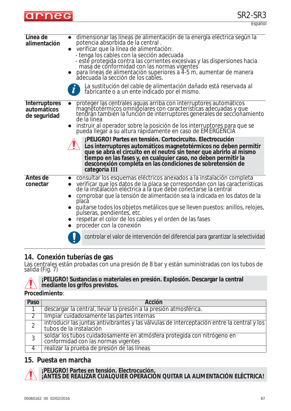

| Línea de<br>alimentación                            | dimensionar las líneas de alimentación de la energía eléctrica según la<br>potencia absorbida de la central.<br>verificar que la línea de alimentación:<br>- tenga los cables con la sección adecuada<br>- esté protegida contra las corrientes excesivas y las dispersiones hacia<br>masa de conformidad con las normas vigentes<br>para líneas de alimentación superiores a 4-5 m, aumentar de manera<br>adecuada la sección de los cables.<br>La sustitución del cable de alimentación dañado está reservada al<br>fabricante o a un ente indicado por el mismo.                                                                                                                                                             |
|-----------------------------------------------------|---------------------------------------------------------------------------------------------------------------------------------------------------------------------------------------------------------------------------------------------------------------------------------------------------------------------------------------------------------------------------------------------------------------------------------------------------------------------------------------------------------------------------------------------------------------------------------------------------------------------------------------------------------------------------------------------------------------------------------|
| <b>Interruptores</b><br>automáticos<br>de seguridad | proteger las centrales aguas arriba con interruptores automáticos<br>magnetotérmicos omnipolares con características adecuadas y que<br>tendrán también la función de interruptores generales de seccionamiento<br>de la línea<br>instruir al operador sobre la posición de los interruptores para que se<br>pueda llegar a su altura rápidamente en caso de EMERGENCIA<br>¡PELIGRO! Partes en tensión. Cortocircuito. Electrocución<br>Los interruptores automáticos magnetotérmicos no deben permitir<br>que se abra el circuito en el neutro sin tener que abrirlo al mismo<br>tiempo en las fases y, en cualquier caso, no deben permitir la<br>desconexión completa en las condiciones de sobretensión de<br>categoría III |
| Antes de<br>conectar                                | consultar los esquemas eléctricos anexados a la instalación completa<br>verificar que los datos de la placa se correspondan con las características<br>de la instalación eléctrica a la que debe conectarse la central<br>comprobar que la tensión de alimentación sea la indicada en los datos de la<br>placa<br>quitarse todos los objetos metálicos que se lleven puestos: anillos, relojes,<br>pulseras, pendientes, etc.<br>respetar el color de los cables y el orden de las fases<br>proceder con la conexión<br>controlar el valor de intervención del diferencial para garantizar la selectividad                                                                                                                      |

### **14. Conexión tuberías de gas**

Las centrales están probadas con una presión de 8 bar y están suministradas con los tubos de salida (Fig. 7)



**¡PELIGRO! Sustancias o materiales en presión. Explosión. Descargar la central mediante los grifos previstos.**

#### **Procedimiento**:

| Paso | Acción                                                                                                                 |
|------|------------------------------------------------------------------------------------------------------------------------|
|      | descargar la central, llevar la presión a la presión atmosférica.                                                      |
|      | limpiar cuidadosamente las partes internas                                                                             |
|      | introducir las juntas antivibrantes y las válvulas de interceptación entre la central y los<br>tubos de la instalación |
| 3    | soldar los tubos cuidadosamente en atmósfera protegida con nitrógeno en<br>conformidad con las normas vigentes         |
|      | realizar la prueba de presión de las líneas                                                                            |

### **15. Puesta en marcha**

**¡PELIGRO! Partes en tensión. Electrocución. ¡ANTES DE REALIZAR CUALQUIER OPERACIÓN QUITAR LA ALIMENTACIÓN ELÉCTRICA!**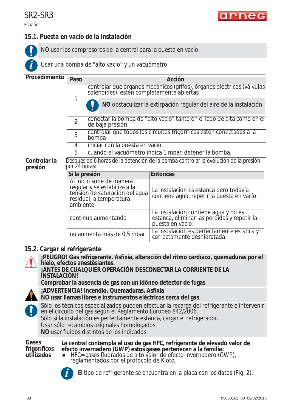**i**

### *15.1. Puesta en vacío de la instalación*

NO usar los compresores de la central para la puesta en vacío.

*Usar una bomba de "alto vacío" y un vacuómetro* 

| Procedimiento           | Paso                                                                                                  | <b>Acción</b>                                                                                                         |                                                                                                         |  |  |
|-------------------------|-------------------------------------------------------------------------------------------------------|-----------------------------------------------------------------------------------------------------------------------|---------------------------------------------------------------------------------------------------------|--|--|
|                         |                                                                                                       |                                                                                                                       |                                                                                                         |  |  |
|                         |                                                                                                       | controlar que órganos mecánicos (grifos), órganos eléctricos (válvulas)<br>solenoides), estén completamente abiertas  |                                                                                                         |  |  |
|                         |                                                                                                       |                                                                                                                       | NO obstaculizar la extirpación regular del aire de la instalación                                       |  |  |
|                         | $\overline{2}$                                                                                        | conectar la bomba de "alto vacío" tanto en el lado de alta como en el<br>de baja presión                              |                                                                                                         |  |  |
|                         | 3                                                                                                     | bomba                                                                                                                 | controlar que todos los circuitos frigoríficos estén conectados a la                                    |  |  |
|                         | 4                                                                                                     | iniciar con la puesta en vacío                                                                                        |                                                                                                         |  |  |
|                         | 5                                                                                                     | cuando el vacuómetro indica 1 mbar, detener la bomba.                                                                 |                                                                                                         |  |  |
| Controlar la<br>presión | Después de 6 horas de la detención de la bomba controlar la evolución de la presión<br>por '24 horas: |                                                                                                                       |                                                                                                         |  |  |
|                         | Si la presión                                                                                         |                                                                                                                       | <b>Entonces</b>                                                                                         |  |  |
|                         | ambiente                                                                                              | Al inicio sube de manera<br>regular y se estabiliza a la<br>tensión de saturación del aqua<br>residual, a temperatura | La instalación es estanca pero todavía<br>contiene agua, repetir la puesta en vacío.                    |  |  |
|                         |                                                                                                       | continua aumentando                                                                                                   | La instalación contiene agua y no es<br>estanca, eliminar las pérdidas y repetir la<br>puesta en vacío. |  |  |
|                         |                                                                                                       | no aumenta más de 0,5 mbar                                                                                            | La instalación es perfectamente estanca y<br>correctamente deshidratada.                                |  |  |

### *15.2. Cargar el refrigerante*

**¡PELIGRO! Gas refrigerante. Asfixia, alteración del ritmo cardíaco, quemaduras por el** 

**hielo, efectos anestesiantes. ¡ANTES DE CUALQUIER OPERACIÓN DESCONECTAR LA CORRIENTE DE LA INSTALACIÓN!**

**Comprobar la ausencia de gas con un idóneo detector de fugas**

**¡ADVERTENCIA! Incendio. Quemaduras. Asfixia**



**NO usar llamas libres e instrumentos eléctricos cerca del gas**

Sólo los técnicos especializados pueden efectuar la recarga del refrigerante e intervenir en el circuito del gas según el *Reglamento Europeo 842/2006.* Sólo si la instalación es perfectamente estanca, cargar el refrigerador.

Usar sólo recambios originales homologados.

**NO** usar fluidos distintos de los indicados.

**Gases frigoríficos utilizados**

#### **La central contempla el uso de gas HFC, refrigerante de elevado valor de efecto invernadero (GWP) estos gases pertenecen a la familia:**

HFC= gases fluorados de alto valor de efecto invernadero (GWP), reglamentados por el protocolo de Kioto.



*El tipo de refrigerante se encuentra en la placa con los datos (Fig. 2).* **i**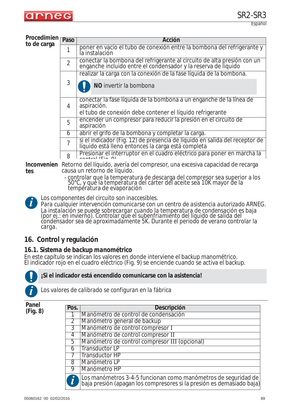

#### **Procedimien to de carga**

| UU.<br>F                                                                                   | Paso           | Acción                                                                                                                                    |  |  |  |
|--------------------------------------------------------------------------------------------|----------------|-------------------------------------------------------------------------------------------------------------------------------------------|--|--|--|
|                                                                                            |                | poner en vacío el tubo de conexión entre la bombona del refrigerante y<br>la instalación                                                  |  |  |  |
|                                                                                            | $\mathfrak{D}$ | conectar la bombona del refrigerante al circuito de alta presión con un<br>enganche incluido entre el condensador y la reserva de líquido |  |  |  |
|                                                                                            |                | realizar la carga con la conexión de la fase líquida de la bombona.                                                                       |  |  |  |
|                                                                                            | 3              | NO invertir la bombona                                                                                                                    |  |  |  |
|                                                                                            | 4              | conectar la fase líquida de la bombona a un enganche de la línea de<br>aspiración.                                                        |  |  |  |
|                                                                                            |                | el tubo de conexión debe contener el líquido refrigerante                                                                                 |  |  |  |
|                                                                                            | 5              | encender un compresor para reducir la presión en el circuito de<br>aspiración                                                             |  |  |  |
|                                                                                            | 6              | abrir el grifo de la bombona y completar la carga.                                                                                        |  |  |  |
|                                                                                            | $\overline{7}$ | si el indicador (Fig. 12) de presencia de líquido en salida del receptor de<br>líquido está lleno entónces la carga está completa         |  |  |  |
| Presionar el interruptor en el cuadro eléctrico para poner en marcha la<br>8<br>$\sqrt{2}$ |                |                                                                                                                                           |  |  |  |
|                                                                                            |                |                                                                                                                                           |  |  |  |

**Inconvenien** Retorno del líquido, avería del compresor, una excesiva capacidad de recarga **tes** causa un retorno de líquido.

- controlar que la temperatura de descarga del compresor sea superior a los 50°C, y que la temperatura del cárter del aceite sea 10K mayor de la temperatura de evaporación

**i**

*Los componentes del circuito son inaccesibles.*

*Para cualquier intervención comunicarse con un centro de asistencia autorizado ARNEG. La instalación se puede sobrecargar cuando la temperatura de condensación es baja (por ej.: en invierno). Controlar que el subenfriamiento del líquido de salida del condensador sea de aproximadamente 5K. Durante el periodo de verano controlar la carga.*

### **16. Control y regulación**

### *16.1. Sistema de backup manométrico*

En este capítulo se indican los valores en donde interviene el backup manométrico. El indicador rojo en el cuadro eléctrico (Fig. 9) se enciende cuando se activa el backup.



**¡Si el indicador está encendido comunicarse con la asistencia!**

*Los valores de calibrado se configuran en la fábrica*

**Panel (Fig. 8)**

| Pos.           | <b>Descripción</b>                                                                                                                        |
|----------------|-------------------------------------------------------------------------------------------------------------------------------------------|
|                | Manómetro de control de condensación                                                                                                      |
| $\overline{2}$ | Manómetro general de backup                                                                                                               |
| 3              | Manómetro de control compresor I                                                                                                          |
| 4              | Manómetro de control compresor II                                                                                                         |
| 5              | Manómetro de control compresor III (opcional)                                                                                             |
| h              | <b>Transductor LP</b>                                                                                                                     |
|                | <b>Transductor HP</b>                                                                                                                     |
| 8              | Manómetro LP                                                                                                                              |
| 9              | Manómetro HP                                                                                                                              |
|                | Los manómetros 3-4-5 funcionan como manómetros de seguridad de<br>  baja presión (apagan los compresores si la presión es demasiado baja) |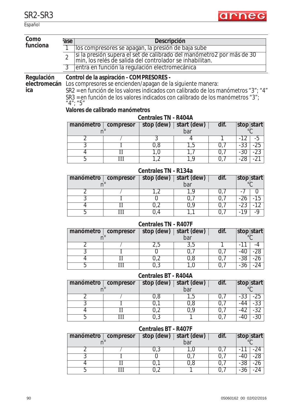Español



| Como<br>funciona            | ase                                                                                                                      |                                                                                                                                   |                                                                                                                                                   | Descripción                 |             |      |                             |
|-----------------------------|--------------------------------------------------------------------------------------------------------------------------|-----------------------------------------------------------------------------------------------------------------------------------|---------------------------------------------------------------------------------------------------------------------------------------------------|-----------------------------|-------------|------|-----------------------------|
|                             | 1                                                                                                                        |                                                                                                                                   | los compresores se apagan, la presión de baja sube                                                                                                |                             |             |      |                             |
|                             | $\overline{2}$                                                                                                           | si la presión supera el set de calibrado del manómetro2 por más de 30<br>min, los relés de salida del controlador se inhabilitan. |                                                                                                                                                   |                             |             |      |                             |
|                             | $\overline{3}$                                                                                                           | entra en función la regulación electromecánica                                                                                    |                                                                                                                                                   |                             |             |      |                             |
| Regulación                  |                                                                                                                          |                                                                                                                                   | Control de la aspiración - COMPRESORES -                                                                                                          |                             |             |      |                             |
| electromecán<br>ica         |                                                                                                                          |                                                                                                                                   | Los compresores se encienden/apagan de la siguiente manera:<br>SR2 = en función de los valores indicados con calibrado de los manómetros "3"; "4" |                             |             |      |                             |
|                             |                                                                                                                          | $4''$ ; $45''$                                                                                                                    | SR3 = en función de los valores indicados con calibrado de los manómetros "3";                                                                    |                             |             |      |                             |
|                             |                                                                                                                          |                                                                                                                                   | Valores de calibrado manómetros                                                                                                                   |                             |             |      |                             |
|                             |                                                                                                                          |                                                                                                                                   |                                                                                                                                                   | <b>Centrales TN - R404A</b> |             |      |                             |
|                             |                                                                                                                          | manómetro                                                                                                                         | compresor                                                                                                                                         | stop (dew)                  | start (dew) | dif. | stop start                  |
|                             |                                                                                                                          | $n^{\circ}$                                                                                                                       |                                                                                                                                                   |                             | bar         |      |                             |
|                             |                                                                                                                          | 2                                                                                                                                 |                                                                                                                                                   | 3                           | 4           |      | $-12$<br>-5                 |
|                             |                                                                                                                          | $\overline{3}$                                                                                                                    |                                                                                                                                                   | 0,8                         | 1,5         | 0,7  | $-25$<br>$-33$              |
|                             |                                                                                                                          | $\overline{4}$                                                                                                                    | П                                                                                                                                                 | 1,0                         | 1,7         | 0,7  | $-30$<br>$-23$              |
|                             |                                                                                                                          | 5                                                                                                                                 | Ш                                                                                                                                                 | 1,2                         | 1,9         | 0,7  | $-21$<br>$-28$              |
|                             |                                                                                                                          | Centrales TN - R134a                                                                                                              |                                                                                                                                                   |                             |             |      |                             |
|                             | dif.<br>stop (dew)<br>start (dew)<br>manómetro<br>compresor<br>$n^{\circ}$<br>bar<br>$\overline{2}$<br>1,2<br>1,9<br>0,7 |                                                                                                                                   |                                                                                                                                                   | stop start<br>$^{\circ}$ C  |             |      |                             |
|                             |                                                                                                                          |                                                                                                                                   |                                                                                                                                                   |                             |             |      | 0<br>$-1$                   |
|                             |                                                                                                                          | $\overline{3}$                                                                                                                    |                                                                                                                                                   | $\overline{0}$              | 0,7         | 0,7  | $-15$<br>$-26$              |
|                             |                                                                                                                          | $\overline{4}$                                                                                                                    | $_{\rm II}$                                                                                                                                       | 0,2                         | 0,9         | 0,7  | $-23$<br>$-12$              |
|                             |                                                                                                                          | 5                                                                                                                                 | $\overline{\mathrm{III}}$                                                                                                                         | 0,4                         | 1,1         | 0,7  | $-19$<br>$-9$               |
| <b>Centrales TN - R407F</b> |                                                                                                                          |                                                                                                                                   |                                                                                                                                                   |                             |             |      |                             |
|                             |                                                                                                                          | manómetro                                                                                                                         | compresor                                                                                                                                         | stop (dew)                  | start (dew) | dif. | stop start                  |
|                             |                                                                                                                          | $n^{\circ}$                                                                                                                       |                                                                                                                                                   |                             | bar         |      | $\circ$ C                   |
|                             |                                                                                                                          | 2<br>$\overline{3}$                                                                                                               |                                                                                                                                                   | 2,5<br>$\overline{0}$       | 3,5<br>0,7  | 0,7  | -11<br>$-4$<br>$-28$<br>-40 |
|                             |                                                                                                                          | $\overline{4}$                                                                                                                    | $\mathbf{I}$<br>$\overline{\rm II}$                                                                                                               | 0,2                         | 0,8         | 0,7  | $-38$<br>$-26$              |
|                             |                                                                                                                          | 5                                                                                                                                 | Ш                                                                                                                                                 | 0,3                         | 1,0         | 0,7  | $-36$<br>$-24$              |
|                             |                                                                                                                          |                                                                                                                                   |                                                                                                                                                   | <b>Centrales BT - R404A</b> |             |      |                             |
|                             |                                                                                                                          | manómetro                                                                                                                         | compresor                                                                                                                                         | stop (dew)                  | start (dew) | dif. | stop start                  |
|                             |                                                                                                                          | $n^{\circ}$                                                                                                                       |                                                                                                                                                   |                             | bar         |      | $^{\circ}C$                 |
|                             |                                                                                                                          | 2                                                                                                                                 |                                                                                                                                                   | 0,8                         | 1,5         | 0,7  | $-33$<br>$-25$              |
|                             |                                                                                                                          | 3                                                                                                                                 |                                                                                                                                                   | 0,1                         | 0,8         | 0,7  | $-33$<br>-44                |
|                             |                                                                                                                          | 4                                                                                                                                 | $\rm II$                                                                                                                                          | 0,2                         | 0,9         | 0,7  | $-32$<br>$-42$              |
|                             |                                                                                                                          | 5                                                                                                                                 | $\overline{\rm III}$                                                                                                                              | 0,3                         |             | 0,7  | $-30$<br>$-40$              |
|                             |                                                                                                                          |                                                                                                                                   |                                                                                                                                                   | <b>Centrales BT - R407F</b> |             |      |                             |
|                             | dif.<br>stop (dew)<br>start (dew)<br>manómetro<br>compresor<br>$n^{\circ}$<br>bar                                        |                                                                                                                                   |                                                                                                                                                   | stop start<br>$^{\circ}$ C  |             |      |                             |
|                             |                                                                                                                          | 2                                                                                                                                 |                                                                                                                                                   | 0,3                         | 1,0         | 0,7  | $-24$<br>-11                |
|                             |                                                                                                                          | 3                                                                                                                                 |                                                                                                                                                   | $\overline{0}$              | 0,7         | 0,7  | $-28$<br>$-40$              |
|                             |                                                                                                                          | 4                                                                                                                                 | $\rm II$                                                                                                                                          | 0,1                         | 0,8         | 0,7  | $-38$<br>$-26$              |
|                             |                                                                                                                          | 5                                                                                                                                 | $\overline{\mathbf{H}}$                                                                                                                           | 0,2                         |             | 0,7  | $-24$<br>$-36$              |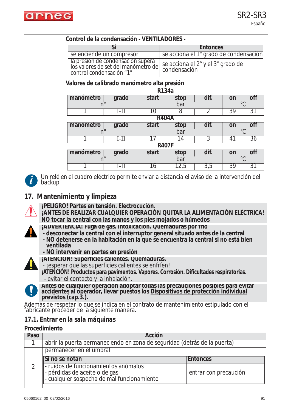

#### **Control de la condensación - VENTILADORES -**

|                                                                                                      | <b>Entonces</b>                                   |
|------------------------------------------------------------------------------------------------------|---------------------------------------------------|
| se enciende un compresor                                                                             | se acciona el 1° grado de condensación            |
| la presión de condensación supera<br>los valores de set del manómetro de<br>control condensación "1" | se acciona el 2° y el 3° grado de<br>condensación |

#### **Valores de calibrado manómetro alta presión**

| R134a        |                |              |      |                  |                       |
|--------------|----------------|--------------|------|------------------|-----------------------|
| manómetro    | grado          | start        | stop | dif.             | off<br>on             |
| $n^{\circ}$  |                |              | bar  |                  | $\circ$               |
|              | $I-II$         | 10           | 8    | 2                | $\overline{3}9$<br>31 |
|              |                | <b>R404A</b> |      |                  |                       |
| manómetro    | grado          | start        | stop | dif.             | off<br>on             |
| $n^{\circ}$  |                |              | bar  |                  | $\circ$               |
|              | $I-II$         |              | 14   | 3                | 36<br>41              |
| <b>R407F</b> |                |              |      |                  |                       |
| manómetro    | grado          | start        | stop | dif.             | on<br>ott             |
|              | bar<br>$\circ$ |              |      |                  |                       |
|              | $I-II$         | 16           | 12,5 | $\overline{3,5}$ | 39<br>31              |



*Un relé en el cuadro eléctrico permite enviar a distancia el aviso de la intervención del backup*

### **17. Mantenimiento y limpieza**



**¡PELIGRO! Partes en tensión. Electrocución.**

- **¡ANTES DE REALIZAR CUALQUIER OPERACIÓN QUITAR LA ALIMENTACIÓN ELÉCTRICA! NO tocar la central con las manos y los pies mojados o húmedos**
- **¡ADVERTENCIA! Fuga de gas. Intoxicación. Quemaduras por frío**
- **desconectar la central con el interruptor general situado antes de la central**
- **NO detenerse en la habitación en la que se encuentra la central si no está bien ventilada**
- **NO intervenir en partes en presión**



- **¡ATENCIÓN! Superficies calientes. Quemaduras.**  .<br>- ¡esperar que las superficies calientes se enfríen!
- **¡ATENCIÓN! Productos para pavimentos. Vapores. Corrosión. Dificultades respiratorias.** - evitar el contacto y la inhalación.



**Antes de cualquier operación adoptar todas las precauciones posibles para evitar accidentes al operador, llevar puestos los Dispositivos de protección individual previstos (cap.3.).**

Además de respetar lo que se indica en el contrato de mantenimiento estipulado con el fabricante proceder de la siguiente manera.

### *17.1. Entrar en la sala máquinas*

#### **Procedimiento**

| Paso | Acción                                                                                                              |                       |  |
|------|---------------------------------------------------------------------------------------------------------------------|-----------------------|--|
|      | abrir la puerta permaneciendo en zona de seguridad (detrás de la puerta)                                            |                       |  |
|      | permanecer en el umbral                                                                                             |                       |  |
|      | Si no se notan                                                                                                      | <b>Entonces</b>       |  |
|      | - ruidos de funcionamientos anómalos<br>- pérdidas de aceite o de gas<br>- cualquier sospecha de mal funcionamiento | entrar con precaución |  |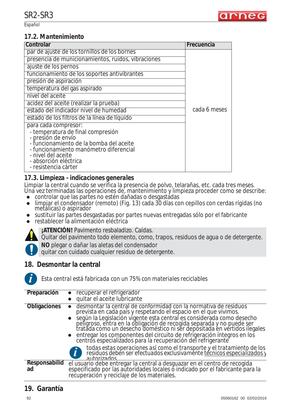

#### *17.2. Mantenimiento*

| Controlar                                               | Frecuencia   |
|---------------------------------------------------------|--------------|
| par de ajuste de los tornillos de los bornes            |              |
| presencia de municionamientos, ruidos, vibraciones      |              |
| ajuste de los pernos                                    |              |
| funcionamiento de los soportes antivibrantes            |              |
| presión de aspiración                                   |              |
| temperatura del gas aspirado                            |              |
| nivel del aceite                                        |              |
| acidez del aceite (realizar la prueba)                  |              |
| estado del indicador nivel de humedad                   | cada 6 meses |
| estado de los filtros de la línea de líquido            |              |
| para cada compresor:                                    |              |
| - temperatura de final compresión<br>- presión de envío |              |
| - funcionamiento de la bomba del aceite                 |              |
| - funcionamiento manómetro diferencial                  |              |
| - nivel del aceite                                      |              |
| - absorción eléctrica                                   |              |
| - resistencia cárter                                    |              |

### *17.3. Limpieza - indicaciones generales*

Limpiar la central cuando se verifica la presencia de polvo, telarañas, etc. cada tres meses.

- Una vez terminadas las operaciones de, mantenimiento y limpieza proceder como se describe: ● controlar que las partes no estén dañadas o desgastadas
- limpiar el condensador (remoto) (Fig. 13) cada 30 días con cepillos con cerdas rígidas (no metálicas) o aspirador
- sustituir las partes desgastadas por partes nuevas entregadas sólo por el fabricante
- restablecer la alimentación eléctrica



**¡ATENCIÓN!** Pavimento resbaladizo. Caídas.

Quitar del pavimento todo elemento, como, trapos, residuos de agua o de detergente.

**NO** plegar o dañar las aletas del condensador

quitar con cuidado cualquier residuo de detergente.

### **18. Desmontar la central**



*Esta central está fabricada con un 75% con materiales reciclables*

| Preparación         | • recuperar el refrigerador                                                                                                                                                                                                  |
|---------------------|------------------------------------------------------------------------------------------------------------------------------------------------------------------------------------------------------------------------------|
|                     | quitar el aceite lubricante                                                                                                                                                                                                  |
|                     |                                                                                                                                                                                                                              |
| <b>Obligaciones</b> | desmontar la central de conformidad con la normativa de residuos                                                                                                                                                             |
|                     | prevista en cada país y respetando el espacio en el que vivimos.                                                                                                                                                             |
|                     | ● según la Legislación vigente esta central es considerada como desecho<br>peligroso, entra en la obligación de recogida separada y no puede ser<br>tratada como un desecho doméstico ni ser depositada en vertidos ilegales |
|                     |                                                                                                                                                                                                                              |
|                     |                                                                                                                                                                                                                              |
|                     |                                                                                                                                                                                                                              |
|                     | • entregar los componentes del circuito de refrigeración íntegros en los                                                                                                                                                     |
|                     | centros especializados para la recuperación del refrigerante                                                                                                                                                                 |
|                     |                                                                                                                                                                                                                              |
|                     |                                                                                                                                                                                                                              |
|                     | todas estas operaciones así como el transporte y el tratamiento de los residuos deben ser efectuados exclusivamente técnicos especializados y                                                                                |
|                     | autorizados                                                                                                                                                                                                                  |
| Responsabilid       | el usuario debe entregar la central a desguazar en el centro de recogida                                                                                                                                                     |
|                     |                                                                                                                                                                                                                              |
| ad                  | especificado por las autoridades locales o indicado por el fabricante para la                                                                                                                                                |
|                     | recuperación y reciclaje de los materiales.                                                                                                                                                                                  |

### **19. Garantía**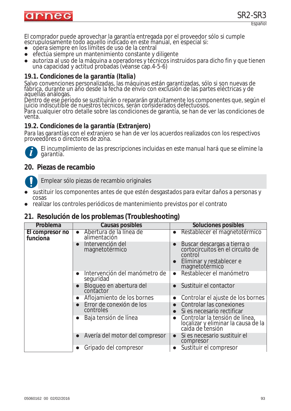

El comprador puede aprovechar la garantía entregada por el proveedor sólo si cumple escrupulosamente todo aquello indicado en este manual, en especial si:

- zopera siempre en los límites de uso de la central
- efectúa siempre un mantenimiento constante y diligente
- autoriza al uso de la máquina a operadores y técnicos instruidos para dicho fin y que tienen una capacidad y actitud probadas (véanse cap.4-5-6)

#### *19.1. Condiciones de la garantía (Italia)*

Salvo convenciones personalizadas, las máquinas están garantizadas, sólo si son nuevas de fábrica, durante un año desde la fecha de envío con exclusión de las partes eléctricas y de aquellas análogas.

Dentro de ese periodo se sustituirán o repararán gratuitamente los componentes que, según el juicio indiscutible de nuestros técnicos, serán considerados defectuosos.

Para cualquier otro detalle sobre las condiciones de garantía, se han de ver las condiciones de venta.

### *19.2. Condiciones de la garantía (Extranjero)*

Para las garantías con el extranjero se han de ver los acuerdos realizados con los respectivos proveedores o directores de zona.



*El incumplimiento de las prescripciones incluidas en este manual hará que se elimine la garantía.*

### **20. Piezas de recambio**

Emplear sólo piezas de recambio originales

- sustituir los componentes antes de que estén desgastados para evitar daños a personas y cosas
- zrealizar los controles periódicos de mantenimiento previstos por el contrato

### **21. Resolución de los problemas (Troubleshooting)**

| Problema                    | Causas posibles                                         | <b>Soluciones posibles</b>                                                                                                            |
|-----------------------------|---------------------------------------------------------|---------------------------------------------------------------------------------------------------------------------------------------|
| El compresor no<br>funciona | • Abertura de la línea de<br>alimentación               | Restablecer el magnetotérmico<br>$\bullet$                                                                                            |
|                             | Intervención del<br>$\bullet$<br>magnetotérmico         | Buscar descargas a tierra o<br>cortocircuitos en el circuito de<br>$\bullet$<br>control<br>Eliminar y restablecer e<br>magnetotérmico |
|                             | Intervención del manómetro de<br>$\bullet$<br>seguridad | Restablecer el manómetro<br>$\bullet$                                                                                                 |
|                             | Bloqueo en abertura del<br>$\bullet$<br>contactor       | Sustituir el contactor                                                                                                                |
|                             | Aflojamiento de los bornes<br>$\bullet$                 | Controlar el ajuste de los bornes<br>$\bullet$                                                                                        |
|                             | Error de conexión de los<br>$\bullet$<br>controles      | Controlar las conexiones<br>Si es necesario rectificar<br>$\bullet$                                                                   |
|                             | Baja tensión de línea<br>$\bullet$                      | Controlar la tensión de línea,<br>$\bullet$<br>localizar y eliminar la causa de la<br>caída de tensión                                |
|                             | Avería del motor del compresor<br>$\bullet$             | Si es necesario sustituir el<br>$\bullet$<br>compresor                                                                                |
|                             | Gripado del compresor<br>$\bullet$                      | Sustituir el compresor                                                                                                                |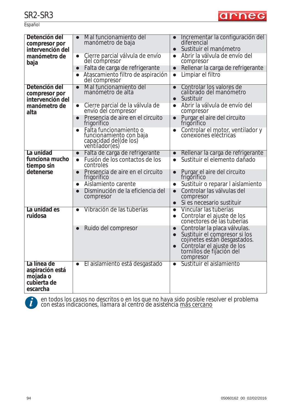Español



| Detención del<br>compresor por<br>intervención del                    | Mal funcionamiento del<br>$\bullet$<br>manómetro de baja                                     | Incrementar la configuración del<br>diferencial<br>Sustituir el manómetro<br>$\bullet$                                                                                                                       |
|-----------------------------------------------------------------------|----------------------------------------------------------------------------------------------|--------------------------------------------------------------------------------------------------------------------------------------------------------------------------------------------------------------|
| manómetro de<br>baja                                                  | Cierre parcial válvula de envío<br>$\bullet$<br>del compresor                                | Abrir la válvula de envío del<br>$\bullet$<br>compresor                                                                                                                                                      |
|                                                                       | Falta de carga de refrigerante<br>$\bullet$                                                  | Rellenar la carga de refrigerante<br>$\bullet$                                                                                                                                                               |
|                                                                       | Atascamiento filtro de aspiración<br>del compresor                                           | Limpiar el filtro<br>$\bullet$                                                                                                                                                                               |
| Detención del<br>compresor por<br>intervención del                    | Mal funcionamiento del<br>$\bullet$<br>manómetro de alta                                     | Controlar los valores de<br>$\bullet$<br>calibrado del manómetro<br>Sustituir<br>$\bullet$                                                                                                                   |
| manómetro de<br>alta                                                  | Cierre parcial de la válvula de<br>$\bullet$<br>envío del compresor                          | Abrir la válvula de envío del<br>$\bullet$<br>compresor                                                                                                                                                      |
|                                                                       | Presencia de aire en el circuito<br>$\bullet$<br>frigorífico                                 | Purgar el aire del circuito<br>$\bullet$<br>frigorífico                                                                                                                                                      |
|                                                                       | Falta funcionamiento o<br>funcionamiento con baja<br>capacidad del(de los)<br>ventilador(es) | Controlar el motor, ventilador y<br>conexiones eléctricas                                                                                                                                                    |
| La unidad                                                             | Falta de carga de refrigerante<br>$\bullet$                                                  | Rellenar la carga de refrigerante<br>$\bullet$                                                                                                                                                               |
| funciona mucho<br>tiempo sin                                          | Fusión de los contactos de los<br>$\bullet$<br>controles                                     | Sustituir el elemento dañado<br>$\bullet$                                                                                                                                                                    |
| detenerse                                                             | Presencia de aire en el circuito<br>$\bullet$<br>frigorífico                                 | Purgar el aire del circuito<br>$\bullet$<br>frigorífico                                                                                                                                                      |
|                                                                       | Aislamiento carente<br>$\bullet$                                                             | Sustituir o reparar I aislamiento<br>$\bullet$                                                                                                                                                               |
|                                                                       | Disminución de la eficiencia del<br>$\bullet$<br>compresor                                   | Controlar las válvulas del<br>$\bullet$<br>compresor                                                                                                                                                         |
|                                                                       |                                                                                              | Si es necesario sustituir<br>$\bullet$                                                                                                                                                                       |
| La unidad es<br>ruidosa                                               | Vibración de las tuberías<br>$\bullet$                                                       | Vincular las tuberías<br>$\bullet$<br>Controlar el ajuste de los<br>$\bullet$<br>conectores de las tuberías                                                                                                  |
|                                                                       | Ruido del compresor<br>$\bullet$                                                             | Controlar la placa válvulas.<br>$\bullet$<br>Sustituir el compresor si los<br>$\bullet$<br>cojinetes están desgastados.<br>Controlar el ajuste de los<br>$\bullet$<br>tornillos de fijación del<br>compresor |
| La línea de<br>aspiración está<br>mojada o<br>cubierta de<br>escarcha | El aislamiento está desgastado<br>$\bullet$                                                  | Sustituir el aislamiento<br>$\bullet$                                                                                                                                                                        |



*en todos los casos no descritos o en los que no haya sido posible resolver el problema* **i** *con estas indicaciones, llamara al centro de asistencia más cercano*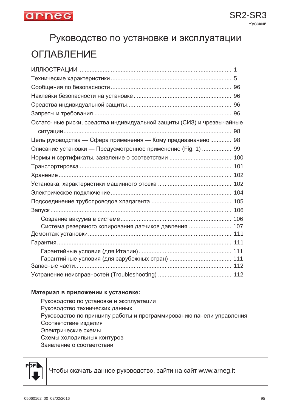

# Руководство по установке и эксплуатации ОГЛАВЛЕНИЕ

| Остаточные риски, средства индивидуальной защиты (СИЗ) и чрезвычайные |  |
|-----------------------------------------------------------------------|--|
|                                                                       |  |
| Цель руководства — Сфера применения — Кому предназначено  98          |  |
| Описание установки — Предусмотренное применение (Fig. 1)  99          |  |
|                                                                       |  |
|                                                                       |  |
|                                                                       |  |
|                                                                       |  |
|                                                                       |  |
|                                                                       |  |
|                                                                       |  |
|                                                                       |  |
| Система резервного копирования датчиков давления  107                 |  |
|                                                                       |  |
|                                                                       |  |
|                                                                       |  |
|                                                                       |  |
|                                                                       |  |
|                                                                       |  |

#### **Материал в приложении к установке:**

Руководство по установке и эксплуатации Руководство технических данных Руководство по принципу работы и программированию панели управления Соответствие изделия Электрические схемы Схемы холодильных контуров Заявление о соответствии



Чтобы скачать данное руководство, зайти на сайт www.arneg.it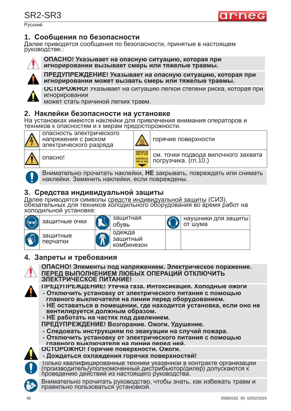Русский



Далее приводятся сообщения по безопасности, принятые в настоящем руководстве.:



**ɈɉȺɋɇɈ! ɍɤɚɡɵɜɚɟɬ ɧɚ ɨɩɚɫɧɭɸ ɫɢɬɭɚɰɢɸ, ɤɨɬɨɪɚɹ ɩɪɢ ИГНОРИРОВАНИИ ВЫЗЫВАЄТ СМЕРЬ ИЛИ ТЯЖЕЛЫЕ ТРАВМЫ.** 



**ɉɊȿȾɍɉɊȿɀȾȿɇɂȿ! ɍɤɚɡɵɜɚɟɬ ɧɚ ɨɩɚɫɧɭɸ ɫɢɬɭɚɰɢɸ, ɤɨɬɨɪɚɹ ɩɪɢ ɢɝɧɨɪɢɪɨɜɚɧɢɢ ɦɨɠɟɬ ɜɵɡɜɚɬɶ ɫɦɟɪɶ ɢɥɢ ɬɹɠɟɥɵɟ ɬɪɚɜɦɵ.**



**ОСТОРОЖНО!** Указывает на ситуацию легкой степени риска, которая при игнорировании

может стать причиной легких травм.

### $2.$  Наклейки безопасности на установке

На установках имеются наклейки для привлечения внимания операторов и техников к опасностям и к мерам предосторожности.



напряжения с риском электрического разряда

опасность электрического



горячие поверхности

опасно! и в также и точки подвода вилочного захвата погрузчика.  $(\text{rn.10.})$ 

arned

Внимательно прочитать наклейки, НЕ закрывать, повреждать или снимать наклейки. Заменить наклейки, если повреждены.

### **3. ɋɪɟɞɫɬɜɚ ɢɧɞɢɜɢɞɭɚɥɶɧɨɣ ɡɚɳɢɬɵ**

Далее приводятся символы <u>средств индивидуальной защиты</u> (СИЗ),<br>обязательных для техников холодильного оборудования во время работ на холодильной установке:



| защитные очки        | защитная<br>обувь |
|----------------------|-------------------|
|                      | одежда            |
| защитные<br>перчатки | защитный          |
|                      | комбинезон        |

|  | наушники для защиты<br>от шума |
|--|--------------------------------|
|  |                                |

### **4. Запреты и требования**



#### **ɈɉȺɋɇɈ! ɗɥɟɦɟɧɬɵ ɩɨɞ ɧɚɩɪɹɠɟɧɢɟɦ. ɗɥɟɤɬɪɢɱɟɫɤɨɟ ɩɨɪɚɠɟɧɢɟ. ɉȿɊȿȾ ȼɕɉɈɅɇȿɇɂȿɆ ɅɘȻɕɏ ɈɉȿɊȺɐɂɃ ɈɌɄɅɘɑɂɌɖ ЭЛЕКТРИЧЕСКОЕ ПИТАНИЕ!**

ПРЕДУПРЕЖДЕНИЕ! Утечка газа. Интоксикация. Холодные ожоги

- **Отключить установку от электрического питания с помощью** главного выключателя на линии перед оборудованием.
- **НЕ оставаться в помещении, где находится установка, если оно не вентилируется должным образом.**
- **НЕ работать на частях под давлением.**

**ɉɊȿȾɍɉɊȿɀȾȿɇɂȿ! ȼɨɡɝɨɪɚɧɢɟ. Ɉɠɨɝɢ. ɍɞɭɲɟɧɢɟ.**

- **Следовать инструкциям по эвакуации на случай пожара.**
- **Отключить установку от электрического питания с помощью**<br>главного выключателя на линии перед ней.
- **ɝɥɚɜɧɨɝɨ ɜɵɤɥɸɱɚɬɟɥɹ ɧɚ ɥɢɧɢɢ ɩɟɪɟɞ ɧɟɣ. ɈɋɌɈɊɈɀɇɈ! Ƚɨɪɹɱɢɟ ɩɨɜɟɪɯɧɨɫɬɢ. Ɉɠɨɝɢ.**

**- Ⱦɨɠɞɚɬɶɫɹ ɨɯɥɚɠɞɟɧɢɹ ɝɨɪɹɱɢɯ ɩɨɜɟɪɯɧɨɫɬɟɣ!**



- Іолько квалифицированные техники указанной в контракте организации<br>(производитель/уполномоченный дистрибьютор/дилер) допускаются к
- проведению действий из настоящего руководства.

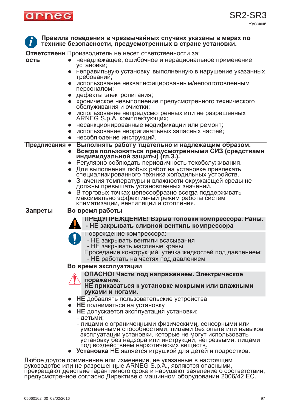

Правила поведения в чрезвычайных случаях указаны в мерах по технике безопасности, предусмотренных в стране установки. **i**

**Ответственн** Производитель не несет ответственности за:

|               | Ответственн Производитель не несет ответственности за:                                            |
|---------------|---------------------------------------------------------------------------------------------------|
| ОСТЬ          | ненадлежащее, ошибочное и нерациональное применение<br>установки;                                 |
|               | • неправильную установку, выполненную в нарушение указанных<br>требований;                        |
|               | • использование неквалифицированным/неподготовленным<br>персоналом;                               |
|               | • дефекты электропитания;                                                                         |
|               | • хроническое невыполнение предусмотренного технического                                          |
|               | обслуживания и очистки;                                                                           |
|               | использование непредусмотренных или не разрешенных<br>ARNEG S.p.A. комплектующих;                 |
|               | несанкционированные модификации или ремонт;<br>$\bullet$                                          |
|               | использование неоригинальных запасных частей;<br>$\bullet$                                        |
|               | несоблюдение инструкций.<br>$\bullet$                                                             |
| Предписания • | Выполнять работу тщательно и надлежащим образом.                                                  |
|               | Всегда пользоваться предусмотренными СИЗ (средствами<br>$\bullet$                                 |
|               | индивидуальной защиты) (гл.3.).                                                                   |
|               | • Регулярно соблюдать периодичность техобслуживания.                                              |
|               | • Для выполнения любых работ на установке привлекать                                              |
|               | специализированного техника холодильных устройств.                                                |
|               | Значения температуры и влажности окружающей среды не<br>должны превышать установленных значений.  |
|               | В торговых точках целесообразно всегда поддерживать                                               |
|               | максимально эффективный режим работы систем                                                       |
|               | климатизации, вентиляции и отопления.                                                             |
| Запреты       | Во время работы                                                                                   |
|               | ПРЕДУПРЕЖДЕНИЕ! Взрыв головки компрессора. Раны.                                                  |
|               | - НЕ закрывать сливной вентиль компрессора                                                        |
|               | Повреждение компрессора:                                                                          |
|               | - НЕ закрывать вентили всасывания                                                                 |
|               | - НЕ закрывать масляные краны                                                                     |
|               | Проседание конструкций, утечка жидкостей под давлением:                                           |
|               | - НЕ работать на частях под давлением                                                             |
|               | Во время эксплуатации                                                                             |
|               | ОПАСНО! Части под напряжением. Электрическое                                                      |
|               | поражение.                                                                                        |
|               | НЕ прикасаться к установке мокрыми или влажными                                                   |
|               | руками и ногами.                                                                                  |
|               | НЕ добавлять пользовательские устройства                                                          |
|               | НЕ подниматься на установку                                                                       |
|               | НЕ допускается эксплуатация установки:<br>$\bullet$                                               |
|               | - детьми;<br>- лицами с ограниченными физическими, сенсорными или                                 |
|               | умственными способностями, лицами без опыта или навыков                                           |
|               | эксплуатации установки, которые не могут использовать                                             |
|               | установку без надзора или инструкций, нетрезвыми, лицами                                          |
|               | под воздействием наркотических веществ.<br>Установка НЕ является игрушкой для детей и подростков. |
|               |                                                                                                   |

Любое другое применение или изменение, не указанные в настоящем руководстве или не разрешенные ARNEG S.p.A., являются опасными,<br>прекращают действие гарантийного срока и нарушают заявление о соответствии,<br>предусмотренное согласно Директиве о машинном оборудовании 2006/42 ЕС.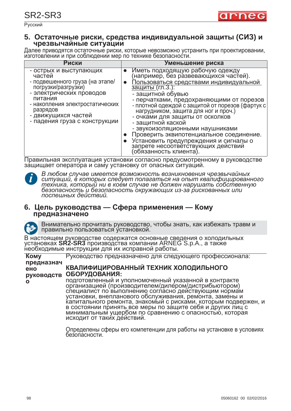

Русский

#### 5. Остаточные риски, средства индивидуальной защиты (СИЗ) и чрезвычайные ситуации

Далее приводятся остаточные риски, которые невозможно устранить при проектировании,<br>изготовлении и при соблюдении мер по технике безопасности.

| Риски                                                                                                                                                                                                                                    | Уменьшение риска                                                                                                                                                                                                                                                                                                                                                                                                                                                                                                                                         |
|------------------------------------------------------------------------------------------------------------------------------------------------------------------------------------------------------------------------------------------|----------------------------------------------------------------------------------------------------------------------------------------------------------------------------------------------------------------------------------------------------------------------------------------------------------------------------------------------------------------------------------------------------------------------------------------------------------------------------------------------------------------------------------------------------------|
| - острых и выступающих<br>частей<br>- подвешенного груза (на этапе/<br>погрузки/разгрузки)<br>- электрических проводов<br>питания<br>- накопления электростатических<br>разрядов<br>- движущихся частей<br>- падения груза с конструкции | Иметь подходящую рабочую одежду<br>(например, без развевающихся частей).<br>Пользоваться средствами индивидуальной<br><u>защиты (гл.3.):</u><br>- защитной обувью<br>- перчатками, предохраняющими от порезов<br>- плотной одеждой с защитой от порезов (фартук с<br>нагрудником, защита для ног и проч.)<br>- очками для защиты от осколков<br>- защитной каской<br>- звукоизоляционными наушниками<br>Проверить эквипотенциальное соединение.<br>Установить предупреждения и сигналы о<br>запрете несоответствующих действий<br>(обязанность клиента). |

Правильная эксплуатация установки согласно предусмотренному в руководстве защищает оператора и саму установку от опасных ситуаций.



**Кому** 

**ɨ**

В любом случае имеется возможность возникновения чрезвычайных<br>ситуаций, в которых следует полагаться на опыт квалифицированного техника, который ни в коем случае не должен нарушать собственную<br>безопасность и безопасность окружающих из-за рискованных или лоспешных действий.

#### **6. Цель руководства — Сфера применения — Кому** предназначено

Внимательно прочитать руководство, чтобы знать, как избежать травм и правильно пользоваться установкой.

В настоящем руководстве содержатся основные сведения о холодильных установках **SR2-SR3** производства компании ARNEG S.p.A., а также необходимые инструкции для их исправной работы.

Руководство предназначено для следующего профессионала:

предназнач **e**HO руководств ОБОРУДОВАНИЯ: **ɄȼȺɅɂɎɂɐɂɊɈȼȺɇɇɕɃ ɌȿɏɇɂɄ ɏɈɅɈȾɂɅɖɇɈȽɈ**

подготовленный и уполномоченный указанной в контракте<br>организацией (производителем/дилером/дистрибьютором) специалист по выполнению согласно действующим нормам установки, внепланового обслуживания, ремонта, замены и капитального ремонта, знакомый с рисками, которым подвержен, и в состоянии принять все меры по защите себя и других лиц с минимальным ущербом по сравнению с опасностью, которая исходит от таких действий.

Определены сферы его компетенции для работы на установке в условиях<br>безопасности.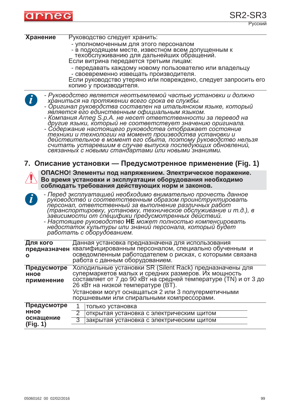

| Хранение                                     | Руководство следует хранить:<br>- уполномоченным для этого персоналом<br>- в подходящем месте, известном всем допущенным к<br>техобслуживанию для дальнейших обращений.<br>Если витрина передается третьим лицам:<br>- передавать каждому новому пользователю или владельцу<br>- своевременно извещать производителя.<br>Если руководство утеряно или повреждено, следует запросить его<br>копию у производителя.                                                                                                                                                                                                                                                                                                                               |
|----------------------------------------------|-------------------------------------------------------------------------------------------------------------------------------------------------------------------------------------------------------------------------------------------------------------------------------------------------------------------------------------------------------------------------------------------------------------------------------------------------------------------------------------------------------------------------------------------------------------------------------------------------------------------------------------------------------------------------------------------------------------------------------------------------|
| $\left  \boldsymbol{i} \right $              | - Руководство является неотъемлемой частью установки и должно<br>храниться на протяжении всего срока ее службы.<br>- Оригинал руководства составлен на итальянском языке, который<br>является его единственным официальным языком.<br>- Компания Arneg S.p.A. не несет ответственности за перевод на<br>другие языки, который не соответствует значению оригинала.<br>- Содержание настоящего руководства отображает состояние<br>техники и технологии на момент производства установки и<br>действительное в момент его сбыта, поэтому руководство нельзя<br>считать устаревшим в случае выпуска последующих обновлений,<br>связанных с новыми стандартами или новыми знаниями.<br>7. Описание установки — Предусмотренное применение (Fig. 1) |
|                                              | ОПАСНО! Элементы под напряжением. Электрическое поражение.<br>Во время установки и эксплуатации оборудования необходимо<br>соблюдать требования действующих норм и законов.                                                                                                                                                                                                                                                                                                                                                                                                                                                                                                                                                                     |
| $\mathbf{\hat{i}}$                           | - Перед эксплуатацией необходимо внимательно прочесть данное<br>руководство и соответственным образом проинструктировать<br>персонал, ответственный за выполнение различных работ<br>(транспортировку, установку, техническое обслуживание и т.д.), в<br>зависимости от специфики предусмотренных действий.<br>- Настоящее руководство НЕ может полностью компенсировать<br>недостаток культуры или знаний персонала, который будет<br>работать с оборудованием.                                                                                                                                                                                                                                                                                |
| Для кого<br>Ο                                | Данная установка предназначена для использования<br>предназначен квалифицированным персоналом, специально обученным и<br>осведомленным работодателем о рисках, с которыми связана<br>работа с данным оборудованием.                                                                                                                                                                                                                                                                                                                                                                                                                                                                                                                             |
| Предусмотре<br>нное<br>применение            | Холодильные установки SR (Silent Rack) предназначены для<br>супермаркетов малых и средних размеров. Их мощность<br>составляет от 7 до 90 кВт на средней температуре (TN) и от 3 до<br>26 кВт на низкой температуре (ВТ).<br>Установки могут оснащаться 2 или 3 полугерметичными<br>поршневыми или спиральными компрессорами.                                                                                                                                                                                                                                                                                                                                                                                                                    |
| Предусмотре<br>нное<br>оснащение<br>(Fig. 1) | 1<br>только установка<br>$\overline{2}$<br>открытая установка с электрическим щитом<br>3<br>закрытая установка с электрическим щитом                                                                                                                                                                                                                                                                                                                                                                                                                                                                                                                                                                                                            |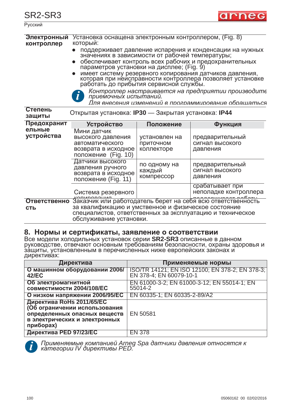

Русский

| Электронный<br>контроллер         | Установка оснащена электронным контроллером, (Fig. 8)<br>который:<br>значениях в зависимости от рабочей температуры;<br>приемочных испытаний. |                                          | поддерживает давление испарения и конденсации на нужных<br>обеспечивает контроль всех рабочих и предохранительных<br>параметров установки на дисплее; (Fig. 9)<br>имеет систему резервного копирования датчиков давления,<br>которая при неисправности контроллера позволяет установке<br>работать до прибытия сервисной службы.<br>Контроллер настраивается на предприятии производите<br>Лля внесения изменений в программирование обрашаться |
|-----------------------------------|-----------------------------------------------------------------------------------------------------------------------------------------------|------------------------------------------|-------------------------------------------------------------------------------------------------------------------------------------------------------------------------------------------------------------------------------------------------------------------------------------------------------------------------------------------------------------------------------------------------------------------------------------------------|
| Степень<br>защиты                 | Открытая установка: IP30 — Закрытая установка: IP44                                                                                           |                                          |                                                                                                                                                                                                                                                                                                                                                                                                                                                 |
| Предохранит                       | <b>Устройство</b>                                                                                                                             | Положение                                | Функция                                                                                                                                                                                                                                                                                                                                                                                                                                         |
| ельные<br>устройства              | Мини датчик<br>высокого давления<br>автоматического<br>возврата в исходное<br>положение (Fig. 10)                                             | установлен на<br>приточном<br>коллекторе | предварительный<br>сигнал высокого<br>давления                                                                                                                                                                                                                                                                                                                                                                                                  |
|                                   | Датчики высокого<br>давления ручного<br>возврата в исходное<br>положение (Fig. 11)                                                            | по одному на<br>каждый<br>компрессор     | предварительный<br>сигнал высокого<br>давления                                                                                                                                                                                                                                                                                                                                                                                                  |
|                                   | Система резервного                                                                                                                            |                                          | срабатывает при<br>неполадке контроллера                                                                                                                                                                                                                                                                                                                                                                                                        |
| <b>Ответственно</b><br><b>СТЬ</b> | за квалификацию и умственное и физическое состояние<br>обслуживание установки.                                                                |                                          | Хапирования в полнятель берет на себя всю ответственность<br>специалистов, ответственных за эксплуатацию и техническое                                                                                                                                                                                                                                                                                                                          |

### 8. Нормы и сертификаты, заявление о соответствии

Все модели холодильных установок серии SR2-SR3 описанные в данном руководстве, отвечают основным требованиям безопасности, охраны здоровья и за́щиты, установленным в перечисленных ниже европейских законах и директивах:

| Директива                                                                                                                                | Применяемые нормы                                                          |
|------------------------------------------------------------------------------------------------------------------------------------------|----------------------------------------------------------------------------|
| О машинном оборудовании 2006/<br>42/EC                                                                                                   | ISO/TR 14121; EN ISO 12100; EN 378-2; EN 378-3;<br>EN 378-4; EN 60079-10-1 |
| Об электромагнитной<br>совместимости 2004/108/ЕС                                                                                         | EN 61000-3-2; EN 61000-3-12; EN 55014-1; EN<br>55014-2                     |
| О низком напряжении 2006/95/ЕС                                                                                                           | EN 60335-1; EN 60335-2-89/A2                                               |
| Директива RoHs 2011/65/EC<br>(Об ограничении использования<br>определенных опасных веществ<br>в электрических и электронных<br>приборах) | EN 50581                                                                   |
| Директива PED 97/23/EC                                                                                                                   | <b>EN 378</b>                                                              |



*ɉɪɢɦɟɧɹɟɦɵɟ ɤɨɦɩɚɧɢɟɣ Arneg Spa ɞɚɬɱɢɤɢ ɞɚɜɥɟɧɢɹ ɨɬɧɨɫɹɬɫɹ ɤ ĸameгopuu IV дupективы PED.*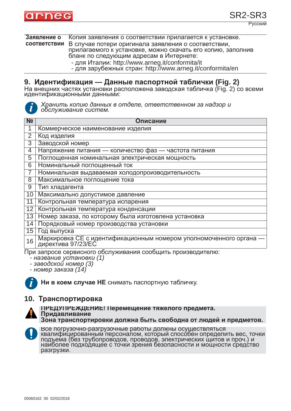

Русский

**Заявление о СООТВЕТСТВИИ** Копия заявления о соответствии прилагается к установке. В случае потери оригинала заявления о соответствии, прилагаемого к установке, можно скачать его копию, заполнив

бланк по следующим адресам в Интернете:

- 
- для Италии: http://www.arneg.it/conformita/it<br>- для зарубежных стран: http://www.arneg.it/conformita/en

## **9. ɂɞɟɧɬɢɮɢɤɚɰɢɹ — Ⱦɚɧɧɵɟ ɩɚɫɩɨɪɬɧɨɣ ɬɚɛɥɢɱɤɢ (Fig. 2)**

На внешних частях установки расположена заводская табличка (Fig. 2) со всеми идентификационными данными:



 $X$ ранить копию данных в отделе, ответственном за надзор и  $\delta$ *бслуживание систем.* 

| N <sub>2</sub> | Описание                                                                                         |
|----------------|--------------------------------------------------------------------------------------------------|
|                | Коммерческое наименование изделия                                                                |
| $\overline{2}$ | Код изделия                                                                                      |
| 3              | Заводской номер                                                                                  |
| 4              | Напряжение питания — количество фаз — частота питания                                            |
| 5              | Поглощенная номинальная электрическая мощность                                                   |
| 6              | Номинальный поглощенный ток                                                                      |
| 7              | Номинальная выдаваемая холодопроизводительность                                                  |
| 8              | Максимальное поглощение тока                                                                     |
| 9              | Тип хладагента                                                                                   |
| 10             | Максимально допустимое давление                                                                  |
| 11             | Контрольная температура испарения                                                                |
| 12             | Контрольная температура конденсации                                                              |
| 13             | Номер заказа, по которому была изготовлена установка                                             |
| 14             | Порядковый номер производства установки                                                          |
| 15             | Год выпуска                                                                                      |
| 16             | Маркировка СЕ с идентификационным номером уполномоченного органа<br>директива 97/23/ЕС           |
|                | При запросе сервисного обслуживания сообщить производителю:<br><u>- HABAAHIIA WOMAHOAKII (1)</u> |

ɉɪɢ ɡɚɩɪɨɫɟ ɫɟɪɜɢɫɧɨɝɨ ɨɛɫɥɭɠɢɜɚɧɢɹ ɫɨɨɛɳɢɬɶ ɩɪɨɢɡɜɨɞɢɬɟɥɸ: *- ɧɚɡɜɚɧɢɟ ɭɫɬɚɧɨɜɤɢ (1) - ɡɚɜɨɞɫɤɨɣ ɧɨɦɟɪ (3) - ɧɨɦɟɪ ɡɚɤɚɡɚ (14)*

**i**

Ни в коем случае НЕ снимать паспортную табличку.

### **10. Транспортировка**



**ɉɊȿȾɍɉɊȿɀȾȿɇɂȿ! ɉɟɪɟɦɟɳɟɧɢɟ ɬɹɠɟɥɨɝɨ ɩɪɟɞɦɟɬɚ. ɉɪɢɞɚɜɥɢɜɚɧɢɟ** Зона транспортировки должна быть свободна от людей и предметов.



Все погрузочно-разгрузочные работы должны осуществляться<br>квалифицированным персоналом, который способен определить вес, точки подъема (без трубопроводов, проводов, электрических щитов и проч.) и наиболее`подхо́дящее с точки зрения безопасности и мощности средство разгрузки.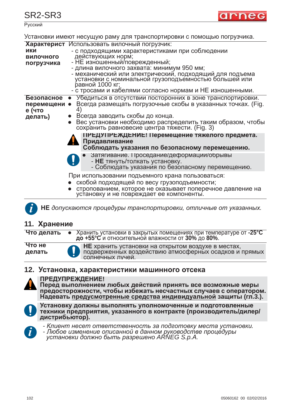Русский

| Установки имеют несущую раму для транспортировки с помощью погрузчика. |                                                 |  |
|------------------------------------------------------------------------|-------------------------------------------------|--|
|                                                                        | Характерист Использовать вилочный погрузчик:    |  |
| ики                                                                    | - с подходящими характеристиками при соблюдении |  |

| ИКИ<br><b>ВИЛОЧНОГО</b><br>погрузчика | - с подходящими характеристиками при соблюдении<br>действующих норм;<br>- НЕ изношенный/поврежденный;<br>- длина вилочного захвата: минимум 950 мм;<br>- механический или электрический, подходящий для подъема<br>установки с номинальной грузоподъемностью большей или<br>равной 1000 кг;<br>- с тросами и кабелями согласно нормам и НЕ изношенными.                                                               |
|---------------------------------------|-----------------------------------------------------------------------------------------------------------------------------------------------------------------------------------------------------------------------------------------------------------------------------------------------------------------------------------------------------------------------------------------------------------------------|
| перемещени •<br>е (что<br>делать)     | Безопасное • Убедиться в отсутствии посторонних в зоне транспортировки.<br>Всегда размещать погрузочные скобы в указанных точках. (Fig.<br>41<br>• Всегда заводить скобы до конца.<br>• Вес установки необходимо распределить таким образом, чтобы сохранить равновесие центра тяжести. (Fig. 3)<br>ПРЕДУПРЕЖДЕНИЕ! Перемещение тяжелого предмета.<br>Придавливание<br>Соблюдать указания по безопасному перемещению. |
|                                       | • Затягивание. Проседание/деформации/обрывы<br>- НЕ тянуть/толкать установку.<br>- Соблюдать указания по безопасному перемещению.                                                                                                                                                                                                                                                                                     |
|                                       | При использовании подъемного крана пользоваться:<br>скобой подходящей по весу грузоподъемности;                                                                                                                                                                                                                                                                                                                       |

стропованием, которое не оказывает поперечное давление на установку и не повреждает ее компоненты.

НЕ допускаются процедуры транспортировки, отличные от указанных.

### **11. Хранение**

Что делать • Хранить установки в закрытых помещениях при температуре от -25°С **до +55°С** и относительной влажности от 30% до 80%.

**что не делать** 

**i**

**НЕ** хранить установки на открытом воздухе в местах, подверженных воздействию атмосферных осадков и прямых солнечных лучей.

### 12. Установка, характеристики машинного отсека



### **ɉɊȿȾɍɉɊȿɀȾȿɇɂȿ!**

Перед выполнением любых действий принять все возможные меры<br>предосторожности, чтобы избежать несчастных случаев с оператором. Надевать предусмотренные средства индивидуальной защиты (гл.3.).



Vстановку должны выполнять уполномоченные и подготовленные  $\textbf{H}\times\textbf{H}\times\textbf{H}$  **изавитной и халичерить (производитель/дилер/** дистрибьютор).



- Клиент несет ответственность за подготовку места установки.<br>- Любое изменение описанной в данном ру<u>ков</u>одстве процедуры

*ɭɫɬɚɧɨɜɤɢ ɞɨɥɠɧɨ ɛɵɬɶ ɪɚɡɪɟɲɟɧɨ ARNEG S.p.Ⱥ.*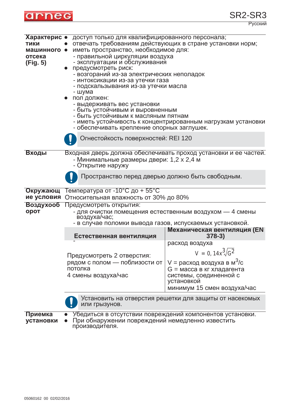

| :скии |  |
|-------|--|
|       |  |

| <b>ТИКИ</b><br>машинного •<br>отсека<br>(Fig. 5) | Характерис • доступ только для квалифицированного персонала;<br>отвечать требованиям действующих в стране установки норм;<br>иметь пространство, необходимое для:<br>- правильной циркуляции воздуха<br>- эксплуатации и обслуживания<br>предусмотреть риск:<br>- возгораний из-за электрических неполадок<br>- интоксикации из-за утечки газа<br>- подскальзывания из-за утечки масла<br>- шума<br>пол должен:<br>- выдерживать вес установки<br>- быть устойчивым и выровненным<br>- быть устойчивым к масляным пятнам<br>- иметь устойчивость к концентрированным нагрузкам установки<br>- обеспечивать крепление опорных заглушек.<br>Огнестойкость поверхностей: REI 120 |                                                                                                                                                                                          |  |
|--------------------------------------------------|-------------------------------------------------------------------------------------------------------------------------------------------------------------------------------------------------------------------------------------------------------------------------------------------------------------------------------------------------------------------------------------------------------------------------------------------------------------------------------------------------------------------------------------------------------------------------------------------------------------------------------------------------------------------------------|------------------------------------------------------------------------------------------------------------------------------------------------------------------------------------------|--|
| Входы                                            | Входная дверь должна обеспечивать проход установки и ее частей.<br>- Минимальные размеры двери: 1,2 х 2,4 м<br>- Открытие наружу<br>Пространство перед дверью должно быть свободным.                                                                                                                                                                                                                                                                                                                                                                                                                                                                                          |                                                                                                                                                                                          |  |
|                                                  |                                                                                                                                                                                                                                                                                                                                                                                                                                                                                                                                                                                                                                                                               |                                                                                                                                                                                          |  |
| Окружающ<br>ие условия                           | Температура от -10°С до + 55°С<br>Относительная влажность от 30% до 80%                                                                                                                                                                                                                                                                                                                                                                                                                                                                                                                                                                                                       |                                                                                                                                                                                          |  |
| Воздухооб<br>орот                                | Предусмотреть открытия:<br>- для очистки помещения естественным воздухом - 4 смены<br>воздуха/час;<br>- в случае поломки вывода газов, испускаемых установкой.                                                                                                                                                                                                                                                                                                                                                                                                                                                                                                                |                                                                                                                                                                                          |  |
|                                                  | Естественная вентиляция                                                                                                                                                                                                                                                                                                                                                                                                                                                                                                                                                                                                                                                       | <b>Механическая вентиляция (EN</b><br>$378-3)$                                                                                                                                           |  |
|                                                  | Предусмотреть 2 отверстия:<br>рядом с полом — поблизости от<br>потолка<br>4 смены воздуха/час                                                                                                                                                                                                                                                                                                                                                                                                                                                                                                                                                                                 | расход воздуха<br>$V = 0, 14x^3\sqrt{G^2}$<br>V = расход воздуха в м <sup>3</sup> /с<br>G = масса в кг хладагента<br>системы, соединенной с<br>установкой<br>минимум 15 смен воздуха/час |  |
|                                                  | Установить на отверстия решетки для защиты от насекомых<br>или грызунов.                                                                                                                                                                                                                                                                                                                                                                                                                                                                                                                                                                                                      |                                                                                                                                                                                          |  |
| Приемка<br>установки                             | Убедиться в отсутствии повреждений компонентов установки.<br>При обнаружении повреждений немедленно известить<br>производителя.                                                                                                                                                                                                                                                                                                                                                                                                                                                                                                                                               |                                                                                                                                                                                          |  |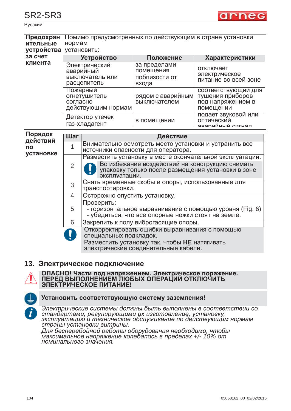Русский



| Предохран<br>ительные<br>устройства | Помимо предусмотренных по действующим в стране установки<br>нормам<br>установить: |                                                                                                                                                                                   |                                                                                                 |                                                                           |
|-------------------------------------|-----------------------------------------------------------------------------------|-----------------------------------------------------------------------------------------------------------------------------------------------------------------------------------|-------------------------------------------------------------------------------------------------|---------------------------------------------------------------------------|
| за счет<br>клиента                  | <b>Устройство</b>                                                                 |                                                                                                                                                                                   | Положение                                                                                       | Характеристики                                                            |
|                                     | Электрический<br>аварийный<br>выключатель или<br>расцепитель                      |                                                                                                                                                                                   | за пределами<br>помещения<br>поблизости от<br>входа                                             | отключает<br>электрическое<br>питание во всей зоне                        |
|                                     | Пожарный<br>огнетушитель<br>согласно<br>действующим нормам                        |                                                                                                                                                                                   | рядом с аварийным<br>выключателем                                                               | соответствующий для<br>тушения приборов<br>под напряжением в<br>помещении |
|                                     |                                                                                   | Детектор утечек<br>газ-хладагент                                                                                                                                                  | в помещении                                                                                     | подает звуковой или<br>оптический<br>яварийный сигнап                     |
| Порядок                             | Шаг                                                                               | Действие                                                                                                                                                                          |                                                                                                 |                                                                           |
| действий<br><b>NO</b>               | 1                                                                                 | Внимательно осмотреть место установки и устранить все<br>источники опасности для оператора.                                                                                       |                                                                                                 |                                                                           |
| установке                           | $\overline{2}$                                                                    | Разместить установку в месте окончательной эксплуатации.<br>Во избежание воздействий на конструкцию снимать<br>упаковку только после размещения установки в зоне<br>эксплуатации. |                                                                                                 |                                                                           |
|                                     | 3                                                                                 | Снять временные скобы и опоры, использованные для<br>транспортировки.                                                                                                             |                                                                                                 |                                                                           |
|                                     | $\overline{4}$                                                                    | Осторожно опустить установку.                                                                                                                                                     |                                                                                                 |                                                                           |
|                                     | 5                                                                                 | Проверить:<br>- горизонтальное выравнивание с помощью уровня (Fig. 6)<br>- убедиться, что все опорные ножки стоят на земле.                                                       |                                                                                                 |                                                                           |
|                                     | $6\overline{6}$                                                                   |                                                                                                                                                                                   | Закрепить к полу виброгасящие опоры.                                                            |                                                                           |
|                                     |                                                                                   | специальных подкладок.                                                                                                                                                            | Откорректировать ошибки выравнивания с помощью<br>Разместить установку так, чтобы НЕ натягивать |                                                                           |

электрические соединительные кабели.

#### **13. Электрическое подключение**



# ОПАСНО! Части под напряжением. Электрическое поражение.<br>ПЕРЕД ВЫПОЛНЕНИЕМ ЛЮБЫХ ОПЕРАЦИЙ ОТКЛЮЧИТЬ **ЭЛЕКТРИЧЕСКОЕ ПИТАНИЕ!**



#### Установить соответствующую систему заземления!

Электрические системы должны быть выполнены в соответствии со стандартами, регулирующими их изготовление, установку, зксплуатацию и техническое обслуживание по действующим нормам страны установки витрины.

 $\mu$ ля бесперебойной работы оборудования необходимо, чтобы  $\overline{M}$ аксимальное напряжение колебалось в пределах +/- 10% от  $HO$ MUНАЛЬНО*г*О *значения*.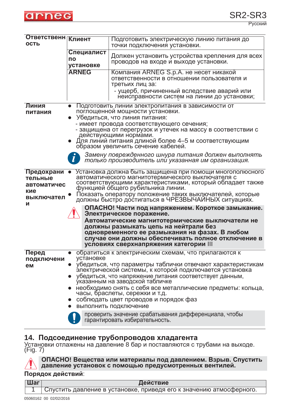

| <b>Ответственн Клиент</b><br>ОСТЬ           |                                                                                                                                                                                                                         | Подготовить электрическую линию питания до<br>точки подключения установки.                                                                                                                                                                  |  |  |
|---------------------------------------------|-------------------------------------------------------------------------------------------------------------------------------------------------------------------------------------------------------------------------|---------------------------------------------------------------------------------------------------------------------------------------------------------------------------------------------------------------------------------------------|--|--|
|                                             | Специалист<br>ПО<br>установке                                                                                                                                                                                           | Должен установить устройства крепления для всех<br>проводов на входе и выходе установки.                                                                                                                                                    |  |  |
|                                             | <b>ARNEG</b>                                                                                                                                                                                                            | Компания ARNEG S.p.A. не несет никакой<br>ответственности в отношении пользователя и<br>третьих лиц за:                                                                                                                                     |  |  |
|                                             |                                                                                                                                                                                                                         | - ущерб, причиненный вследствие аварий или<br>неисправности систем на линии до установки;                                                                                                                                                   |  |  |
| Линия<br>питания                            | Подготовить линии электропитания в зависимости от<br>поглощенной мощности установки.<br>Убедиться, что линия питания:                                                                                                   |                                                                                                                                                                                                                                             |  |  |
|                                             |                                                                                                                                                                                                                         | - имеет провода соответствующего сечения;<br>- защищена от перегрузок и утечек на массу в соответствии с<br>действующими нормами.                                                                                                           |  |  |
|                                             | Для линий питания длиной более 4-5 м соответствующим<br>образом увеличить сечение кабелей.                                                                                                                              |                                                                                                                                                                                                                                             |  |  |
|                                             |                                                                                                                                                                                                                         | Замену поврежденного шнура питания должен выполнять<br>только производитель или указанная им организация.                                                                                                                                   |  |  |
| Предохрани<br>тельные<br>автоматичес<br>кие | Установка должна быть защищена при помощи многополюсного<br>автоматического магнитотермического выключателя с<br>соответствующими характеристиками, который обладает также<br>функцией общего рубильника линии.         |                                                                                                                                                                                                                                             |  |  |
| выключател<br>И                             | Показать оператору положение таких выключателей, которые<br>должны быстро достигаться в ЧРЕЗВЫЧАЙНЫХ ситуациях.                                                                                                         |                                                                                                                                                                                                                                             |  |  |
|                                             |                                                                                                                                                                                                                         | ОПАСНО! Части под напряжением. Короткое замыкание.<br>Электрическое поражение.                                                                                                                                                              |  |  |
|                                             |                                                                                                                                                                                                                         | Автоматические магнитотермические выключатели не<br>должны размыкать цепь на нейтрали без<br>одновременного ее размыкания на фазах. В любом<br>случае они должны обеспечивать полное отключение в<br>условиях сверхнапряжения категории III |  |  |
| Перед<br>подключени                         | установке                                                                                                                                                                                                               | обратиться к электрическим схемам, что прилагаются к                                                                                                                                                                                        |  |  |
| eм                                          | • убедиться, что параметры таблички отвечают характеристикам<br>электрической системы, к которой подключается установка<br>• убедиться, что напряжение питания соответствует данным,<br>указанным на заводской табличке |                                                                                                                                                                                                                                             |  |  |
|                                             | • необходимо снять с себя все металлические предметы: кольца,<br>часы, браслеты, сережки и т.д.<br>соблюдать цвет проводов и порядок фаз<br>выполнить подключение                                                       |                                                                                                                                                                                                                                             |  |  |
|                                             |                                                                                                                                                                                                                         |                                                                                                                                                                                                                                             |  |  |
|                                             |                                                                                                                                                                                                                         | проверить значение срабатывания дифференциала, чтобы<br>гарантировать избирательность.                                                                                                                                                      |  |  |

#### 14. Подсоединение трубопроводов хладагента

Установки отлажены на давление 8 бар и поставляются с трубами на выходе.<br>(Fig. 7)



**ɈɉȺɋɇɈ! ȼɟɳɟɫɬɜɚ ɢɥɢ ɦɚɬɟɪɢɚɥɵ ɩɨɞ ɞɚɜɥɟɧɢɟɦ. ȼɡɪɵɜ. ɋɩɭɫɬɢɬɶ**  $\,$ давление установок с помощью предусмотренных вентилей.

#### Порядок действий:

| Шаг | Действие                                                            |
|-----|---------------------------------------------------------------------|
|     | Спустить давление в установке, приведя его к значению атмосферного. |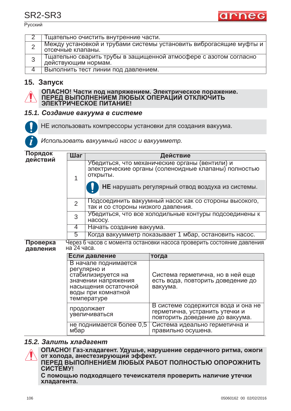Русский



|   | Тщательно очистить внутренние части.                                                    |
|---|-----------------------------------------------------------------------------------------|
|   | Между установкой и трубами системы установить виброгасящие муфты и<br>отсечные клапаны. |
| 3 | Тщательно сварить трубы в защищенной атмосфере с азотом согласно<br>действующим нормам. |
|   | Выполнить тест линии под давлением.                                                     |

### 15. Запуск



| ОПАСНО! Части под напряжением. Электрическое поражение. |
|---------------------------------------------------------|
| ПЕРЕД ВЫПОЛНЕНИЕМ ЛЮБЫХ ОПЕРАЦИЙ ОТКЛЮЧИТЬ              |
| ЭЛЕКТРИЧЕСКОЕ ПИТАНИЕ!                                  |

### 15.1. Создание вакуума в системе



НЕ использовать компрессоры установки для создания вакуума.

Использовать вакуумный насос и вакуумметр.

| Порядок<br>действий                                                                                          | Шаг            | Действие                                                                                                           |                                                                                                         |  |
|--------------------------------------------------------------------------------------------------------------|----------------|--------------------------------------------------------------------------------------------------------------------|---------------------------------------------------------------------------------------------------------|--|
|                                                                                                              | 1              | Убедиться, что механические органы (вентили) и<br>электрические органы (соленоидные клапаны) полностью<br>ОТКРЫТЫ. |                                                                                                         |  |
|                                                                                                              |                |                                                                                                                    | НЕ нарушать регулярный отвод воздуха из системы.                                                        |  |
|                                                                                                              | $\overline{2}$ | Подсоединить вакуумный насос как со стороны высокого,<br>так и со стороны низкого давления.                        |                                                                                                         |  |
|                                                                                                              | 3              | Убедиться, что все холодильные контуры подсоединены к<br>HACOCY.                                                   |                                                                                                         |  |
|                                                                                                              | 4              | Начать создание вакуума.                                                                                           |                                                                                                         |  |
|                                                                                                              | 5              | Когда вакуумметр показывает 1 мбар, остановить насос.                                                              |                                                                                                         |  |
| Через 6 часов с момента остановки насоса проверить состояние давления<br>Проверка<br>на 24 часа.<br>давления |                |                                                                                                                    |                                                                                                         |  |
|                                                                                                              |                | Если давление                                                                                                      | тогда                                                                                                   |  |
|                                                                                                              |                | В начале поднимается<br>регулярно и<br>стабилизируется на<br>значении напряжения<br>насыщения остаточной           | Система герметична, но в ней еще<br>есть вода, повторить доведение до<br>вакуума.                       |  |
|                                                                                                              |                | воды при комнатной<br>температуре                                                                                  |                                                                                                         |  |
|                                                                                                              |                | продолжает<br>увеличиваться                                                                                        | В системе содержится вода и она не<br>герметична, устранить утечки и<br>повторить доведение до вакуума. |  |
|                                                                                                              | мбар           | не поднимается более 0,5                                                                                           | Система идеально герметична и<br>правильно осушена.                                                     |  |

### 15.2. Залить хладагент



ОПАСНО! Газ-хладагент. Удушье, нарушение сердечного ритма, ожоги  $\sigma$ т холода, анестезирующий эффект.

**ɉȿɊȿȾ ȼɕɉɈɅɇȿɇɂȿɆ ɅɘȻɕɏ ɊȺȻɈɌ ɉɈɅɇɈɋɌɖɘ ɈɉɈɊɈɀɇɂɌɖ** CUCTEMY!

С помощью подходящего течеискателя проверить наличие утечки **иладагента.**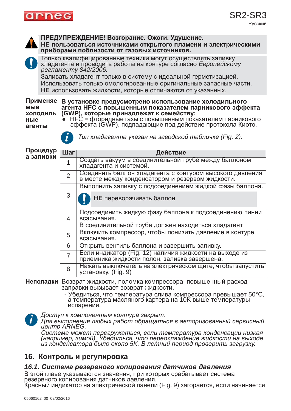

**ɉɊȿȾɍɉɊȿɀȾȿɇɂȿ! ȼɨɡɝɨɪɚɧɢɟ. Ɉɠɨɝɢ. ɍɞɭɲɟɧɢɟ.** НЕ пользоваться источниками открытого пламени и электрическими приборами поблизости от газовых источников. Только квалифицированные техники могут осуществлять заливку хладагента и проводить работы на контуре согласно *Европейскому* регламенту 842/2006. Заливать хладагент только в систему с идеальной герметизацией. Использовать только омологированные оригинальные запасные части. **НЕ** использовать жидкости, которые отличаются от указанных. Применяе В установке предусмотрено использование холодильного **мые ХОЛОДИЛЬ ные ɚɝɟɧɬɵ** Процедур  $a$  заливки **Неполадки** Возврат жидкости, поломка компрессора, повышенный расход заправки вызывает возврат жидкости. - Убедиться, что температура слива компрессора превышает 50°С, **ɚɝɟɧɬɚ HFC <sup>ɫ</sup> ɩɨɜɵɲɟɧɧɵɦ ɩɨɤɚɡɚɬɟɥɟɦ ɩɚɪɧɢɤɨɜɨɝɨ ɷɮɮɟɤɬɚ (GWP), ɤɨɬɨɪɵɟ ɩɪɢɧɚɞɥɟɠɚɬ <sup>ɤ</sup> ɫɟɦɟɣɫɬɜɭ:** е HFC = фторидные газы с повышенным показателем парникового<br>эффекта (GWP), подпадающие под действие протокола Киото. **эффекта (GWP), подпадающие под действие протокола Киото.**<br>▶ *Тuп хла∂агента γказан на заво∂ской табличке (Fig. 2).* Шаг Действие 1 Создать вакуум в соединительной трубе между баллоном хладагента и системой. 2 │ Соединить баллон хладагента с контуром высокого давления в месте между конденсатором и резервом жидкости. 3 Выполнить заливку с подсоединением жидкой фазы баллона. 4 Подсоединить жидкую фазу баллона к подсоединению линии всасывания. В соединительной трубе должен находиться хладагент. 5 Включить компрессор, чтобы понизить давление в контуре всасывания. 6 Сткрыть вентиль баллона и завершить заливку.  $_{7}$   $\,$   $\,$   $\,$  Если индикатор (Fig. 12) наличия жидкости на выходе из приемника жидкости полон, заливка завершена. 8 │ Нажать выключатель на электрическом щите, чтобы запустить установку. (Fig. 9) **НЕ** переворачивать баллон.

а температура масляного картера на 10К выше температуры испарения.

 $\mu$ доступ к компонентам контура закрыт. **i**

*Ⱦɥɹ ɜɵɩɨɥɧɟɧɢɹ ɥɸɛɵɯ ɪɚɛɨɬ ɨɛɪɚɳɚɬɶɫɹ ɜ ɚɜɬɨɪɢɡɨɜɚɧɧɵɣ ɫɟɪɜɢɫɧɵɣ ɰɟɧɬɪ ARNEG.*

 $C$ истема может перегружаться, если температура конденсации низкая *(например, зимой). Убедиться, что переохлаждение жидкости на выходе uarpancey, camea/r receament, the hepeemiancenae macheema ha ceme*<br>из конденсатора было около 5К. В летний период проверить загрузку.

### **16. Контроль и регулировка**

#### *16.1. Система резервного копирования датчиков давления*

В этой главе указываются значения, при которых срабатывает система<br>резервного копирования датчиков давления.

Красный индикатор на электрической панели (Fig. 9) загорается, если начинается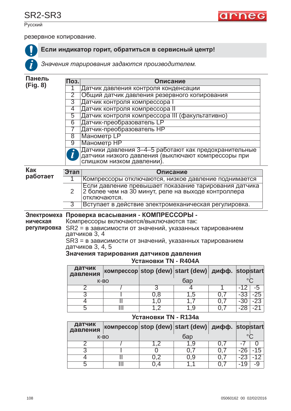



Русский

**i**

резервное копирование.

### Если индикатор горит, обратиться в сервисный центр!

Значения тарирования задаются производителем.

#### **Панель (Fig. 8)**

| Поз.           | Описание                                              |
|----------------|-------------------------------------------------------|
|                | Датчик давления контроля конденсации                  |
| $\overline{2}$ | Общий датчик давления резервного копирования          |
| $\overline{3}$ | Датчик контроля компрессора                           |
| 4              | Датчик контроля компрессора II                        |
| $\overline{5}$ | Датчик контроля компрессора III (факультативно)       |
| 6              | Датчик-преобразователь LP                             |
|                | Датчик-преобразователь НР                             |
| 8 <sup>1</sup> | <b>Манометр LP</b>                                    |
| 9              | Манометр НР                                           |
| $\bullet$      | Датчики давления 3–4–5 работают как предохранительные |
|                | датчики низкого давления (выключают компрессоры при   |
|                | слишком низком давлении).                             |

#### **Как работает**

| Этап           | Описание                                                                                                                     |
|----------------|------------------------------------------------------------------------------------------------------------------------------|
|                | Компрессоры отключаются, низкое давление поднимается                                                                         |
| $\overline{2}$ | Если давление превышает показание тарирования датчика<br>2 более чем на 30 минут, реле на выходе контроллера<br>отключаются. |
|                | Вступает в действие электромеханическая регулировка.                                                                         |

### Электромеха Проверка всасывания - КОМПРЕССОРЫ -

**НИЧЕСКАЯ** Компрессоры включаются/выключаются так:

**регулировка** SR2 = в зависимости от значений, указанных тарированием датчиков 3, 4

 $SR3 = B 3$ ависимости от значений, указанных тарированием датчиков 3, 4, 5

#### Значения тарирования датчиков давления **Установки TN - R404A**

| датчик<br>давления | компрессор stop (dew) start (dew) дифф. stopstart |     |    |  |  |  |
|--------------------|---------------------------------------------------|-----|----|--|--|--|
|                    | $K-BO$                                            | бар |    |  |  |  |
|                    |                                                   |     |    |  |  |  |
|                    |                                                   |     | .ຕ |  |  |  |
|                    |                                                   |     |    |  |  |  |
|                    |                                                   |     |    |  |  |  |

#### **Установки TN - R134a**

| датчик<br>давления | компрессор stop (dew) start (dew)  дифф.  stop start |     |  |  |  |    |  |
|--------------------|------------------------------------------------------|-----|--|--|--|----|--|
|                    | $K-BO$                                               | бар |  |  |  |    |  |
|                    |                                                      |     |  |  |  |    |  |
|                    |                                                      |     |  |  |  |    |  |
|                    |                                                      |     |  |  |  |    |  |
|                    |                                                      |     |  |  |  | -9 |  |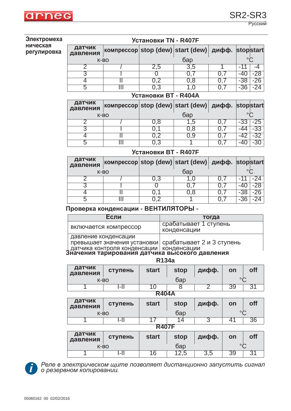

Русский

#### **Электромеха НИЧЕСКАЯ** регулировка

| Установки TN - R407F |                                                   |     |     |  |  |     |  |  |
|----------------------|---------------------------------------------------|-----|-----|--|--|-----|--|--|
| датчик<br>давления   | компрессор stop (dew) start (dew) дифф. stopstart |     |     |  |  |     |  |  |
| $K-BO$               |                                                   | бар |     |  |  |     |  |  |
|                      |                                                   | 2,5 | 3,5 |  |  |     |  |  |
|                      |                                                   |     |     |  |  | -28 |  |  |
|                      |                                                   | 0.2 | 0.8 |  |  | -26 |  |  |
| .h                   |                                                   | 0.3 |     |  |  |     |  |  |
| Установки ВТ - R404A |                                                   |     |     |  |  |     |  |  |

| датчик<br>давления |  |     | компрессор stop (dew) start (dew)  дифф. stop start |  |  |  |  |
|--------------------|--|-----|-----------------------------------------------------|--|--|--|--|
| $K-BO$             |  | бар |                                                     |  |  |  |  |
|                    |  | .8  |                                                     |  |  |  |  |
|                    |  |     |                                                     |  |  |  |  |
|                    |  |     |                                                     |  |  |  |  |
| b                  |  |     |                                                     |  |  |  |  |

### **ɍɫɬɚɧɨɜɤɢ BT - R407F**

| датчик<br>давления | компрессор stop (dew) start (dew)  дифф.  stop start |     |  |  |  |  |  |
|--------------------|------------------------------------------------------|-----|--|--|--|--|--|
| $K-BO$             |                                                      | бар |  |  |  |  |  |
|                    |                                                      |     |  |  |  |  |  |
|                    |                                                      |     |  |  |  |  |  |
|                    |                                                      |     |  |  |  |  |  |
| b                  |                                                      |     |  |  |  |  |  |

### Проверка конденсации - ВЕНТИЛЯТОРЫ -

| Если                                                                                  | тогда                                |
|---------------------------------------------------------------------------------------|--------------------------------------|
| включается компрессор                                                                 | срабатывает 1 ступень<br>конденсации |
| давление конденсации<br><b>THADLIFE CONTROLLER MANUSCRIPTED</b> CONTROLLER CONTROLLER |                                      |

превышает значения установки датчика контроля конденсации срабатывает 2 и 3 ступень конденсации

### Значения тарирования датчика высокого давления

| датчик<br>давления | ступень | <b>start</b> | <b>stop</b> | дифф. | on      | off |  |
|--------------------|---------|--------------|-------------|-------|---------|-----|--|
| $K-BO$             |         | бар          |             |       | $\circ$ |     |  |
|                    | ч.      |              |             |       |         |     |  |
|                    |         |              |             |       |         |     |  |

| <b>R404A</b>       |         |              |             |       |         |            |  |  |
|--------------------|---------|--------------|-------------|-------|---------|------------|--|--|
| датчик<br>давления | ступень | <b>start</b> | <b>stop</b> | дифф. | on      | <b>off</b> |  |  |
| $K-BO$             |         | бар          |             |       | $\circ$ |            |  |  |
|                    | l-II    |              | 14          |       |         | 36         |  |  |
| <b>R407F</b>       |         |              |             |       |         |            |  |  |

| .                  |         |              |               |       |    |            |  |  |
|--------------------|---------|--------------|---------------|-------|----|------------|--|--|
| датчик<br>давления | ступень | <b>start</b> | <b>stop</b>   | дифф. | on | <b>off</b> |  |  |
| $K-BO$             |         |              | бар           |       |    |            |  |  |
|                    | l-ll    | 16           | $\cap$<br>2,5 | 3,5   | 39 | Q,         |  |  |



Реле в электрическом щите позволяет дистанционно запустить сигнал  $\sigma$  резервном копировании.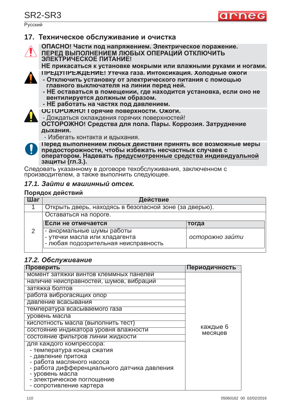# SR2-SR3

Русский



### **17. Техническое обслуживание и очистка**



**ɈɉȺɋɇɈ! ɑɚɫɬɢ ɩɨɞ ɧɚɩɪɹɠɟɧɢɟɦ. ɗɥɟɤɬɪɢɱɟɫɤɨɟ ɩɨɪɚɠɟɧɢɟ. ɉȿɊȿȾ ȼɕɉɈɅɇȿɇɂȿɆ ɅɘȻɕɏ ɈɉȿɊȺɐɂɃ ɈɌɄɅɘɑɂɌɖ ЭЛЕКТРИЧЕСКОЕ ПИТАНИЕ!** 

НЕ прикасаться к установке мокрыми или влажными руками и ногами.

- ПРЕДУПРЕЖДЕНИЕ! Утечка газа. Интоксикация. Холодные ожоги
- **Отключить установку от электрического питания с помощью**<br>главного выключателя на линии перед ней.
- НЕ оставаться в помещении, где находится установка, если оно не **вентилируется должным образом.**
- **НЕ работать на частях под давлением.**
- **ɈɋɌɈɊɈɀɇɈ! Ƚɨɪɹɱɢɟ ɩɨɜɟɪɯɧɨɫɬɢ. Ɉɠɨɝɢ.**
- Дождаться охлаждения горячих поверхностей!

**ОСТОРОЖНО! Средства для пола. Пары. Коррозия. Затруднение** дыхания.

- Избегать контакта и вдыхания.



Перед выполнением любых действий принять все возможные меры предосторожности, чтобы избежать несчастных случаев с **ынатором. Надевать предусмотренные средства индивидуальной ɡɚɳɢɬɵ (ɝɥ.3.).**

Следовать указанному в договоре техобслуживания, заключенном с производителем, а также выполнить следующее.

### *17.1. Зайти в машинный отсек.*

#### Порядок действий

| Шаг | Действие                                                                                           |                 |  |
|-----|----------------------------------------------------------------------------------------------------|-----------------|--|
|     | Открыть дверь, находясь в безопасной зоне (за дверью).                                             |                 |  |
|     | Оставаться на пороге.                                                                              |                 |  |
|     | Если не отмечается                                                                                 | тогда           |  |
| 2   | - анормальные шумы работы<br>- утечки масла или хладагента<br>- любая подозрительная неисправность | осторожно зайти |  |

### 17.2. Обслуживание

| Проверить                                                                | Периодичность |
|--------------------------------------------------------------------------|---------------|
| момент затяжки винтов клеммных панелей                                   |               |
| наличие неисправностей, шумов, вибраций                                  |               |
| затяжка болтов                                                           |               |
| работа виброгасящих опор                                                 |               |
| давление всасывания                                                      |               |
| температура всасываемого газа                                            |               |
| уровень масла                                                            |               |
| кислотность масла (выполнить тест)                                       | каждые 6      |
| состояние индикатора уровня влажности                                    | месяцев       |
| состояние фильтров линии жидкости                                        |               |
| для каждого компрессора:                                                 |               |
| - температура конца сжатия                                               |               |
| - давление притока                                                       |               |
| - работа масляного насоса<br>- работа дифференциального датчика давления |               |
| - уровень масла                                                          |               |
| - электрическое поглощение                                               |               |
| - сопротивление картера                                                  |               |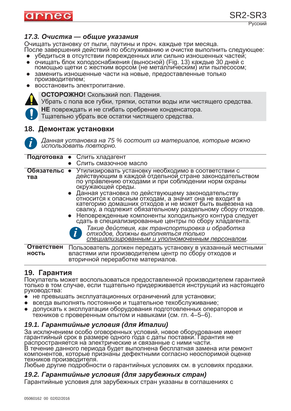

### *17.3. Очистка — общие указания*

Очищать установку от пыли, паутины и проч. каждые три месяца.<br>После завершения действий по обслуживанию и очистке выполнить следующее:

- убедиться в отсутствии поврежденных или сильно изношенных частей;
- очишать блок холодоснабжения (выносной) (Fig. 13) каждые 30 дней с помощью щетки с жестким ворсом (не металлическим) или пылесосом;
- заменить изношенные части на новые, предоставленные только производителем;
- восстановить электропитание.



**ОСТОРОЖНО!** Скользкий пол. Падения.

Убрать с пола все губки, тряпки, остатки воды или чистящего средства.

- **НЕ** повреждать и не сгибать оребрение конденсатора.
- Тщательно убрать все остатки чистящего средства.

### **18. Демонтаж установки**



*Ⱦɚɧɧɚɹ ɭɫɬɚɧɨɜɤɚ ɧɚ 75 % ɫɨɫɬɨɢɬ ɢɡ ɦɚɬɟɪɢɚɥɨɜ, ɤɨɬɨɪɵɟ ɦɨɠɧɨ*  $\mu$ *спользовать повторно.* 

|                                   | Подготовка • Слить хладагент<br>Слить смазочное масло                                                                                                                                                                                                                                                                                                                                                                                                                                                                                                     |
|-----------------------------------|-----------------------------------------------------------------------------------------------------------------------------------------------------------------------------------------------------------------------------------------------------------------------------------------------------------------------------------------------------------------------------------------------------------------------------------------------------------------------------------------------------------------------------------------------------------|
| Обязательс •<br>тва               | Утилизировать установку необходимо в соответствии с<br>действующим в каждой отдельной стране законодательством<br>по управлению отходами и при соблюдении норм охраны<br>окружающей среды.<br>• Данная установка по действующему законодательству<br>относится к опасным отходам, а значит она не входит в<br>категорию домашних отходов и не может быть вывезена на<br>свалку, а подлежит обязательному раздельному сбору отходов.<br>• Неповрежденные компоненты холодильного контура следует<br>сдать в специализированные центры по сбору хладагента. |
|                                   | Такие действия, как транспортировка и обработка<br>отходов, должны выполняться только<br>специализированным и уполномоченным персоналом.                                                                                                                                                                                                                                                                                                                                                                                                                  |
| <b>Ответствен</b><br><b>НОСТЬ</b> | Пользователь должен передать установку в указанный местными<br>властями или производителем центр по сбору отходов и<br>вторичной переработке материалов.                                                                                                                                                                                                                                                                                                                                                                                                  |

### 19. Гарантия

Покупатель может воспользоваться предоставленной производителем гарантией только в том случае, если тщательно придерживается инструкций из настоящего руководства:

- не превышать эксплуатационных ограничений для установки;
- всегда выполнять постоянное и тщательное техобслуживание;
- допускать к эксплуатации оборудования подготовленных операторов и техников с проверенным опытом и навыками (см. гл. 4–5–6).

### 19.1. Гарантийные условия (для Италии)

За исключением особо оговоренных условий, новое оборудование имеет гарантийный срок в размере одного года с даты поставки. Гарантия не

паспространяется на электрические и связанные с ними части.<br>В течение данного периода будет выполнена бесплатная замена или ремонт компонентов, которые признаны дефектными согласно неоспоримой оценке<br>техников производителя.

Любые другие подробности о гарантийных условиях см. в условиях продажи.

### *19.2. Ƚɚɪɚɧɬɢɣɧɵɟ ɭɫɥɨɜɢɹ (ɞɥɹ ɡɚɪɭɛɟɠɧɵɯ ɫɬɪɚɧ)*

Гарантийные условия для зарубежных стран указаны в соглашениях с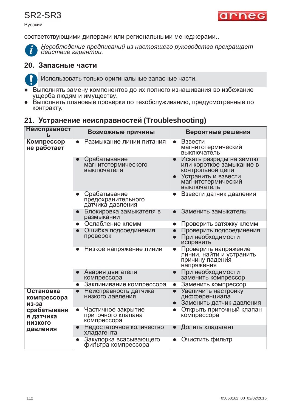## SR2-SR3

Русский



соответствующими дилерами или региональными менеджерами..



*Несоблюдение предписаний из настоящего руководства прекращает*<br>действие гарантии.

### $20.$  Запасные части

Использовать только оригинальные запасные части.

- Выполнять замену компонентов до их полного изнашивания во избежание ущерба людям и и́муществу.
- Выполнять плановые проверки по техобслуживанию, предусмотренные по контракту.

### **21. Устранение неисправностей (Troubleshooting)**

| Неисправност<br>ь                          | Возможные причины                                                    | Вероятные решения                                                                                                                   |
|--------------------------------------------|----------------------------------------------------------------------|-------------------------------------------------------------------------------------------------------------------------------------|
| Компрессор<br>не работает                  | Размыкание линии питания<br>$\bullet$                                | Взвести<br>$\bullet$<br>магнитотермический<br>выключатель                                                                           |
|                                            | Срабатывание<br>$\bullet$<br>магнитотермического<br>выключателя      | Искать разряды на землю<br>или короткое замыкание в<br>контрольной цепи<br>Устранить и взвести<br>магнитотермический<br>выключатель |
|                                            | Срабатывание<br>$\bullet$<br>предохранительного<br>датчика давления  | Взвести датчик давления                                                                                                             |
|                                            | Блокировка замыкателя в<br>$\bullet$<br>размыкании                   | Заменить замыкатель<br>$\bullet$                                                                                                    |
|                                            | Ослабление клемм<br>$\bullet$                                        | Проверить затяжку клемм<br>$\bullet$                                                                                                |
|                                            | Ошибка подсоединения<br>$\bullet$<br>проверок                        | Проверить подсоединения<br>$\bullet$<br>При необходимости<br>$\bullet$<br>исправить                                                 |
|                                            | Низкое напряжение линии<br>$\bullet$                                 | Проверить напряжение<br>линии, найти и устранить<br>причину падения<br>напряжения                                                   |
|                                            | Авария двигателя<br>$\bullet$<br>компрессора                         | При необходимости<br>$\bullet$<br>заменить компрессор                                                                               |
|                                            | Заклинивание компрессора<br>$\bullet$                                | Заменить компрессор<br>$\bullet$                                                                                                    |
| Остановка<br>компрессора<br>из-за          | Неисправность датчика<br>$\bullet$<br>низкого давления               | Увеличить настройку<br>$\bullet$<br>дифференциала<br>Заменить датчик давления<br>$\bullet$                                          |
| срабатывани<br>я датчика<br><b>НИЗКОГО</b> | Частичное закрытие<br>$\bullet$<br>приточного клапана<br>компрессора | Открыть приточный клапан<br>$\bullet$<br>компрессора                                                                                |
| давления                                   | Недостаточное количество<br>$\bullet$<br>хладагента                  | Долить хладагент                                                                                                                    |
|                                            | Закупорка всасывающего<br>$\bullet$<br>фильтра компрессора           | Очистить фильтр<br>$\bullet$                                                                                                        |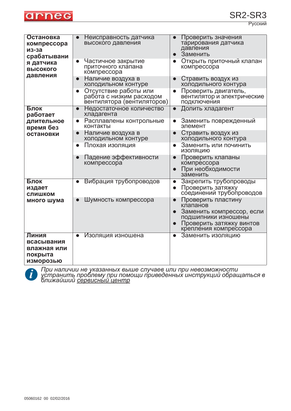

Русский

| Остановка<br>компрессора<br>из-за<br>срабатывани                  | Неисправность датчика<br>высокого давления                                                   | Проверить значения<br>тарирования датчика<br>давления<br>Заменить<br>$\bullet$                                                                                                 |
|-------------------------------------------------------------------|----------------------------------------------------------------------------------------------|--------------------------------------------------------------------------------------------------------------------------------------------------------------------------------|
| я датчика<br><b>ВЫСОКОГО</b><br>давления                          | Частичное закрытие<br>$\bullet$<br>приточного клапана<br>компрессора                         | Открыть приточный клапан<br>$\bullet$<br>компрессора                                                                                                                           |
|                                                                   | Наличие воздуха в<br>$\bullet$<br>холодильном контуре                                        | Стравить воздух из<br>$\bullet$<br>холодильного контура                                                                                                                        |
|                                                                   | Отсутствие работы или<br>$\bullet$<br>работа с низким расходом<br>вентилятора (вентиляторов) | Проверить двигатель,<br>$\bullet$<br>вентилятор и электрические<br>подключения                                                                                                 |
| Блок<br>работает                                                  | Недостаточное количество<br>$\bullet$<br>хладагента                                          | Долить хладагент<br>$\bullet$                                                                                                                                                  |
| длительное<br>время без                                           | Расплавлены контрольные<br>$\bullet$<br>контакты                                             | Заменить поврежденный<br>$\bullet$<br>элемент                                                                                                                                  |
| остановки                                                         | Наличие воздуха в<br>$\bullet$<br>холодильном контуре                                        | Стравить воздух из<br>холодильного контура                                                                                                                                     |
|                                                                   | Плохая изоляция<br>$\bullet$                                                                 | Заменить или починить<br>изоляцию                                                                                                                                              |
|                                                                   | Падение эффективности<br>компрессора                                                         | Проверить клапаны<br>$\bullet$<br>компрессора<br>При необходимости<br>$\bullet$<br>заменить                                                                                    |
| Блок<br>издает<br><b>СЛИШКОМ</b>                                  | Вибрация трубопроводов<br>$\bullet$                                                          | Закрепить трубопроводы<br>$\bullet$<br>Проверить затяжку<br>$\bullet$<br>соединений трубопроводов                                                                              |
| много шума                                                        | Шумность компрессора                                                                         | Проверить пластину<br>$\bullet$<br>клапанов<br>Заменить компрессор, если<br>$\bullet$<br>подшипники изношены<br>Проверить затяжку винтов<br>$\bullet$<br>крепления компрессора |
| Линия<br>всасывания<br>влажная или<br>покрыта<br><b>ИЗМОРОЗЬЮ</b> | Изоляция изношена<br>$\bullet$                                                               | Заменить изоляцию<br>$\bullet$                                                                                                                                                 |



При наличии не указанных выше случаев или при невозможности *устранить проблему при помощи приведенных инструкций обращаться в ́ближайший <u>сервисны́й центр</u>*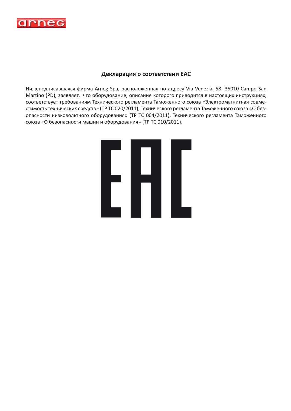

#### Декларация о соответствии ЕАС

Нижеподписавшаяся фирма Arneg Spa, расположенная по адресу Via Venezia, 58 -35010 Campo San Martino (PD), заявляет, что оборудование, описание которого приводится в настоящих инструкциях, соответствует требованиям Технического регламента Таможенного союза «Электромагнитная совместимость технических средств» (ТР ТС 020/2011), Технического регламента Таможенного союза «О безопасности низковольтного оборудования» (ТР ТС 004/2011), Технического регламента Таможенного союза «О безопасности машин и оборудования» (ТР ТС 010/2011).

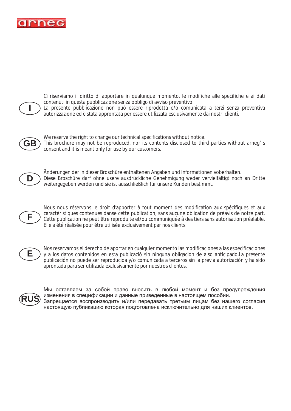

**I**

Ci riserviamo il diritto di apportare in qualunque momento, le modifiche alle specifiche e ai dati contenuti in questa pubblicazione senza obbligo di avviso preventivo.

La presente pubblicazione non può essere riprodotta e/o comunicata a terzi senza preventiva autorizzazione ed è stata approntata per essere utilizzata esclusivamente dai nostri clienti.



We reserve the right to change our technical specifications without notice. This brochure may not be reproduced, nor its contents disclosed to third parties without arneg' s consent and it is meant only for use by our customers.



Änderungen der in dieser Broschüre enthaltenen Angaben und Informationen voberhalten. Diese Broschüre darf ohne usere ausdrückliche Genehmigung weder vervielfältigt noch an Dritte weitergegeben werden und sie ist ausschließlich für unsere Kunden bestimmt.



Nous nous réservons le droit d'apporter à tout moment des modification aux spécifiques et aux caractéristiques contenues danse cette publication, sans aucune obligation de préavis de notre part. Cette publication ne peut être reproduite et/ou communiquée â des tiers sans autorisation préalable. Elle a été réalisée pour étre utilisée exclusivement par nos clients.



Nos reservamos el derecho de aportar en cualquier momento las modificaciones a las especificaciones y a los datos contenidos en esta publicació sin ninguna obligación de aiso anticipado.La presente publicación no puede ser reproducida y/o comunicada a terceros sin la previa autorización y ha sido aprontada para ser utilizada exclusivamente por nuestros clientes.



Мы оставляем за собой право вносить в любой момент и без предупреждения изменения в спецификации и данные приведенные в настоящем пособии. Запрещается воспроизводить и/или передавать третьим лицам без нашего согласия настоящую публикацию которая подготовлена исключительно для наших клиентов.